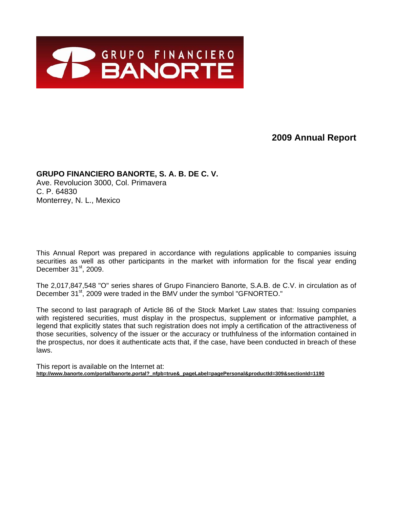

# **2009 Annual Report**

# **GRUPO FINANCIERO BANORTE, S. A. B. DE C. V.**

Ave. Revolucion 3000, Col. Primavera C. P. 64830 Monterrey, N. L., Mexico

This Annual Report was prepared in accordance with regulations applicable to companies issuing securities as well as other participants in the market with information for the fiscal year ending December  $31<sup>st</sup>$ , 2009.

The 2,017,847,548 "O" series shares of Grupo Financiero Banorte, S.A.B. de C.V. in circulation as of December 31<sup>st</sup>, 2009 were traded in the BMV under the symbol "GFNORTEO."

The second to last paragraph of Article 86 of the Stock Market Law states that: Issuing companies with registered securities, must display in the prospectus, supplement or informative pamphlet, a legend that explicitly states that such registration does not imply a certification of the attractiveness of those securities, solvency of the issuer or the accuracy or truthfulness of the information contained in the prospectus, nor does it authenticate acts that, if the case, have been conducted in breach of these laws.

This report is available on the Internet at: http://www.banorte.com/portal/banorte.portal? nfpb=true& pageLabel=pagePersonal&productId=309&sectionId=1190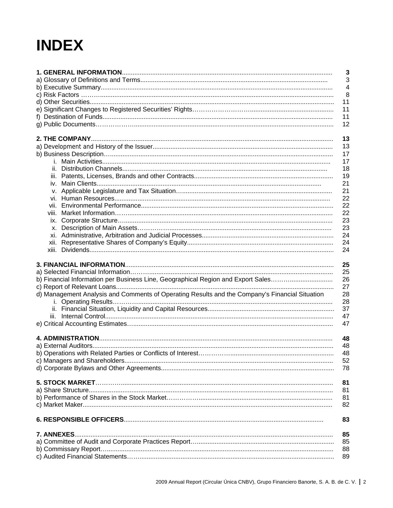# **INDEX**

|                                                                                                | $\overline{\mathbf{3}}$ |
|------------------------------------------------------------------------------------------------|-------------------------|
|                                                                                                | 3                       |
|                                                                                                | $\overline{4}$          |
|                                                                                                | 8                       |
|                                                                                                | 11                      |
|                                                                                                | 11                      |
|                                                                                                | 11                      |
|                                                                                                | 12                      |
|                                                                                                | 13                      |
|                                                                                                | 13                      |
|                                                                                                | 17                      |
|                                                                                                | 17                      |
|                                                                                                | 18                      |
|                                                                                                | 19                      |
| İV.                                                                                            | 21                      |
|                                                                                                | 21                      |
|                                                                                                | 22                      |
|                                                                                                | 22                      |
| viii.                                                                                          | 22                      |
|                                                                                                | 23                      |
|                                                                                                | 23                      |
|                                                                                                | 24                      |
|                                                                                                | 24<br>24                |
|                                                                                                |                         |
|                                                                                                | 25                      |
|                                                                                                | 25                      |
| b) Financial Information per Business Line, Geographical Region and Export Sales               | 26                      |
|                                                                                                | 27                      |
| d) Management Analysis and Comments of Operating Results and the Company's Financial Situation | 28                      |
|                                                                                                | 28                      |
|                                                                                                | 37                      |
|                                                                                                | 47                      |
|                                                                                                | 47                      |
|                                                                                                |                         |
|                                                                                                | 48                      |
|                                                                                                | 48                      |
|                                                                                                | 48                      |
|                                                                                                | 52                      |
|                                                                                                | 78                      |
|                                                                                                | 81                      |
|                                                                                                | 81                      |
|                                                                                                | 81                      |
|                                                                                                | 82                      |
|                                                                                                |                         |
|                                                                                                | 83                      |
| 7. ANNEXES.                                                                                    | 85                      |
|                                                                                                | 85                      |
|                                                                                                | 88                      |
|                                                                                                | 89                      |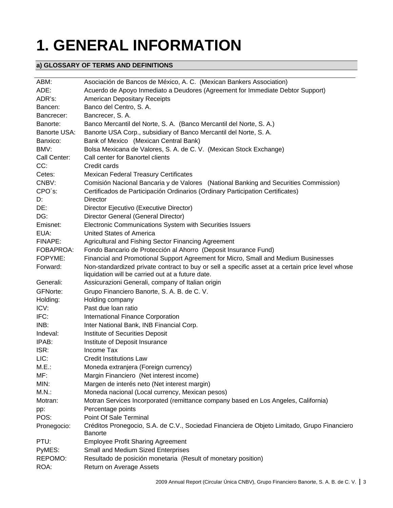# **1. GENERAL INFORMATION**

# **a) GLOSSARY OF TERMS AND DEFINITIONS**

| ABM:            | Asociación de Bancos de México, A. C. (Mexican Bankers Association)                                                                                   |
|-----------------|-------------------------------------------------------------------------------------------------------------------------------------------------------|
| ADE:            | Acuerdo de Apoyo Inmediato a Deudores (Agreement for Immediate Debtor Support)                                                                        |
| ADR's:          | <b>American Depositary Receipts</b>                                                                                                                   |
| Bancen:         | Banco del Centro, S. A.                                                                                                                               |
| Bancrecer:      | Bancrecer, S. A.                                                                                                                                      |
| Banorte:        | Banco Mercantil del Norte, S. A. (Banco Mercantil del Norte, S. A.)                                                                                   |
| Banorte USA:    | Banorte USA Corp., subsidiary of Banco Mercantil del Norte, S. A.                                                                                     |
| Banxico:        | Bank of Mexico (Mexican Central Bank)                                                                                                                 |
| BMV:            | Bolsa Mexicana de Valores, S. A. de C. V. (Mexican Stock Exchange)                                                                                    |
| Call Center:    | Call center for Banortel clients                                                                                                                      |
| CC:             | Credit cards                                                                                                                                          |
| Cetes:          | <b>Mexican Federal Treasury Certificates</b>                                                                                                          |
| CNBV:           | Comisión Nacional Bancaria y de Valores (National Banking and Securities Commission)                                                                  |
| CPO's:          | Certificados de Participación Ordinarios (Ordinary Participation Certificates)                                                                        |
| D:              | Director                                                                                                                                              |
| DE:             | Director Ejecutivo (Executive Director)                                                                                                               |
| DG:             | Director General (General Director)                                                                                                                   |
| Emisnet:        | Electronic Communications System with Securities Issuers                                                                                              |
| EUA:            | <b>United States of America</b>                                                                                                                       |
| FINAPE:         | Agricultural and Fishing Sector Financing Agreement                                                                                                   |
| FOBAPROA:       | Fondo Bancario de Protección al Ahorro (Deposit Insurance Fund)                                                                                       |
| FOPYME:         | Financial and Promotional Support Agreement for Micro, Small and Medium Businesses                                                                    |
| Forward:        | Non-standardized private contract to buy or sell a specific asset at a certain price level whose<br>liquidation will be carried out at a future date. |
| Generali:       | Assicurazioni Generali, company of Italian origin                                                                                                     |
| <b>GFNorte:</b> | Grupo Financiero Banorte, S. A. B. de C. V.                                                                                                           |
| Holding:        | Holding company                                                                                                                                       |
| ICV:            | Past due loan ratio                                                                                                                                   |
| IFC:            | International Finance Corporation                                                                                                                     |
| INB:            | Inter National Bank, INB Financial Corp.                                                                                                              |
| Indeval:        | Institute of Securities Deposit                                                                                                                       |
| IPAB:           | Institute of Deposit Insurance                                                                                                                        |
| ISR:            | Income Tax                                                                                                                                            |
| LIC:            | <b>Credit Institutions Law</b>                                                                                                                        |
| M.E.:           | Moneda extranjera (Foreign currency)                                                                                                                  |
| MF:             | Margin Financiero (Net interest income)                                                                                                               |
| MIN:            | Margen de interés neto (Net interest margin)                                                                                                          |
| $M.N.$ :        | Moneda nacional (Local currency, Mexican pesos)                                                                                                       |
| Motran:         | Motran Services Incorporated (remittance company based en Los Angeles, California)                                                                    |
| pp:             | Percentage points                                                                                                                                     |
| POS:            | Point Of Sale Terminal                                                                                                                                |
| Pronegocio:     | Créditos Pronegocio, S.A. de C.V., Sociedad Financiera de Objeto Limitado, Grupo Financiero<br><b>Banorte</b>                                         |
| PTU:            | <b>Employee Profit Sharing Agreement</b>                                                                                                              |
| PyMES:          | Small and Medium Sized Enterprises                                                                                                                    |
| REPOMO:         | Resultado de posición monetaria (Result of monetary position)                                                                                         |
| ROA:            | Return on Average Assets                                                                                                                              |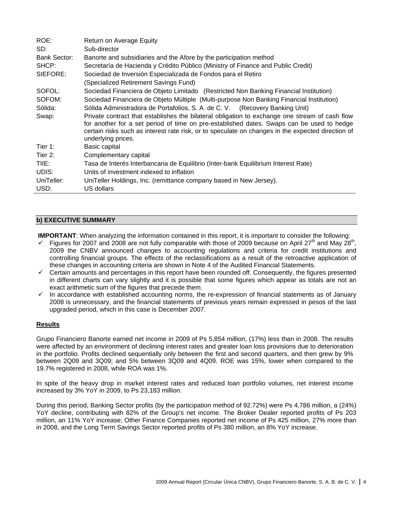| ROE:         | Return on Average Equity                                                                                                                                                                                                                                                                                               |
|--------------|------------------------------------------------------------------------------------------------------------------------------------------------------------------------------------------------------------------------------------------------------------------------------------------------------------------------|
| SD:          | Sub-director                                                                                                                                                                                                                                                                                                           |
| Bank Sector: | Banorte and subsidiaries and the Afore by the participation method                                                                                                                                                                                                                                                     |
| SHCP:        | Secretaría de Hacienda y Crédito Público (Ministry of Finance and Public Credit)                                                                                                                                                                                                                                       |
| SIEFORE:     | Sociedad de Inversión Especializada de Fondos para el Retiro                                                                                                                                                                                                                                                           |
|              | (Specialized Retirement Savings Fund)                                                                                                                                                                                                                                                                                  |
| SOFOL:       | Sociedad Financiera de Objeto Limitado (Restricted Non Banking Financial Institution)                                                                                                                                                                                                                                  |
| SOFOM:       | Sociedad Financiera de Objeto Múltiple (Multi-purpose Non Banking Financial Institution)                                                                                                                                                                                                                               |
| Sólida:      | Sólida Administradora de Portafolios, S. A. de C. V. (Recovery Banking Unit)                                                                                                                                                                                                                                           |
| Swap:        | Private contract that establishes the bilateral obligation to exchange one stream of cash flow<br>for another for a set period of time on pre-established dates. Swaps can be used to hedge<br>certain risks such as interest rate risk, or to speculate on changes in the expected direction of<br>underlying prices. |
| Tier 1:      | Basic capital                                                                                                                                                                                                                                                                                                          |
| Tier $2:$    | Complementary capital                                                                                                                                                                                                                                                                                                  |
| TIIE:        | Tasa de Interés Interbancaria de Equilibrio (Inter-bank Equilibrium Interest Rate)                                                                                                                                                                                                                                     |
| UDIS:        | Units of investment indexed to inflation                                                                                                                                                                                                                                                                               |
| UniTeller:   | UniTeller Holdings, Inc. (remittance company based in New Jersey).                                                                                                                                                                                                                                                     |
| USD:         | US dollars                                                                                                                                                                                                                                                                                                             |

# **b) EXECUTIVE SUMMARY**

**IMPORTANT**: When analyzing the information contained in this report, it is important to consider the following:

- 9 Figures for 2007 and 2008 are not fully comparable with those of 2009 because on April 27th and May 28th, 2009 the CNBV announced changes to accounting regulations and criteria for credit institutions and controlling financial groups. The effects of the reclassifications as a result of the retroactive application of these changes in accounting criteria are shown in Note 4 of the Audited Financial Statements.
- $\checkmark$  Certain amounts and percentages in this report have been rounded off. Consequently, the figures presented in different charts can vary slightly and it is possible that some figures which appear as totals are not an exact arithmetic sum of the figures that precede them.
- $\checkmark$  In accordance with established accounting norms, the re-expression of financial statements as of January 2008 is unnecessary, and the financial statements of previous years remain expressed in pesos of the last upgraded period, which in this case is December 2007.

# **Results**

Grupo Financiero Banorte earned net income in 2009 of Ps 5,854 million, (17%) less than in 2008. The results were affected by an environment of declining interest rates and greater loan loss provisions due to deterioration in the portfolio. Profits declined sequentially only between the first and second quarters, and then grew by 9% between 2Q09 and 3Q09; and 5% between 3Q09 and 4Q09. ROE was 15%, lower when compared to the 19.7% registered in 2008, while ROA was 1%.

In spite of the heavy drop in market interest rates and reduced loan portfolio volumes, net interest income increased by 3% YoY in 2009, to Ps 23,183 million.

During this period, Banking Sector profits (by the participation method of 92.72%) were Ps 4,786 million, a (24%) YoY decline, contributing with 82% of the Group's net income. The Broker Dealer reported profits of Ps 203 million, an 11% YoY increase; Other Finance Companies reported net income of Ps 425 million, 27% more than in 2008, and the Long Term Savings Sector reported profits of Ps 380 million, an 8% YoY increase.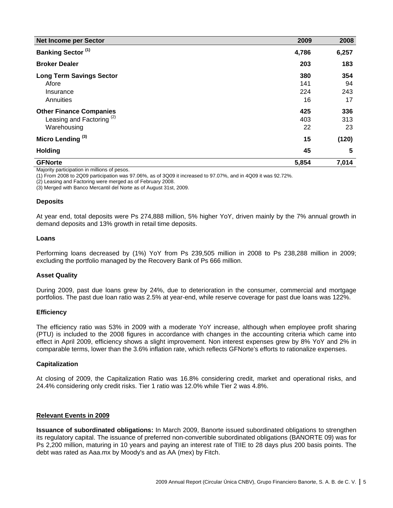| <b>Net Income per Sector</b>                                                          | 2009                    | 2008                   |
|---------------------------------------------------------------------------------------|-------------------------|------------------------|
| <b>Banking Sector (1)</b>                                                             | 4,786                   | 6,257                  |
| <b>Broker Dealer</b>                                                                  | 203                     | 183                    |
| <b>Long Term Savings Sector</b><br>Afore<br>Insurance<br>Annuities                    | 380<br>141<br>224<br>16 | 354<br>94<br>243<br>17 |
| <b>Other Finance Companies</b><br>Leasing and Factoring <sup>(2)</sup><br>Warehousing | 425<br>403<br>22        | 336<br>313<br>23       |
| Micro Lending <sup>(3)</sup>                                                          | 15                      | (120)                  |
| <b>Holding</b>                                                                        | 45                      | 5                      |
| <b>GFNorte</b>                                                                        | 5,854                   | 7,014                  |

Majority participation in millions of pesos.

(1) From 2008 to 2Q09 participation was 97.06%, as of 3Q09 it increased to 97.07%, and in 4Q09 it was 92.72%.

(2) Leasing and Factoring were merged as of February 2008.

(3) Merged with Banco Mercantil del Norte as of August 31st, 2009.

#### **Deposits**

At year end, total deposits were Ps 274,888 million, 5% higher YoY, driven mainly by the 7% annual growth in demand deposits and 13% growth in retail time deposits.

#### **Loans**

Performing loans decreased by (1%) YoY from Ps 239,505 million in 2008 to Ps 238,288 million in 2009; excluding the portfolio managed by the Recovery Bank of Ps 666 million.

# **Asset Quality**

During 2009, past due loans grew by 24%, due to deterioration in the consumer, commercial and mortgage portfolios. The past due loan ratio was 2.5% at year-end, while reserve coverage for past due loans was 122%.

#### **Efficiency**

The efficiency ratio was 53% in 2009 with a moderate YoY increase, although when employee profit sharing (PTU) is included to the 2008 figures in accordance with changes in the accounting criteria which came into effect in April 2009, efficiency shows a slight improvement. Non interest expenses grew by 8% YoY and 2% in comparable terms, lower than the 3.6% inflation rate, which reflects GFNorte's efforts to rationalize expenses.

#### **Capitalization**

At closing of 2009, the Capitalization Ratio was 16.8% considering credit, market and operational risks, and 24.4% considering only credit risks. Tier 1 ratio was 12.0% while Tier 2 was 4.8%.

#### **Relevant Events in 2009**

**Issuance of subordinated obligations:** In March 2009, Banorte issued subordinated obligations to strengthen its regulatory capital. The issuance of preferred non-convertible subordinated obligations (BANORTE 09) was for Ps 2,200 million, maturing in 10 years and paying an interest rate of TIIE to 28 days plus 200 basis points. The debt was rated as Aaa.mx by Moody's and as AA (mex) by Fitch.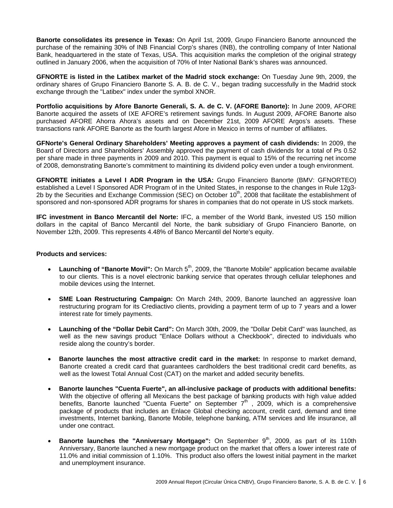**Banorte consolidates its presence in Texas:** On April 1st, 2009, Grupo Financiero Banorte announced the purchase of the remaining 30% of INB Financial Corp's shares (INB), the controlling company of Inter National Bank, headquartered in the state of Texas, USA. This acquisition marks the completion of the original strategy outlined in January 2006, when the acquisition of 70% of Inter National Bank's shares was announced.

**GFNORTE is listed in the Latibex market of the Madrid stock exchange:** On Tuesday June 9th, 2009, the ordinary shares of Grupo Financiero Banorte S. A. B. de C. V., began trading successfully in the Madrid stock exchange through the "Latibex" index under the symbol XNOR.

**Portfolio acquisitions by Afore Banorte Generali, S. A. de C. V. (AFORE Banorte):** In June 2009, AFORE Banorte acquired the assets of IXE AFORE's retirement savings funds. In August 2009, AFORE Banorte also purchased AFORE Ahorra Ahora's assets and on December 21st, 2009 AFORE Argos's assets. These transactions rank AFORE Banorte as the fourth largest Afore in Mexico in terms of number of affiliates.

**GFNorte's General Ordinary Shareholders' Meeting approves a payment of cash dividends:** In 2009, the Board of Directors and Shareholders' Assembly approved the payment of cash dividends for a total of Ps 0.52 per share made in three payments in 2009 and 2010. This payment is equal to 15% of the recurring net income of 2008, demonstrating Banorte's commitment to maintining its dividend policy even under a tough environment.

**GFNORTE initiates a Level I ADR Program in the USA:** Grupo Financiero Banorte (BMV: GFNORTEO) established a Level I Sponsored ADR Program of in the United States, in response to the changes in Rule 12g3- 2b by the Securities and Exchange Commission (SEC) on October  $10^{th}$ , 2008 that facilitate the establishment of sponsored and non-sponsored ADR programs for shares in companies that do not operate in US stock markets.

**IFC investment in Banco Mercantil del Norte:** IFC, a member of the World Bank, invested US 150 million dollars in the capital of Banco Mercantil del Norte, the bank subsidiary of Grupo Financiero Banorte, on November 12th, 2009. This represents 4.48% of Banco Mercantil del Norte's equity.

# **Products and services:**

- **Launching of "Banorte Movil":** On March 5<sup>th</sup>, 2009, the "Banorte Mobile" application became available to our clients. This is a novel electronic banking service that operates through cellular telephones and mobile devices using the Internet.
- **SME Loan Restructuring Campaign:** On March 24th, 2009, Banorte launched an aggressive loan restructuring program for its Crediactivo clients, providing a payment term of up to 7 years and a lower interest rate for timely payments.
- **Launching of the "Dollar Debit Card":** On March 30th, 2009, the "Dollar Debit Card" was launched, as well as the new savings product "Enlace Dollars without a Checkbook", directed to individuals who reside along the country's border.
- **Banorte launches the most attractive credit card in the market:** In response to market demand, Banorte created a credit card that guarantees cardholders the best traditional credit card benefits, as well as the lowest Total Annual Cost (CAT) on the market and added security benefits.
- **Banorte launches "Cuenta Fuerte", an all-inclusive package of products with additional benefits:**  With the objective of offering all Mexicans the best package of banking products with high value added benefits, Banorte launched "Cuenta Fuerte" on September  $7<sup>th</sup>$ , 2009, which is a comprehensive package of products that includes an Enlace Global checking account, credit card, demand and time investments, Internet banking, Banorte Mobile, telephone banking, ATM services and life insurance, all under one contract.
- **Banorte launches the "Anniversary Mortgage":** On September 9<sup>th</sup>, 2009, as part of its 110th Anniversary, Banorte launched a new mortgage product on the market that offers a lower interest rate of 11.0% and initial commission of 1.10%. This product also offers the lowest initial payment in the market and unemployment insurance.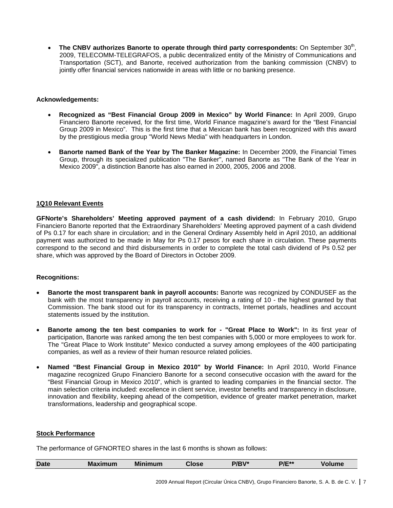• The CNBV authorizes Banorte to operate through third party correspondents: On September 30<sup>th</sup>, 2009, TELECOMM-TELEGRAFOS, a public decentralized entity of the Ministry of Communications and Transportation (SCT), and Banorte, received authorization from the banking commission (CNBV) to jointly offer financial services nationwide in areas with little or no banking presence.

# **Acknowledgements:**

- **Recognized as "Best Financial Group 2009 in Mexico" by World Finance:** In April 2009, Grupo Financiero Banorte received, for the first time, World Finance magazine's award for the "Best Financial Group 2009 in Mexico". This is the first time that a Mexican bank has been recognized with this award by the prestigious media group "World News Media" with headquarters in London.
- **Banorte named Bank of the Year by The Banker Magazine:** In December 2009, the Financial Times Group, through its specialized publication "The Banker", named Banorte as "The Bank of the Year in Mexico 2009", a distinction Banorte has also earned in 2000, 2005, 2006 and 2008.

# **1Q10 Relevant Events**

**GFNorte's Shareholders' Meeting approved payment of a cash dividend:** In February 2010, Grupo Financiero Banorte reported that the Extraordinary Shareholders' Meeting approved payment of a cash dividend of Ps 0.17 for each share in circulation; and in the General Ordinary Assembly held in April 2010, an additional payment was authorized to be made in May for Ps 0.17 pesos for each share in circulation. These payments correspond to the second and third disbursements in order to complete the total cash dividend of Ps 0.52 per share, which was approved by the Board of Directors in October 2009.

# **Recognitions:**

- **Banorte the most transparent bank in payroll accounts:** Banorte was recognized by CONDUSEF as the bank with the most transparency in payroll accounts, receiving a rating of 10 - the highest granted by that Commission. The bank stood out for its transparency in contracts, Internet portals, headlines and account statements issued by the institution.
- **Banorte among the ten best companies to work for "Great Place to Work":** In its first year of participation, Banorte was ranked among the ten best companies with 5,000 or more employees to work for. The "Great Place to Work Institute" Mexico conducted a survey among employees of the 400 participating companies, as well as a review of their human resource related policies.
- **Named "Best Financial Group in Mexico 2010" by World Finance:** In April 2010, World Finance magazine recognized Grupo Financiero Banorte for a second consecutive occasion with the award for the "Best Financial Group in Mexico 2010", which is granted to leading companies in the financial sector. The main selection criteria included: excellence in client service, investor benefits and transparency in disclosure, innovation and flexibility, keeping ahead of the competition, evidence of greater market penetration, market transformations, leadership and geographical scope.

# **Stock Performance**

The performance of GFNORTEO shares in the last 6 months is shown as follows:

|  | <b>Date</b> | M<br><b>ALL ROAD</b> | Mi<br><b>um</b> |  |  | - * *<br><b>PIF</b> |  |
|--|-------------|----------------------|-----------------|--|--|---------------------|--|
|--|-------------|----------------------|-----------------|--|--|---------------------|--|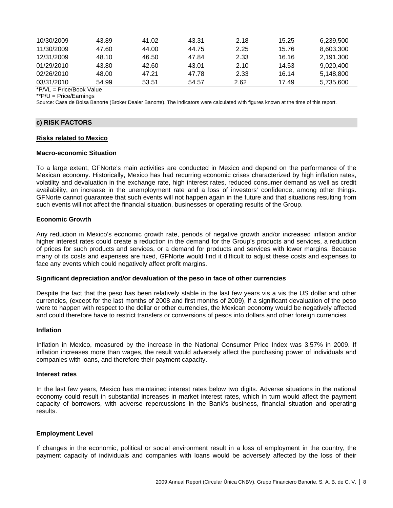| 10/30/2009      | 43.89 | 41.02 | 43.31 | 2.18 | 15.25 | 6.239.500 |
|-----------------|-------|-------|-------|------|-------|-----------|
| 11/30/2009      |       |       |       |      |       |           |
|                 | 47.60 | 44.00 | 44.75 | 2.25 | 15.76 | 8.603.300 |
| 12/31/2009      | 48.10 | 46.50 | 47.84 | 2.33 | 16.16 | 2.191.300 |
| 01/29/2010      | 43.80 | 42.60 | 43.01 | 2.10 | 14.53 | 9.020.400 |
| 02/26/2010      | 48.00 | 47.21 | 47.78 | 2.33 | 16.14 | 5.148.800 |
| 03/31/2010      | 54.99 | 53.51 | 54.57 | 2.62 | 17.49 | 5.735.600 |
| $+$ $+$ $+$ $+$ |       |       |       |      |       |           |

\*P/VL = Price/Book Value

\*\*P/U = Price/Earnings

Source: Casa de Bolsa Banorte (Broker Dealer Banorte). The indicators were calculated with figures known at the time of this report.

# **c) RISK FACTORS**

#### **Risks related to Mexico**

#### **Macro-economic Situation**

To a large extent, GFNorte's main activities are conducted in Mexico and depend on the performance of the Mexican economy. Historically, Mexico has had recurring economic crises characterized by high inflation rates, volatility and devaluation in the exchange rate, high interest rates, reduced consumer demand as well as credit availability, an increase in the unemployment rate and a loss of investors' confidence, among other things. GFNorte cannot guarantee that such events will not happen again in the future and that situations resulting from such events will not affect the financial situation, businesses or operating results of the Group.

#### **Economic Growth**

Any reduction in Mexico's economic growth rate, periods of negative growth and/or increased inflation and/or higher interest rates could create a reduction in the demand for the Group's products and services, a reduction of prices for such products and services, or a demand for products and services with lower margins. Because many of its costs and expenses are fixed, GFNorte would find it difficult to adjust these costs and expenses to face any events which could negatively affect profit margins.

#### **Significant depreciation and/or devaluation of the peso in face of other currencies**

Despite the fact that the peso has been relatively stable in the last few years vis a vis the US dollar and other currencies, (except for the last months of 2008 and first months of 2009), if a significant devaluation of the peso were to happen with respect to the dollar or other currencies, the Mexican economy would be negatively affected and could therefore have to restrict transfers or conversions of pesos into dollars and other foreign currencies.

#### **Inflation**

Inflation in Mexico, measured by the increase in the National Consumer Price Index was 3.57% in 2009. If inflation increases more than wages, the result would adversely affect the purchasing power of individuals and companies with loans, and therefore their payment capacity.

#### **Interest rates**

In the last few years, Mexico has maintained interest rates below two digits. Adverse situations in the national economy could result in substantial increases in market interest rates, which in turn would affect the payment capacity of borrowers, with adverse repercussions in the Bank's business, financial situation and operating results.

#### **Employment Level**

If changes in the economic, political or social environment result in a loss of employment in the country, the payment capacity of individuals and companies with loans would be adversely affected by the loss of their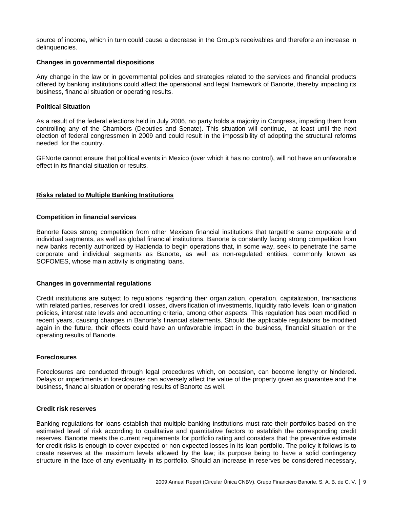source of income, which in turn could cause a decrease in the Group's receivables and therefore an increase in delinquencies.

#### **Changes in governmental dispositions**

Any change in the law or in governmental policies and strategies related to the services and financial products offered by banking institutions could affect the operational and legal framework of Banorte, thereby impacting its business, financial situation or operating results.

#### **Political Situation**

As a result of the federal elections held in July 2006, no party holds a majority in Congress, impeding them from controlling any of the Chambers (Deputies and Senate). This situation will continue, at least until the next election of federal congressmen in 2009 and could result in the impossibility of adopting the structural reforms needed for the country.

GFNorte cannot ensure that political events in Mexico (over which it has no control), will not have an unfavorable effect in its financial situation or results.

#### **Risks related to Multiple Banking Institutions**

#### **Competition in financial services**

Banorte faces strong competition from other Mexican financial institutions that targetthe same corporate and individual segments, as well as global financial institutions. Banorte is constantly facing strong competition from new banks recently authorized by Hacienda to begin operations that, in some way, seek to penetrate the same corporate and individual segments as Banorte, as well as non-regulated entities, commonly known as SOFOMES, whose main activity is originating loans.

#### **Changes in governmental regulations**

Credit institutions are subject to regulations regarding their organization, operation, capitalization, transactions with related parties, reserves for credit losses, diversification of investments, liquidity ratio levels, loan origination policies, interest rate levels and accounting criteria, among other aspects. This regulation has been modified in recent years, causing changes in Banorte's financial statements. Should the applicable regulations be modified again in the future, their effects could have an unfavorable impact in the business, financial situation or the operating results of Banorte.

#### **Foreclosures**

Foreclosures are conducted through legal procedures which, on occasion, can become lengthy or hindered. Delays or impediments in foreclosures can adversely affect the value of the property given as guarantee and the business, financial situation or operating results of Banorte as well.

# **Credit risk reserves**

Banking regulations for loans establish that multiple banking institutions must rate their portfolios based on the estimated level of risk according to qualitative and quantitative factors to establish the corresponding credit reserves. Banorte meets the current requirements for portfolio rating and considers that the preventive estimate for credit risks is enough to cover expected or non expected losses in its loan portfolio. The policy it follows is to create reserves at the maximum levels allowed by the law; its purpose being to have a solid contingency structure in the face of any eventuality in its portfolio. Should an increase in reserves be considered necessary,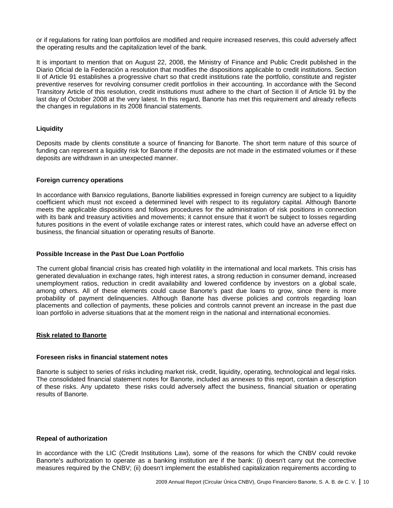or if regulations for rating loan portfolios are modified and require increased reserves, this could adversely affect the operating results and the capitalization level of the bank.

It is important to mention that on August 22, 2008, the Ministry of Finance and Public Credit published in the Diario Oficial de la Federación a resolution that modifies the dispositions applicable to credit institutions. Section II of Article 91 establishes a progressive chart so that credit institutions rate the portfolio, constitute and register preventive reserves for revolving consumer credit portfolios in their accounting. In accordance with the Second Transitory Article of this resolution, credit institutions must adhere to the chart of Section II of Article 91 by the last day of October 2008 at the very latest. In this regard, Banorte has met this requirement and already reflects the changes in regulations in its 2008 financial statements.

# **Liquidity**

Deposits made by clients constitute a source of financing for Banorte. The short term nature of this source of funding can represent a liquidity risk for Banorte if the deposits are not made in the estimated volumes or if these deposits are withdrawn in an unexpected manner.

#### **Foreign currency operations**

In accordance with Banxico regulations, Banorte liabilities expressed in foreign currency are subject to a liquidity coefficient which must not exceed a determined level with respect to its regulatory capital. Although Banorte meets the applicable dispositions and follows procedures for the administration of risk positions in connection with its bank and treasury activities and movements; it cannot ensure that it won't be subject to losses regarding futures positions in the event of volatile exchange rates or interest rates, which could have an adverse effect on business, the financial situation or operating results of Banorte.

#### **Possible Increase in the Past Due Loan Portfolio**

The current global financial crisis has created high volatility in the international and local markets. This crisis has generated devaluation in exchange rates, high interest rates, a strong reduction in consumer demand, increased unemployment ratios, reduction in credit availability and lowered confidence by investors on a global scale, among others. All of these elements could cause Banorte's past due loans to grow, since there is more probability of payment delinquencies. Although Banorte has diverse policies and controls regarding loan placements and collection of payments, these policies and controls cannot prevent an increase in the past due loan portfolio in adverse situations that at the moment reign in the national and international economies.

# **Risk related to Banorte**

#### **Foreseen risks in financial statement notes**

Banorte is subject to series of risks including market risk, credit, liquidity, operating, technological and legal risks. The consolidated financial statement notes for Banorte, included as annexes to this report, contain a description of these risks. Any updateto these risks could adversely affect the business, financial situation or operating results of Banorte.

#### **Repeal of authorization**

In accordance with the LIC (Credit Institutions Law), some of the reasons for which the CNBV could revoke Banorte's authorization to operate as a banking institution are if the bank: (i) doesn't carry out the corrective measures required by the CNBV; (ii) doesn't implement the established capitalization requirements according to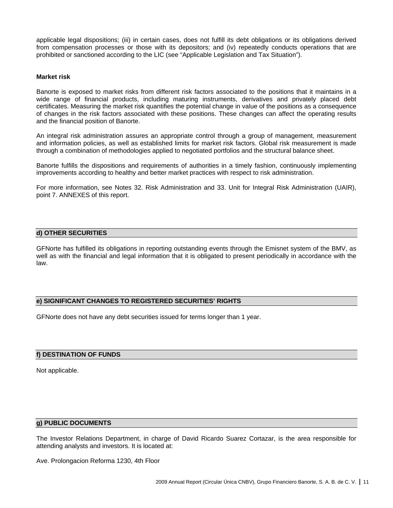applicable legal dispositions; (iii) in certain cases, does not fulfill its debt obligations or its obligations derived from compensation processes or those with its depositors; and (iv) repeatedly conducts operations that are prohibited or sanctioned according to the LIC (see "Applicable Legislation and Tax Situation").

#### **Market risk**

Banorte is exposed to market risks from different risk factors associated to the positions that it maintains in a wide range of financial products, including maturing instruments, derivatives and privately placed debt certificates. Measuring the market risk quantifies the potential change in value of the positions as a consequence of changes in the risk factors associated with these positions. These changes can affect the operating results and the financial position of Banorte.

An integral risk administration assures an appropriate control through a group of management, measurement and information policies, as well as established limits for market risk factors. Global risk measurement is made through a combination of methodologies applied to negotiated portfolios and the structural balance sheet.

Banorte fulfills the dispositions and requirements of authorities in a timely fashion, continuously implementing improvements according to healthy and better market practices with respect to risk administration.

For more information, see Notes 32. Risk Administration and 33. Unit for Integral Risk Administration (UAIR), point 7. ANNEXES of this report.

# **d) OTHER SECURITIES**

GFNorte has fulfilled its obligations in reporting outstanding events through the Emisnet system of the BMV, as well as with the financial and legal information that it is obligated to present periodically in accordance with the law.

# **e) SIGNIFICANT CHANGES TO REGISTERED SECURITIES' RIGHTS**

GFNorte does not have any debt securities issued for terms longer than 1 year.

# **f) DESTINATION OF FUNDS**

Not applicable.

#### **g) PUBLIC DOCUMENTS**

The Investor Relations Department, in charge of David Ricardo Suarez Cortazar, is the area responsible for attending analysts and investors. It is located at:

Ave. Prolongacion Reforma 1230, 4th Floor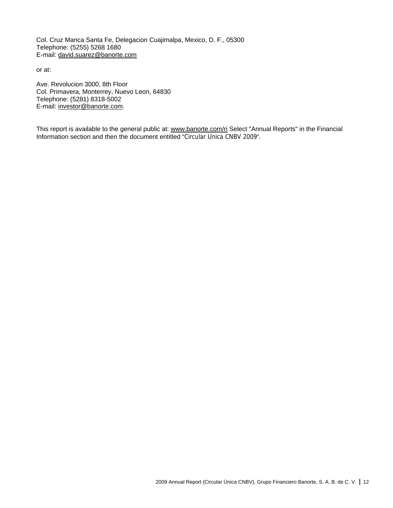Col. Cruz Manca Santa Fe, Delegacion Cuajimalpa, Mexico, D. F., 05300 Telephone: (5255) 5268 1680 E-mail: david.suarez@banorte.com

or at:

Ave. Revolucion 3000, 8th Floor Col. Primavera, Monterrey, Nuevo Leon, 64830 Telephone: (5281) 8318-5002 E-mail: investor@banorte.com.

This report is available to the general public at: www.banorte.com/ri Select "Annual Reports" in the Financial Information section and then the document entitled "Circular Unica CNBV 2009".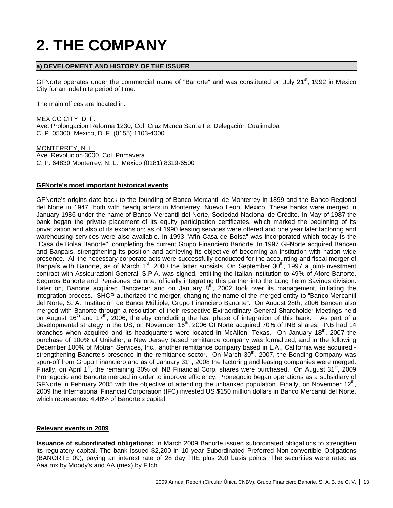# **2. THE COMPANY**

# **a) DEVELOPMENT AND HISTORY OF THE ISSUER**

GFNorte operates under the commercial name of "Banorte" and was constituted on July 21 $^{\text{st}}$ , 1992 in Mexico City for an indefinite period of time.

The main offices are located in:

MEXICO CITY, D. F. Ave. Prolongacion Reforma 1230, Col. Cruz Manca Santa Fe, Delegación Cuajimalpa C. P. 05300, Mexico, D. F. (0155) 1103-4000

MONTERREY, N. L. Ave. Revolucion 3000, Col. Primavera C. P. 64830 Monterrey, N. L., Mexico (0181) 8319-6500

# **GFNorte's most important historical events**

GFNorte's origins date back to the founding of Banco Mercantil de Monterrey in 1899 and the Banco Regional del Norte in 1947, both with headquarters in Monterrey, Nuevo Leon, Mexico. These banks were merged in January 1986 under the name of Banco Mercantil del Norte, Sociedad Nacional de Crédito. In May of 1987 the bank began the private placement of its equity participation certificates, which marked the beginning of its privatization and also of its expansion; as of 1990 leasing services were offered and one year later factoring and warehousing services were also available. In 1993 "Afin Casa de Bolsa" was incorporated which today is the "Casa de Bolsa Banorte", completing the current Grupo Financiero Banorte. In 1997 GFNorte acquired Bancen and Banpaís, strengthening its position and achieving its objective of becoming an institution with nation wide presence. All the necessary corporate acts were successfully conducted for the accounting and fiscal merger of Banpaís with Banorte, as of March  $1<sup>st</sup>$ , 2000 the latter subsists. On September 30<sup>th</sup>, 1997 a joint-investment contract with Assicurazioni Generali S.P.A. was signed, entitling the Italian institution to 49% of Afore Banorte, Seguros Banorte and Pensiones Banorte, officially integrating this partner into the Long Term Savings division. Later on, Banorte acquired Bancrecer and on January 8<sup>th</sup>, 2002 took over its management, initiating the integration process. SHCP authorized the merger, changing the name of the merged entity to "Banco Mercantil del Norte, S. A., Institución de Banca Múltiple, Grupo Financiero Banorte". On August 28th, 2006 Bancen also merged with Banorte through a resolution of their respective Extraordinary General Shareholder Meetings held on August 16<sup>th</sup> and 17<sup>th</sup>, 2006, thereby concluding the last phase of integration of this bank. As part of a developmental strategy in the US, on November 16th, 2006 GFNorte acquired 70% of INB shares. INB had 14 branches when acquired and its headquarters were located in McAllen, Texas. On January  $18<sup>th</sup>$ , 2007 the purchase of 100% of Uniteller, a New Jersey based remittance company was formalized; and in the following December 100% of Motran Services, Inc., another remittance company based in L.A., California was acquired strengthening Banorte's presence in the remittance sector. On March  $30<sup>th</sup>$ , 2007, the Bonding Company was spun-off from Grupo Financiero and as of January 31<sup>st</sup>, 2008 the factoring and leasing companies were merged. Finally, on April 1<sup>st</sup>, the remaining 30% of INB Financial Corp. shares were purchased. On August 31<sup>st</sup>, 2009 Pronegocio and Banorte merged in order to improve efficiency. Pronegocio began operations as a subsidiary of GFNorte in February 2005 with the objective of attending the unbanked population. Finally, on November  $12<sup>th</sup>$ , 2009 the International Financial Corporation (IFC) invested US \$150 million dollars in Banco Mercantil del Norte, which represented 4.48% of Banorte's capital.

# **Relevant events in 2009**

**Issuance of subordinated obligations:** In March 2009 Banorte issued subordinated obligations to strengthen its regulatory capital. The bank issued \$2,200 in 10 year Subordinated Preferred Non-convertible Obligations (BANORTE 09), paying an interest rate of 28 day TIIE plus 200 basis points. The securities were rated as Aaa.mx by Moody's and AA (mex) by Fitch.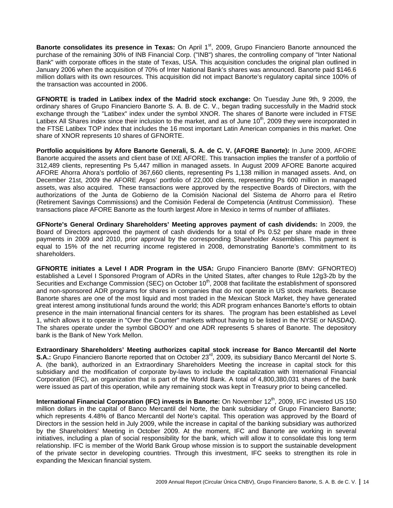**Banorte consolidates its presence in Texas:** On April 1<sup>st</sup>, 2009, Grupo Financiero Banorte announced the purchase of the remaining 30% of INB Financial Corp. ("INB") shares, the controlling company of "Inter National Bank" with corporate offices in the state of Texas, USA. This acquisition concludes the original plan outlined in January 2006 when the acquisition of 70% of Inter National Bank's shares was announced. Banorte paid \$146.6 million dollars with its own resources. This acquisition did not impact Banorte's regulatory capital since 100% of the transaction was accounted in 2006.

**GFNORTE is traded in Latibex index of the Madrid stock exchange:** On Tuesday June 9th, 9 2009, the ordinary shares of Grupo Financiero Banorte S. A. B. de C. V., began trading successfully in the Madrid stock exchange through the "Latibex" index under the symbol XNOR. The shares of Banorte were included in FTSE Latibex All Shares index since their inclusion to the market, and as of June 10<sup>th</sup>, 2009 they were incorporated in the FTSE Latibex TOP index that includes the 16 most important Latin American companies in this market. One share of XNOR represents 10 shares of GFNORTE.

**Portfolio acquisitions by Afore Banorte Generali, S. A. de C. V. (AFORE Banorte):** In June 2009, AFORE Banorte acquired the assets and client base of IXE AFORE. This transaction implies the transfer of a portfolio of 312,489 clients, representing Ps 5,447 million in managed assets. In August 2009 AFORE Banorte acquired AFORE Ahorra Ahora's portfolio of 367,660 clients, representing Ps 1,138 million in managed assets. And, on December 21st, 2009 the AFORE Argos' portfolio of 22,000 clients, representing Ps 600 million in managed assets, was also acquired. These transactions were approved by the respective Boards of Directors, with the authorizations of the Junta de Gobierno de la Comisión Nacional del Sistema de Ahorro para el Retiro (Retirement Savings Commissions) and the Comisión Federal de Competencia (Antitrust Commission). These transactions place AFORE Banorte as the fourth largest Afore in Mexico in terms of number of affiliates.

**GFNorte's General Ordinary Shareholders' Meeting approves payment of cash dividends:** In 2009, the Board of Directors approved the payment of cash dividends for a total of Ps 0.52 per share made in three payments in 2009 and 2010, prior approval by the corresponding Shareholder Assemblies. This payment is equal to 15% of the net recurring income registered in 2008, demonstrating Banorte's commitment to its shareholders.

**GFNORTE initiates a Level I ADR Program in the USA:** Grupo Financiero Banorte (BMV: GFNORTEO) established a Level I Sponsored Program of ADRs in the United States, after changes to Rule 12g3-2b by the Securities and Exchange Commission (SEC) on October 10<sup>th</sup>, 2008 that facilitate the establishment of sponsored and non-sponsored ADR programs for shares in companies that do not operate in US stock markets. Because Banorte shares are one of the most liquid and most traded in the Mexican Stock Market, they have generated great interest among institutional funds around the world; this ADR program enhances Banorte's efforts to obtain presence in the main international financial centers for its shares. The program has been established as Level 1, which allows it to operate in "Over the Counter" markets without having to be listed in the NYSE or NASDAQ. The shares operate under the symbol GBOOY and one ADR represents 5 shares of Banorte. The depository bank is the Bank of New York Mellon.

**Extraordinary Shareholders' Meeting authorizes capital stock increase for Banco Mercantil del Norte S.A.:** Grupo Financiero Banorte reported that on October 23<sup>rd</sup>, 2009, its subsidiary Banco Mercantil del Norte S. A. (the bank), authorized in an Extraordinary Shareholders Meeting the increase in capital stock for this subsidiary and the modification of corporate by-laws to include the capitalization with International Financial Corporation (IFC), an organization that is part of the World Bank. A total of 4,800,380,031 shares of the bank were issued as part of this operation, while any remaining stock was kept in Treasury prior to being cancelled.

**International Financial Corporation (IFC) invests in Banorte:** On November 12<sup>th</sup>, 2009, IFC invested US 150 million dollars in the capital of Banco Mercantil del Norte, the bank subsidiary of Grupo Financiero Banorte; which represents 4.48% of Banco Mercantil del Norte's capital. This operation was approved by the Board of Directors in the session held in July 2009, while the increase in capital of the banking subsidiary was authorized by the Shareholders' Meeting in October 2009. At the moment, IFC and Banorte are working in several initiatives, including a plan of social responsibility for the bank, which will allow it to consolidate this long term relationship. IFC is member of the World Bank Group whose mission is to support the sustainable development of the private sector in developing countries. Through this investment, IFC seeks to strengthen its role in expanding the Mexican financial system.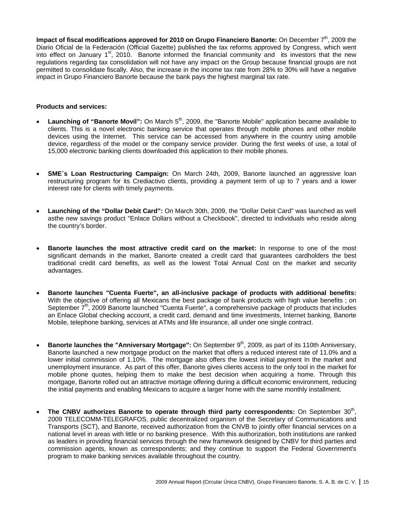**Impact of fiscal modifications approved for 2010 on Grupo Financiero Banorte:** On December 7<sup>th</sup>, 2009 the Diario Oficial de la Federación (Official Gazette) published the tax reforms approved by Congress, which went into effect on January  $1<sup>st</sup>$ , 2010. Banorte informed the financial community and its investors that the new regulations regarding tax consolidation will not have any impact on the Group because financial groups are not permitted to consolidate fiscally. Also, the increase in the income tax rate from 28% to 30% will have a negative impact in Grupo Financiero Banorte because the bank pays the highest marginal tax rate.

#### **Products and services:**

- **Launching of "Banorte Movil":** On March 5<sup>th</sup>, 2009, the "Banorte Mobile" application became available to clients. This is a novel electronic banking service that operates through mobile phones and other mobile devices using the Internet. This service can be accessed from anywhere in the country using amobile device, regardless of the model or the company service provider. During the first weeks of use, a total of 15,000 electronic banking clients downloaded this application to their mobile phones.
- **SME´s Loan Restructuring Campaign:** On March 24th, 2009, Banorte launched an aggressive loan restructuring program for its Crediactivo clients, providing a payment term of up to 7 years and a lower interest rate for clients with timely payments.
- **Launching of the "Dollar Debit Card":** On March 30th, 2009, the "Dollar Debit Card" was launched as well asthe new savings product "Enlace Dollars without a Checkbook", directed to individuals who reside along the country's border.
- **Banorte launches the most attractive credit card on the market:** In response to one of the most significant demands in the market, Banorte created a credit card that guarantees cardholders the best traditional credit card benefits, as well as the lowest Total Annual Cost on the market and security advantages.
- **Banorte launches "Cuenta Fuerte", an all-inclusive package of products with additional benefits:**  With the objective of offering all Mexicans the best package of bank products with high value benefits ; on September 7<sup>th</sup>, 2009 Banorte launched "Cuenta Fuerte", a comprehensive package of products that includes an Enlace Global checking account, a credit card, demand and time investments, Internet banking, Banorte Mobile, telephone banking, services at ATMs and life insurance, all under one single contract.
- **Banorte launches the "Anniversary Mortgage":** On September 9<sup>th</sup>, 2009, as part of its 110th Anniversary, Banorte launched a new mortgage product on the market that offers a reduced interest rate of 11.0% and a lower initial commission of 1.10%. The mortgage also offers the lowest initial payment In the market and unemployment insurance. As part of this offer, Banorte gives clients access to the only tool in the market for mobile phone quotes, helping them to make the best decision when acquiring a home. Through this mortgage, Banorte rolled out an attractive mortage offering during a difficult economic environment, reducing the initial payments and enabling Mexicans to acquire a larger home with the same monthly installment.
- The CNBV authorizes Banorte to operate through third party correspondents: On September 30<sup>th</sup>, 2009 TELECOMM-TELEGRAFOS, public decentralized organism of the Secretary of Communications and Transports (SCT), and Banorte, received authorization from the CNVB to jointly offer financial services on a national level in areas with little or no banking presence. With this authorization, both institutions are ranked as leaders in providing financial services through the new framework designed by CNBV for third parties and commission agents, known as correspondents; and they continue to support the Federal Government's program to make banking services available throughout the country.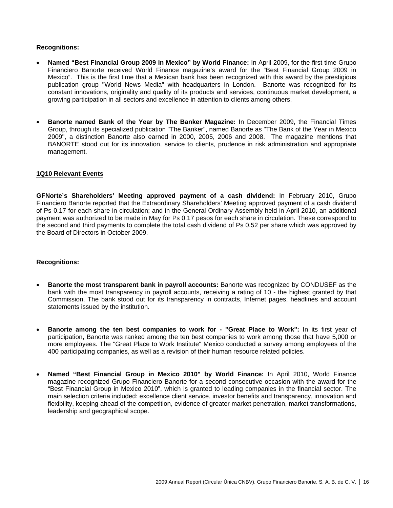# **Recognitions:**

- **Named "Best Financial Group 2009 in Mexico" by World Finance:** In April 2009, for the first time Grupo Financiero Banorte received World Finance magazine's award for the "Best Financial Group 2009 in Mexico". This is the first time that a Mexican bank has been recognized with this award by the prestigious publication group "World News Media" with headquarters in London. Banorte was recognized for its constant innovations, originality and quality of its products and services, continuous market development, a growing participation in all sectors and excellence in attention to clients among others.
- **Banorte named Bank of the Year by The Banker Magazine:** In December 2009, the Financial Times Group, through its specialized publication "The Banker", named Banorte as "The Bank of the Year in Mexico 2009", a distinction Banorte also earned in 2000, 2005, 2006 and 2008. The magazine mentions that BANORTE stood out for its innovation, service to clients, prudence in risk administration and appropriate management.

#### **1Q10 Relevant Events**

**GFNorte's Shareholders' Meeting approved payment of a cash dividend:** In February 2010, Grupo Financiero Banorte reported that the Extraordinary Shareholders' Meeting approved payment of a cash dividend of Ps 0.17 for each share in circulation; and in the General Ordinary Assembly held in April 2010, an additional payment was authorized to be made in May for Ps 0.17 pesos for each share in circulation. These correspond to the second and third payments to complete the total cash dividend of Ps 0.52 per share which was approved by the Board of Directors in October 2009.

#### **Recognitions:**

- **Banorte the most transparent bank in payroll accounts:** Banorte was recognized by CONDUSEF as the bank with the most transparency in payroll accounts, receiving a rating of 10 - the highest granted by that Commission. The bank stood out for its transparency in contracts, Internet pages, headlines and account statements issued by the institution.
- **Banorte among the ten best companies to work for "Great Place to Work":** In its first year of participation, Banorte was ranked among the ten best companies to work among those that have 5,000 or more employees. The "Great Place to Work Institute" Mexico conducted a survey among employees of the 400 participating companies, as well as a revision of their human resource related policies.
- **Named "Best Financial Group in Mexico 2010" by World Finance:** In April 2010, World Finance magazine recognized Grupo Financiero Banorte for a second consecutive occasion with the award for the "Best Financial Group in Mexico 2010", which is granted to leading companies in the financial sector. The main selection criteria included: excellence client service, investor benefits and transparency, innovation and flexibility, keeping ahead of the competition, evidence of greater market penetration, market transformations, leadership and geographical scope.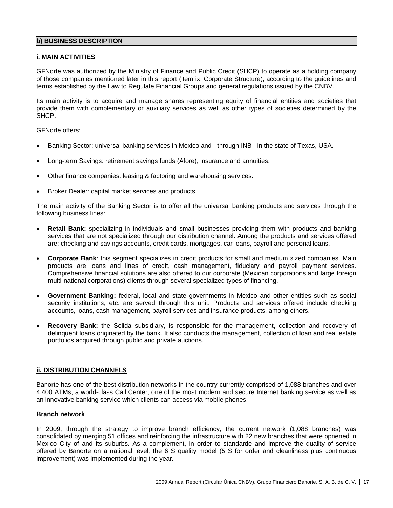# **b) BUSINESS DESCRIPTION**

# **i. MAIN ACTIVITIES**

GFNorte was authorized by the Ministry of Finance and Public Credit (SHCP) to operate as a holding company of those companies mentioned later in this report (item ix. Corporate Structure), according to the guidelines and terms established by the Law to Regulate Financial Groups and general regulations issued by the CNBV.

Its main activity is to acquire and manage shares representing equity of financial entities and societies that provide them with complementary or auxiliary services as well as other types of societies determined by the **SHCP** 

GFNorte offers:

- Banking Sector: universal banking services in Mexico and through INB in the state of Texas, USA.
- Long-term Savings: retirement savings funds (Afore), insurance and annuities.
- Other finance companies: leasing & factoring and warehousing services.
- Broker Dealer: capital market services and products.

The main activity of the Banking Sector is to offer all the universal banking products and services through the following business lines:

- **Retail Bank:** specializing in individuals and small businesses providing them with products and banking services that are not specialized through our distribution channel. Among the products and services offered are: checking and savings accounts, credit cards, mortgages, car loans, payroll and personal loans.
- **Corporate Bank**: this segment specializes in credit products for small and medium sized companies. Main products are loans and lines of credit, cash management, fiduciary and payroll payment services. Comprehensive financial solutions are also offered to our corporate (Mexican corporations and large foreign multi-national corporations) clients through several specialized types of financing.
- **Government Banking:** federal, local and state governments in Mexico and other entities such as social security institutions, etc. are served through this unit. Products and services offered include checking accounts, loans, cash management, payroll services and insurance products, among others.
- **Recovery Bank:** the Solida subsidiary, is responsible for the management, collection and recovery of delinquent loans originated by the bank. It also conducts the management, collection of loan and real estate portfolios acquired through public and private auctions.

# **ii. DISTRIBUTION CHANNELS**

Banorte has one of the best distribution networks in the country currently comprised of 1,088 branches and over 4,400 ATMs, a world-class Call Center, one of the most modern and secure Internet banking service as well as an innovative banking service which clients can access via mobile phones.

# **Branch network**

In 2009, through the strategy to improve branch efficiency, the current network (1,088 branches) was consolidated by merging 51 offices and reinforcing the infrastructure with 22 new branches that were opnened in Mexico City of and its suburbs. As a complement, in order to standarde and improve the quality of service offered by Banorte on a national level, the 6 S quality model (5 S for order and cleanliness plus continuous improvement) was implemented during the year.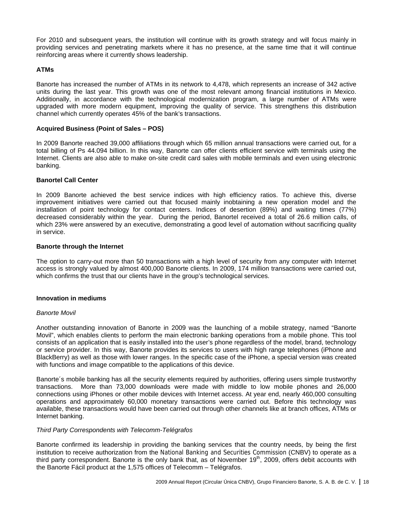For 2010 and subsequent years, the institution will continue with its growth strategy and will focus mainly in providing services and penetrating markets where it has no presence, at the same time that it will continue reinforcing areas where it currently shows leadership.

# **ATMs**

Banorte has increased the number of ATMs in its network to 4,478, which represents an increase of 342 active units during the last year. This growth was one of the most relevant among financial institutions in Mexico. Additionally, in accordance with the technological modernization program, a large number of ATMs were upgraded with more modern equipment, improving the quality of service. This strengthens this distribution channel which currently operates 45% of the bank's transactions.

# **Acquired Business (Point of Sales – POS)**

In 2009 Banorte reached 39,000 affiliations through which 65 million annual transactions were carried out, for a total billing of Ps 44.094 billion. In this way, Banorte can offer clients efficient service with terminals using the Internet. Clients are also able to make on-site credit card sales with mobile terminals and even using electronic banking.

# **Banortel Call Center**

In 2009 Banorte achieved the best service indices with high efficiency ratios. To achieve this, diverse improvement initiatives were carried out that focused mainly inobtaining a new operation model and the installation of point technology for contact centers. Indices of desertion (89%) and waiting times (77%) decreased considerably within the year. During the period, Banortel received a total of 26.6 million calls, of which 23% were answered by an executive, demonstrating a good level of automation without sacrificing quality in service.

# **Banorte through the Internet**

The option to carry-out more than 50 transactions with a high level of security from any computer with Internet access is strongly valued by almost 400,000 Banorte clients. In 2009, 174 million transactions were carried out, which confirms the trust that our clients have in the group's technological services.

# **Innovation in mediums**

# *Banorte Movil*

Another outstanding innovation of Banorte in 2009 was the launching of a mobile strategy, named "Banorte Movil", which enables clients to perform the main electronic banking operations from a mobile phone. This tool consists of an application that is easily installed into the user's phone regardless of the model, brand, technology or service provider. In this way, Banorte provides its services to users with high range telephones (iPhone and BlackBerry) as well as those with lower ranges. In the specific case of the iPhone, a special version was created with functions and image compatible to the applications of this device.

Banorte´s mobile banking has all the security elements required by authorities, offering users simple trustworthy transactions. More than 73,000 downloads were made with middle to low mobile phones and 26,000 connections using iPhones or other mobile devices with Internet access. At year end, nearly 460,000 consulting operations and approximately 60,000 monetary transactions were carried out. Before this technology was available, these transactions would have been carried out through other channels like at branch offices, ATMs or Internet banking.

# *Third Party Correspondents with Telecomm-Telégrafos*

Banorte confirmed its leadership in providing the banking services that the country needs, by being the first institution to receive authorization from the National Banking and Securities Commission (CNBV) to operate as a third party correspondent. Banorte is the only bank that, as of November  $19<sup>th</sup>$ , 2009, offers debit accounts with the Banorte Fácil product at the 1,575 offices of Telecomm – Telégrafos.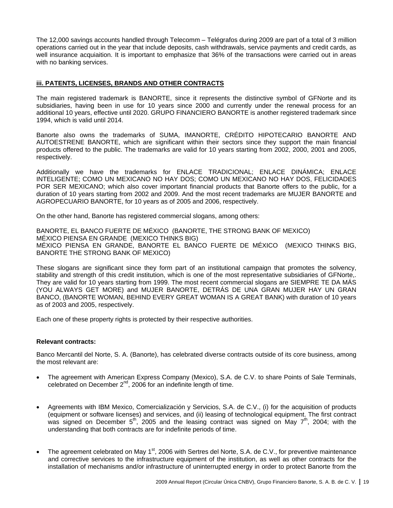The 12,000 savings accounts handled through Telecomm – Telégrafos during 2009 are part of a total of 3 million operations carried out in the year that include deposits, cash withdrawals, service payments and credit cards, as well insurance acquiaition. It is important to emphasize that 36% of the transactions were carried out in areas with no banking services.

# **iii. PATENTS, LICENSES, BRANDS AND OTHER CONTRACTS**

The main registered trademark is BANORTE, since it represents the distinctive symbol of GFNorte and its subsidiaries, having been in use for 10 years since 2000 and currently under the renewal process for an additional 10 years, effective until 2020. GRUPO FINANCIERO BANORTE is another registered trademark since 1994, which is valid until 2014.

Banorte also owns the trademarks of SUMA, IMANORTE, CRÉDITO HIPOTECARIO BANORTE AND AUTOESTRENE BANORTE, which are significant within their sectors since they support the main financial products offered to the public. The trademarks are valid for 10 years starting from 2002, 2000, 2001 and 2005, respectively.

Additionally we have the trademarks for ENLACE TRADICIONAL; ENLACE DINÁMICA; ENLACE INTELIGENTE; COMO UN MEXICANO NO HAY DOS; COMO UN MEXICANO NO HAY DOS, FELICIDADES POR SER MEXICANO; which also cover important financial products that Banorte offers to the public, for a duration of 10 years starting from 2002 and 2009. And the most recent trademarks are MUJER BANORTE and AGROPECUARIO BANORTE, for 10 years as of 2005 and 2006, respectively.

On the other hand, Banorte has registered commercial slogans, among others:

BANORTE, EL BANCO FUERTE DE MÉXICO (BANORTE, THE STRONG BANK OF MEXICO) MÉXICO PIENSA EN GRANDE (MEXICO THINKS BIG) MÉXICO PIENSA EN GRANDE, BANORTE EL BANCO FUERTE DE MÉXICO (MEXICO THINKS BIG, BANORTE THE STRONG BANK OF MEXICO)

These slogans are significant since they form part of an institutional campaign that promotes the solvency, stability and strength of this credit institution, which is one of the most representative subsidiaries of GFNorte,. They are valid for 10 years starting from 1999. The most recent commercial slogans are SIEMPRE TE DA MÁS (YOU ALWAYS GET MORE) and MUJER BANORTE, DETRÁS DE UNA GRAN MUJER HAY UN GRAN BANCO, (BANORTE WOMAN, BEHIND EVERY GREAT WOMAN IS A GREAT BANK) with duration of 10 years as of 2003 and 2005, respectively.

Each one of these property rights is protected by their respective authorities.

# **Relevant contracts:**

Banco Mercantil del Norte, S. A. (Banorte), has celebrated diverse contracts outside of its core business, among the most relevant are:

- The agreement with American Express Company (Mexico), S.A. de C.V. to share Points of Sale Terminals, celebrated on December 2<sup>nd</sup>, 2006 for an indefinite length of time.
- Agreements with IBM Mexico, Comercialización y Servicios, S.A. de C.V., (i) for the acquisition of products (equipment or software licenses) and services, and (ii) leasing of technological equipment. The first contract was signed on December  $5<sup>th</sup>$ , 2005 and the leasing contract was signed on May  $7<sup>th</sup>$ , 2004; with the understanding that both contracts are for indefinite periods of time.
- The agreement celebrated on May 1<sup>st</sup>, 2006 with Sertres del Norte, S.A. de C.V., for preventive maintenance and corrective services to the infrastructure equipment of the institution, as well as other contracts for the installation of mechanisms and/or infrastructure of uninterrupted energy in order to protect Banorte from the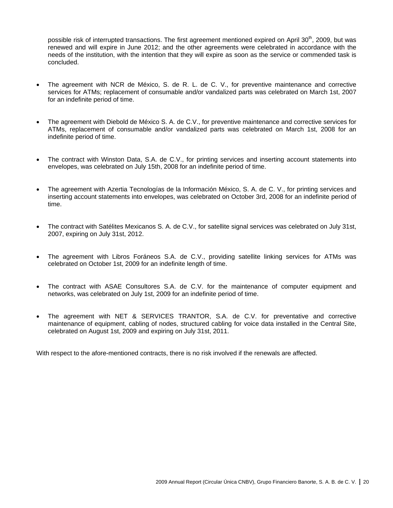possible risk of interrupted transactions. The first agreement mentioned expired on April 30<sup>th</sup>, 2009, but was renewed and will expire in June 2012; and the other agreements were celebrated in accordance with the needs of the institution, with the intention that they will expire as soon as the service or commended task is concluded.

- The agreement with NCR de México, S. de R. L. de C. V., for preventive maintenance and corrective services for ATMs; replacement of consumable and/or vandalized parts was celebrated on March 1st, 2007 for an indefinite period of time.
- The agreement with Diebold de México S. A. de C.V., for preventive maintenance and corrective services for ATMs, replacement of consumable and/or vandalized parts was celebrated on March 1st, 2008 for an indefinite period of time.
- The contract with Winston Data, S.A. de C.V., for printing services and inserting account statements into envelopes, was celebrated on July 15th, 2008 for an indefinite period of time.
- The agreement with Azertia Tecnologías de la Información México, S. A. de C. V., for printing services and inserting account statements into envelopes, was celebrated on October 3rd, 2008 for an indefinite period of time.
- The contract with Satélites Mexicanos S. A. de C.V., for satellite signal services was celebrated on July 31st, 2007, expiring on July 31st, 2012.
- The agreement with Libros Foráneos S.A. de C.V., providing satellite linking services for ATMs was celebrated on October 1st, 2009 for an indefinite length of time.
- The contract with ASAE Consultores S.A. de C.V. for the maintenance of computer equipment and networks, was celebrated on July 1st, 2009 for an indefinite period of time.
- The agreement with NET & SERVICES TRANTOR, S.A. de C.V. for preventative and corrective maintenance of equipment, cabling of nodes, structured cabling for voice data installed in the Central Site, celebrated on August 1st, 2009 and expiring on July 31st, 2011.

With respect to the afore-mentioned contracts, there is no risk involved if the renewals are affected.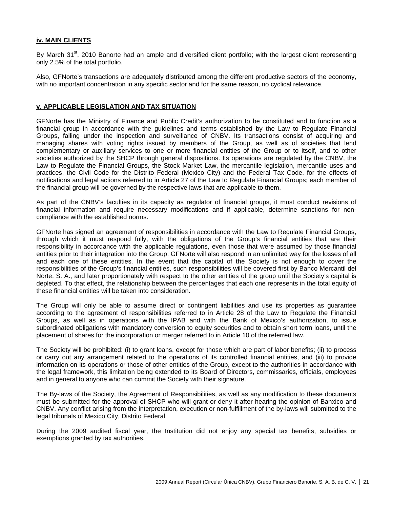#### **iv. MAIN CLIENTS**

By March 31<sup>st</sup>, 2010 Banorte had an ample and diversified client portfolio; with the largest client representing only 2.5% of the total portfolio.

Also, GFNorte's transactions are adequately distributed among the different productive sectors of the economy, with no important concentration in any specific sector and for the same reason, no cyclical relevance.

#### **v. APPLICABLE LEGISLATION AND TAX SITUATION**

GFNorte has the Ministry of Finance and Public Credit's authorization to be constituted and to function as a financial group in accordance with the guidelines and terms established by the Law to Regulate Financial Groups, falling under the inspection and surveillance of CNBV. Its transactions consist of acquiring and managing shares with voting rights issued by members of the Group, as well as of societies that lend complementary or auxiliary services to one or more financial entities of the Group or to itself, and to other societies authorized by the SHCP through general dispositions. Its operations are regulated by the CNBV, the Law to Regulate the Financial Groups, the Stock Market Law, the mercantile legislation, mercantile uses and practices, the Civil Code for the Distrito Federal (Mexico City) and the Federal Tax Code, for the effects of notifications and legal actions referred to in Article 27 of the Law to Regulate Financial Groups; each member of the financial group will be governed by the respective laws that are applicable to them.

As part of the CNBV's faculties in its capacity as regulator of financial groups, it must conduct revisions of financial information and require necessary modifications and if applicable, determine sanctions for noncompliance with the established norms.

GFNorte has signed an agreement of responsibilities in accordance with the Law to Regulate Financial Groups, through which it must respond fully, with the obligations of the Group's financial entities that are their responsibility in accordance with the applicable regulations, even those that were assumed by those financial entities prior to their integration into the Group. GFNorte will also respond in an unlimited way for the losses of all and each one of these entities. In the event that the capital of the Society is not enough to cover the responsibilities of the Group's financial entities, such responsibilities will be covered first by Banco Mercantil del Norte, S. A., and later proportionately with respect to the other entities of the group until the Society's capital is depleted. To that effect, the relationship between the percentages that each one represents in the total equity of these financial entities will be taken into consideration.

The Group will only be able to assume direct or contingent liabilities and use its properties as guarantee according to the agreement of responsibilities referred to in Article 28 of the Law to Regulate the Financial Groups, as well as in operations with the IPAB and with the Bank of Mexico's authorization, to issue subordinated obligations with mandatory conversion to equity securities and to obtain short term loans, until the placement of shares for the incorporation or merger referred to in Article 10 of the referred law.

The Society will be prohibited: (i) to grant loans, except for those which are part of labor benefits; (ii) to process or carry out any arrangement related to the operations of its controlled financial entities, and (iii) to provide information on its operations or those of other entities of the Group, except to the authorities in accordance with the legal framework, this limitation being extended to its Board of Directors, commissaries, officials, employees and in general to anyone who can commit the Society with their signature.

The By-laws of the Society, the Agreement of Responsibilities, as well as any modification to these documents must be submitted for the approval of SHCP who will grant or deny it after hearing the opinion of Banxico and CNBV. Any conflict arising from the interpretation, execution or non-fulfillment of the by-laws will submitted to the legal tribunals of Mexico City, Distrito Federal.

During the 2009 audited fiscal year, the Institution did not enjoy any special tax benefits, subsidies or exemptions granted by tax authorities.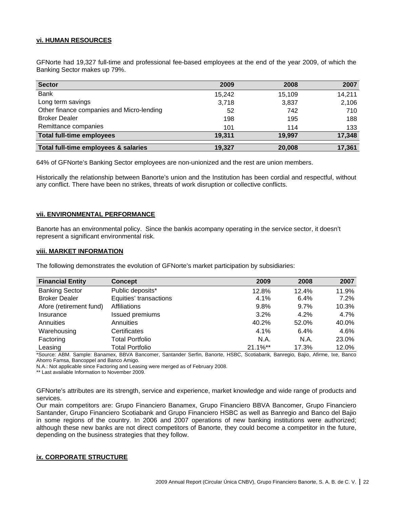# **vi. HUMAN RESOURCES**

GFNorte had 19,327 full-time and professional fee-based employees at the end of the year 2009, of which the Banking Sector makes up 79%.

| <b>Sector</b>                             | 2009   | 2008   | 2007   |
|-------------------------------------------|--------|--------|--------|
| <b>Bank</b>                               | 15,242 | 15,109 | 14,211 |
| Long term savings                         | 3,718  | 3,837  | 2,106  |
| Other finance companies and Micro-lending | 52     | 742    | 710    |
| <b>Broker Dealer</b>                      | 198    | 195    | 188    |
| Remittance companies                      | 101    | 114    | 133    |
| <b>Total full-time employees</b>          | 19.311 | 19,997 | 17,348 |
| Total full-time employees & salaries      | 19.327 | 20,008 | 17,361 |

64% of GFNorte's Banking Sector employees are non-unionized and the rest are union members.

Historically the relationship between Banorte's union and the Institution has been cordial and respectful, without any conflict. There have been no strikes, threats of work disruption or collective conflicts.

# **vii. ENVIRONMENTAL PERFORMANCE**

Banorte has an environmental policy. Since the bankis acompany operating in the service sector, it doesn't represent a significant environmental risk.

#### **viii. MARKET INFORMATION**

The following demonstrates the evolution of GFNorte's market participation by subsidiaries:

| <b>Financial Entity</b> | <b>Concept</b>         | 2009        | 2008    | 2007    |
|-------------------------|------------------------|-------------|---------|---------|
| <b>Banking Sector</b>   | Public deposits*       | 12.8%       | 12.4%   | 11.9%   |
| <b>Broker Dealer</b>    | Equities' transactions | 4.1%        | 6.4%    | $7.2\%$ |
| Afore (retirement fund) | Affiliations           | 9.8%        | $9.7\%$ | 10.3%   |
| Insurance               | Issued premiums        | 3.2%        | 4.2%    | 4.7%    |
| Annuities               | Annuities              | 40.2%       | 52.0%   | 40.0%   |
| Warehousing             | Certificates           | 4.1%        | 6.4%    | 4.6%    |
| Factoring               | <b>Total Portfolio</b> | N.A.        | N.A.    | 23.0%   |
| Leasing                 | <b>Total Portfolio</b> | $21.1\%$ ** | 17.3%   | 12.0%   |

\*Source: ABM. Sample: Banamex, BBVA Bancomer, Santander Serfin, Banorte, HSBC, Scotiabank, Banregio, Bajio, Afirme, Ixe, Banco Ahorro Famsa, Bancoppel and Banco Amigo.

N.A.: Not applicable since Factoring and Leasing were merged as of February 2008.

\*\* Last available Information to November 2009.

GFNorte's attributes are its strength, service and experience, market knowledge and wide range of products and services.

Our main competitors are: Grupo Financiero Banamex, Grupo Financiero BBVA Bancomer, Grupo Financiero Santander, Grupo Financiero Scotiabank and Grupo Financiero HSBC as well as Banregio and Banco del Bajio in some regions of the country. In 2006 and 2007 operations of new banking institutions were authorized; although these new banks are not direct competitors of Banorte, they could become a competitor in the future, depending on the business strategies that they follow.

# **ix. CORPORATE STRUCTURE**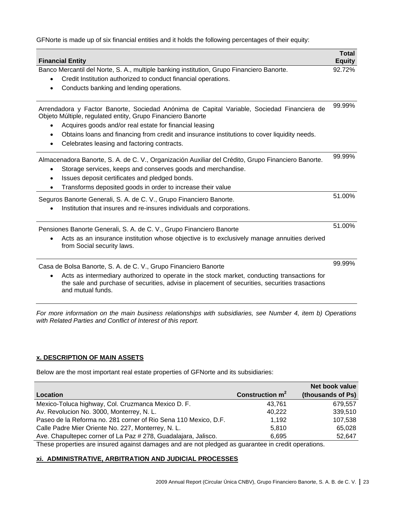GFNorte is made up of six financial entities and it holds the following percentages of their equity:

| <b>Financial Entity</b>                                                                                                                                                                                                                                                                                                                                                          | <b>Total</b><br><b>Equity</b> |
|----------------------------------------------------------------------------------------------------------------------------------------------------------------------------------------------------------------------------------------------------------------------------------------------------------------------------------------------------------------------------------|-------------------------------|
| Banco Mercantil del Norte, S. A., multiple banking institution, Grupo Financiero Banorte.<br>Credit Institution authorized to conduct financial operations.<br>Conducts banking and lending operations.                                                                                                                                                                          | 92.72%                        |
| Arrendadora y Factor Banorte, Sociedad Anónima de Capital Variable, Sociedad Financiera de<br>Objeto Múltiple, regulated entity, Grupo Financiero Banorte<br>Acquires goods and/or real estate for financial leasing<br>Obtains loans and financing from credit and insurance institutions to cover liquidity needs.<br>$\bullet$<br>Celebrates leasing and factoring contracts. | 99.99%                        |
| Almacenadora Banorte, S. A. de C. V., Organización Auxiliar del Crédito, Grupo Financiero Banorte.<br>Storage services, keeps and conserves goods and merchandise.<br>Issues deposit certificates and pledged bonds.<br>$\bullet$<br>Transforms deposited goods in order to increase their value                                                                                 | 99.99%                        |
| Seguros Banorte Generali, S. A. de C. V., Grupo Financiero Banorte.<br>Institution that insures and re-insures individuals and corporations.                                                                                                                                                                                                                                     | 51.00%                        |
| Pensiones Banorte Generali, S. A. de C. V., Grupo Financiero Banorte<br>Acts as an insurance institution whose objective is to exclusively manage annuities derived<br>from Social security laws.                                                                                                                                                                                | 51.00%                        |
| Casa de Bolsa Banorte, S. A. de C. V., Grupo Financiero Banorte<br>Acts as intermediary authorized to operate in the stock market, conducting transactions for<br>$\bullet$<br>the sale and purchase of securities, advise in placement of securities, securities trasactions<br>and mutual funds.                                                                               | 99.99%                        |

*For more information on the main business relationships with subsidiaries, see Number 4, item b) Operations with Related Parties and Conflict of Interest of this report.*

# **x. DESCRIPTION OF MAIN ASSETS**

Below are the most important real estate properties of GFNorte and its subsidiaries:

|                                                                 |                   | Net book value    |
|-----------------------------------------------------------------|-------------------|-------------------|
| Location                                                        | Construction $m2$ | (thousands of Ps) |
| Mexico-Toluca highway, Col. Cruzmanca Mexico D. F.              | 43.761            | 679.557           |
| Av. Revolucion No. 3000, Monterrey, N. L.                       | 40.222            | 339,510           |
| Paseo de la Reforma no. 281 corner of Rio Sena 110 Mexico, D.F. | 1.192             | 107,538           |
| Calle Padre Mier Oriente No. 227, Monterrey, N. L.              | 5.810             | 65.028            |
| Ave. Chapultepec corner of La Paz # 278, Guadalajara, Jalisco.  | 6.695             | 52,647            |
|                                                                 | .                 |                   |

These properties are insured against damages and are not pledged as guarantee in credit operations.

# **xi. ADMINISTRATIVE, ARBITRATION AND JUDICIAL PROCESSES**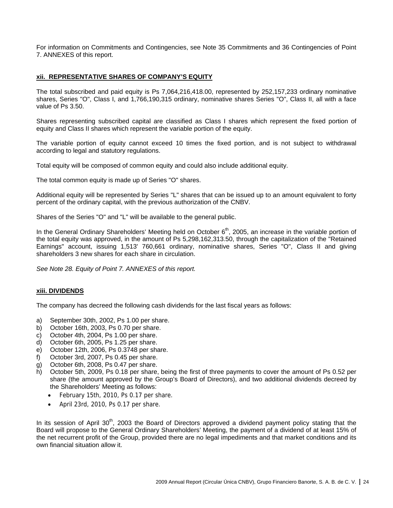For information on Commitments and Contingencies, see Note 35 Commitments and 36 Contingencies of Point 7. ANNEXES of this report.

# **xii. REPRESENTATIVE SHARES OF COMPANY'S EQUITY**

The total subscribed and paid equity is Ps 7,064,216,418.00, represented by 252,157,233 ordinary nominative shares, Series "O", Class I, and 1,766,190,315 ordinary, nominative shares Series "O", Class II, all with a face value of Ps 3.50.

Shares representing subscribed capital are classified as Class I shares which represent the fixed portion of equity and Class II shares which represent the variable portion of the equity.

The variable portion of equity cannot exceed 10 times the fixed portion, and is not subject to withdrawal according to legal and statutory regulations.

Total equity will be composed of common equity and could also include additional equity.

The total common equity is made up of Series "O" shares.

Additional equity will be represented by Series "L" shares that can be issued up to an amount equivalent to forty percent of the ordinary capital, with the previous authorization of the CNBV.

Shares of the Series "O" and "L" will be available to the general public.

In the General Ordinary Shareholders' Meeting held on October 6<sup>th</sup>, 2005, an increase in the variable portion of the total equity was approved, in the amount of Ps 5,298,162,313.50, through the capitalization of the "Retained Earnings" account, issuing 1,513' 760,661 ordinary, nominative shares, Series "O", Class II and giving shareholders 3 new shares for each share in circulation.

*See Note 28. Equity of Point 7. ANNEXES of this report.*

# **xiii. DIVIDENDS**

The company has decreed the following cash dividends for the last fiscal years as follows:

- a) September 30th, 2002, Ps 1.00 per share.
- b) October 16th, 2003, Ps 0.70 per share.
- c) October 4th, 2004, Ps 1.00 per share.
- d) October 6th, 2005, Ps 1.25 per share.
- e) October 12th, 2006, Ps 0.3748 per share.
- f) October 3rd, 2007, Ps 0.45 per share.
- g) October 6th, 2008, Ps 0.47 per share.
- h) October 5th, 2009, Ps 0.18 per share, being the first of three payments to cover the amount of Ps 0.52 per share (the amount approved by the Group's Board of Directors), and two additional dividends decreed by the Shareholders' Meeting as follows:
	- February 15th, 2010, Ps 0.17 per share.
	- April 23rd, 2010, Ps 0.17 per share.

In its session of April 30<sup>th</sup>, 2003 the Board of Directors approved a dividend payment policy stating that the Board will propose to the General Ordinary Shareholders' Meeting, the payment of a dividend of at least 15% of the net recurrent profit of the Group, provided there are no legal impediments and that market conditions and its own financial situation allow it.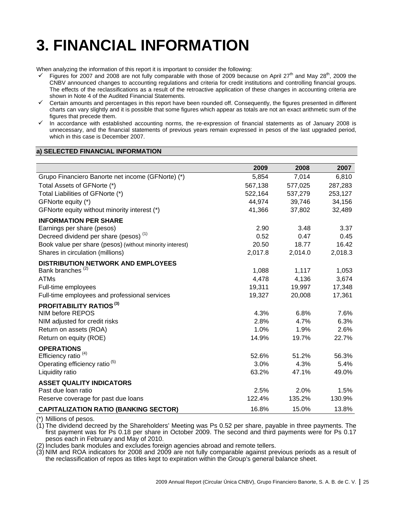# **3. FINANCIAL INFORMATION**

When analyzing the information of this report it is important to consider the following:

- Figures for 2007 and 2008 are not fully comparable with those of 2009 because on April  $27<sup>th</sup>$  and May 28<sup>th</sup>, 2009 the CNBV announced changes to accounting regulations and criteria for credit institutions and controlling financial groups. The effects of the reclassifications as a result of the retroactive application of these changes in accounting criteria are shown in Note 4 of the Audited Financial Statements.
- $\checkmark$  Certain amounts and percentages in this report have been rounded off. Consequently, the figures presented in different charts can vary slightly and it is possible that some figures which appear as totals are not an exact arithmetic sum of the figures that precede them.
- $\checkmark$  In accordance with established accounting norms, the re-expression of financial statements as of January 2008 is unnecessary, and the financial statements of previous years remain expressed in pesos of the last upgraded period, which in this case is December 2007.

# **a) SELECTED FINANCIAL INFORMATION**

|                                                          | 2009    | 2008    | 2007    |
|----------------------------------------------------------|---------|---------|---------|
| Grupo Financiero Banorte net income (GFNorte) (*)        | 5,854   | 7,014   | 6,810   |
| Total Assets of GFNorte (*)                              | 567,138 | 577,025 | 287,283 |
| Total Liabilities of GFNorte (*)                         | 522,164 | 537,279 | 253,127 |
| GFNorte equity (*)                                       | 44,974  | 39,746  | 34,156  |
| GFNorte equity without minority interest (*)             | 41,366  | 37,802  | 32,489  |
| <b>INFORMATION PER SHARE</b>                             |         |         |         |
| Earnings per share (pesos)                               | 2.90    | 3.48    | 3.37    |
| Decreed dividend per share (pesos) <sup>(1)</sup>        | 0.52    | 0.47    | 0.45    |
| Book value per share (pesos) (without minority interest) | 20.50   | 18.77   | 16.42   |
| Shares in circulation (millions)                         | 2,017.8 | 2,014.0 | 2,018.3 |
| <b>DISTRIBUTION NETWORK AND EMPLOYEES</b>                |         |         |         |
| Bank branches <sup>(2)</sup>                             | 1,088   | 1,117   | 1,053   |
| <b>ATMs</b>                                              | 4,478   | 4,136   | 3,674   |
| Full-time employees                                      | 19,311  | 19,997  | 17,348  |
| Full-time employees and professional services            | 19,327  | 20,008  | 17,361  |
| <b>PROFITABILITY RATIOS (3)</b>                          |         |         |         |
| NIM before REPOS                                         | 4.3%    | 6.8%    | 7.6%    |
| NIM adjusted for credit risks                            | 2.8%    | 4.7%    | 6.3%    |
| Return on assets (ROA)                                   | 1.0%    | 1.9%    | 2.6%    |
| Return on equity (ROE)                                   | 14.9%   | 19.7%   | 22.7%   |
| <b>OPERATIONS</b>                                        |         |         |         |
| Efficiency ratio <sup>(4)</sup>                          | 52.6%   | 51.2%   | 56.3%   |
| Operating efficiency ratio <sup>(5)</sup>                | 3.0%    | 4.3%    | 5.4%    |
| Liquidity ratio                                          | 63.2%   | 47.1%   | 49.0%   |
| <b>ASSET QUALITY INDICATORS</b>                          |         |         |         |
| Past due loan ratio                                      | 2.5%    | 2.0%    | 1.5%    |
| Reserve coverage for past due loans                      | 122.4%  | 135.2%  | 130.9%  |
| <b>CAPITALIZATION RATIO (BANKING SECTOR)</b>             | 16.8%   | 15.0%   | 13.8%   |

\*) Millions of pesos.

 $(1)$  The dividend decreed by the Shareholders' Meeting was Ps 0.52 per share, payable in three payments. The first payment was for Ps 0.18 per share in October 2009. The second and third payments were for Ps 0.17 pesos each in February and May of 2010.

(2) Includes bank modules and excludes foreign agencies abroad and remote tellers.

(3) NIM and ROA indicators for 2008 and 2009 are not fully comparable against previous periods as a result of the reclassification of repos as titles kept to expiration within the Group's general balance sheet.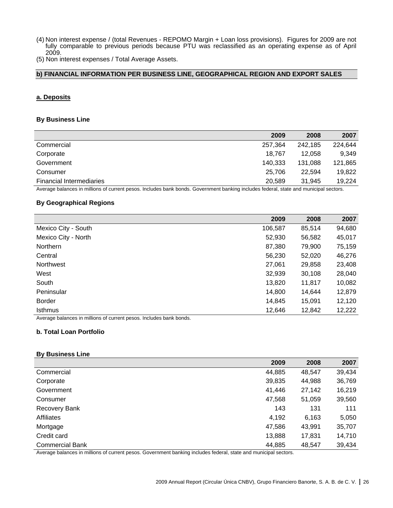- (4) Non interest expense / (total Revenues REPOMO Margin + Loan loss provisions). Figures for 2009 are not fully comparable to previous periods because PTU was reclassified as an operating expense as of April 2009.
- (5) Non interest expenses / Total Average Assets.

# **b) FINANCIAL INFORMATION PER BUSINESS LINE, GEOGRAPHICAL REGION AND EXPORT SALES**

#### **a. Deposits**

# **By Business Line**

| 2009<br>2008<br>2007                                                                                                                  |         |         |         |  |
|---------------------------------------------------------------------------------------------------------------------------------------|---------|---------|---------|--|
| Commercial                                                                                                                            | 257,364 | 242.185 | 224,644 |  |
| Corporate                                                                                                                             | 18.767  | 12.058  | 9,349   |  |
| Government                                                                                                                            | 140,333 | 131.088 | 121,865 |  |
| Consumer                                                                                                                              | 25.706  | 22.594  | 19,822  |  |
| <b>Financial Intermediaries</b>                                                                                                       | 20.589  | 31.945  | 19,224  |  |
| Average balances in millions of current pesos. Includes bank bonds. Government banking includes federal, state and municipal sectors. |         |         |         |  |

#### **By Geographical Regions**

|                                                                                             | 2009    | 2008   | 2007   |
|---------------------------------------------------------------------------------------------|---------|--------|--------|
| Mexico City - South                                                                         | 106,587 | 85,514 | 94,680 |
| Mexico City - North                                                                         | 52,930  | 56,582 | 45,017 |
| Northern                                                                                    | 87,380  | 79,900 | 75,159 |
| Central                                                                                     | 56,230  | 52,020 | 46,276 |
| Northwest                                                                                   | 27,061  | 29,858 | 23,408 |
| West                                                                                        | 32,939  | 30,108 | 28,040 |
| South                                                                                       | 13,820  | 11,817 | 10,082 |
| Peninsular                                                                                  | 14,800  | 14,644 | 12,879 |
| Border                                                                                      | 14,845  | 15,091 | 12,120 |
| <b>Isthmus</b>                                                                              | 12,646  | 12,842 | 12,222 |
| . A consideration of the constitution of complete services. The field of the alternation de |         |        |        |

Average balances in millions of current pesos. Includes bank bonds.

#### **b. Total Loan Portfolio**

#### **By Business Line**

|                        | 2009   | 2008   | 2007   |
|------------------------|--------|--------|--------|
| Commercial             | 44,885 | 48,547 | 39,434 |
| Corporate              | 39,835 | 44,988 | 36,769 |
| Government             | 41,446 | 27,142 | 16,219 |
| Consumer               | 47,568 | 51,059 | 39,560 |
| <b>Recovery Bank</b>   | 143    | 131    | 111    |
| Affiliates             | 4,192  | 6,163  | 5,050  |
| Mortgage               | 47,586 | 43,991 | 35,707 |
| Credit card            | 13,888 | 17,831 | 14,710 |
| <b>Commercial Bank</b> | 44,885 | 48,547 | 39,434 |

Average balances in millions of current pesos. Government banking includes federal, state and municipal sectors.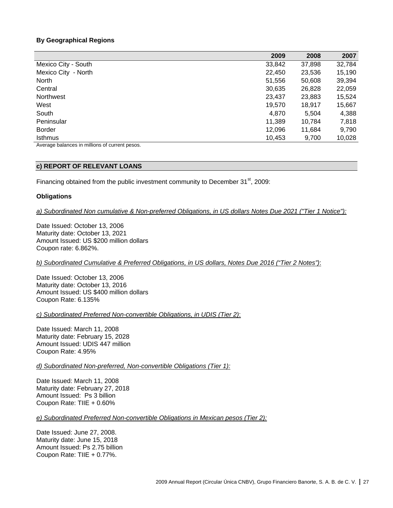# **By Geographical Regions**

|                                                | 2009   | 2008   | 2007   |
|------------------------------------------------|--------|--------|--------|
| Mexico City - South                            | 33,842 | 37,898 | 32,784 |
| Mexico City - North                            | 22,450 | 23,536 | 15,190 |
| North                                          | 51,556 | 50,608 | 39,394 |
| Central                                        | 30,635 | 26,828 | 22,059 |
| Northwest                                      | 23,437 | 23,883 | 15,524 |
| West                                           | 19,570 | 18.917 | 15,667 |
| South                                          | 4,870  | 5,504  | 4,388  |
| Peninsular                                     | 11,389 | 10.784 | 7,818  |
| <b>Border</b>                                  | 12,096 | 11,684 | 9,790  |
| <b>Isthmus</b>                                 | 10,453 | 9,700  | 10,028 |
| Average balances in millions of current pesos. |        |        |        |

#### **c) REPORT OF RELEVANT LOANS**

Financing obtained from the public investment community to December 31<sup>st</sup>, 2009:

#### **Obligations**

*a) Subordinated Non cumulative & Non-preferred Obligations, in US dollars Notes Due 2021 ("Tier 1 Notice"):*

Date Issued: October 13, 2006 Maturity date: October 13, 2021 Amount Issued: US \$200 million dollars Coupon rate: 6.862%.

*b) Subordinated Cumulative & Preferred Obligations, in US dollars, Notes Due 2016 ("Tier 2 Notes")*:

Date Issued: October 13, 2006 Maturity date: October 13, 2016 Amount Issued: US \$400 million dollars Coupon Rate: 6.135%

*c) Subordinated Preferred Non-convertible Obligations, in UDIS (Tier 2)*:

Date Issued: March 11, 2008 Maturity date: February 15, 2028 Amount Issued: UDIS 447 million Coupon Rate: 4.95%

#### *d) Subordinated Non-preferred, Non-convertible Obligations (Tier 1):*

Date Issued: March 11, 2008 Maturity date: February 27, 2018 Amount Issued: Ps 3 billion Coupon Rate: TIIE + 0.60%

*e) Subordinated Preferred Non-convertible Obligations in Mexican pesos (Tier 2):*

Date Issued: June 27, 2008. Maturity date: June 15, 2018 Amount Issued: Ps 2.75 billion Coupon Rate: TIIE + 0.77%.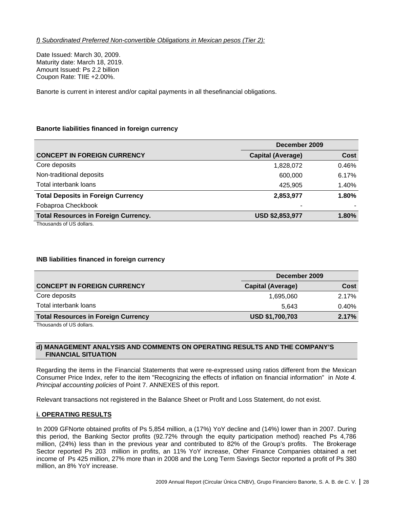Date Issued: March 30, 2009. Maturity date: March 18, 2019. Amount Issued: Ps 2.2 billion Coupon Rate: TIIE +2.00%.

Banorte is current in interest and/or capital payments in all thesefinancial obligations.

# **Banorte liabilities financed in foreign currency**

|                                             | December 2009            |             |
|---------------------------------------------|--------------------------|-------------|
| <b>CONCEPT IN FOREIGN CURRENCY</b>          | <b>Capital (Average)</b> | <b>Cost</b> |
| Core deposits                               | 1,828,072                | 0.46%       |
| Non-traditional deposits                    | 600,000                  | 6.17%       |
| Total interbank loans                       | 425,905                  | 1.40%       |
| <b>Total Deposits in Foreign Currency</b>   | 2,853,977                | 1.80%       |
| Fobaproa Checkbook                          | -                        |             |
| <b>Total Resources in Foreign Currency.</b> | <b>USD \$2,853,977</b>   | 1.80%       |
| Thousands of US dollars.                    |                          |             |

# **INB liabilities financed in foreign currency**

|                                            | December 2009            |       |
|--------------------------------------------|--------------------------|-------|
| <b>CONCEPT IN FOREIGN CURRENCY</b>         | <b>Capital (Average)</b> | Cost  |
| Core deposits                              | 1,695,060                | 2.17% |
| Total interbank loans                      | 5.643                    | 0.40% |
| <b>Total Resources in Foreign Currency</b> | <b>USD \$1,700,703</b>   | 2.17% |
| $-1$<br>$\cdots$                           |                          |       |

Thousands of US dollars.

# **d) MANAGEMENT ANALYSIS AND COMMENTS ON OPERATING RESULTS AND THE COMPANY'S FINANCIAL SITUATION**

Regarding the items in the Financial Statements that were re-expressed using ratios different from the Mexican Consumer Price Index, refer to the item "Recognizing the effects of inflation on financial information" in *Note 4. Principal accounting policies* of Point 7. ANNEXES of this report.

Relevant transactions not registered in the Balance Sheet or Profit and Loss Statement, do not exist.

# **i. OPERATING RESULTS**

In 2009 GFNorte obtained profits of Ps 5,854 million, a (17%) YoY decline and (14%) lower than in 2007. During this period, the Banking Sector profits (92.72% through the equity participation method) reached Ps 4,786 million, (24%) less than in the previous year and contributed to 82% of the Group's profits. The Brokerage Sector reported Ps 203 million in profits, an 11% YoY increase, Other Finance Companies obtained a net income of Ps 425 million, 27% more than in 2008 and the Long Term Savings Sector reported a profit of Ps 380 million, an 8% YoY increase.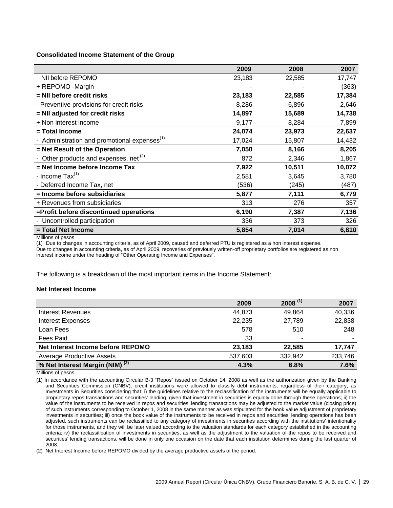#### **Consolidated Income Statement of the Group**

|                                                          | 2009   | 2008   | 2007   |
|----------------------------------------------------------|--------|--------|--------|
| NII before REPOMO                                        | 23,183 | 22,585 | 17,747 |
| + REPOMO -Margin                                         |        |        | (363)  |
| = NII before credit risks                                | 23,183 | 22,585 | 17,384 |
| - Preventive provisions for credit risks                 | 8,286  | 6,896  | 2,646  |
| = NII adjusted for credit risks                          | 14,897 | 15,689 | 14,738 |
| + Non interest income                                    | 9,177  | 8,284  | 7,899  |
| = Total Income                                           | 24,074 | 23,973 | 22,637 |
| - Administration and promotional expenses <sup>(1)</sup> | 17,024 | 15,807 | 14,432 |
| = Net Result of the Operation                            | 7,050  | 8,166  | 8,205  |
| - Other products and expenses, net $(2)$                 | 872    | 2,346  | 1,867  |
| = Net Income before Income Tax                           | 7,922  | 10,511 | 10,072 |
| - Income Tax <sup>(1)</sup>                              | 2,581  | 3,645  | 3,780  |
| - Deferred Income Tax, net                               | (536)  | (245)  | (487)  |
| = Income before subsidiaries                             | 5,877  | 7,111  | 6,779  |
| + Revenues from subsidiaries                             | 313    | 276    | 357    |
| =Profit before discontinued operations                   | 6,190  | 7,387  | 7,136  |
| - Uncontrolled participation                             | 336    | 373    | 326    |
| = Total Net Income                                       | 5,854  | 7,014  | 6,810  |
| Milliana                                                 |        |        |        |

Millions of pesos.

(1) Due to changes in accounting criteria, as of April 2009, caused and deferred PTU is registered as a non interest expense. Due to changes in accounting criteria, as of April 2009, recoveries of previously written-off proprietary portfolios are registered as non interest income under the heading of "Other Operating Income and Expenses".

The following is a breakdown of the most important items in the Income Statement:

#### **Net Interest Income**

|                                            | 2009    | $2008^{(1)}$ | 2007    |
|--------------------------------------------|---------|--------------|---------|
| Interest Revenues                          | 44,873  | 49.864       | 40,336  |
| <b>Interest Expenses</b>                   | 22,235  | 27,789       | 22,838  |
| Loan Fees                                  | 578     | 510          | 248     |
| Fees Paid                                  | 33      |              |         |
| Net Interest Income before REPOMO          | 23,183  | 22,585       | 17,747  |
| <b>Average Productive Assets</b>           | 537,603 | 332,942      | 233,746 |
| % Net Interest Margin (NIM) <sup>(2)</sup> | 4.3%    | 6.8%         | 7.6%    |

Millions of pesos.

(1) In accordance with the accounting Circular B-3 "Repos" issued on October 14, 2008 as well as the authorization given by the Banking and Securities Commission (CNBV), credit institutions were allowed to classify debt instruments, regardless of their category, as Investments in Securities considering that: i) the guidelines relative to the reclassification of the instruments will be equally applicable to proprietary repos transactions and securities' lending, given that investment in securities is equally done through these operations; ii) the value of the instruments to be received in repos and securities' lending transactions may be adjusted to the market value (closing price) of such instruments corresponding to October 1, 2008 in the same manner as was stipulated for the book value adjustment of proprietary investments in securities; iii) once the book value of the instruments to be received in repos and securities' lending operations has been adjusted, such instruments can be reclassified to any category of investments in securities according with the institutions' intentionality for those instruments, and they will be later valued according to the valuation standards for each category established in the accounting criteria; iv) the reclassification of investments in securities, as well as the adjustment to the valuation of the repos to be received and securities' lending transactions, will be done in only one occasion on the date that each institution determines during the last quarter of 2008.

(2) Net Interest Income before REPOMO divided by the average productive assets of the period.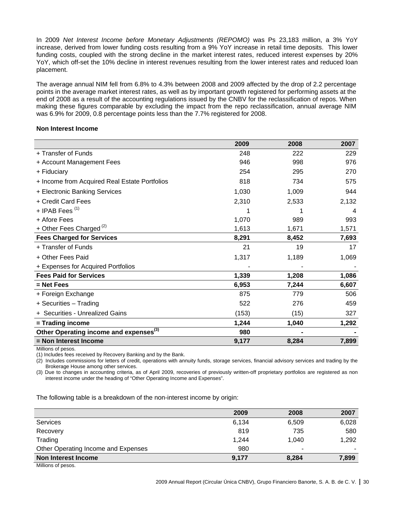In 2009 *Net Interest Income before Monetary Adjustments (REPOMO)* was Ps 23,183 million, a 3% YoY increase, derived from lower funding costs resulting from a 9% YoY increase in retail time deposits. This lower funding costs, coupled with the strong decline in the market interest rates, reduced interest expenses by 20% YoY, which off-set the 10% decline in interest revenues resulting from the lower interest rates and reduced loan placement.

The average annual NIM fell from 6.8% to 4.3% between 2008 and 2009 affected by the drop of 2.2 percentage points in the average market interest rates, as well as by important growth registered for performing assets at the end of 2008 as a result of the accounting regulations issued by the CNBV for the reclassification of repos. When making these figures comparable by excluding the impact from the repo reclassification, annual average NIM was 6.9% for 2009, 0.8 percentage points less than the 7.7% registered for 2008.

#### **Non Interest Income**

|                                                    | 2009  | 2008  | 2007  |
|----------------------------------------------------|-------|-------|-------|
| + Transfer of Funds                                | 248   | 222   | 229   |
| + Account Management Fees                          | 946   | 998   | 976   |
| + Fiduciary                                        | 254   | 295   | 270   |
| + Income from Acquired Real Estate Portfolios      | 818   | 734   | 575   |
| + Electronic Banking Services                      | 1,030 | 1,009 | 944   |
| + Credit Card Fees                                 | 2,310 | 2,533 | 2,132 |
| + IPAB Fees <sup>(1)</sup>                         |       |       | 4     |
| + Afore Fees                                       | 1,070 | 989   | 993   |
| + Other Fees Charged $(2)$                         | 1,613 | 1,671 | 1,571 |
| <b>Fees Charged for Services</b>                   | 8,291 | 8,452 | 7,693 |
| + Transfer of Funds                                | 21    | 19    | 17    |
| + Other Fees Paid                                  | 1,317 | 1,189 | 1,069 |
| + Expenses for Acquired Portfolios                 |       |       |       |
| <b>Fees Paid for Services</b>                      | 1,339 | 1,208 | 1,086 |
| $=$ Net Fees                                       | 6,953 | 7,244 | 6,607 |
| + Foreign Exchange                                 | 875   | 779   | 506   |
| + Securities - Trading                             | 522   | 276   | 459   |
| + Securities - Unrealized Gains                    | (153) | (15)  | 327   |
| = Trading income                                   | 1,244 | 1,040 | 1,292 |
| Other Operating income and expenses <sup>(3)</sup> | 980   |       |       |
| = Non Interest Income                              | 9,177 | 8,284 | 7,899 |

Millions of pesos.

(1) Includes fees received by Recovery Banking and by the Bank.

(2) Includes commissions for letters of credit, operations with annuity funds, storage services, financial advisory services and trading by the Brokerage House among other services.

(3) Due to changes in accounting criteria, as of April 2009, recoveries of previously written-off proprietary portfolios are registered as non interest income under the heading of "Other Operating Income and Expenses".

The following table is a breakdown of the non-interest income by origin:

|                                     | 2009  | 2008  | 2007  |
|-------------------------------------|-------|-------|-------|
| Services                            | 6,134 | 6,509 | 6,028 |
| Recovery                            | 819   | 735   | 580   |
| Trading                             | 1.244 | 1.040 | 1,292 |
| Other Operating Income and Expenses | 980   | ۰     |       |
| Non Interest Income                 | 9,177 | 8,284 | 7,899 |
| Milliano of nonce                   |       |       |       |

Millions of pesos.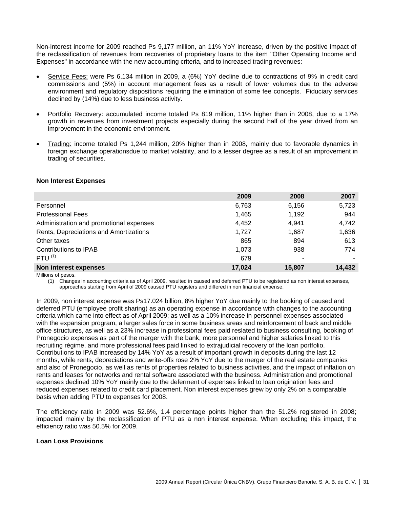Non-interest income for 2009 reached Ps 9,177 million, an 11% YoY increase, driven by the positive impact of the reclassification of revenues from recoveries of proprietary loans to the item "Other Operating Income and Expenses" in accordance with the new accounting criteria, and to increased trading revenues:

- Service Fees: were Ps 6,134 million in 2009, a (6%) YoY decline due to contractions of 9% in credit card commissions and (5%) in account management fees as a result of lower volumes due to the adverse environment and regulatory dispositions requiring the elimination of some fee concepts. Fiduciary services declined by (14%) due to less business activity.
- Portfolio Recovery: accumulated income totaled Ps 819 million, 11% higher than in 2008, due to a 17% growth in revenues from investment projects especially during the second half of the year drived from an improvement in the economic environment.
- Trading: income totaled Ps 1,244 million, 20% higher than in 2008, mainly due to favorable dynamics in foreign exchange operationsdue to market volatility, and to a lesser degree as a result of an improvement in trading of securities.

|                                         | 2009   | 2008   | 2007   |
|-----------------------------------------|--------|--------|--------|
| Personnel                               | 6,763  | 6,156  | 5,723  |
| <b>Professional Fees</b>                | 1,465  | 1,192  | 944    |
| Administration and promotional expenses | 4,452  | 4,941  | 4,742  |
| Rents, Depreciations and Amortizations  | 1,727  | 1,687  | 1,636  |
| Other taxes                             | 865    | 894    | 613    |
| Contributions to IPAB                   | 1,073  | 938    | 774    |
| PTU $(1)$                               | 679    |        |        |
| Non interest expenses                   | 17.024 | 15.807 | 14,432 |

#### **Non Interest Expenses**

Millions of pesos.

(1) Changes in accounting criteria as of April 2009, resulted in caused and deferred PTU to be registered as non interest expenses, approaches starting from April of 2009 caused PTU registers and differed in non financial expense.

In 2009, non interest expense was Ps17.024 billion, 8% higher YoY due mainly to the booking of caused and deferred PTU (employee profit sharing) as an operating expense in accordance with changes to the accounting criteria which came into effect as of April 2009; as well as a 10% increase in personnel expenses associated with the expansion program, a larger sales force in some business areas and reinforcement of back and middle office structures, as well as a 23% increase in professional fees paid reslated to business consulting, booking of Pronegocio expenses as part of the merger with the bank, more personnel and higher salaries linked to this recruiting régime, and more professional fees paid linked to extrajudicial recovery of the loan portfolio. Contributions to IPAB increased by 14% YoY as a result of important growth in deposits during the last 12 months, while rents, depreciations and write-offs rose 2% YoY due to the merger of the real estate companies and also of Pronegocio, as well as rents of properties related to business activities, and the impact of inflation on rents and leases for networks and rental software associated with the business. Administration and promotional expenses declined 10% YoY mainly due to the deferment of expenses linked to loan origination fees and reduced expenses related to credit card placement. Non interest expenses grew by only 2% on a comparable basis when adding PTU to expenses for 2008.

The efficiency ratio in 2009 was 52.6%, 1.4 percentage points higher than the 51.2% registered in 2008; impacted mainly by the reclassification of PTU as a non interest expense. When excluding this impact, the efficiency ratio was 50.5% for 2009.

# **Loan Loss Provisions**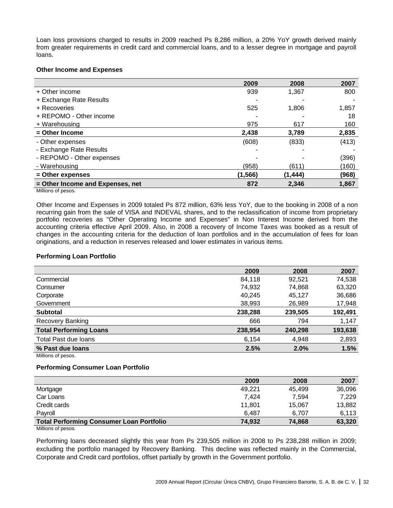Loan loss provisions charged to results in 2009 reached Ps 8,286 million, a 20% YoY growth derived mainly from greater requirements in credit card and commercial loans, and to a lesser degree in mortgage and payroll loans.

#### **Other Income and Expenses**

|                                  | 2009     | 2008    | 2007  |
|----------------------------------|----------|---------|-------|
| + Other income                   | 939      | 1,367   | 800   |
| + Exchange Rate Results          |          |         |       |
| + Recoveries                     | 525      | 1,806   | 1,857 |
| + REPOMO - Other income          |          |         | 18    |
| + Warehousing                    | 975      | 617     | 160   |
| $=$ Other Income                 | 2.438    | 3.789   | 2,835 |
| - Other expenses                 | (608)    | (833)   | (413) |
| - Exchange Rate Results          |          |         |       |
| - REPOMO - Other expenses        |          |         | (396) |
| - Warehousing                    | (958)    | (611)   | (160) |
| = Other expenses                 | (1, 566) | (1,444) | (968) |
| = Other Income and Expenses, net | 872      | 2.346   | 1,867 |

Millions of pesos.

Other Income and Expenses in 2009 totaled Ps 872 million, 63% less YoY, due to the booking in 2008 of a non recurring gain from the sale of VISA and INDEVAL shares, and to the reclassification of income from proprietary portfolio recoveries as "Other Operating Income and Expenses" in Non Interest Income derived from the accounting criteria effective April 2009. Also, in 2008 a recovery of Income Taxes was booked as a result of changes in the accounting criteria for the deduction of loan portfolios and in the accumulation of fees for loan originations, and a reduction in reserves released and lower estimates in various items.

#### **Performing Loan Portfolio**

| 2009    | 2008    | 2007    |
|---------|---------|---------|
| 84,118  | 92,521  | 74,538  |
| 74,932  | 74,868  | 63,320  |
| 40,245  | 45,127  | 36,686  |
| 38,993  | 26,989  | 17,948  |
| 238,288 | 239,505 | 192,491 |
| 666     | 794     | 1,147   |
| 238,954 | 240,298 | 193,638 |
| 6,154   | 4,948   | 2,893   |
| 2.5%    | 2.0%    | 1.5%    |
|         |         |         |

Millions of pesos.

# **Performing Consumer Loan Portfolio**

|                                                 | 2009   | 2008   | 2007   |
|-------------------------------------------------|--------|--------|--------|
| Mortgage                                        | 49,221 | 45.499 | 36,096 |
| Car Loans                                       | 7.424  | 7.594  | 7.229  |
| Credit cards                                    | 11.801 | 15.067 | 13,882 |
| Payroll                                         | 6.487  | 6.707  | 6,113  |
| <b>Total Performing Consumer Loan Portfolio</b> | 74.932 | 74.868 | 63,320 |

Millions of pesos.

Performing loans decreased slightly this year from Ps 239,505 million in 2008 to Ps 238,288 million in 2009; excluding the portfolio managed by Recovery Banking. This decline was reflected mainly in the Commercial, Corporate and Credit card portfolios, offset partially by growth in the Government portfolio.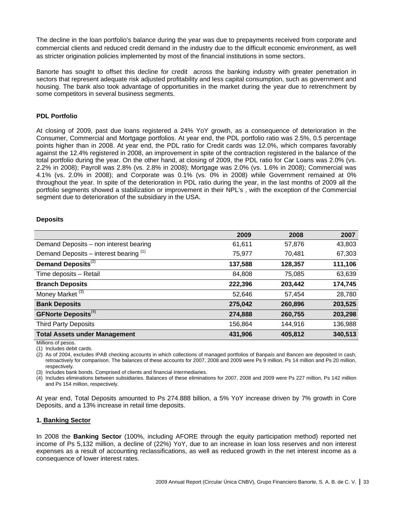The decline in the loan portfolio's balance during the year was due to prepayments received from corporate and commercial clients and reduced credit demand in the industry due to the difficult economic environment, as well as stricter origination policies implemented by most of the financial institutions in some sectors.

Banorte has sought to offset this decline for credit across the banking industry with greater penetration in sectors that represent adequate risk adjusted profitability and less capital consumption, such as government and housing. The bank also took advantage of opportunities in the market during the year due to retrenchment by some competitors in several business segments.

# **PDL Portfolio**

At closing of 2009, past due loans registered a 24% YoY growth, as a consequence of deterioration in the Consumer, Commercial and Mortgage portfolios. At year end, the PDL portfolio ratio was 2.5%, 0.5 percentage points higher than in 2008. At year end, the PDL ratio for Credit cards was 12.0%, which compares favorably against the 12.4% registered in 2008, an improvement in spite of the contraction registered in the balance of the total portfolio during the year. On the other hand, at closing of 2009, the PDL ratio for Car Loans was 2.0% (vs. 2.2% in 2008); Payroll was 2.8% (vs. 2.8% in 2008); Mortgage was 2.0% (vs. 1.6% in 2008); Commercial was 4.1% (vs. 2.0% in 2008); and Corporate was 0.1% (vs. 0% in 2008) while Government remained at 0% throughout the year. In spite of the deterioration in PDL ratio during the year, in the last months of 2009 all the portfolio segments showed a stabilization or improvement in their NPL's , with the exception of the Commercial segment due to deterioration of the subsidiary in the USA.

# **Deposits**

|                                          | 2009    | 2008    | 2007    |
|------------------------------------------|---------|---------|---------|
| Demand Deposits - non interest bearing   | 61,611  | 57,876  | 43,803  |
| Demand Deposits – interest bearing $(1)$ | 75,977  | 70,481  | 67,303  |
| Demand Deposits <sup>(2)</sup>           | 137,588 | 128,357 | 111,106 |
| Time deposits - Retail                   | 84,808  | 75,085  | 63,639  |
| <b>Branch Deposits</b>                   | 222,396 | 203,442 | 174,745 |
| Money Market <sup>(3)</sup>              | 52,646  | 57,454  | 28,780  |
| <b>Bank Deposits</b>                     | 275,042 | 260,896 | 203,525 |
| <b>GFNorte Deposits</b> <sup>(4)</sup>   | 274,888 | 260,755 | 203,298 |
| <b>Third Party Deposits</b>              | 156,864 | 144,916 | 136,988 |
| <b>Total Assets under Management</b>     | 431,906 | 405,812 | 340,513 |

Millions of pesos.

(1) Includes debit cards.

(2) As of 2004, excludes IPAB checking accounts in which collections of managed portfolios of Banpaís and Bancen are deposited in cash, retroactively for comparison. The balances of these accounts for 2007, 2008 and 2009 were Ps 9 million, Ps 14 million and Ps 20 million, respectively.

(3) Includes bank bonds. Comprised of clients and financial intermediaries.

(4) Includes eliminations between subsidiaries. Balances of these eliminations for 2007, 2008 and 2009 were Ps 227 million, Ps 142 million and Ps 154 million, respectively.

At year end, Total Deposits amounted to Ps 274.888 billion, a 5% YoY increase driven by 7% growth in Core Deposits, and a 13% increase in retail time deposits.

#### **1. Banking Sector**

In 2008 the **Banking Sector** (100%, including AFORE through the equity participation method) reported net income of Ps 5,132 million, a decline of (22%) YoY, due to an increase in loan loss reserves and non interest expenses as a result of accounting reclassifications, as well as reduced growth in the net interest income as a consequence of lower interest rates.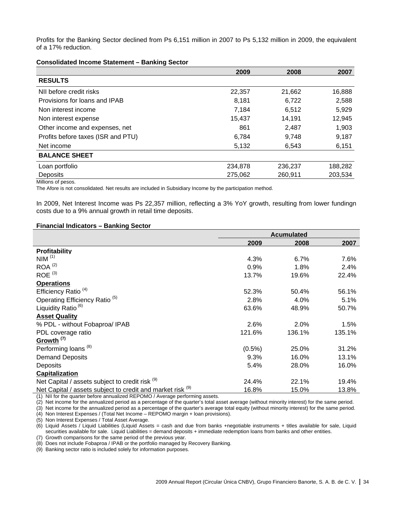Profits for the Banking Sector declined from Ps 6,151 million in 2007 to Ps 5,132 million in 2009, the equivalent of a 17% reduction.

#### **Consolidated Income Statement – Banking Sector**

|                                    | 2009    | 2008    | 2007    |
|------------------------------------|---------|---------|---------|
| <b>RESULTS</b>                     |         |         |         |
| NII before credit risks            | 22,357  | 21,662  | 16,888  |
| Provisions for loans and IPAB      | 8,181   | 6,722   | 2,588   |
| Non interest income                | 7,184   | 6,512   | 5,929   |
| Non interest expense               | 15,437  | 14,191  | 12,945  |
| Other income and expenses, net     | 861     | 2,487   | 1,903   |
| Profits before taxes (ISR and PTU) | 6,784   | 9,748   | 9,187   |
| Net income                         | 5,132   | 6,543   | 6,151   |
| <b>BALANCE SHEET</b>               |         |         |         |
| Loan portfolio                     | 234,878 | 236,237 | 188,282 |
| Deposits                           | 275,062 | 260,911 | 203,534 |

Millions of pesos.

The Afore is not consolidated. Net results are included in Subsidiary Income by the participation method.

In 2009, Net Interest Income was Ps 22,357 million, reflecting a 3% YoY growth, resulting from lower fundingn costs due to a 9% annual growth in retail time deposits.

#### **Financial Indicators – Banking Sector**

|                                                            | <b>Acumulated</b> |        |        |
|------------------------------------------------------------|-------------------|--------|--------|
|                                                            | 2009              | 2008   | 2007   |
| <b>Profitability</b>                                       |                   |        |        |
| NIM <sup>(1)</sup>                                         | 4.3%              | 6.7%   | 7.6%   |
| $ROA^{(2)}$                                                | 0.9%              | 1.8%   | 2.4%   |
| $ROE$ <sup>(3)</sup>                                       | 13.7%             | 19.6%  | 22.4%  |
| <b>Operations</b>                                          |                   |        |        |
| Efficiency Ratio <sup>(4)</sup>                            | 52.3%             | 50.4%  | 56.1%  |
| Operating Efficiency Ratio <sup>(5)</sup>                  | 2.8%              | 4.0%   | 5.1%   |
| Liquidity Ratio <sup>(6)</sup>                             | 63.6%             | 48.9%  | 50.7%  |
| <b>Asset Quality</b>                                       |                   |        |        |
| % PDL - without Fobaproa/ IPAB                             | 2.6%              | 2.0%   | 1.5%   |
| PDL coverage ratio                                         | 121.6%            | 136.1% | 135.1% |
| Growth <sup>(7)</sup>                                      |                   |        |        |
| Performing loans <sup>(8)</sup>                            | $(0.5\%)$         | 25.0%  | 31.2%  |
| <b>Demand Deposits</b>                                     | 9.3%              | 16.0%  | 13.1%  |
| Deposits                                                   | 5.4%              | 28.0%  | 16.0%  |
| Capitalization                                             |                   |        |        |
| Net Capital / assets subject to credit risk (9)            | 24.4%             | 22.1%  | 19.4%  |
| Net Capital / assets subject to credit and market risk (9) | 16.8%             | 15.0%  | 13.8%  |

(1) NII for the quarter before annualized REPOMO / Average performing assets.

(2) Net income for the annualized period as a percentage of the quarter's total asset average (without minority interest) for the same period.

(3) Net income for the annualized period as a percentage of the quarter's average total equity (without minority interest) for the same period.

(4) Non Interest Expenses / (Total Net Income – REPOMO margin + loan provisions).

(5) Non Interest Expenses / Total Asset Average.

(6) Liquid Assets / Liquid Liabilities (Liquid Assets = cash and due from banks +negotiable instruments + titles available for sale, Liquid securities available for sale. Liquid Liabilities = demand deposits + immediate redemption loans from banks and other entities.

(7) Growth comparisons for the same period of the previous year.

(8) Does not include Fobaproa / IPAB or the portfolio managed by Recovery Banking.

(9) Banking sector ratio is included solely for information purposes.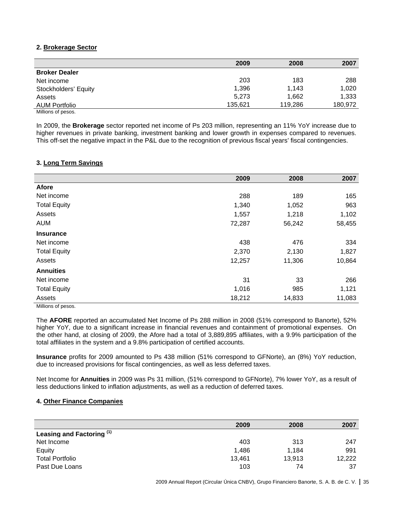# **2. Brokerage Sector**

|                      | 2009    | 2008    | 2007    |
|----------------------|---------|---------|---------|
| <b>Broker Dealer</b> |         |         |         |
| Net income           | 203     | 183     | 288     |
| Stockholders' Equity | 1,396   | 1.143   | 1,020   |
| Assets               | 5,273   | 1.662   | 1,333   |
| <b>AUM Portfolio</b> | 135.621 | 119.286 | 180,972 |
| Millions of pesos.   |         |         |         |

In 2009, the **Brokerage** sector reported net income of Ps 203 million, representing an 11% YoY increase due to higher revenues in private banking, investment banking and lower growth in expenses compared to revenues. This off-set the negative impact in the P&L due to the recognition of previous fiscal years' fiscal contingencies.

# **3. Long Term Savings**

|                     | 2009   | 2008   | 2007   |
|---------------------|--------|--------|--------|
| <b>Afore</b>        |        |        |        |
| Net income          | 288    | 189    | 165    |
| <b>Total Equity</b> | 1,340  | 1,052  | 963    |
| Assets              | 1,557  | 1,218  | 1,102  |
| <b>AUM</b>          | 72,287 | 56,242 | 58,455 |
| <b>Insurance</b>    |        |        |        |
| Net income          | 438    | 476    | 334    |
| <b>Total Equity</b> | 2,370  | 2,130  | 1,827  |
| Assets              | 12,257 | 11,306 | 10,864 |
| <b>Annuities</b>    |        |        |        |
| Net income          | 31     | 33     | 266    |
| <b>Total Equity</b> | 1,016  | 985    | 1,121  |
| Assets              | 18,212 | 14,833 | 11,083 |

Millions of pesos.

The **AFORE** reported an accumulated Net Income of Ps 288 million in 2008 (51% correspond to Banorte), 52% higher YoY, due to a significant increase in financial revenues and containment of promotional expenses. On the other hand, at closing of 2009, the Afore had a total of 3,889,895 affiliates, with a 9.9% participation of the total affiliates in the system and a 9.8% participation of certified accounts.

**Insurance** profits for 2009 amounted to Ps 438 million (51% correspond to GFNorte), an (8%) YoY reduction, due to increased provisions for fiscal contingencies, as well as less deferred taxes.

Net Income for **Annuities** in 2009 was Ps 31 million, (51% correspond to GFNorte), 7% lower YoY, as a result of less deductions linked to inflation adjustments, as well as a reduction of deferred taxes.

# **4. Other Finance Companies**

|                           | 2009   | 2008   | 2007   |
|---------------------------|--------|--------|--------|
| Leasing and Factoring (1) |        |        |        |
| Net Income                | 403    | 313    | 247    |
| Equity                    | 1.486  | 1.184  | 991    |
| <b>Total Portfolio</b>    | 13,461 | 13,913 | 12,222 |
| Past Due Loans            | 103    | 74     | 37     |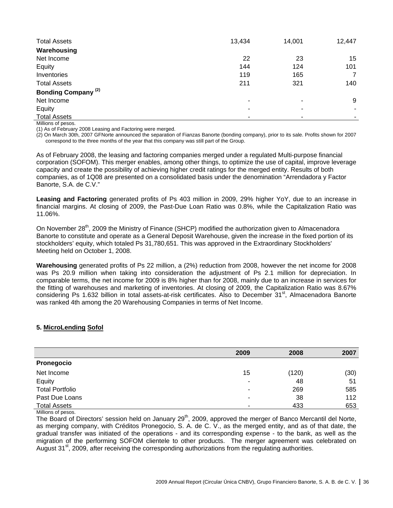| <b>Total Assets</b>            | 13,434                | 14,001 | 12,447 |
|--------------------------------|-----------------------|--------|--------|
| Warehousing                    |                       |        |        |
| Net Income                     | 22                    | 23     | 15     |
| Equity                         | 144                   | 124    | 101    |
| Inventories                    | 119                   | 165    | 7      |
| <b>Total Assets</b>            | 211                   | 321    | 140    |
| Bonding Company <sup>(2)</sup> |                       |        |        |
| Net Income                     | $\tilde{\phantom{a}}$ | ۰      | 9      |
| Equity                         | ٠                     |        |        |
| <b>Total Assets</b>            | ۰                     |        |        |

Millions of pesos.

(1) As of February 2008 Leasing and Factoring were merged.

(2) On March 30th, 2007 GFNorte announced the separation of Fianzas Banorte (bonding company), prior to its sale. Profits shown for 2007 correspond to the three months of the year that this company was still part of the Group.

As of February 2008, the leasing and factoring companies merged under a regulated Multi-purpose financial corporation (SOFOM). This merger enables, among other things, to optimize the use of capital, improve leverage capacity and create the possibility of achieving higher credit ratings for the merged entity. Results of both companies, as of 1Q08 are presented on a consolidated basis under the denomination "Arrendadora y Factor Banorte, S.A. de C.V."

**Leasing and Factoring** generated profits of Ps 403 million in 2009, 29% higher YoY, due to an increase in financial margins. At closing of 2009, the Past-Due Loan Ratio was 0.8%, while the Capitalization Ratio was 11.06%.

On November 28<sup>th</sup>, 2009 the Ministry of Finance (SHCP) modified the authorization given to Almacenadora Banorte to constitute and operate as a General Deposit Warehouse, given the increase in the fixed portion of its stockholders' equity, which totaled Ps 31,780,651. This was approved in the Extraordinary Stockholders' Meeting held on October 1, 2008.

**Warehousing** generated profits of Ps 22 million, a (2%) reduction from 2008, however the net income for 2008 was Ps 20.9 million when taking into consideration the adjustment of Ps 2.1 million for depreciation. In comparable terms, the net income for 2009 is 8% higher than for 2008, mainly due to an increase in services for the fitting of warehouses and marketing of inventories. At closing of 2009, the Capitalization Ratio was 8.67% considering Ps 1.632 billion in total assets-at-risk certificates. Also to December 31<sup>st</sup>, Almacenadora Banorte was ranked 4th among the 20 Warehousing Companies in terms of Net Income.

# **5. MicroLending Sofol**

|                        | 2009 | 2008  | 2007 |
|------------------------|------|-------|------|
| Pronegocio             |      |       |      |
| Net Income             | 15   | (120) | (30) |
| Equity                 |      | 48    | 51   |
| <b>Total Portfolio</b> | ۰    | 269   | 585  |
| Past Due Loans         | -    | 38    | 112  |
| <b>Total Assets</b>    | -    | 433   | 653  |

Millions of pesos.

minishic of posso.<br>The Board of Directors' session held on January 29<sup>th</sup>, 2009, approved the merger of Banco Mercantil del Norte, as merging company, with Créditos Pronegocio, S. A. de C. V., as the merged entity, and as of that date, the gradual transfer was initiated of the operations - and its corresponding expense - to the bank, as well as the migration of the performing SOFOM clientele to other products. The merger agreement was celebrated on August 31<sup>st</sup>, 2009, after receiving the corresponding authorizations from the regulating authorities.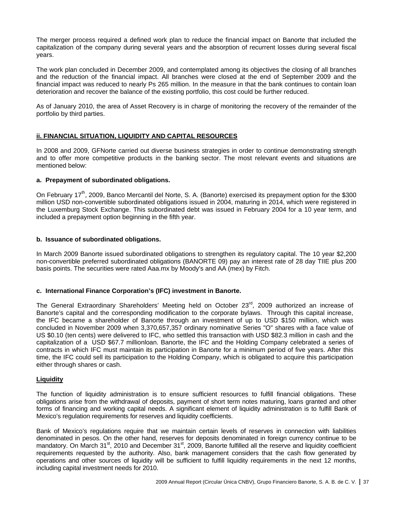The merger process required a defined work plan to reduce the financial impact on Banorte that included the capitalization of the company during several years and the absorption of recurrent losses during several fiscal years.

The work plan concluded in December 2009, and contemplated among its objectives the closing of all branches and the reduction of the financial impact. All branches were closed at the end of September 2009 and the financial impact was reduced to nearly Ps 265 million. In the measure in that the bank continues to contain loan deterioration and recover the balance of the existing portfolio, this cost could be further reduced.

As of January 2010, the area of Asset Recovery is in charge of monitoring the recovery of the remainder of the portfolio by third parties.

# **ii. FINANCIAL SITUATION, LIQUIDITY AND CAPITAL RESOURCES**

In 2008 and 2009, GFNorte carried out diverse business strategies in order to continue demonstrating strength and to offer more competitive products in the banking sector. The most relevant events and situations are mentioned below:

#### **a. Prepayment of subordinated obligations.**

On February 17<sup>th</sup>, 2009, Banco Mercantil del Norte, S. A. (Banorte) exercised its prepayment option for the \$300 million USD non-convertible subordinated obligations issued in 2004, maturing in 2014, which were registered in the Luxemburg Stock Exchange. This subordinated debt was issued in February 2004 for a 10 year term, and included a prepayment option beginning in the fifth year.

# **b. Issuance of subordinated obligations.**

In March 2009 Banorte issued subordinated obligations to strengthen its regulatory capital. The 10 year \$2,200 non-convertible preferred subordinated obligations (BANORTE 09) pay an interest rate of 28 day TIIE plus 200 basis points. The securities were rated Aaa.mx by Moody's and AA (mex) by Fitch.

#### **c. International Finance Corporation's (IFC) investment in Banorte.**

The General Extraordinary Shareholders' Meeting held on October 23<sup>rd</sup>, 2009 authorized an increase of Banorte's capital and the corresponding modification to the corporate bylaws. Through this capital increase, the IFC became a shareholder of Banorte through an investment of up to USD \$150 million, which was concluded in November 2009 when 3,370,657,357 ordinary nominative Series "O" shares with a face value of US \$0.10 (ten cents) were delivered to IFC, who settled this transaction with USD \$82.3 million in cash and the capitalization of a USD \$67.7 millionloan. Banorte, the IFC and the Holding Company celebrated a series of contracts in which IFC must maintain its participation in Banorte for a minimum period of five years. After this time, the IFC could sell its participation to the Holding Company, which is obligated to acquire this participation either through shares or cash.

#### **Liquidity**

The function of liquidity administration is to ensure sufficient resources to fulfill financial obligations. These obligations arise from the withdrawal of deposits, payment of short term notes maturing, loans granted and other forms of financing and working capital needs. A significant element of liquidity administration is to fulfill Bank of Mexico's regulation requirements for reserves and liquidity coefficients.

Bank of Mexico's regulations require that we maintain certain levels of reserves in connection with liabilities denominated in pesos. On the other hand, reserves for deposits denominated in foreign currency continue to be mandatory. On March  $31^{st}$ , 2010 and December  $31^{st}$ , 2009, Banorte fulfilled all the reserve and liquidity coefficient requirements requested by the authority. Also, bank management considers that the cash flow generated by operations and other sources of liquidity will be sufficient to fulfill liquidity requirements in the next 12 months, including capital investment needs for 2010.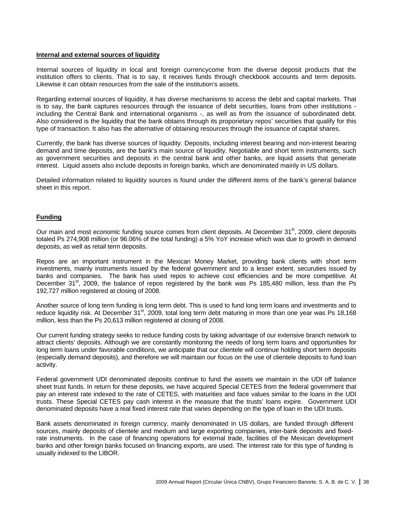#### **Internal and external sources of liquidity**

Internal sources of liquidity in local and foreign currencycome from the diverse deposit products that the institution offers to clients. That is to say, it receives funds through checkbook accounts and term deposits. Likewise it can obtain resources from the sale of the institution's assets.

Regarding external sources of liquidity, it has diverse mechanisms to access the debt and capital markets. That is to say, the bank captures resources through the issuance of debt securities, loans from other institutions including the Central Bank and international organisms -, as well as from the issuance of subordinated debt. Also considered is the liquidity that the bank obtains through its proporietary repos' securities that qualify for this type of transaction. It also has the alternative of obtaining resources through the issuance of capital shares.

Currently, the bank has diverse sources of liquidity. Deposits, including interest bearing and non-interest bearing demand and time deposits, are the bank's main source of liquidity. Negotiable and short term instruments, such as government securities and deposits in the central bank and other banks, are liquid assets that generate interest. Liquid assets also include deposits in foreign banks, which are denominated mainly in US dollars.

Detailed information related to liquidity sources is found under the different items of the bank's general balance sheet in this report.

# **Funding**

Our main and most economic funding source comes from client deposits. At December 31<sup>st</sup>, 2009, client deposits totaled Ps 274,908 million (or 96.06% of the total funding) a 5% YoY increase which was due to growth in demand deposits, as well as retail term deposits.

Repos are an important instrument in the Mexican Money Market, providing bank clients with short term investments, mainly instruments issued by the federal government and to a lesser extent, securuties issued by banks and companies. The bank has used repos to achieve cost efficiencies and be more competitive. At December  $31<sup>st</sup>$ , 2009, the balance of repos registered by the bank was Ps 185,480 million, less than the Ps 192,727 million registered at closing of 2008.

Another source of long term funding is long term debt. This is used to fund long term loans and investments and to reduce liquidity risk. At December  $31<sup>st</sup>$ , 2009, total long term debt maturing in more than one year was Ps 18,168 million, less than the Ps 20,613 million registered at closing of 2008.

Our current funding strategy seeks to reduce funding costs by taking advantage of our extensive branch network to attract clients' deposits. Although we are constantly monitoring the needs of long term loans and opportunities for long term loans under favorable conditions, we anticipate that our clientele will continue holding short term deposits (especially demand deposits), and therefore we will maintain our focus on the use of clientele deposits to fund loan activity.

Federal government UDI denominated deposits continue to fund the assets we maintain in the UDI off balance sheet trust funds. In return for these deposits, we have acquired Special CETES from the federal government that pay an interest rate indexed to the rate of CETES, with maturities and face values similar to the loans in the UDI trusts. These Special CETES pay cash interest in the measure that the trusts' loans expire. Government UDI denominated deposits have a real fixed interest rate that varies depending on the type of loan in the UDI trusts.

Bank assets denominated in foreign currency, mainly denominated in US dollars, are funded through different sources, mainly deposits of clientele and medium and large exporting companies, inter-bank deposits and fixedrate instruments. In the case of financing operations for external trade, facilities of the Mexican development banks and other foreign banks focused on financing exports, are used. The interest rate for this type of funding is usually indexed to the LIBOR.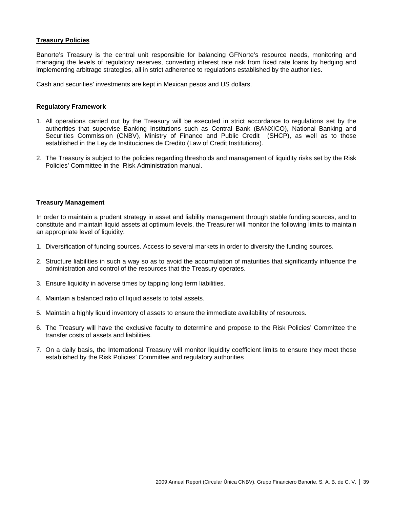#### **Treasury Policies**

Banorte's Treasury is the central unit responsible for balancing GFNorte's resource needs, monitoring and managing the levels of regulatory reserves, converting interest rate risk from fixed rate loans by hedging and implementing arbitrage strategies, all in strict adherence to regulations established by the authorities.

Cash and securities' investments are kept in Mexican pesos and US dollars.

#### **Regulatory Framework**

- 1. All operations carried out by the Treasury will be executed in strict accordance to regulations set by the authorities that supervise Banking Institutions such as Central Bank (BANXICO), National Banking and Securities Commission (CNBV), Ministry of Finance and Public Credit (SHCP), as well as to those established in the Ley de Instituciones de Credito (Law of Credit Institutions).
- 2. The Treasury is subject to the policies regarding thresholds and management of liquidity risks set by the Risk Policies' Committee in the Risk Administration manual.

#### **Treasury Management**

In order to maintain a prudent strategy in asset and liability management through stable funding sources, and to constitute and maintain liquid assets at optimum levels, the Treasurer will monitor the following limits to maintain an appropriate level of liquidity:

- 1. Diversification of funding sources. Access to several markets in order to diversity the funding sources.
- 2. Structure liabilities in such a way so as to avoid the accumulation of maturities that significantly influence the administration and control of the resources that the Treasury operates.
- 3. Ensure liquidity in adverse times by tapping long term liabilities.
- 4. Maintain a balanced ratio of liquid assets to total assets.
- 5. Maintain a highly liquid inventory of assets to ensure the immediate availability of resources.
- 6. The Treasury will have the exclusive faculty to determine and propose to the Risk Policies' Committee the transfer costs of assets and liabilities.
- 7. On a daily basis, the International Treasury will monitor liquidity coefficient limits to ensure they meet those established by the Risk Policies' Committee and regulatory authorities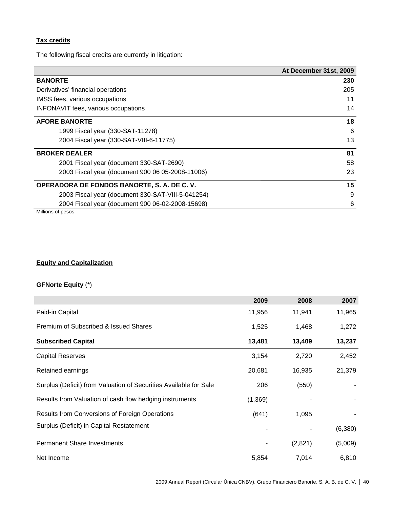# **Tax credits**

The following fiscal credits are currently in litigation:

|                                                   | At December 31st, 2009 |
|---------------------------------------------------|------------------------|
| <b>BANORTE</b>                                    | 230                    |
| Derivatives' financial operations                 | 205                    |
| IMSS fees, various occupations                    | 11                     |
| <b>INFONAVIT</b> fees, various occupations        | 14                     |
| <b>AFORE BANORTE</b>                              | 18                     |
| 1999 Fiscal year (330-SAT-11278)                  | 6                      |
| 2004 Fiscal year (330-SAT-VIII-6-11775)           | 13                     |
| <b>BROKER DEALER</b>                              | 81                     |
| 2001 Fiscal year (document 330-SAT-2690)          | 58                     |
| 2003 Fiscal year (document 900 06 05-2008-11006)  | 23                     |
| OPERADORA DE FONDOS BANORTE, S. A. DE C. V.       | 15                     |
| 2003 Fiscal year (document 330-SAT-VIII-5-041254) | 9                      |
| 2004 Fiscal year (document 900 06-02-2008-15698)  | 6                      |

Millions of pesos.

# **Equity and Capitalization**

# **GFNorte Equity** (\*)

|                                                                   | 2009    | 2008    | 2007    |
|-------------------------------------------------------------------|---------|---------|---------|
| Paid-in Capital                                                   | 11,956  | 11,941  | 11,965  |
| Premium of Subscribed & Issued Shares                             | 1,525   | 1,468   | 1,272   |
| <b>Subscribed Capital</b>                                         | 13,481  | 13,409  | 13,237  |
| <b>Capital Reserves</b>                                           | 3,154   | 2,720   | 2,452   |
| Retained earnings                                                 | 20,681  | 16,935  | 21,379  |
| Surplus (Deficit) from Valuation of Securities Available for Sale | 206     | (550)   |         |
| Results from Valuation of cash flow hedging instruments           | (1,369) |         |         |
| Results from Conversions of Foreign Operations                    | (641)   | 1,095   |         |
| Surplus (Deficit) in Capital Restatement                          |         |         | (6,380) |
| <b>Permanent Share Investments</b>                                |         | (2,821) | (5,009) |
| Net Income                                                        | 5,854   | 7,014   | 6,810   |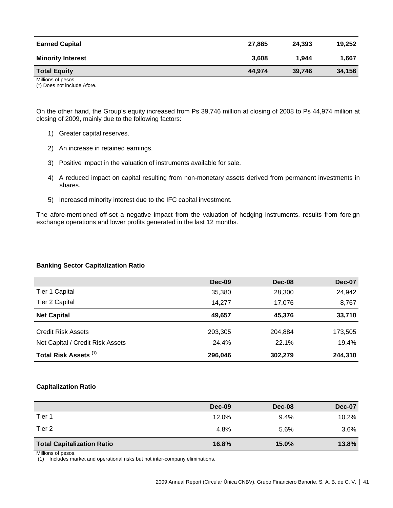| <b>Earned Capital</b>    | 27.885 | 24.393 | 19.252 |
|--------------------------|--------|--------|--------|
| <b>Minority Interest</b> | 3.608  | 1.944  | 1.667  |
| <b>Total Equity</b>      | 44.974 | 39,746 | 34,156 |
| Millions of pesos.       |        |        |        |

(\*) Does not include Afore.

On the other hand, the Group's equity increased from Ps 39,746 million at closing of 2008 to Ps 44,974 million at closing of 2009, mainly due to the following factors:

- 1) Greater capital reserves.
- 2) An increase in retained earnings.
- 3) Positive impact in the valuation of instruments available for sale.
- 4) A reduced impact on capital resulting from non-monetary assets derived from permanent investments in shares.
- 5) Increased minority interest due to the IFC capital investment.

The afore-mentioned off-set a negative impact from the valuation of hedging instruments, results from foreign exchange operations and lower profits generated in the last 12 months.

#### **Banking Sector Capitalization Ratio**

|                                  | <b>Dec-09</b> | Dec-08  | Dec-07  |
|----------------------------------|---------------|---------|---------|
| Tier 1 Capital                   | 35,380        | 28,300  | 24,942  |
| <b>Tier 2 Capital</b>            | 14.277        | 17,076  | 8,767   |
| <b>Net Capital</b>               | 49,657        | 45,376  | 33,710  |
| <b>Credit Risk Assets</b>        | 203,305       | 204,884 | 173,505 |
| Net Capital / Credit Risk Assets | 24.4%         | 22.1%   | 19.4%   |
| Total Risk Assets <sup>(1)</sup> | 296,046       | 302,279 | 244,310 |

#### **Capitalization Ratio**

|                                   | Dec-09 | Dec-08 | <b>Dec-07</b> |
|-----------------------------------|--------|--------|---------------|
| Tier 1                            | 12.0%  | 9.4%   | 10.2%         |
| Tier 2                            | 4.8%   | 5.6%   | 3.6%          |
| <b>Total Capitalization Ratio</b> | 16.8%  | 15.0%  | 13.8%         |

Millions of pesos.

(1) Includes market and operational risks but not inter-company eliminations.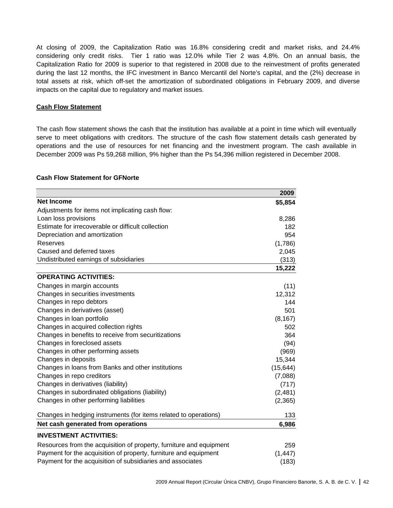At closing of 2009, the Capitalization Ratio was 16.8% considering credit and market risks, and 24.4% considering only credit risks. Tier 1 ratio was 12.0% while Tier 2 was 4.8%. On an annual basis, the Capitalization Ratio for 2009 is superior to that registered in 2008 due to the reinvestment of profits generated during the last 12 months, the IFC investment in Banco Mercantil del Norte's capital, and the (2%) decrease in total assets at risk, which off-set the amortization of subordinated obligations in February 2009, and diverse impacts on the capital due to regulatory and market issues.

#### **Cash Flow Statement**

The cash flow statement shows the cash that the institution has available at a point in time which will eventually serve to meet obligations with creditors. The structure of the cash flow statement details cash generated by operations and the use of resources for net financing and the investment program. The cash available in December 2009 was Ps 59,268 million, 9% higher than the Ps 54,396 million registered in December 2008.

#### **Cash Flow Statement for GFNorte**

|                                                                     | 2009      |
|---------------------------------------------------------------------|-----------|
| <b>Net Income</b>                                                   | \$5,854   |
| Adjustments for items not implicating cash flow:                    |           |
| Loan loss provisions                                                | 8,286     |
| Estimate for irrecoverable or difficult collection                  | 182       |
| Depreciation and amortization                                       | 954       |
| <b>Reserves</b>                                                     | (1,786)   |
| Caused and deferred taxes                                           | 2,045     |
| Undistributed earnings of subsidiaries                              | (313)     |
|                                                                     | 15,222    |
| <b>OPERATING ACTIVITIES:</b>                                        |           |
| Changes in margin accounts                                          | (11)      |
| Changes in securities investments                                   | 12,312    |
| Changes in repo debtors                                             | 144       |
| Changes in derivatives (asset)                                      | 501       |
| Changes in loan portfolio                                           | (8, 167)  |
| Changes in acquired collection rights                               | 502       |
| Changes in benefits to receive from securitizations                 | 364       |
| Changes in foreclosed assets                                        | (94)      |
| Changes in other performing assets                                  | (969)     |
| Changes in deposits                                                 | 15,344    |
| Changes in loans from Banks and other institutions                  | (15, 644) |
| Changes in repo creditors                                           | (7,088)   |
| Changes in derivatives (liability)                                  | (717)     |
| Changes in subordinated obligations (liability)                     | (2, 481)  |
| Changes in other performing liabilities                             | (2,365)   |
| Changes in hedging instruments (for items related to operations)    | 133       |
| Net cash generated from operations                                  | 6,986     |
| <b>INVESTMENT ACTIVITIES:</b>                                       |           |
| Resources from the acquisition of property, furniture and equipment | 259       |
| Payment for the acquisition of property, furniture and equipment    | (1, 447)  |
| Payment for the acquisition of subsidiaries and associates          | (183)     |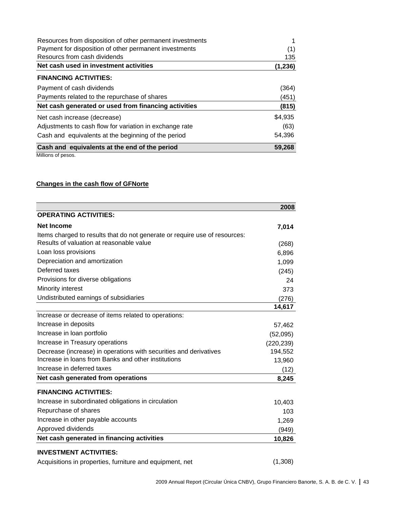| Resources from disposition of other permanent investments |         |
|-----------------------------------------------------------|---------|
| Payment for disposition of other permanent investments    | (1)     |
| Resourcs from cash dividends                              | 135     |
| Net cash used in investment activities                    | (1,236) |
| <b>FINANCING ACTIVITIES:</b>                              |         |
| Payment of cash dividends                                 | (364)   |
| Payments related to the repurchase of shares              | (451)   |
| Net cash generated or used from financing activities      | (815)   |
| Net cash increase (decrease)                              | \$4,935 |
| Adjustments to cash flow for variation in exchange rate   | (63)    |
| Cash and equivalents at the beginning of the period       | 54,396  |
| Cash and equivalents at the end of the period             | 59,268  |

# **Changes in the cash flow of GFNorte**

|                                                                            | 2008       |
|----------------------------------------------------------------------------|------------|
| <b>OPERATING ACTIVITIES:</b>                                               |            |
| <b>Net Income</b>                                                          | 7,014      |
| Items charged to results that do not generate or require use of resources: |            |
| Results of valuation at reasonable value                                   | (268)      |
| Loan loss provisions                                                       | 6,896      |
| Depreciation and amortization                                              | 1,099      |
| Deferred taxes                                                             | (245)      |
| Provisions for diverse obligations                                         | 24         |
| Minority interest                                                          | 373        |
| Undistributed earnings of subsidiaries                                     | (276)      |
|                                                                            | 14,617     |
| Increase or decrease of items related to operations:                       |            |
| Increase in deposits                                                       | 57,462     |
| Increase in loan portfolio                                                 | (52,095)   |
| Increase in Treasury operations                                            | (220, 239) |
| Decrease (increase) in operations with securities and derivatives          | 194,552    |
| Increase in loans from Banks and other institutions                        | 13,960     |
| Increase in deferred taxes                                                 | (12)       |
| Net cash generated from operations                                         | 8,245      |
| <b>FINANCING ACTIVITIES:</b>                                               |            |
| Increase in subordinated obligations in circulation                        | 10,403     |
| Repurchase of shares                                                       | 103        |
| Increase in other payable accounts                                         | 1,269      |
| Approved dividends                                                         | (949)      |
| Net cash generated in financing activities                                 | 10,826     |
| <b>INVESTMENT ACTIVITIES:</b>                                              |            |

Acquisitions in properties, furniture and equipment, net (1,308)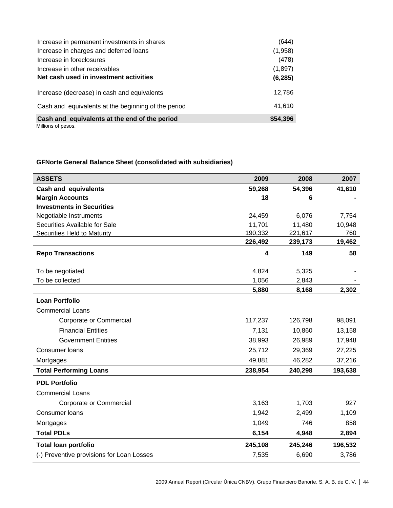| Increase in permanent investments in shares                                                        | (644)            |
|----------------------------------------------------------------------------------------------------|------------------|
| Increase in charges and deferred loans                                                             | (1,958)          |
| Increase in foreclosures                                                                           | (478)            |
| Increase in other receivables                                                                      | (1,897)          |
| Net cash used in investment activities                                                             | (6, 285)         |
| Increase (decrease) in cash and equivalents<br>Cash and equivalents at the beginning of the period | 12,786<br>41,610 |
| Cash and equivalents at the end of the period                                                      | \$54,396         |

# **GFNorte General Balance Sheet (consolidated with subsidiaries)**

| <b>ASSETS</b>                             | 2009    | 2008    | 2007    |
|-------------------------------------------|---------|---------|---------|
| <b>Cash and equivalents</b>               | 59,268  | 54,396  | 41,610  |
| <b>Margin Accounts</b>                    | 18      | 6       |         |
| <b>Investments in Securities</b>          |         |         |         |
| Negotiable Instruments                    | 24,459  | 6,076   | 7,754   |
| Securities Available for Sale             | 11,701  | 11,480  | 10,948  |
| <b>Securities Held to Maturity</b>        | 190,332 | 221,617 | 760     |
|                                           | 226,492 | 239,173 | 19,462  |
| <b>Repo Transactions</b>                  | 4       | 149     | 58      |
| To be negotiated                          | 4,824   | 5,325   |         |
| To be collected                           | 1,056   | 2,843   |         |
|                                           | 5,880   | 8,168   | 2,302   |
| <b>Loan Portfolio</b>                     |         |         |         |
| <b>Commercial Loans</b>                   |         |         |         |
| Corporate or Commercial                   | 117,237 | 126,798 | 98,091  |
| <b>Financial Entities</b>                 | 7,131   | 10,860  | 13,158  |
| <b>Government Entities</b>                | 38,993  | 26,989  | 17,948  |
| Consumer loans                            | 25,712  | 29,369  | 27,225  |
| Mortgages                                 | 49,881  | 46,282  | 37,216  |
| <b>Total Performing Loans</b>             | 238,954 | 240,298 | 193,638 |
| <b>PDL Portfolio</b>                      |         |         |         |
| <b>Commercial Loans</b>                   |         |         |         |
| Corporate or Commercial                   | 3,163   | 1,703   | 927     |
| Consumer loans                            | 1,942   | 2,499   | 1,109   |
| Mortgages                                 | 1,049   | 746     | 858     |
| <b>Total PDLs</b>                         | 6,154   | 4,948   | 2,894   |
| <b>Total loan portfolio</b>               | 245,108 | 245,246 | 196,532 |
| (-) Preventive provisions for Loan Losses | 7,535   | 6,690   | 3,786   |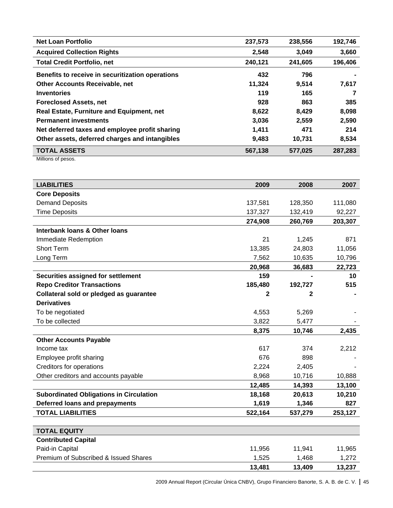| <b>Net Loan Portfolio</b>                        | 237,573 | 238,556 | 192,746 |
|--------------------------------------------------|---------|---------|---------|
| <b>Acquired Collection Rights</b>                | 2,548   | 3,049   | 3,660   |
| <b>Total Credit Portfolio, net</b>               | 240,121 | 241,605 | 196,406 |
| Benefits to receive in securitization operations | 432     | 796     |         |
| <b>Other Accounts Receivable, net</b>            | 11,324  | 9,514   | 7,617   |
| <b>Inventories</b>                               | 119     | 165     | 7       |
| <b>Foreclosed Assets, net</b>                    | 928     | 863     | 385     |
| <b>Real Estate, Furniture and Equipment, net</b> | 8,622   | 8,429   | 8,098   |
| <b>Permanent investments</b>                     | 3,036   | 2,559   | 2,590   |
| Net deferred taxes and employee profit sharing   | 1,411   | 471     | 214     |
| Other assets, deferred charges and intangibles   | 9,483   | 10,731  | 8,534   |
| <b>TOTAL ASSETS</b>                              | 567,138 | 577.025 | 287,283 |

| <b>LIABILITIES</b>                             | 2009         | 2008         | 2007    |
|------------------------------------------------|--------------|--------------|---------|
| <b>Core Deposits</b>                           |              |              |         |
| <b>Demand Deposits</b>                         | 137,581      | 128,350      | 111,080 |
| <b>Time Deposits</b>                           | 137,327      | 132,419      | 92,227  |
|                                                | 274,908      | 260,769      | 203,307 |
| Interbank loans & Other Ioans                  |              |              |         |
| Immediate Redemption                           | 21           | 1,245        | 871     |
| <b>Short Term</b>                              | 13,385       | 24,803       | 11,056  |
| Long Term                                      | 7,562        | 10,635       | 10,796  |
|                                                | 20,968       | 36,683       | 22,723  |
| Securities assigned for settlement             | 159          |              | 10      |
| <b>Repo Creditor Transactions</b>              | 185,480      | 192,727      | 515     |
| Collateral sold or pledged as guarantee        | $\mathbf{2}$ | $\mathbf{2}$ |         |
| <b>Derivatives</b>                             |              |              |         |
| To be negotiated                               | 4,553        | 5,269        |         |
| To be collected                                | 3,822        | 5,477        |         |
|                                                | 8,375        | 10,746       | 2,435   |
| <b>Other Accounts Payable</b>                  |              |              |         |
| Income tax                                     | 617          | 374          | 2,212   |
| Employee profit sharing                        | 676          | 898          |         |
| <b>Creditors for operations</b>                | 2,224        | 2,405        |         |
| Other creditors and accounts payable           | 8,968        | 10,716       | 10,888  |
|                                                | 12,485       | 14,393       | 13,100  |
| <b>Subordinated Obligations in Circulation</b> | 18,168       | 20,613       | 10,210  |
| Deferred loans and prepayments                 | 1,619        | 1,346        | 827     |
| <b>TOTAL LIABILITIES</b>                       | 522,164      | 537,279      | 253,127 |
|                                                |              |              |         |
| <b>TOTAL EQUITY</b>                            |              |              |         |
| <b>Contributed Capital</b>                     |              |              |         |
| Paid-in Capital                                | 11,956       | 11,941       | 11,965  |
| Premium of Subscribed & Issued Shares          | 1,525        | 1,468        | 1,272   |
|                                                | 13,481       | 13,409       | 13,237  |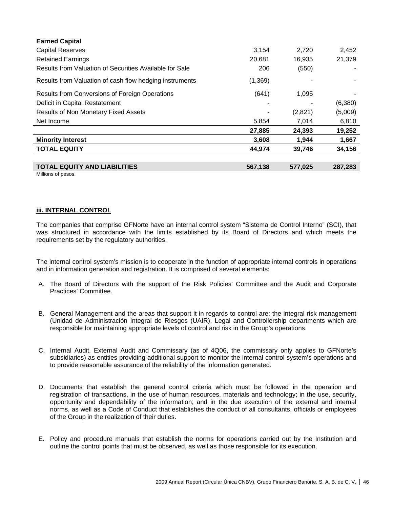| <b>Earned Capital</b>                                   |          |         |         |
|---------------------------------------------------------|----------|---------|---------|
| <b>Capital Reserves</b>                                 | 3,154    | 2,720   | 2,452   |
| <b>Retained Earnings</b>                                | 20,681   | 16,935  | 21,379  |
| Results from Valuation of Securities Available for Sale | 206      | (550)   |         |
| Results from Valuation of cash flow hedging instruments | (1, 369) |         |         |
| Results from Conversions of Foreign Operations          | (641)    | 1,095   |         |
| Deficit in Capital Restatement                          |          |         | (6,380) |
| Results of Non Monetary Fixed Assets                    |          | (2,821) | (5,009) |
| Net Income                                              | 5,854    | 7,014   | 6,810   |
|                                                         | 27,885   | 24,393  | 19,252  |
| <b>Minority Interest</b>                                | 3,608    | 1,944   | 1,667   |
| <b>TOTAL EQUITY</b>                                     | 44,974   | 39,746  | 34,156  |
| <b>TOTAL EQUITY AND LIABILITIES</b>                     | 567,138  | 577,025 | 287.283 |

#### **iii. INTERNAL CONTROL**

The companies that comprise GFNorte have an internal control system "Sistema de Control Interno" (SCI), that was structured in accordance with the limits established by its Board of Directors and which meets the requirements set by the regulatory authorities.

The internal control system's mission is to cooperate in the function of appropriate internal controls in operations and in information generation and registration. It is comprised of several elements:

- A. The Board of Directors with the support of the Risk Policies' Committee and the Audit and Corporate Practices' Committee.
- B. General Management and the areas that support it in regards to control are: the integral risk management (Unidad de Administración Integral de Riesgos (UAIR), Legal and Controllership departments which are responsible for maintaining appropriate levels of control and risk in the Group's operations.
- C. Internal Audit, External Audit and Commissary (as of 4Q06, the commissary only applies to GFNorte's subsidiaries) as entities providing additional support to monitor the internal control system's operations and to provide reasonable assurance of the reliability of the information generated.
- D. Documents that establish the general control criteria which must be followed in the operation and registration of transactions, in the use of human resources, materials and technology; in the use, security, opportunity and dependability of the information; and in the due execution of the external and internal norms, as well as a Code of Conduct that establishes the conduct of all consultants, officials or employees of the Group in the realization of their duties.
- E. Policy and procedure manuals that establish the norms for operations carried out by the Institution and outline the control points that must be observed, as well as those responsible for its execution.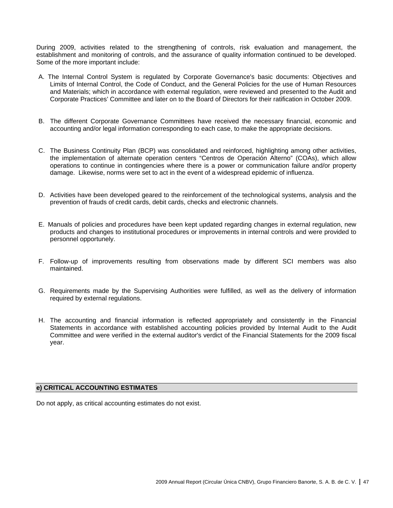During 2009, activities related to the strengthening of controls, risk evaluation and management, the establishment and monitoring of controls, and the assurance of quality information continued to be developed. Some of the more important include:

- A. The Internal Control System is regulated by Corporate Governance's basic documents: Objectives and Limits of Internal Control, the Code of Conduct, and the General Policies for the use of Human Resources and Materials; which in accordance with external regulation, were reviewed and presented to the Audit and Corporate Practices' Committee and later on to the Board of Directors for their ratification in October 2009.
- B. The different Corporate Governance Committees have received the necessary financial, economic and accounting and/or legal information corresponding to each case, to make the appropriate decisions.
- C. The Business Continuity Plan (BCP) was consolidated and reinforced, highlighting among other activities, the implementation of alternate operation centers "Centros de Operación Alterno" (COAs), which allow operations to continue in contingencies where there is a power or communication failure and/or property damage. Likewise, norms were set to act in the event of a widespread epidemic of influenza.
- D. Activities have been developed geared to the reinforcement of the technological systems, analysis and the prevention of frauds of credit cards, debit cards, checks and electronic channels.
- E. Manuals of policies and procedures have been kept updated regarding changes in external regulation, new products and changes to institutional procedures or improvements in internal controls and were provided to personnel opportunely.
- F. Follow-up of improvements resulting from observations made by different SCI members was also maintained.
- G. Requirements made by the Supervising Authorities were fulfilled, as well as the delivery of information required by external regulations.
- H. The accounting and financial information is reflected appropriately and consistently in the Financial Statements in accordance with established accounting policies provided by Internal Audit to the Audit Committee and were verified in the external auditor's verdict of the Financial Statements for the 2009 fiscal year.

#### **e) CRITICAL ACCOUNTING ESTIMATES**

Do not apply, as critical accounting estimates do not exist.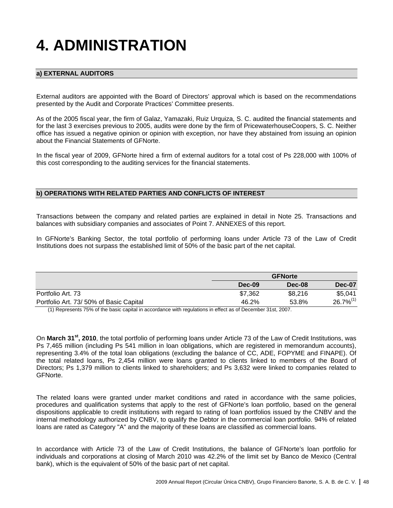# **4. ADMINISTRATION**

# **a) EXTERNAL AUDITORS**

External auditors are appointed with the Board of Directors' approval which is based on the recommendations presented by the Audit and Corporate Practices' Committee presents.

As of the 2005 fiscal year, the firm of Galaz, Yamazaki, Ruiz Urquiza, S. C. audited the financial statements and for the last 3 exercises previous to 2005, audits were done by the firm of PricewaterhouseCoopers, S. C. Neither office has issued a negative opinion or opinion with exception, nor have they abstained from issuing an opinion about the Financial Statements of GFNorte.

In the fiscal year of 2009, GFNorte hired a firm of external auditors for a total cost of Ps 228,000 with 100% of this cost corresponding to the auditing services for the financial statements.

#### **b) OPERATIONS WITH RELATED PARTIES AND CONFLICTS OF INTEREST**

Transactions between the company and related parties are explained in detail in Note 25. Transactions and balances with subsidiary companies and associates of Point 7. ANNEXES of this report.

In GFNorte's Banking Sector, the total portfolio of performing loans under Article 73 of the Law of Credit Institutions does not surpass the established limit of 50% of the basic part of the net capital.

|                                         |         | <b>GFNorte</b> |                |  |  |
|-----------------------------------------|---------|----------------|----------------|--|--|
|                                         | Dec-09  | Dec-08         | Dec-07         |  |  |
| Portfolio Art. 73                       | \$7,362 | \$8,216        | \$5,041        |  |  |
| Portfolio Art. 73/ 50% of Basic Capital | 46.2%   | 53.8%          | $26.7\%^{(1)}$ |  |  |

(1) Represents 75% of the basic capital in accordance with regulations in effect as of December 31st, 2007.

On **March 31st, 2010**, the total portfolio of performing loans under Article 73 of the Law of Credit Institutions, was Ps 7,465 million (including Ps 541 million in loan obligations, which are registered in memorandum accounts), representing 3.4% of the total loan obligations (excluding the balance of CC, ADE, FOPYME and FINAPE). Of the total related loans, Ps 2,454 million were loans granted to clients linked to members of the Board of Directors; Ps 1,379 million to clients linked to shareholders; and Ps 3,632 were linked to companies related to GFNorte.

The related loans were granted under market conditions and rated in accordance with the same policies, procedures and qualification systems that apply to the rest of GFNorte's loan portfolio, based on the general dispositions applicable to credit institutions with regard to rating of loan portfolios issued by the CNBV and the internal methodology authorized by CNBV, to qualify the Debtor in the commercial loan portfolio. 94% of related loans are rated as Category "A" and the majority of these loans are classified as commercial loans.

In accordance with Article 73 of the Law of Credit Institutions, the balance of GFNorte's loan portfolio for individuals and corporations at closing of March 2010 was 42.2% of the limit set by Banco de Mexico (Central bank), which is the equivalent of 50% of the basic part of net capital.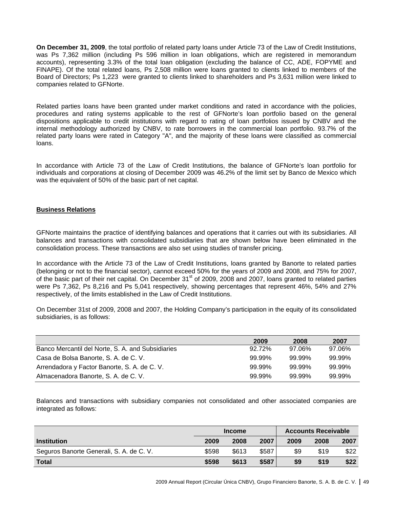**On December 31, 2009**, the total portfolio of related party loans under Article 73 of the Law of Credit Institutions, was Ps 7,362 million (including Ps 596 million in loan obligations, which are registered in memorandum accounts), representing 3.3% of the total loan obligation (excluding the balance of CC, ADE, FOPYME and FINAPE). Of the total related loans, Ps 2,508 million were loans granted to clients linked to members of the Board of Directors; Ps 1,223 were granted to clients linked to shareholders and Ps 3,631 million were linked to companies related to GFNorte.

Related parties loans have been granted under market conditions and rated in accordance with the policies, procedures and rating systems applicable to the rest of GFNorte's loan portfolio based on the general dispositions applicable to credit institutions with regard to rating of loan portfolios issued by CNBV and the internal methodology authorized by CNBV, to rate borrowers in the commercial loan portfolio. 93.7% of the related party loans were rated in Category "A", and the majority of these loans were classified as commercial loans.

In accordance with Article 73 of the Law of Credit Institutions, the balance of GFNorte's loan portfolio for individuals and corporations at closing of December 2009 was 46.2% of the limit set by Banco de Mexico which was the equivalent of 50% of the basic part of net capital.

# **Business Relations**

GFNorte maintains the practice of identifying balances and operations that it carries out with its subsidiaries. All balances and transactions with consolidated subsidiaries that are shown below have been eliminated in the consolidation process. These transactions are also set using studies of transfer pricing.

In accordance with the Article 73 of the Law of Credit Institutions, loans granted by Banorte to related parties (belonging or not to the financial sector), cannot exceed 50% for the years of 2009 and 2008, and 75% for 2007, of the basic part of their net capital. On December 31<sup>st</sup> of 2009, 2008 and 2007, loans granted to related parties were Ps 7,362, Ps 8,216 and Ps 5,041 respectively, showing percentages that represent 46%, 54% and 27% respectively, of the limits established in the Law of Credit Institutions.

On December 31st of 2009, 2008 and 2007, the Holding Company's participation in the equity of its consolidated subsidiaries, is as follows:

|                                                   | 2009   | 2008      | 2007   |
|---------------------------------------------------|--------|-----------|--------|
| Banco Mercantil del Norte, S. A. and Subsidiaries | 92.72% | 97.06%    | 97.06% |
| Casa de Bolsa Banorte, S. A. de C. V.             | 99.99% | 99.99%    | 99.99% |
| Arrendadora y Factor Banorte, S. A. de C. V.      | 99.99% | 99.99%    | 99.99% |
| Almacenadora Banorte, S. A. de C. V.              | 99.99% | $99.99\%$ | 99.99% |

Balances and transactions with subsidiary companies not consolidated and other associated companies are integrated as follows:

|                                          | <b>Income</b> |       |       | <b>Accounts Receivable</b> |      |      |
|------------------------------------------|---------------|-------|-------|----------------------------|------|------|
| <b>Institution</b>                       | 2009          | 2008  | 2007  | 2009                       | 2008 | 2007 |
| Seguros Banorte Generali, S. A. de C. V. | \$598         | \$613 | \$587 | \$9                        | \$19 | \$22 |
| <b>Total</b>                             | \$598         | \$613 | \$587 | \$9                        | \$19 | \$22 |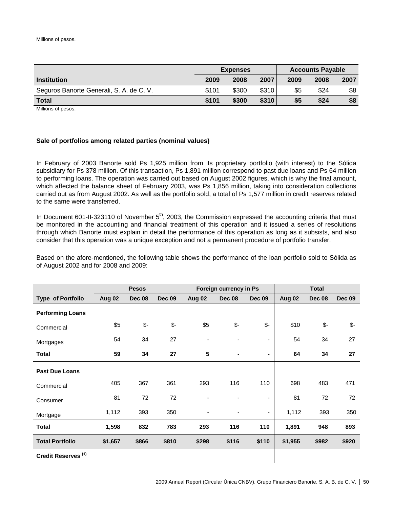|                                          | <b>Expenses</b> |       |       | <b>Accounts Payable</b> |      |      |
|------------------------------------------|-----------------|-------|-------|-------------------------|------|------|
| <b>Institution</b>                       | 2009            | 2008  | 2007  | 2009                    | 2008 | 2007 |
| Seguros Banorte Generali, S. A. de C. V. | \$101           | \$300 | \$310 | \$5                     | \$24 | \$8  |
| <b>Total</b>                             | \$101           | \$300 | \$310 | \$5                     | \$24 | \$8  |

Millions of pesos.

#### **Sale of portfolios among related parties (nominal values)**

In February of 2003 Banorte sold Ps 1,925 million from its proprietary portfolio (with interest) to the Sólida subsidiary for Ps 378 million. Of this transaction, Ps 1,891 million correspond to past due loans and Ps 64 million to performing loans. The operation was carried out based on August 2002 figures, which is why the final amount, which affected the balance sheet of February 2003, was Ps 1,856 million, taking into consideration collections carried out as from August 2002. As well as the portfolio sold, a total of Ps 1,577 million in credit reserves related to the same were transferred.

In Document 601-II-323110 of November 5<sup>th</sup>, 2003, the Commission expressed the accounting criteria that must be monitored in the accounting and financial treatment of this operation and it issued a series of resolutions through which Banorte must explain in detail the performance of this operation as long as it subsists, and also consider that this operation was a unique exception and not a permanent procedure of portfolio transfer.

Based on the afore-mentioned, the following table shows the performance of the loan portfolio sold to Sólida as of August 2002 and for 2008 and 2009:

|                                |         | <b>Pesos</b> |               |                          | Foreign currency in Ps |                          |         | <b>Total</b>  |               |
|--------------------------------|---------|--------------|---------------|--------------------------|------------------------|--------------------------|---------|---------------|---------------|
| <b>Type of Portfolio</b>       | Aug 02  | Dec 08       | <b>Dec 09</b> | Aug 02                   | <b>Dec 08</b>          | <b>Dec 09</b>            | Aug 02  | <b>Dec 08</b> | <b>Dec 09</b> |
| <b>Performing Loans</b>        |         |              |               |                          |                        |                          |         |               |               |
| Commercial                     | \$5     | \$-          | $\frac{2}{3}$ | \$5                      | $\frac{2}{3}$          | $$-$                     | \$10    | $\frac{2}{3}$ | $\frac{2}{3}$ |
| Mortgages                      | 54      | 34           | 27            | $\overline{\phantom{a}}$ |                        | $\overline{\phantom{a}}$ | 54      | 34            | 27            |
| <b>Total</b>                   | 59      | 34           | 27            | 5                        | ۰                      |                          | 64      | 34            | 27            |
| <b>Past Due Loans</b>          |         |              |               |                          |                        |                          |         |               |               |
| Commercial                     | 405     | 367          | 361           | 293                      | 116                    | 110                      | 698     | 483           | 471           |
| Consumer                       | 81      | 72           | 72            |                          |                        | ۰                        | 81      | 72            | 72            |
| Mortgage                       | 1,112   | 393          | 350           |                          |                        | ۰                        | 1,112   | 393           | 350           |
| <b>Total</b>                   | 1,598   | 832          | 783           | 293                      | 116                    | 110                      | 1,891   | 948           | 893           |
| <b>Total Portfolio</b>         | \$1,657 | \$866        | \$810         | \$298                    | \$116                  | \$110                    | \$1,955 | \$982         | \$920         |
| Credit Reserves <sup>(1)</sup> |         |              |               |                          |                        |                          |         |               |               |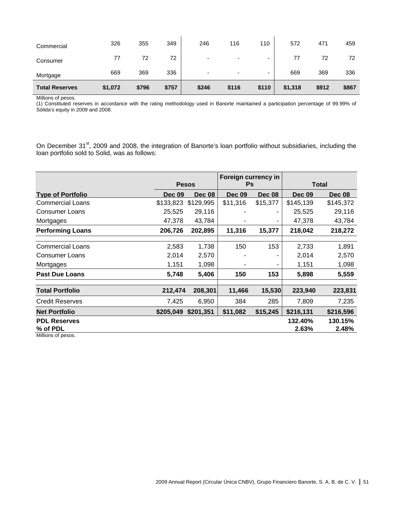| <b>Total Reserves</b> | \$1,072 | \$796 | \$757 | \$246                    | \$116                    | \$110 | \$1,318 | \$912 | \$867 |
|-----------------------|---------|-------|-------|--------------------------|--------------------------|-------|---------|-------|-------|
| Mortgage              | 669     | 369   | 336   | $\overline{\phantom{0}}$ | $\overline{\phantom{0}}$ | -     | 669     | 369   | 336   |
| Consumer              | 77      | 72    | 72    | -                        | $\overline{\phantom{0}}$ | -     | 77      | 72    | 72    |
| Commercial            | 326     | 355   | 349   | 246                      | 116                      | 110   | 572     | 471   | 459   |

(1) Constituted reserves in accordance with the rating methodology used in Banorte maintained a participation percentage of 99.99% of Sólida's equity in 2009 and 2008.

On December 31<sup>st</sup>, 2009 and 2008, the integration of Banorte's loan portfolio without subsidiaries, including the loan portfolio sold to Solid, was as follows:

|                                 |               |               | Foreign currency in |               |                  |                  |
|---------------------------------|---------------|---------------|---------------------|---------------|------------------|------------------|
|                                 | <b>Pesos</b>  |               | Ps                  |               | <b>Total</b>     |                  |
| <b>Type of Portfolio</b>        | <b>Dec 09</b> | <b>Dec 08</b> | <b>Dec 09</b>       | <b>Dec 08</b> | <b>Dec 09</b>    | <b>Dec 08</b>    |
| <b>Commercial Loans</b>         | \$133,823     | \$129,995     | \$11,316            | \$15,377      | \$145,139        | \$145,372        |
| <b>Consumer Loans</b>           | 25,525        | 29,116        |                     |               | 25,525           | 29,116           |
| Mortgages                       | 47,378        | 43,784        |                     |               | 47,378           | 43,784           |
| <b>Performing Loans</b>         | 206,726       | 202,895       | 11,316              | 15,377        | 218,042          | 218,272          |
| <b>Commercial Loans</b>         | 2,583         | 1,738         | 150                 | 153           | 2,733            | 1,891            |
| <b>Consumer Loans</b>           | 2,014         | 2,570         |                     | -             | 2,014            | 2,570            |
| Mortgages                       | 1,151         | 1,098         |                     | ۰             | 1,151            | 1,098            |
| <b>Past Due Loans</b>           | 5,748         | 5,406         | 150                 | 153           | 5,898            | 5,559            |
| <b>Total Portfolio</b>          | 212,474       | 208,301       | 11,466              | 15,530        | 223,940          | 223,831          |
| <b>Credit Reserves</b>          | 7,425         | 6,950         | 384                 | 285           | 7,809            | 7,235            |
| <b>Net Portfolio</b>            | \$205,049     | \$201,351     | \$11,082            | \$15,245      | \$216,131        | \$216,596        |
| <b>PDL Reserves</b><br>% of PDL |               |               |                     |               | 132.40%<br>2.63% | 130.15%<br>2.48% |
| Milliana                        |               |               |                     |               |                  |                  |

Millions of pesos.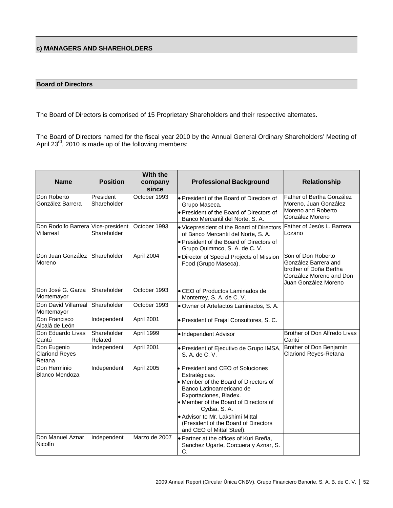# **c) MANAGERS AND SHAREHOLDERS**

#### **Board of Directors**

The Board of Directors is comprised of 15 Proprietary Shareholders and their respective alternates.

The Board of Directors named for the fiscal year 2010 by the Annual General Ordinary Shareholders' Meeting of April 23 $^{\text{rd}}$ , 2010 is made up of the following members:

| <b>Name</b>                                      | <b>Position</b>          | With the<br>company<br>since | <b>Professional Background</b>                                                                                                                                                                                                                                                                                      | Relationship                                                                                                            |
|--------------------------------------------------|--------------------------|------------------------------|---------------------------------------------------------------------------------------------------------------------------------------------------------------------------------------------------------------------------------------------------------------------------------------------------------------------|-------------------------------------------------------------------------------------------------------------------------|
| Don Roberto<br>González Barrera                  | President<br>Shareholder | October 1993                 | • President of the Board of Directors of<br>Grupo Maseca.<br>• President of the Board of Directors of<br>Banco Mercantil del Norte, S. A.                                                                                                                                                                           | Father of Bertha González<br>Moreno, Juan González<br>Moreno and Roberto<br>González Moreno                             |
| Don Rodolfo Barrera Vice-president<br>Villarreal | Shareholder              | October 1993                 | • Vicepresident of the Board of Directors<br>of Banco Mercantil del Norte, S. A.<br>• President of the Board of Directors of<br>Grupo Quimmco, S. A. de C. V.                                                                                                                                                       | Father of Jesús L. Barrera<br>.ozano                                                                                    |
| Don Juan González<br>Moreno                      | Shareholder              | April 2004                   | • Director of Special Projects of Mission<br>Food (Grupo Maseca).                                                                                                                                                                                                                                                   | Son of Don Roberto<br>González Barrera and<br>brother of Doña Bertha<br>González Moreno and Don<br>Juan González Moreno |
| Don José G. Garza<br>Montemayor                  | Shareholder              | October 1993                 | • CEO of Productos Laminados de<br>Monterrey, S. A. de C. V.                                                                                                                                                                                                                                                        |                                                                                                                         |
| Don David Villarreal<br>Montemayor               | Shareholder              | October 1993                 | Owner of Artefactos Laminados, S. A.                                                                                                                                                                                                                                                                                |                                                                                                                         |
| Don Francisco<br>Alcalá de León                  | Independent              | April 2001                   | · President of Frajal Consultores, S. C.                                                                                                                                                                                                                                                                            |                                                                                                                         |
| Don Eduardo Livas<br>Cantú                       | Shareholder<br>Related   | April 1999                   | · Independent Advisor                                                                                                                                                                                                                                                                                               | Brother of Don Alfredo Livas<br>Cantú                                                                                   |
| Don Eugenio<br><b>Clariond Reyes</b><br>Retana   | Independent              | April 2001                   | · President of Ejecutivo de Grupo IMSA,<br>S. A. de C. V.                                                                                                                                                                                                                                                           | Brother of Don Benjamín<br><b>Clariond Reyes-Retana</b>                                                                 |
| Don Herminio<br>Blanco Mendoza                   | Independent              | April 2005                   | • President and CEO of Soluciones<br>Estratégicas.<br>• Member of the Board of Directors of<br>Banco Latinoamericano de<br>Exportaciones, Bladex.<br>• Member of the Board of Directors of<br>Cydsa, S.A.<br>· Advisor to Mr. Lakshimi Mittal<br>(President of the Board of Directors)<br>and CEO of Mittal Steel). |                                                                                                                         |
| Don Manuel Aznar<br>Nicolín                      | Independent              | Marzo de 2007                | • Partner at the offices of Kuri Breña,<br>Sanchez Ugarte, Corcuera y Aznar, S.<br>C.                                                                                                                                                                                                                               |                                                                                                                         |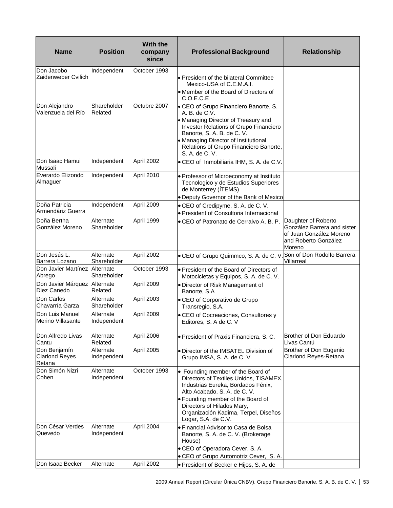| <b>Name</b>                                     | <b>Position</b>                 | <b>With the</b><br>company<br>since | <b>Professional Background</b>                                                                                                                                                                                                                                                      | <b>Relationship</b>                                                                                             |
|-------------------------------------------------|---------------------------------|-------------------------------------|-------------------------------------------------------------------------------------------------------------------------------------------------------------------------------------------------------------------------------------------------------------------------------------|-----------------------------------------------------------------------------------------------------------------|
| Don Jacobo<br>Zaidenweber Cvilich               | Independent                     | October 1993                        | • President of the bilateral Committee<br>Mexico-USA of C.E.M.A.I.<br>• Member of the Board of Directors of<br>C.O.E.C.E                                                                                                                                                            |                                                                                                                 |
| Don Alejandro<br>Valenzuela del Río             | Shareholder<br>Related          | Octubre 2007                        | • CEO of Grupo Financiero Banorte, S.<br>A. B. de C.V.<br>• Managing Director of Treasury and<br>Investor Relations of Grupo Financiero<br>Banorte, S. A. B. de C. V.<br>• Managing Director of Institutional<br>Relations of Grupo Financiero Banorte,<br>S. A. de C. V.           |                                                                                                                 |
| Don Isaac Hamui<br>Mussali                      | Independent                     | April 2002                          | . CEO of Inmobiliaria IHM, S. A. de C.V.                                                                                                                                                                                                                                            |                                                                                                                 |
| Everardo Elizondo<br>Almaguer                   | Independent                     | April 2010                          | · Professor of Microeconomy at Instituto<br>Tecnologico y de Estudios Superiores<br>de Monterrey (ITEMS)<br>. Deputy Governor of the Bank of Mexico                                                                                                                                 |                                                                                                                 |
| Doña Patricia<br>Armendáriz Guerra              | Independent                     | April 2009                          | • CEO of Credipyme, S. A. de C. V.                                                                                                                                                                                                                                                  |                                                                                                                 |
| Doña Bertha<br>González Moreno                  | Alternate<br><b>Shareholder</b> | April 1999                          | • President of Consultoria Internacional<br>• CEO of Patronato de Cerralvo A. B. P.                                                                                                                                                                                                 | Daughter of Roberto<br>González Barrera and sister<br>of Juan González Moreno<br>and Roberto González<br>Moreno |
| Don Jesús L.<br>Barrera Lozano                  | Alternate<br>Shareholder        | April 2002                          | • CEO of Grupo Quimmco, S. A. de C. V.                                                                                                                                                                                                                                              | Son of Don Rodolfo Barrera<br>Villarreal                                                                        |
| Don Javier Martínez<br>Abrego                   | Alternate<br>Shareholder        | October 1993                        | • President of the Board of Directors of<br>Motocicletas y Equipos, S. A. de C. V.                                                                                                                                                                                                  |                                                                                                                 |
| Don Javier Márquez<br>Diez Canedo               | Alternate<br>Related            | April 2009                          | · Director of Risk Management of<br>Banorte, S.A                                                                                                                                                                                                                                    |                                                                                                                 |
| Don Carlos<br>Chavarría Garza                   | Alternate<br>Shareholder        | April 2003                          | • CEO of Corporativo de Grupo<br>Transregio, S.A.                                                                                                                                                                                                                                   |                                                                                                                 |
| Don Luis Manuel<br>Merino Villasante            | Alternate<br>Independent        | April 2009                          | • CEO of Cocreaciones, Consultores y<br>Editores, S. A de C. V                                                                                                                                                                                                                      |                                                                                                                 |
| Don Alfredo Livas<br>Cantu                      | Alternate<br>Related            | April 2006                          | · President of Praxis Financiera, S. C.                                                                                                                                                                                                                                             | Brother of Don Eduardo<br>Livas Cantú                                                                           |
| Don Benjamín<br><b>Clariond Reyes</b><br>Retana | Alternate<br>Independent        | April 2005                          | . Director of the IMSATEL Division of<br>Grupo IMSA, S. A. de C. V.                                                                                                                                                                                                                 | Brother of Don Eugenio<br><b>Clariond Reyes-Retana</b>                                                          |
| Don Simón Nizri<br>Cohen                        | Alternate<br>Independent        | October 1993                        | • Founding member of the Board of<br>Directors of Textiles Unidos, TISAMEX,<br>Industrias Eureka, Bordados Fénix,<br>Alto Acabado, S. A. de C. V.<br>• Founding member of the Board of<br>Directors of Hilados Mary,<br>Organización Kadima, Terpel, Diseños<br>Logar, S.A. de C.V. |                                                                                                                 |
| Don César Verdes<br>Quevedo                     | Alternate<br>Independent        | April 2004                          | • Financial Advisor to Casa de Bolsa<br>Banorte, S. A. de C. V. (Brokerage<br>House)<br>• CEO of Operadora Cever, S. A.<br>• CEO of Grupo Automotriz Cever, S. A.                                                                                                                   |                                                                                                                 |
| Don Isaac Becker                                | Alternate                       | April 2002                          | · President of Becker e Hijos, S. A. de                                                                                                                                                                                                                                             |                                                                                                                 |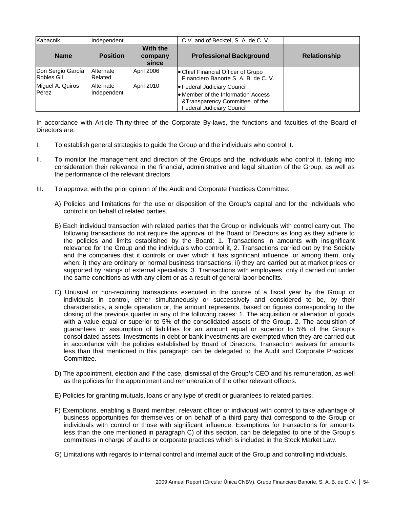| Kabacnik                               | Independent                 |                              | C.V. and of Becktel, S. A. de C. V.                                                                                                     |                     |
|----------------------------------------|-----------------------------|------------------------------|-----------------------------------------------------------------------------------------------------------------------------------------|---------------------|
| <b>Name</b>                            | <b>Position</b>             | With the<br>company<br>since | <b>Professional Background</b>                                                                                                          | <b>Relationship</b> |
| Don Sergio García<br><b>Robles Gil</b> | <b>Alternate</b><br>Related | April 2006                   | • Chief Financial Officer of Grupo<br>Financiero Banorte S. A. B. de C. V.                                                              |                     |
| Miguel A. Quiros<br>Pérez              | Alternate<br>Independent    | April 2010                   | ● Federal Judiciary Council<br>• Member of the Information Access<br>&Transparency Committee of the<br><b>Federal Judiciary Council</b> |                     |

In accordance with Article Thirty-three of the Corporate By-laws, the functions and faculties of the Board of Directors are:

- I. To establish general strategies to guide the Group and the individuals who control it.
- II. To monitor the management and direction of the Groups and the individuals who control it, taking into consideration their relevance in the financial, administrative and legal situation of the Group, as well as the performance of the relevant directors.
- III. To approve, with the prior opinion of the Audit and Corporate Practices Committee:
	- A) Policies and limitations for the use or disposition of the Group's capital and for the individuals who control it on behalf of related parties.
	- B) Each individual transaction with related parties that the Group or individuals with control carry out. The following transactions do not require the approval of the Board of Directors as long as they adhere to the policies and limits established by the Board: 1. Transactions in amounts with insignificant relevance for the Group and the individuals who control it, 2. Transactions carried out by the Society and the companies that it controls or over which it has significant influence, or among them, only when: i) they are ordinary or normal business transactions; ii) they are carried out at market prices or supported by ratings of external specialists. 3. Transactions with employees, only if carried out under the same conditions as with any client or as a result of general labor benefits.
	- C) Unusual or non-recurring transactions executed in the course of a fiscal year by the Group or individuals in control, either simultaneously or successively and considered to be, by their characteristics, a single operation or, the amount represents, based on figures corresponding to the closing of the previous quarter in any of the following cases: 1. The acquisition or alienation of goods with a value equal or superior to 5% of the consolidated assets of the Group. 2. The acquisition of guarantees or assumption of liabilities for an amount equal or superior to 5% of the Group's consolidated assets. Investments in debt or bank investments are exempted when they are carried out in accordance with the policies established by Board of Directors. Transaction waivers for amounts less than that mentioned in this paragraph can be delegated to the Audit and Corporate Practices' Committee.
	- D) The appointment, election and if the case, dismissal of the Group's CEO and his remuneration, as well as the policies for the appointment and remuneration of the other relevant officers.
	- E) Policies for granting mutuals, loans or any type of credit or guarantees to related parties.
	- F) Exemptions, enabling a Board member, relevant officer or individual with control to take advantage of business opportunities for themselves or on behalf of a third party that correspond to the Group or individuals with control or those with significant influence. Exemptions for transactions for amounts less than the one mentioned in paragraph C) of this section, can be delegated to one of the Group's committees in charge of audits or corporate practices which is included in the Stock Market Law.
	- G) Limitations with regards to internal control and internal audit of the Group and controlling individuals.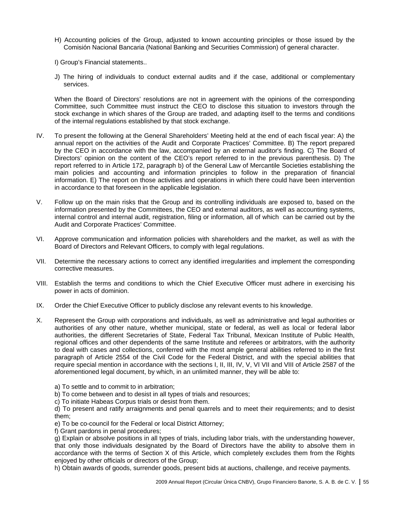- H) Accounting policies of the Group, adjusted to known accounting principles or those issued by the Comisión Nacional Bancaria (National Banking and Securities Commission) of general character.
- I) Group's Financial statements..
- J) The hiring of individuals to conduct external audits and if the case, additional or complementary services.

 When the Board of Directors' resolutions are not in agreement with the opinions of the corresponding Committee, such Committee must instruct the CEO to disclose this situation to investors through the stock exchange in which shares of the Group are traded, and adapting itself to the terms and conditions of the internal regulations established by that stock exchange.

- IV. To present the following at the General Shareholders' Meeting held at the end of each fiscal year: A) the annual report on the activities of the Audit and Corporate Practices' Committee. B) The report prepared by the CEO in accordance with the law, accompanied by an external auditor's finding. C) The Board of Directors' opinion on the content of the CEO's report referred to in the previous parenthesis. D) The report referred to in Article 172, paragraph b) of the General Law of Mercantile Societies establishing the main policies and accounting and information principles to follow in the preparation of financial information. E) The report on those activities and operations in which there could have been intervention in accordance to that foreseen in the applicable legislation.
- V. Follow up on the main risks that the Group and its controlling individuals are exposed to, based on the information presented by the Committees, the CEO and external auditors, as well as accounting systems, internal control and internal audit, registration, filing or information, all of which can be carried out by the Audit and Corporate Practices' Committee.
- VI. Approve communication and information policies with shareholders and the market, as well as with the Board of Directors and Relevant Officers, to comply with legal regulations.
- VII. Determine the necessary actions to correct any identified irregularities and implement the corresponding corrective measures.
- VIII. Establish the terms and conditions to which the Chief Executive Officer must adhere in exercising his power in acts of dominion.
- IX. Order the Chief Executive Officer to publicly disclose any relevant events to his knowledge.
- X. Represent the Group with corporations and individuals, as well as administrative and legal authorities or authorities of any other nature, whether municipal, state or federal, as well as local or federal labor authorities, the different Secretaries of State, Federal Tax Tribunal, Mexican Institute of Public Health, regional offices and other dependents of the same Institute and referees or arbitrators, with the authority to deal with cases and collections, conferred with the most ample general abilities referred to in the first paragraph of Article 2554 of the Civil Code for the Federal District, and with the special abilities that require special mention in accordance with the sections I, II, III, IV, V, VI VII and VIII of Article 2587 of the aforementioned legal document, by which, in an unlimited manner, they will be able to:
	- a) To settle and to commit to in arbitration;
	- b) To come between and to desist in all types of trials and resources;
	- c) To initiate Habeas Corpus trials or desist from them.

d) To present and ratify arraignments and penal quarrels and to meet their requirements; and to desist them;

e) To be co-council for the Federal or local District Attorney;

f) Grant pardons in penal procedures;

g) Explain or absolve positions in all types of trials, including labor trials, with the understanding however, that only those individuals designated by the Board of Directors have the ability to absolve them in accordance with the terms of Section X of this Article, which completely excludes them from the Rights enjoyed by other officials or directors of the Group;

h) Obtain awards of goods, surrender goods, present bids at auctions, challenge, and receive payments.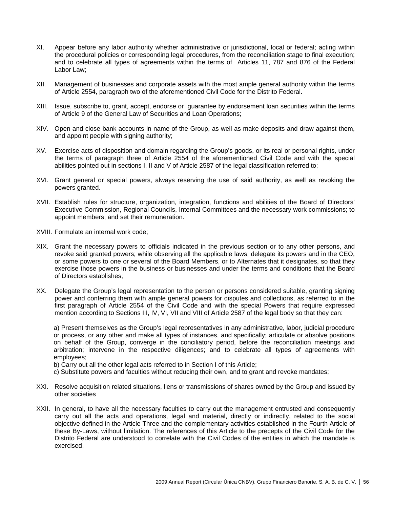- XI. Appear before any labor authority whether administrative or jurisdictional, local or federal; acting within the procedural policies or corresponding legal procedures, from the reconciliation stage to final execution; and to celebrate all types of agreements within the terms of Articles 11, 787 and 876 of the Federal Labor Law;
- XII. Management of businesses and corporate assets with the most ample general authority within the terms of Article 2554, paragraph two of the aforementioned Civil Code for the Distrito Federal.
- XIII. Issue, subscribe to, grant, accept, endorse or guarantee by endorsement loan securities within the terms of Article 9 of the General Law of Securities and Loan Operations;
- XIV. Open and close bank accounts in name of the Group, as well as make deposits and draw against them, and appoint people with signing authority;
- XV. Exercise acts of disposition and domain regarding the Group's goods, or its real or personal rights, under the terms of paragraph three of Article 2554 of the aforementioned Civil Code and with the special abilities pointed out in sections I, II and V of Article 2587 of the legal classification referred to;
- XVI. Grant general or special powers, always reserving the use of said authority, as well as revoking the powers granted.
- XVII. Establish rules for structure, organization, integration, functions and abilities of the Board of Directors' Executive Commission, Regional Councils, Internal Committees and the necessary work commissions; to appoint members; and set their remuneration.
- XVIII. Formulate an internal work code;
- XIX. Grant the necessary powers to officials indicated in the previous section or to any other persons, and revoke said granted powers; while observing all the applicable laws, delegate its powers and in the CEO, or some powers to one or several of the Board Members, or to Alternates that it designates, so that they exercise those powers in the business or businesses and under the terms and conditions that the Board of Directors establishes;
- XX. Delegate the Group's legal representation to the person or persons considered suitable, granting signing power and conferring them with ample general powers for disputes and collections, as referred to in the first paragraph of Article 2554 of the Civil Code and with the special Powers that require expressed mention according to Sections III, IV, VI, VII and VIII of Article 2587 of the legal body so that they can:

a) Present themselves as the Group's legal representatives in any administrative, labor, judicial procedure or process, or any other and make all types of instances, and specifically; articulate or absolve positions on behalf of the Group, converge in the conciliatory period, before the reconciliation meetings and arbitration; intervene in the respective diligences; and to celebrate all types of agreements with employees;

b) Carry out all the other legal acts referred to in Section I of this Article;

- c) Substitute powers and faculties without reducing their own, and to grant and revoke mandates;
- XXI. Resolve acquisition related situations, liens or transmissions of shares owned by the Group and issued by other societies
- XXII. In general, to have all the necessary faculties to carry out the management entrusted and consequently carry out all the acts and operations, legal and material, directly or indirectly, related to the social objective defined in the Article Three and the complementary activities established in the Fourth Article of these By-Laws, without limitation. The references of this Article to the precepts of the Civil Code for the Distrito Federal are understood to correlate with the Civil Codes of the entities in which the mandate is exercised.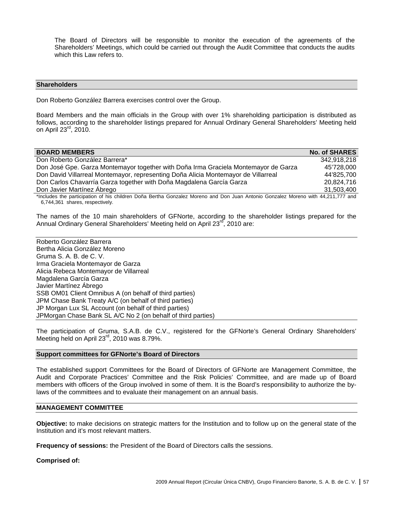The Board of Directors will be responsible to monitor the execution of the agreements of the Shareholders' Meetings, which could be carried out through the Audit Committee that conducts the audits which this Law refers to.

#### **Shareholders**

Don Roberto González Barrera exercises control over the Group.

Board Members and the main officials in the Group with over 1% shareholding participation is distributed as follows, according to the shareholder listings prepared for Annual Ordinary General Shareholders' Meeting held on April 23rd, 2010.

| <b>BOARD MEMBERS</b>                                                                | <b>No. of SHARES</b> |
|-------------------------------------------------------------------------------------|----------------------|
| Don Roberto González Barrera*                                                       | 342,918,218          |
| Don José Gpe. Garza Montemayor together with Doña Irma Graciela Montemayor de Garza | 45'728,000           |
| Don David Villarreal Montemayor, representing Doña Alicia Montemayor de Villarreal  | 44'825,700           |
| Don Carlos Chavarría Garza together with Doña Magdalena García Garza                | 20,824,716           |
| Don Javier Martínez Ábrego                                                          | 31,503,400           |
| _ . _.<br>.                                                                         |                      |

\*Includes the participation of his children Doña Bertha Gonzalez Moreno and Don Juan Antonio Gonzalez Moreno with 44,211,777 and 6,744,361 shares, respectively.

The names of the 10 main shareholders of GFNorte, according to the shareholder listings prepared for the Annual Ordinary General Shareholders' Meeting held on April 23<sup>rd</sup>, 2010 are:

Roberto González Barrera Bertha Alicia González Moreno Gruma S. A. B. de C. V. Irma Graciela Montemayor de Garza Alicia Rebeca Montemayor de Villarreal Magdalena García Garza Javier Martínez Ábrego SSB OM01 Client Omnibus A (on behalf of third parties) JPM Chase Bank Treaty A/C (on behalf of third parties) JP Morgan Lux SL Account (on behalf of third parties) JPMorgan Chase Bank SL A/C No 2 (on behalf of third parties)

The participation of Gruma, S.A.B. de C.V., registered for the GFNorte's General Ordinary Shareholders' Meeting held on April 23<sup>rd</sup>, 2010 was 8.79%.

#### **Support committees for GFNorte's Board of Directors**

The established support Committees for the Board of Directors of GFNorte are Management Committee, the Audit and Corporate Practices' Committee and the Risk Policies' Committee, and are made up of Board members with officers of the Group involved in some of them. It is the Board's responsibility to authorize the bylaws of the committees and to evaluate their management on an annual basis.

# **MANAGEMENT COMMITTEE**

**Objective:** to make decisions on strategic matters for the Institution and to follow up on the general state of the Institution and it's most relevant matters.

**Frequency of sessions:** the President of the Board of Directors calls the sessions.

**Comprised of:**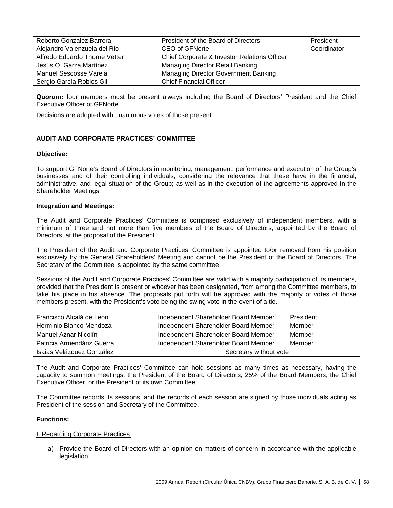| Roberto Gonzalez Barrera      | President of the Board of Directors          | President   |
|-------------------------------|----------------------------------------------|-------------|
| Alejandro Valenzuela del Rio  | CEO of GFNorte                               | Coordinator |
| Alfredo Eduardo Thorne Vetter | Chief Corporate & Investor Relations Officer |             |
| Jesús O. Garza Martínez       | Managing Director Retail Banking             |             |
| Manuel Sescosse Varela        | Managing Director Government Banking         |             |
| Sergio García Robles Gil      | <b>Chief Financial Officer</b>               |             |

**Quorum:** four members must be present always including the Board of Directors' President and the Chief Executive Officer of GFNorte.

Decisions are adopted with unanimous votes of those present.

#### **AUDIT AND CORPORATE PRACTICES' COMMITTEE**

#### **Objective:**

To support GFNorte's Board of Directors in monitoring, management, performance and execution of the Group's businesses and of their controlling individuals, considering the relevance that these have in the financial, administrative, and legal situation of the Group; as well as in the execution of the agreements approved in the Shareholder Meetings.

#### **Integration and Meetings:**

The Audit and Corporate Practices' Committee is comprised exclusively of independent members, with a minimum of three and not more than five members of the Board of Directors, appointed by the Board of Directors, at the proposal of the President.

The President of the Audit and Corporate Practices' Committee is appointed to/or removed from his position exclusively by the General Shareholders' Meeting and cannot be the President of the Board of Directors. The Secretary of the Committee is appointed by the same committee.

Sessions of the Audit and Corporate Practices' Committee are valid with a majority participation of its members, provided that the President is present or whoever has been designated, from among the Committee members, to take his place in his absence. The proposals put forth will be approved with the majority of votes of those members present, with the President's vote being the swing vote in the event of a tie.

| Francisco Alcalá de León   | Independent Shareholder Board Member | President |
|----------------------------|--------------------------------------|-----------|
| Herminio Blanco Mendoza    | Independent Shareholder Board Member | Member    |
| Manuel Aznar Nicolín       | Independent Shareholder Board Member | Member    |
| Patricia Armendáriz Guerra | Independent Shareholder Board Member | Member    |
| Isaias Velázquez González  | Secretary without vote               |           |

The Audit and Corporate Practices' Committee can hold sessions as many times as necessary, having the capacity to summon meetings: the President of the Board of Directors, 25% of the Board Members, the Chief Executive Officer, or the President of its own Committee.

The Committee records its sessions, and the records of each session are signed by those individuals acting as President of the session and Secretary of the Committee.

#### **Functions:**

#### I. Regarding Corporate Practices:

a) Provide the Board of Directors with an opinion on matters of concern in accordance with the applicable legislation.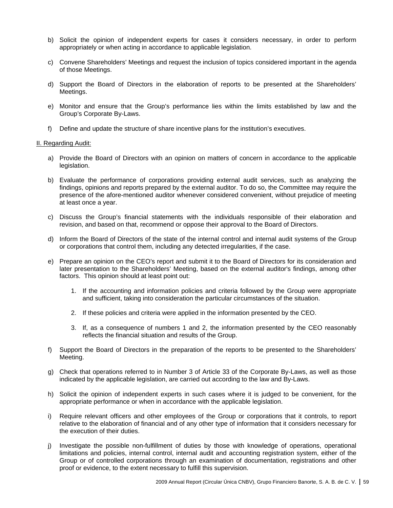- b) Solicit the opinion of independent experts for cases it considers necessary, in order to perform appropriately or when acting in accordance to applicable legislation.
- c) Convene Shareholders' Meetings and request the inclusion of topics considered important in the agenda of those Meetings.
- d) Support the Board of Directors in the elaboration of reports to be presented at the Shareholders' Meetings.
- e) Monitor and ensure that the Group's performance lies within the limits established by law and the Group's Corporate By-Laws.
- f) Define and update the structure of share incentive plans for the institution's executives.

#### II. Regarding Audit:

- a) Provide the Board of Directors with an opinion on matters of concern in accordance to the applicable legislation.
- b) Evaluate the performance of corporations providing external audit services, such as analyzing the findings, opinions and reports prepared by the external auditor. To do so, the Committee may require the presence of the afore-mentioned auditor whenever considered convenient, without prejudice of meeting at least once a year.
- c) Discuss the Group's financial statements with the individuals responsible of their elaboration and revision, and based on that, recommend or oppose their approval to the Board of Directors.
- d) Inform the Board of Directors of the state of the internal control and internal audit systems of the Group or corporations that control them, including any detected irregularities, if the case.
- e) Prepare an opinion on the CEO's report and submit it to the Board of Directors for its consideration and later presentation to the Shareholders' Meeting, based on the external auditor's findings, among other factors. This opinion should at least point out:
	- 1. If the accounting and information policies and criteria followed by the Group were appropriate and sufficient, taking into consideration the particular circumstances of the situation.
	- 2. If these policies and criteria were applied in the information presented by the CEO.
	- 3. If, as a consequence of numbers 1 and 2, the information presented by the CEO reasonably reflects the financial situation and results of the Group.
- f) Support the Board of Directors in the preparation of the reports to be presented to the Shareholders' Meeting.
- g) Check that operations referred to in Number 3 of Article 33 of the Corporate By-Laws, as well as those indicated by the applicable legislation, are carried out according to the law and By-Laws.
- h) Solicit the opinion of independent experts in such cases where it is judged to be convenient, for the appropriate performance or when in accordance with the applicable legislation.
- i) Require relevant officers and other employees of the Group or corporations that it controls, to report relative to the elaboration of financial and of any other type of information that it considers necessary for the execution of their duties.
- j) Investigate the possible non-fulfillment of duties by those with knowledge of operations, operational limitations and policies, internal control, internal audit and accounting registration system, either of the Group or of controlled corporations through an examination of documentation, registrations and other proof or evidence, to the extent necessary to fulfill this supervision.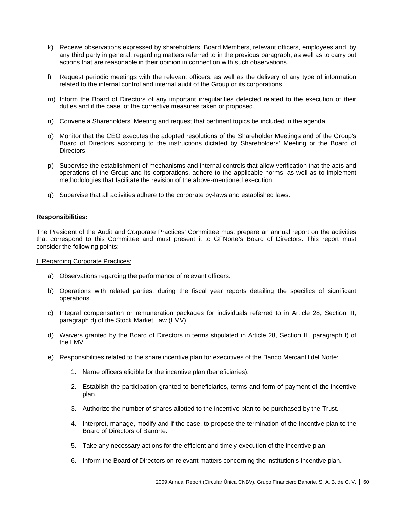- k) Receive observations expressed by shareholders, Board Members, relevant officers, employees and, by any third party in general, regarding matters referred to in the previous paragraph, as well as to carry out actions that are reasonable in their opinion in connection with such observations.
- l) Request periodic meetings with the relevant officers, as well as the delivery of any type of information related to the internal control and internal audit of the Group or its corporations.
- m) Inform the Board of Directors of any important irregularities detected related to the execution of their duties and if the case, of the corrective measures taken or proposed.
- n) Convene a Shareholders' Meeting and request that pertinent topics be included in the agenda.
- o) Monitor that the CEO executes the adopted resolutions of the Shareholder Meetings and of the Group's Board of Directors according to the instructions dictated by Shareholders' Meeting or the Board of Directors.
- p) Supervise the establishment of mechanisms and internal controls that allow verification that the acts and operations of the Group and its corporations, adhere to the applicable norms, as well as to implement methodologies that facilitate the revision of the above-mentioned execution.
- q) Supervise that all activities adhere to the corporate by-laws and established laws.

#### **Responsibilities:**

The President of the Audit and Corporate Practices' Committee must prepare an annual report on the activities that correspond to this Committee and must present it to GFNorte's Board of Directors. This report must consider the following points:

I. Regarding Corporate Practices:

- a) Observations regarding the performance of relevant officers.
- b) Operations with related parties, during the fiscal year reports detailing the specifics of significant operations.
- c) Integral compensation or remuneration packages for individuals referred to in Article 28, Section III, paragraph d) of the Stock Market Law (LMV).
- d) Waivers granted by the Board of Directors in terms stipulated in Article 28, Section III, paragraph f) of the LMV.
- e) Responsibilities related to the share incentive plan for executives of the Banco Mercantil del Norte:
	- 1. Name officers eligible for the incentive plan (beneficiaries).
	- 2. Establish the participation granted to beneficiaries, terms and form of payment of the incentive plan.
	- 3. Authorize the number of shares allotted to the incentive plan to be purchased by the Trust.
	- 4. Interpret, manage, modify and if the case, to propose the termination of the incentive plan to the Board of Directors of Banorte.
	- 5. Take any necessary actions for the efficient and timely execution of the incentive plan.
	- 6. Inform the Board of Directors on relevant matters concerning the institution's incentive plan.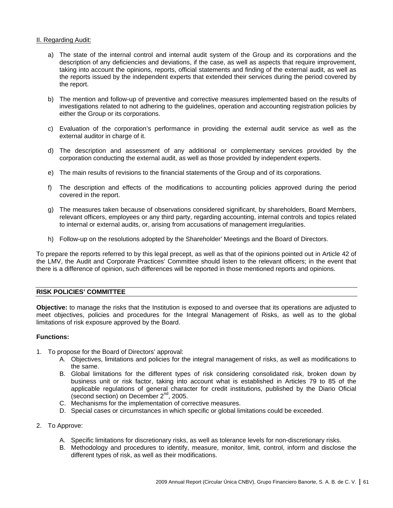#### II. Regarding Audit:

- a) The state of the internal control and internal audit system of the Group and its corporations and the description of any deficiencies and deviations, if the case, as well as aspects that require improvement, taking into account the opinions, reports, official statements and finding of the external audit, as well as the reports issued by the independent experts that extended their services during the period covered by the report.
- b) The mention and follow-up of preventive and corrective measures implemented based on the results of investigations related to not adhering to the guidelines, operation and accounting registration policies by either the Group or its corporations.
- c) Evaluation of the corporation's performance in providing the external audit service as well as the external auditor in charge of it.
- d) The description and assessment of any additional or complementary services provided by the corporation conducting the external audit, as well as those provided by independent experts.
- e) The main results of revisions to the financial statements of the Group and of its corporations.
- f) The description and effects of the modifications to accounting policies approved during the period covered in the report.
- g) The measures taken because of observations considered significant, by shareholders, Board Members, relevant officers, employees or any third party, regarding accounting, internal controls and topics related to internal or external audits, or, arising from accusations of management irregularities.
- h) Follow-up on the resolutions adopted by the Shareholder' Meetings and the Board of Directors.

To prepare the reports referred to by this legal precept, as well as that of the opinions pointed out in Article 42 of the LMV, the Audit and Corporate Practices' Committee should listen to the relevant officers; in the event that there is a difference of opinion, such differences will be reported in those mentioned reports and opinions.

#### **RISK POLICIES' COMMITTEE**

**Objective:** to manage the risks that the Institution is exposed to and oversee that its operations are adjusted to meet objectives, policies and procedures for the Integral Management of Risks, as well as to the global limitations of risk exposure approved by the Board.

#### **Functions:**

- 1. To propose for the Board of Directors' approval:
	- A. Objectives, limitations and policies for the integral management of risks, as well as modifications to the same.
	- B. Global limitations for the different types of risk considering consolidated risk, broken down by business unit or risk factor, taking into account what is established in Articles 79 to 85 of the applicable regulations of general character for credit institutions, published by the Diario Oficial (second section) on December 2<sup>nd</sup>, 2005.
	- C. Mechanisms for the implementation of corrective measures.
	- D. Special cases or circumstances in which specific or global limitations could be exceeded.
- 2. To Approve:
	- A. Specific limitations for discretionary risks, as well as tolerance levels for non-discretionary risks.
	- B. Methodology and procedures to identify, measure, monitor, limit, control, inform and disclose the different types of risk, as well as their modifications.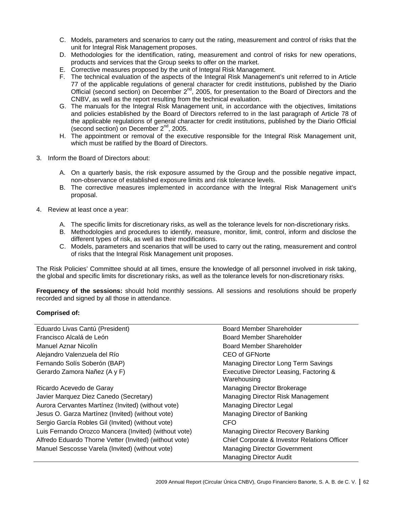- C. Models, parameters and scenarios to carry out the rating, measurement and control of risks that the unit for Integral Risk Management proposes.
- D. Methodologies for the identification, rating, measurement and control of risks for new operations, products and services that the Group seeks to offer on the market.
- E. Corrective measures proposed by the unit of Integral Risk Management.
- F. The technical evaluation of the aspects of the Integral Risk Management's unit referred to in Article 77 of the applicable regulations of general character for credit institutions, published by the Diario Official (second section) on December 2nd, 2005, for presentation to the Board of Directors and the CNBV, as well as the report resulting from the technical evaluation.
- G. The manuals for the Integral Risk Management unit, in accordance with the objectives, limitations and policies established by the Board of Directors referred to in the last paragraph of Article 78 of the applicable regulations of general character for credit institutions, published by the Diario Official (second section) on December 2<sup>nd</sup>, 2005.
- H. The appointment or removal of the executive responsible for the Integral Risk Management unit, which must be ratified by the Board of Directors.
- 3. Inform the Board of Directors about:
	- A. On a quarterly basis, the risk exposure assumed by the Group and the possible negative impact, non-observance of established exposure limits and risk tolerance levels.
	- B. The corrective measures implemented in accordance with the Integral Risk Management unit's proposal.
- 4. Review at least once a year:
	- A. The specific limits for discretionary risks, as well as the tolerance levels for non-discretionary risks.
	- B. Methodologies and procedures to identify, measure, monitor, limit, control, inform and disclose the different types of risk, as well as their modifications.
	- C. Models, parameters and scenarios that will be used to carry out the rating, measurement and control of risks that the Integral Risk Management unit proposes.

The Risk Policies' Committee should at all times, ensure the knowledge of all personnel involved in risk taking, the global and specific limits for discretionary risks, as well as the tolerance levels for non-discretionary risks.

**Frequency of the sessions:** should hold monthly sessions. All sessions and resolutions should be properly recorded and signed by all those in attendance.

#### **Comprised of:**

| Eduardo Livas Cantú (President)                        | Board Member Shareholder                               |
|--------------------------------------------------------|--------------------------------------------------------|
| Francisco Alcalá de León                               | Board Member Shareholder                               |
| Manuel Aznar Nicolín                                   | Board Member Shareholder                               |
| Alejandro Valenzuela del Río                           | CEO of GFNorte                                         |
| Fernando Solís Soberón (BAP)                           | Managing Director Long Term Savings                    |
| Gerardo Zamora Nañez (A y F)                           | Executive Director Leasing, Factoring &<br>Warehousing |
| Ricardo Acevedo de Garay                               | Managing Director Brokerage                            |
| Javier Marquez Diez Canedo (Secretary)                 | Managing Director Risk Management                      |
| Aurora Cervantes Martínez (Invited) (without vote)     | Managing Director Legal                                |
| Jesus O. Garza Martínez (Invited) (without vote)       | Managing Director of Banking                           |
| Sergio García Robles Gil (Invited) (without vote)      | CFO.                                                   |
| Luis Fernando Orozco Mancera (Invited) (without vote)  | Managing Director Recovery Banking                     |
| Alfredo Eduardo Thorne Vetter (Invited) (without vote) | Chief Corporate & Investor Relations Officer           |
| Manuel Sescosse Varela (Invited) (without vote)        | <b>Managing Director Government</b>                    |
|                                                        | <b>Managing Director Audit</b>                         |
|                                                        |                                                        |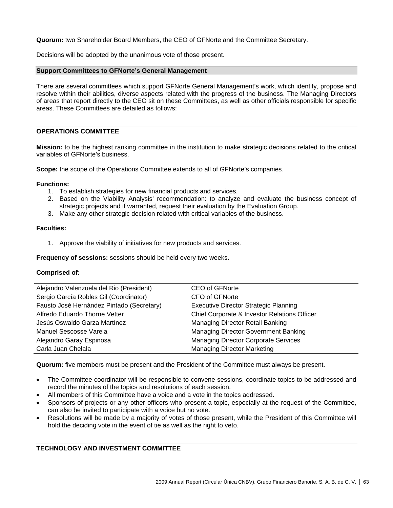**Quorum:** two Shareholder Board Members, the CEO of GFNorte and the Committee Secretary.

Decisions will be adopted by the unanimous vote of those present.

#### **Support Committees to GFNorte's General Management**

There are several committees which support GFNorte General Management's work, which identify, propose and resolve within their abilities, diverse aspects related with the progress of the business. The Managing Directors of areas that report directly to the CEO sit on these Committees, as well as other officials responsible for specific areas. These Committees are detailed as follows:

#### **OPERATIONS COMMITTEE**

**Mission:** to be the highest ranking committee in the institution to make strategic decisions related to the critical variables of GFNorte's business.

**Scope:** the scope of the Operations Committee extends to all of GFNorte's companies.

#### **Functions:**

- 1. To establish strategies for new financial products and services.
- 2. Based on the Viability Analysis' recommendation: to analyze and evaluate the business concept of strategic projects and if warranted, request their evaluation by the Evaluation Group.
- 3. Make any other strategic decision related with critical variables of the business.

#### **Faculties:**

1. Approve the viability of initiatives for new products and services.

**Frequency of sessions:** sessions should be held every two weeks.

#### **Comprised of:**

| Alejandro Valenzuela del Rio (President)  | <b>CEO of GFNorte</b>                        |
|-------------------------------------------|----------------------------------------------|
| Sergio García Robles Gil (Coordinator)    | CFO of GFNorte                               |
| Fausto José Hernández Pintado (Secretary) | <b>Executive Director Strategic Planning</b> |
| Alfredo Eduardo Thorne Vetter             | Chief Corporate & Investor Relations Officer |
| Jesús Oswaldo Garza Martínez              | Managing Director Retail Banking             |
| Manuel Sescosse Varela                    | Managing Director Government Banking         |
| Alejandro Garay Espinosa                  | <b>Managing Director Corporate Services</b>  |
| Carla Juan Chelala                        | <b>Managing Director Marketing</b>           |

**Quorum:** five members must be present and the President of the Committee must always be present.

- The Committee coordinator will be responsible to convene sessions, coordinate topics to be addressed and record the minutes of the topics and resolutions of each session.
- All members of this Committee have a voice and a vote in the topics addressed.
- Sponsors of projects or any other officers who present a topic, especially at the request of the Committee, can also be invited to participate with a voice but no vote.
- Resolutions will be made by a majority of votes of those present, while the President of this Committee will hold the deciding vote in the event of tie as well as the right to veto.

# **TECHNOLOGY AND INVESTMENT COMMITTEE**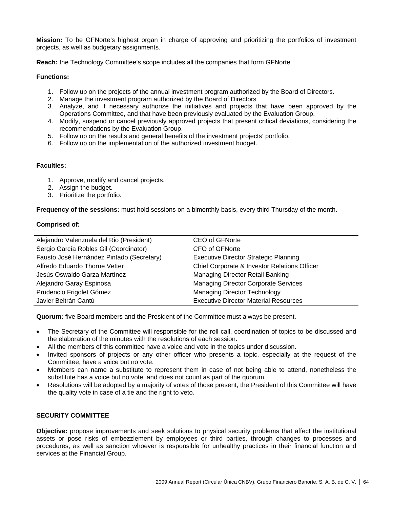**Mission:** To be GFNorte's highest organ in charge of approving and prioritizing the portfolios of investment projects, as well as budgetary assignments.

**Reach:** the Technology Committee's scope includes all the companies that form GFNorte.

# **Functions:**

- 1. Follow up on the projects of the annual investment program authorized by the Board of Directors.
- 2. Manage the investment program authorized by the Board of Directors
- 3. Analyze, and if necessary authorize the initiatives and projects that have been approved by the Operations Committee, and that have been previously evaluated by the Evaluation Group.
- 4. Modify, suspend or cancel previously approved projects that present critical deviations, considering the recommendations by the Evaluation Group.
- 5. Follow up on the results and general benefits of the investment projects' portfolio.
- 6. Follow up on the implementation of the authorized investment budget.

# **Faculties:**

- 1. Approve, modify and cancel projects.
- 2. Assign the budget.
- 3. Prioritize the portfolio.

**Frequency of the sessions:** must hold sessions on a bimonthly basis, every third Thursday of the month.

# **Comprised of:**

| Alejandro Valenzuela del Rio (President)  | <b>CEO of GFNorte</b>                        |
|-------------------------------------------|----------------------------------------------|
| Sergio García Robles Gil (Coordinator)    | CFO of GFNorte                               |
| Fausto José Hernández Pintado (Secretary) | <b>Executive Director Strategic Planning</b> |
| Alfredo Eduardo Thorne Vetter             | Chief Corporate & Investor Relations Officer |
| Jesús Oswaldo Garza Martínez              | Managing Director Retail Banking             |
| Alejandro Garay Espinosa                  | <b>Managing Director Corporate Services</b>  |
| Prudencio Frigolet Gómez                  | <b>Managing Director Technology</b>          |
| Javier Beltrán Cantú                      | <b>Executive Director Material Resources</b> |
|                                           |                                              |

**Quorum:** five Board members and the President of the Committee must always be present.

- The Secretary of the Committee will responsible for the roll call, coordination of topics to be discussed and the elaboration of the minutes with the resolutions of each session.
- All the members of this committee have a voice and vote in the topics under discussion.
- Invited sponsors of projects or any other officer who presents a topic, especially at the request of the Committee, have a voice but no vote.
- Members can name a substitute to represent them in case of not being able to attend, nonetheless the substitute has a voice but no vote, and does not count as part of the quorum.
- Resolutions will be adopted by a majority of votes of those present, the President of this Committee will have the quality vote in case of a tie and the right to veto.

# **SECURITY COMMITTEE**

**Objective:** propose improvements and seek solutions to physical security problems that affect the institutional assets or pose risks of embezzlement by employees or third parties, through changes to processes and procedures, as well as sanction whoever is responsible for unhealthy practices in their financial function and services at the Financial Group.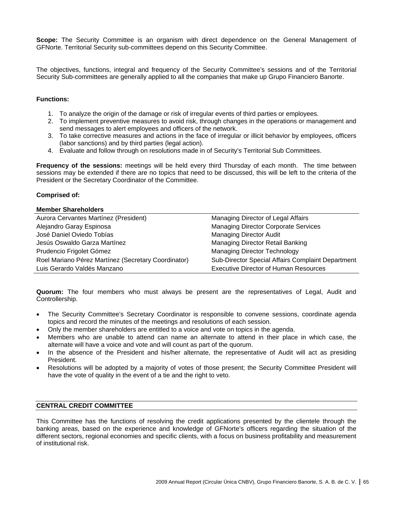**Scope:** The Security Committee is an organism with direct dependence on the General Management of GFNorte. Territorial Security sub-committees depend on this Security Committee.

The objectives, functions, integral and frequency of the Security Committee's sessions and of the Territorial Security Sub-committees are generally applied to all the companies that make up Grupo Financiero Banorte.

# **Functions:**

- 1. To analyze the origin of the damage or risk of irregular events of third parties or employees.
- 2. To implement preventive measures to avoid risk, through changes in the operations or management and send messages to alert employees and officers of the network.
- 3. To take corrective measures and actions in the face of irregular or illicit behavior by employees, officers (labor sanctions) and by third parties (legal action).
- 4. Evaluate and follow through on resolutions made in of Security's Territorial Sub Committees.

**Frequency of the sessions:** meetings will be held every third Thursday of each month. The time between sessions may be extended if there are no topics that need to be discussed, this will be left to the criteria of the President or the Secretary Coordinator of the Committee.

#### **Comprised of:**

#### **Member Shareholders**

| Aurora Cervantes Martínez (President)               | Managing Director of Legal Affairs                       |
|-----------------------------------------------------|----------------------------------------------------------|
| Alejandro Garay Espinosa                            | <b>Managing Director Corporate Services</b>              |
| José Daniel Oviedo Tobías                           | <b>Managing Director Audit</b>                           |
| Jesús Oswaldo Garza Martínez                        | Managing Director Retail Banking                         |
| Prudencio Frigolet Gómez                            | <b>Managing Director Technology</b>                      |
| Roel Mariano Pérez Martínez (Secretary Coordinator) | <b>Sub-Director Special Affairs Complaint Department</b> |
| Luis Gerardo Valdés Manzano                         | <b>Executive Director of Human Resources</b>             |

**Quorum:** The four members who must always be present are the representatives of Legal, Audit and Controllership.

- The Security Committee's Secretary Coordinator is responsible to convene sessions, coordinate agenda topics and record the minutes of the meetings and resolutions of each session.
- Only the member shareholders are entitled to a voice and vote on topics in the agenda.
- Members who are unable to attend can name an alternate to attend in their place in which case, the alternate will have a voice and vote and will count as part of the quorum.
- In the absence of the President and his/her alternate, the representative of Audit will act as presiding President.
- Resolutions will be adopted by a majority of votes of those present; the Security Committee President will have the vote of quality in the event of a tie and the right to veto.

#### **CENTRAL CREDIT COMMITTEE**

This Committee has the functions of resolving the credit applications presented by the clientele through the banking areas, based on the experience and knowledge of GFNorte's officers regarding the situation of the different sectors, regional economies and specific clients, with a focus on business profitability and measurement of institutional risk.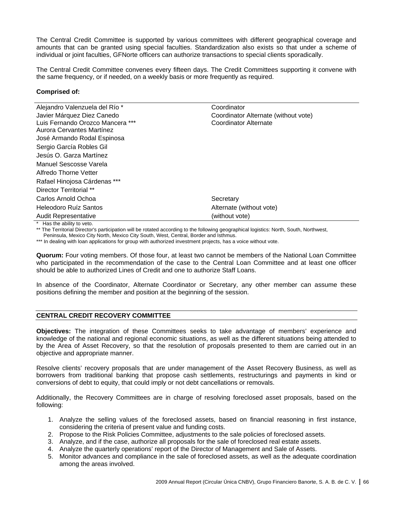The Central Credit Committee is supported by various committees with different geographical coverage and amounts that can be granted using special faculties. Standardization also exists so that under a scheme of individual or joint faculties, GFNorte officers can authorize transactions to special clients sporadically.

The Central Credit Committee convenes every fifteen days. The Credit Committees supporting it convene with the same frequency, or if needed, on a weekly basis or more frequently as required.

#### **Comprised of:**

| Alejandro Valenzuela del Río *                                                                                                                                                                                                                                                                                                                                                                                                                                                       | Coordinator                          |
|--------------------------------------------------------------------------------------------------------------------------------------------------------------------------------------------------------------------------------------------------------------------------------------------------------------------------------------------------------------------------------------------------------------------------------------------------------------------------------------|--------------------------------------|
| Javier Márquez Diez Canedo                                                                                                                                                                                                                                                                                                                                                                                                                                                           | Coordinator Alternate (without vote) |
| Luis Fernando Orozco Mancera ***                                                                                                                                                                                                                                                                                                                                                                                                                                                     | Coordinator Alternate                |
| Aurora Cervantes Martínez                                                                                                                                                                                                                                                                                                                                                                                                                                                            |                                      |
| José Armando Rodal Espinosa                                                                                                                                                                                                                                                                                                                                                                                                                                                          |                                      |
| Sergio García Robles Gil                                                                                                                                                                                                                                                                                                                                                                                                                                                             |                                      |
| Jesús O. Garza Martínez                                                                                                                                                                                                                                                                                                                                                                                                                                                              |                                      |
| Manuel Sescosse Varela                                                                                                                                                                                                                                                                                                                                                                                                                                                               |                                      |
| Alfredo Thorne Vetter                                                                                                                                                                                                                                                                                                                                                                                                                                                                |                                      |
| Rafael Hinojosa Cárdenas ***                                                                                                                                                                                                                                                                                                                                                                                                                                                         |                                      |
| Director Territorial **                                                                                                                                                                                                                                                                                                                                                                                                                                                              |                                      |
| Carlos Arnold Ochoa                                                                                                                                                                                                                                                                                                                                                                                                                                                                  | Secretary                            |
| Heleodoro Ruíz Santos                                                                                                                                                                                                                                                                                                                                                                                                                                                                | Alternate (without vote)             |
| <b>Audit Representative</b>                                                                                                                                                                                                                                                                                                                                                                                                                                                          | (without vote)                       |
| $*$ $\blacksquare$ $\blacksquare$ $\blacksquare$ $\blacksquare$ $\blacksquare$ $\blacksquare$ $\blacksquare$ $\blacksquare$ $\blacksquare$ $\blacksquare$ $\blacksquare$ $\blacksquare$ $\blacksquare$ $\blacksquare$ $\blacksquare$ $\blacksquare$ $\blacksquare$ $\blacksquare$ $\blacksquare$ $\blacksquare$ $\blacksquare$ $\blacksquare$ $\blacksquare$ $\blacksquare$ $\blacksquare$ $\blacksquare$ $\blacksquare$ $\blacksquare$ $\blacksquare$ $\blacksquare$ $\blacksquare$ |                                      |

Has the ability to veto.

\*\* The Territorial Director's participation will be rotated according to the following geographical logistics: North, South, Northwest,

Peninsula, Mexico City North, Mexico City South, West, Central, Border and Isthmus.

\*\*\* In dealing with loan applications for group with authorized investment projects, has a voice without vote.

**Quorum:** Four voting members. Of those four, at least two cannot be members of the National Loan Committee who participated in the recommendation of the case to the Central Loan Committee and at least one officer should be able to authorized Lines of Credit and one to authorize Staff Loans.

In absence of the Coordinator, Alternate Coordinator or Secretary, any other member can assume these positions defining the member and position at the beginning of the session.

# **CENTRAL CREDIT RECOVERY COMMITTEE**

**Objectives:** The integration of these Committees seeks to take advantage of members' experience and knowledge of the national and regional economic situations, as well as the different situations being attended to by the Area of Asset Recovery, so that the resolution of proposals presented to them are carried out in an objective and appropriate manner.

Resolve clients' recovery proposals that are under management of the Asset Recovery Business, as well as borrowers from traditional banking that propose cash settlements, restructurings and payments in kind or conversions of debt to equity, that could imply or not debt cancellations or removals.

Additionally, the Recovery Committees are in charge of resolving foreclosed asset proposals, based on the following:

- 1. Analyze the selling values of the foreclosed assets, based on financial reasoning in first instance, considering the criteria of present value and funding costs.
- 2. Propose to the Risk Policies Committee, adjustments to the sale policies of foreclosed assets.
- 3. Analyze, and if the case, authorize all proposals for the sale of foreclosed real estate assets.
- 4. Analyze the quarterly operations' report of the Director of Management and Sale of Assets.
- 5. Monitor advances and compliance in the sale of foreclosed assets, as well as the adequate coordination among the areas involved.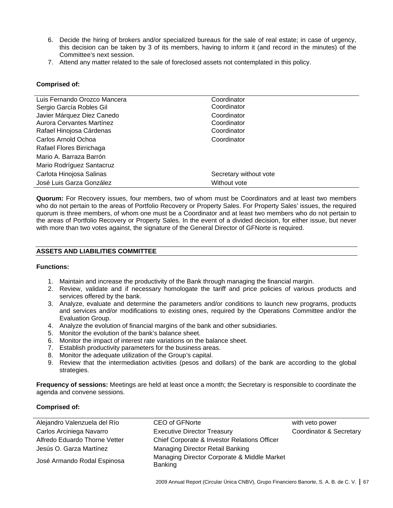- 6. Decide the hiring of brokers and/or specialized bureaus for the sale of real estate; in case of urgency, this decision can be taken by 3 of its members, having to inform it (and record in the minutes) of the Committee's next session.
- 7. Attend any matter related to the sale of foreclosed assets not contemplated in this policy.

# **Comprised of:**

| Luis Fernando Orozco Mancera | Coordinator            |
|------------------------------|------------------------|
| Sergio García Robles Gil     | Coordinator            |
| Javier Márquez Diez Canedo   | Coordinator            |
| Aurora Cervantes Martínez    | Coordinator            |
| Rafael Hinojosa Cárdenas     | Coordinator            |
| Carlos Arnold Ochoa          | Coordinator            |
| Rafael Flores Birrichaga     |                        |
| Mario A. Barraza Barrón      |                        |
| Mario Rodríguez Santacruz    |                        |
| Carlota Hinojosa Salinas     | Secretary without vote |
| José Luis Garza González     | Without vote           |

**Quorum:** For Recovery issues, four members, two of whom must be Coordinators and at least two members who do not pertain to the areas of Portfolio Recovery or Property Sales. For Property Sales' issues, the required quorum is three members, of whom one must be a Coordinator and at least two members who do not pertain to the areas of Portfolio Recovery or Property Sales. In the event of a divided decision, for either issue, but never with more than two votes against, the signature of the General Director of GFNorte is required.

# **ASSETS AND LIABILITIES COMMITTEE**

#### **Functions:**

- 1. Maintain and increase the productivity of the Bank through managing the financial margin.
- 2. Review, validate and if necessary homologate the tariff and price policies of various products and services offered by the bank.
- 3. Analyze, evaluate and determine the parameters and/or conditions to launch new programs, products and services and/or modifications to existing ones, required by the Operations Committee and/or the Evaluation Group.
- 4. Analyze the evolution of financial margins of the bank and other subsidiaries.
- 5. Monitor the evolution of the bank's balance sheet.
- 6. Monitor the impact of interest rate variations on the balance sheet.
- 7. Establish productivity parameters for the business areas.
- 8. Monitor the adequate utilization of the Group's capital.
- 9. Review that the intermediation activities (pesos and dollars) of the bank are according to the global strategies.

**Frequency of sessions:** Meetings are held at least once a month; the Secretary is responsible to coordinate the agenda and convene sessions.

# **Comprised of:**

| Alejandro Valenzuela del Río  | <b>CEO of GFNorte</b>                                   | with veto power         |
|-------------------------------|---------------------------------------------------------|-------------------------|
| Carlos Arciniega Navarro      | <b>Executive Director Treasury</b>                      | Coordinator & Secretary |
| Alfredo Eduardo Thorne Vetter | <b>Chief Corporate &amp; Investor Relations Officer</b> |                         |
| Jesús O. Garza Martínez       | Managing Director Retail Banking                        |                         |
| José Armando Rodal Espinosa   | Managing Director Corporate & Middle Market<br>Banking  |                         |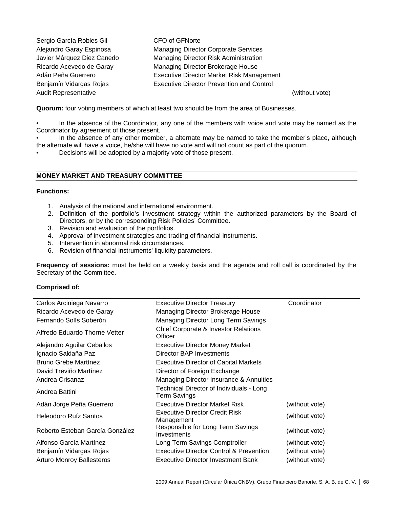| Sergio García Robles Gil    | CFO of GFNorte                                   |                |
|-----------------------------|--------------------------------------------------|----------------|
| Alejandro Garay Espinosa    | <b>Managing Director Corporate Services</b>      |                |
| Javier Márquez Diez Canedo  | Managing Director Risk Administration            |                |
| Ricardo Acevedo de Garay    | Managing Director Brokerage House                |                |
| Adán Peña Guerrero          | <b>Executive Director Market Risk Management</b> |                |
| Benjamín Vidargas Rojas     | <b>Executive Director Prevention and Control</b> |                |
| <b>Audit Representative</b> |                                                  | (without vote) |

**Quorum:** four voting members of which at least two should be from the area of Businesses.

In the absence of the Coordinator, any one of the members with voice and vote may be named as the Coordinator by agreement of those present.

In the absence of any other member, a alternate may be named to take the member's place, although the alternate will have a voice, he/she will have no vote and will not count as part of the quorum.

• Decisions will be adopted by a majority vote of those present.

#### **MONEY MARKET AND TREASURY COMMITTEE**

#### **Functions:**

- 1. Analysis of the national and international environment.
- 2. Definition of the portfolio's investment strategy within the authorized parameters by the Board of Directors, or by the corresponding Risk Policies' Committee.
- 3. Revision and evaluation of the portfolios.
- 4. Approval of investment strategies and trading of financial instruments.
- 5. Intervention in abnormal risk circumstances.
- 6. Revision of financial instruments' liquidity parameters.

**Frequency of sessions:** must be held on a weekly basis and the agenda and roll call is coordinated by the Secretary of the Committee.

#### **Comprised of:**

| Carlos Arciniega Navarro         | <b>Executive Director Treasury</b>                       | Coordinator    |
|----------------------------------|----------------------------------------------------------|----------------|
| Ricardo Acevedo de Garay         | Managing Director Brokerage House                        |                |
| Fernando Solís Soberón           | Managing Director Long Term Savings                      |                |
| Alfredo Eduardo Thorne Vetter    | Chief Corporate & Investor Relations<br>Officer          |                |
| Alejandro Aguilar Ceballos       | <b>Executive Director Money Market</b>                   |                |
| Ignacio Saldaña Paz              | Director BAP Investments                                 |                |
| <b>Bruno Grebe Martínez</b>      | <b>Executive Director of Capital Markets</b>             |                |
| David Treviño Martínez           | Director of Foreign Exchange                             |                |
| Andrea Crisanaz                  | Managing Director Insurance & Annuities                  |                |
| Andrea Battini                   | Technical Director of Individuals - Long<br>Term Savings |                |
| Adán Jorge Peña Guerrero         | Executive Director Market Risk                           | (without vote) |
| Heleodoro Ruíz Santos            | <b>Executive Director Credit Risk</b><br>Management      | (without vote) |
| Roberto Esteban García González  | Responsible for Long Term Savings<br>Investments         | (without vote) |
| Alfonso García Martínez          | Long Term Savings Comptroller                            | (without vote) |
| Benjamín Vidargas Rojas          | <b>Executive Director Control &amp; Prevention</b>       | (without vote) |
| <b>Arturo Monroy Ballesteros</b> | Executive Director Investment Bank                       | (without vote) |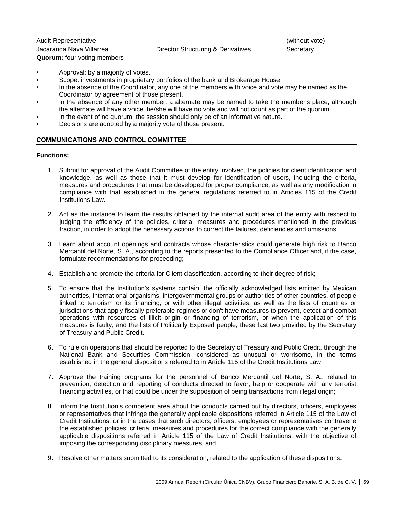| <b>Audit Representative</b> |                                    | (without vote) |
|-----------------------------|------------------------------------|----------------|
| Jacaranda Nava Villarreal   | Director Structuring & Derivatives | Secretary      |

**Quorum:** four voting members

- Approval: by a majority of votes.
- Scope: investments in proprietary portfolios of the bank and Brokerage House.
- In the absence of the Coordinator, any one of the members with voice and vote may be named as the Coordinator by agreement of those present.
- In the absence of any other member, a alternate may be named to take the member's place, although the alternate will have a voice, he/she will have no vote and will not count as part of the quorum.
- In the event of no quorum, the session should only be of an informative nature.
- Decisions are adopted by a majority vote of those present.

# **COMMUNICATIONS AND CONTROL COMMITTEE**

# **Functions:**

- 1. Submit for approval of the Audit Committee of the entity involved, the policies for client identification and knowledge, as well as those that it must develop for identification of users, including the criteria, measures and procedures that must be developed for proper compliance, as well as any modification in compliance with that established in the general regulations referred to in Articles 115 of the Credit Institutions Law.
- 2. Act as the instance to learn the results obtained by the internal audit area of the entity with respect to judging the efficiency of the policies, criteria, measures and procedures mentioned in the previous fraction, in order to adopt the necessary actions to correct the failures, deficiencies and omissions;
- 3. Learn about account openings and contracts whose characteristics could generate high risk to Banco Mercantil del Norte, S. A., according to the reports presented to the Compliance Officer and, if the case, formulate recommendations for proceeding;
- 4. Establish and promote the criteria for Client classification, according to their degree of risk;
- 5. To ensure that the Institution's systems contain, the officially acknowledged lists emitted by Mexican authorities, international organisms, intergovernmental groups or authorities of other countries, of people linked to terrorism or its financing, or with other illegal activities; as well as the lists of countries or jurisdictions that apply fiscally preferable régimes or don't have measures to prevent, detect and combat operations with resources of illicit origin or financing of terrorism, or when the application of this measures is faulty, and the lists of Politically Exposed people, these last two provided by the Secretary of Treasury and Public Credit.
- 6. To rule on operations that should be reported to the Secretary of Treasury and Public Credit, through the National Bank and Securities Commission, considered as unusual or worrisome, in the terms established in the general dispositions referred to in Article 115 of the Credit Institutions Law;
- 7. Approve the training programs for the personnel of Banco Mercantil del Norte, S. A., related to prevention, detection and reporting of conducts directed to favor, help or cooperate with any terrorist financing activities, or that could be under the supposition of being transactions from illegal origin;
- 8. Inform the Institution's competent area about the conducts carried out by directors, officers, employees or representatives that infringe the generally applicable dispositions referred in Article 115 of the Law of Credit Institutions, or in the cases that such directors, officers, employees or representatives contravene the established policies, criteria, measures and procedures for the correct compliance with the generally applicable dispositions referred in Article 115 of the Law of Credit Institutions, with the objective of imposing the corresponding disciplinary measures, and
- 9. Resolve other matters submitted to its consideration, related to the application of these dispositions.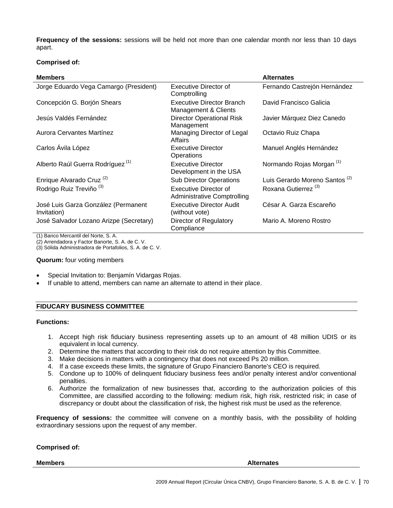**Frequency of the sessions:** sessions will be held not more than one calendar month nor less than 10 days apart.

# **Comprised of:**

| <b>Members</b>                                     |                                                             | <b>Alternates</b>                         |
|----------------------------------------------------|-------------------------------------------------------------|-------------------------------------------|
| Jorge Eduardo Vega Camargo (President)             | Executive Director of<br>Comptrolling                       | Fernando Castrejón Hernández              |
| Concepción G. Borjón Shears                        | <b>Executive Director Branch</b><br>Management & Clients    | David Francisco Galicia                   |
| Jesús Valdés Fernández                             | <b>Director Operational Risk</b><br>Management              | Javier Márquez Diez Canedo                |
| Aurora Cervantes Martínez                          | Managing Director of Legal<br>Affairs                       | Octavio Ruiz Chapa                        |
| Carlos Ávila López                                 | Executive Director<br>Operations                            | Manuel Anglés Hernández                   |
| Alberto Raúl Guerra Rodríguez <sup>(1)</sup>       | Executive Director<br>Development in the USA                | Normando Rojas Morgan <sup>(1)</sup>      |
| Enrique Alvarado Cruz <sup>(2)</sup>               | <b>Sub Director Operations</b>                              | Luis Gerardo Moreno Santos <sup>(2)</sup> |
| Rodrigo Ruiz Treviño <sup>(3)</sup>                | Executive Director of<br><b>Administrative Comptrolling</b> | Roxana Gutierrez <sup>(3)</sup>           |
| José Luis Garza González (Permanent<br>Invitation) | Executive Director Audit<br>(without vote)                  | César A. Garza Escareño                   |
| José Salvador Lozano Arizpe (Secretary)            | Director of Regulatory<br>Compliance                        | Mario A. Moreno Rostro                    |

(1) Banco Mercantil del Norte, S. A.

(2) Arrendadora y Factor Banorte, S. A. de C. V.

(3) Sólida Administradora de Portafolios, S. A. de C. V.

#### **Quorum:** four voting members

- Special Invitation to: Benjamín Vidargas Rojas.
- If unable to attend, members can name an alternate to attend in their place.

#### **FIDUCARY BUSINESS COMMITTEE**

#### **Functions:**

- 1. Accept high risk fiduciary business representing assets up to an amount of 48 million UDIS or its equivalent in local currency.
- 2. Determine the matters that according to their risk do not require attention by this Committee.
- 3. Make decisions in matters with a contingency that does not exceed Ps 20 million.
- 4. If a case exceeds these limits, the signature of Grupo Financiero Banorte's CEO is required.
- 5. Condone up to 100% of delinquent fiduciary business fees and/or penalty interest and/or conventional penalties.
- 6. Authorize the formalization of new businesses that, according to the authorization policies of this Committee, are classified according to the following: medium risk, high risk, restricted risk; in case of discrepancy or doubt about the classification of risk, the highest risk must be used as the reference.

**Frequency of sessions:** the committee will convene on a monthly basis, with the possibility of holding extraordinary sessions upon the request of any member.

#### **Comprised of:**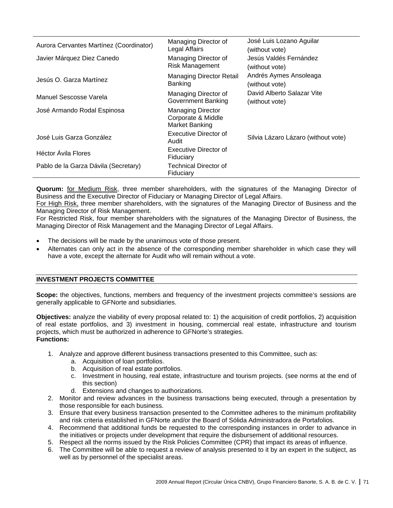| Aurora Cervantes Martínez (Coordinator) | Managing Director of<br>Legal Affairs                            | José Luis Lozano Aguilar<br>(without vote)   |
|-----------------------------------------|------------------------------------------------------------------|----------------------------------------------|
| Javier Márquez Diez Canedo              | Managing Director of<br><b>Risk Management</b>                   | Jesús Valdés Fernández<br>(without vote)     |
| Jesús O. Garza Martínez                 | <b>Managing Director Retail</b><br><b>Banking</b>                | Andrés Aymes Ansoleaga<br>(without vote)     |
| Manuel Sescosse Varela                  | Managing Director of<br><b>Government Banking</b>                | David Alberto Salazar Vite<br>(without vote) |
| José Armando Rodal Espinosa             | <b>Managing Director</b><br>Corporate & Middle<br>Market Banking |                                              |
| José Luis Garza González                | Executive Director of<br>Audit                                   | Silvia Lázaro Lázaro (without vote)          |
| Héctor Ávila Flores                     | Executive Director of<br>Fiduciary                               |                                              |
| Pablo de la Garza Dávila (Secretary)    | Technical Director of<br>Fiduciary                               |                                              |

**Quorum:** for Medium Risk, three member shareholders, with the signatures of the Managing Director of Business and the Executive Director of Fiduciary or Managing Director of Legal Affairs.

For High Risk, three member shareholders, with the signatures of the Managing Director of Business and the Managing Director of Risk Management.

For Restricted Risk, four member shareholders with the signatures of the Managing Director of Business, the Managing Director of Risk Management and the Managing Director of Legal Affairs.

- The decisions will be made by the unanimous vote of those present.
- Alternates can only act in the absence of the corresponding member shareholder in which case they will have a vote, except the alternate for Audit who will remain without a vote.

# **INVESTMENT PROJECTS COMMITTEE**

**Scope:** the objectives, functions, members and frequency of the investment projects committee's sessions are generally applicable to GFNorte and subsidiaries.

**Objectives:** analyze the viability of every proposal related to: 1) the acquisition of credit portfolios, 2) acquisition of real estate portfolios, and 3) investment in housing, commercial real estate, infrastructure and tourism projects, which must be authorized in adherence to GFNorte's strategies. **Functions:**

- 1. Analyze and approve different business transactions presented to this Committee, such as:
	- a. Acquisition of loan portfolios.
	- b. Acquisition of real estate portfolios.
	- c. Investment in housing, real estate, infrastructure and tourism projects. (see norms at the end of this section)
	- d. Extensions and changes to authorizations.
- 2. Monitor and review advances in the business transactions being executed, through a presentation by those responsible for each business.
- 3. Ensure that every business transaction presented to the Committee adheres to the minimum profitability and risk criteria established in GFNorte and/or the Board of Sólida Administradora de Portafolios.
- 4. Recommend that additional funds be requested to the corresponding instances in order to advance in the initiatives or projects under development that require the disbursement of additional resources.
- 5. Respect all the norms issued by the Risk Policies Committee (CPR) that impact its areas of influence.
- 6. The Committee will be able to request a review of analysis presented to it by an expert in the subject, as well as by personnel of the specialist areas.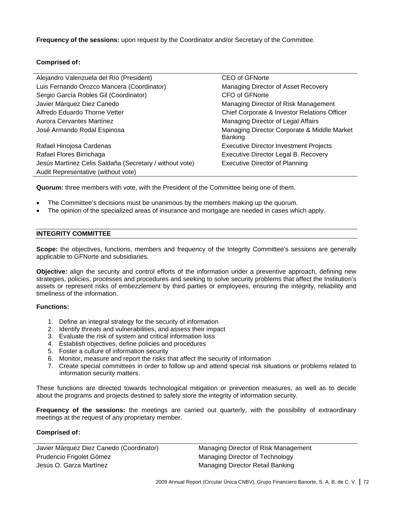**Frequency of the sessions:** upon request by the Coordinator and/or Secretary of the Committee.

# **Comprised of:**

| Alejandro Valenzuela del Río (President)                | <b>CEO of GFNorte</b>                                  |
|---------------------------------------------------------|--------------------------------------------------------|
| Luis Fernando Orozco Mancera (Coordinator)              | Managing Director of Asset Recovery                    |
| Sergio García Robles Gil (Coordinator)                  | CFO of GFNorte                                         |
| Javier Márquez Diez Canedo                              | Managing Director of Risk Management                   |
| Alfredo Eduardo Thorne Vetter                           | Chief Corporate & Investor Relations Officer           |
| Aurora Cervantes Martínez                               | Managing Director of Legal Affairs                     |
| José Armando Rodal Espinosa                             | Managing Director Corporate & Middle Market<br>Banking |
| Rafael Hinojosa Cardenas                                | <b>Executive Director Investment Projects</b>          |
| Rafael Flores Birrichaga                                | Executive Director Legal B. Recovery                   |
| Jesús Martínez Celis Saldaña (Secretary / without vote) | <b>Executive Director of Planning</b>                  |
| Audit Representative (without vote)                     |                                                        |

**Quorum:** three members with vote, with the President of the Committee being one of them.

- The Committee's decisions must be unanimous by the members making up the quorum.
- The opinion of the specialized areas of insurance and mortgage are needed in cases which apply.

# **INTEGRITY COMMITTEE**

**Scope:** the objectives, functions, members and frequency of the Integrity Committee's sessions are generally applicable to GFNorte and subsidiaries.

**Objective:** align the security and control efforts of the information under a preventive approach, defining new strategies, policies, processes and procedures and seeking to solve security problems that affect the Institution's assets or represent risks of embezzlement by third parties or employees, ensuring the integrity, reliability and timeliness of the information.

# **Functions:**

- 1. Define an integral strategy for the security of information
- 2. Identify threats and vulnerabilities, and assess their impact
- 3. Evaluate the risk of system and critical information loss
- 4. Establish objectives, define policies and procedures
- 5. Foster a culture of information security
- 6. Monitor, measure and report the risks that affect the security of information
- 7. Create special committees in order to follow up and attend special risk situations or problems related to information security matters.

These functions are directed towards technological mitigation or prevention measures, as well as to decide about the programs and projects destined to safely store the integrity of information security.

**Frequency of the sessions:** the meetings are carried out quarterly, with the possibility of extraordinary meetings at the request of any proprietary member.

#### **Comprised of:**

Javier Márquez Diez Canedo (Coordinator) Managing Director of Risk Management Prudencio Frigolet Gómez **Managing Director of Technology** Managing Director of Technology Jesús O. Garza Martínez **Managing Director Retail Banking**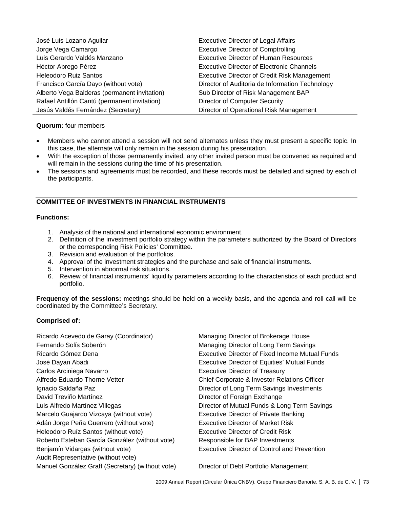| José Luis Lozano Aguilar                     | <b>Executive Director of Legal Affairs</b>          |
|----------------------------------------------|-----------------------------------------------------|
| Jorge Vega Camargo                           | <b>Executive Director of Comptrolling</b>           |
| Luis Gerardo Valdés Manzano                  | <b>Executive Director of Human Resources</b>        |
| Héctor Abrego Pérez                          | <b>Executive Director of Electronic Channels</b>    |
| <b>Heleodoro Ruiz Santos</b>                 | <b>Executive Director of Credit Risk Management</b> |
| Francisco García Dayo (without vote)         | Director of Auditoria de Information Technology     |
| Alberto Vega Balderas (permanent invitation) | Sub Director of Risk Management BAP                 |
| Rafael Antillón Cantú (permanent invitation) | <b>Director of Computer Security</b>                |
| Jesús Valdés Fernández (Secretary)           | Director of Operational Risk Management             |

## **Quorum:** four members

- Members who cannot attend a session will not send alternates unless they must present a specific topic. In this case, the alternate will only remain in the session during his presentation.
- With the exception of those permanently invited, any other invited person must be convened as required and will remain in the sessions during the time of his presentation.
- The sessions and agreements must be recorded, and these records must be detailed and signed by each of the participants.

## **COMMITTEE OF INVESTMENTS IN FINANCIAL INSTRUMENTS**

## **Functions:**

- 1. Analysis of the national and international economic environment.
- 2. Definition of the investment portfolio strategy within the parameters authorized by the Board of Directors or the corresponding Risk Policies' Committee.
- 3. Revision and evaluation of the portfolios.
- 4. Approval of the investment strategies and the purchase and sale of financial instruments.
- 5. Intervention in abnormal risk situations.
- 6. Review of financial instruments' liquidity parameters according to the characteristics of each product and portfolio.

**Frequency of the sessions:** meetings should be held on a weekly basis, and the agenda and roll call will be coordinated by the Committee's Secretary.

## **Comprised of:**

| Ricardo Acevedo de Garay (Coordinator)           | Managing Director of Brokerage House                |
|--------------------------------------------------|-----------------------------------------------------|
| Fernando Solís Soberón                           | Managing Director of Long Term Savings              |
| Ricardo Gómez Dena                               | Executive Director of Fixed Income Mutual Funds     |
| José Dayan Abadi                                 | <b>Executive Director of Equities' Mutual Funds</b> |
| Carlos Arciniega Navarro                         | <b>Executive Director of Treasury</b>               |
| Alfredo Eduardo Thorne Vetter                    | Chief Corporate & Investor Relations Officer        |
| Ignacio Saldaña Paz                              | Director of Long Term Savings Investments           |
| David Treviño Martínez                           | Director of Foreign Exchange                        |
| Luis Alfredo Martínez Villegas                   | Director of Mutual Funds & Long Term Savings        |
| Marcelo Guajardo Vizcaya (without vote)          | <b>Executive Director of Private Banking</b>        |
| Adán Jorge Peña Guerrero (without vote)          | <b>Executive Director of Market Risk</b>            |
| Heleodoro Ruíz Santos (without vote)             | <b>Executive Director of Credit Risk</b>            |
| Roberto Esteban García González (without vote)   | Responsible for BAP Investments                     |
| Benjamín Vidargas (without vote)                 | Executive Director of Control and Prevention        |
| Audit Representative (without vote)              |                                                     |
| Manuel González Graff (Secretary) (without vote) | Director of Debt Portfolio Management               |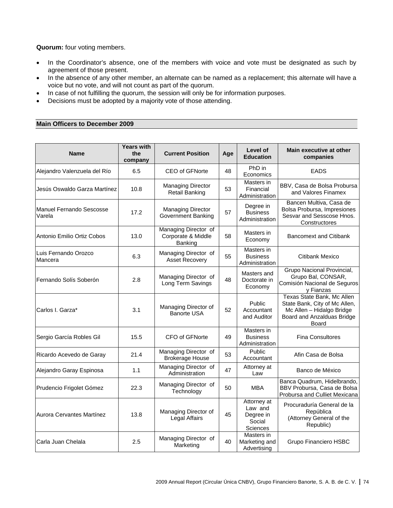**Quorum:** four voting members.

- In the Coordinator's absence, one of the members with voice and vote must be designated as such by agreement of those present.
- In the absence of any other member, an alternate can be named as a replacement; this alternate will have a voice but no vote, and will not count as part of the quorum.
- In case of not fulfilling the quorum, the session will only be for information purposes.
- Decisions must be adopted by a majority vote of those attending.

## **Main Officers to December 2009**

| <b>Name</b>                        | <b>Years with</b><br>the<br>company | <b>Current Position</b>                               | Age | Level of<br><b>Education</b>                              | <b>Main executive at other</b><br>companies                                                                                     |
|------------------------------------|-------------------------------------|-------------------------------------------------------|-----|-----------------------------------------------------------|---------------------------------------------------------------------------------------------------------------------------------|
| Alejandro Valenzuela del Río       | 6.5                                 | CEO of GFNorte                                        | 48  | PhD in<br>Economics                                       | <b>EADS</b>                                                                                                                     |
| Jesús Oswaldo Garza Martínez       | 10.8                                | <b>Managing Director</b><br><b>Retail Banking</b>     | 53  | Masters in<br>Financial<br>Administration                 | BBV, Casa de Bolsa Probursa<br>and Valores Finamex                                                                              |
| Manuel Fernando Sescosse<br>Varela | 17.2                                | <b>Managing Director</b><br><b>Government Banking</b> | 57  | Degree in<br><b>Business</b><br>Administration            | Bancen Multiva, Casa de<br>Bolsa Probursa, Impresiones<br>Sesvar and Sesscose Hnos.<br>Constructores                            |
| Antonio Emilio Ortiz Cobos         | 13.0                                | Managing Director of<br>Corporate & Middle<br>Banking | 58  | Masters in<br>Economy                                     | <b>Bancomext and Citibank</b>                                                                                                   |
| Luis Fernando Orozco<br>Mancera    | 6.3                                 | Managing Director of<br>Asset Recovery                | 55  | Masters in<br><b>Business</b><br>Administration           | Citibank Mexico                                                                                                                 |
| Fernando Solís Soberón             | 2.8                                 | Managing Director of<br>Long Term Savings             | 48  | Masters and<br>Doctorate in<br>Economy                    | Grupo Nacional Provincial,<br>Grupo Bal, CONSAR,<br>Comisión Nacional de Seguros<br>y Fianzas                                   |
| Carlos I. Garza*                   | 3.1                                 | Managing Director of<br><b>Banorte USA</b>            | 52  | Public<br>Accountant<br>and Auditor                       | Texas State Bank, Mc Allen<br>State Bank, City of Mc Allen,<br>Mc Allen - Hidalgo Bridge<br>Board and Anzalduas Bridge<br>Board |
| Sergio García Robles Gil           | 15.5                                | CFO of GFNorte                                        | 49  | Masters in<br><b>Business</b><br>Administration           | <b>Fina Consultores</b>                                                                                                         |
| Ricardo Acevedo de Garay           | 21.4                                | Managing Director of<br><b>Brokerage House</b>        | 53  | Public<br>Accountant                                      | Afin Casa de Bolsa                                                                                                              |
| Alejandro Garay Espinosa           | 1.1                                 | Managing Director of<br>Administration                | 47  | Attorney at<br>Law                                        | Banco de México                                                                                                                 |
| Prudencio Frigolet Gómez           | 22.3                                | Managing Director of<br>Technology                    | 50  | <b>MBA</b>                                                | Banca Quadrum, Hidelbrando,<br>BBV Probursa, Casa de Bolsa<br>Probursa and Culliet Mexicana                                     |
| Aurora Cervantes Martínez          | 13.8                                | Managing Director of<br>Legal Affairs                 | 45  | Attorney at<br>Law and<br>Degree in<br>Social<br>Sciences | Procuraduría General de la<br>República<br>(Attorney General of the<br>Republic)                                                |
| Carla Juan Chelala                 | 2.5                                 | Managing Director of<br>Marketing                     | 40  | Masters in<br>Marketing and<br>Advertising                | Grupo Financiero HSBC                                                                                                           |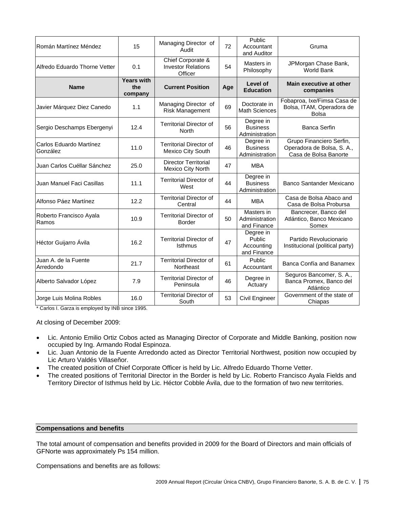| Román Martínez Méndez               | 15                                  | Managing Director of<br>Audit                             | 72  | Public<br>Accountant<br>and Auditor              | Gruma                                                                           |
|-------------------------------------|-------------------------------------|-----------------------------------------------------------|-----|--------------------------------------------------|---------------------------------------------------------------------------------|
| Alfredo Eduardo Thorne Vetter       | 0.1                                 | Chief Corporate &<br><b>Investor Relations</b><br>Officer | 54  | Masters in<br>Philosophy                         | JPMorgan Chase Bank,<br>World Bank                                              |
| <b>Name</b>                         | <b>Years with</b><br>the<br>company | <b>Current Position</b>                                   | Age | Level of<br><b>Education</b>                     | Main executive at other<br>companies                                            |
| Javier Márquez Diez Canedo          | 1.1                                 | Managing Director of<br>Risk Management                   | 69  | Doctorate in<br><b>Math Sciences</b>             | Fobaproa, Ixe/Fimsa Casa de<br>Bolsa, ITAM, Operadora de<br><b>Bolsa</b>        |
| Sergio Deschamps Ebergenyi          | 12.4                                | <b>Territorial Director of</b><br>North                   | 56  | Degree in<br><b>Business</b><br>Administration   | <b>Banca Serfin</b>                                                             |
| Carlos Eduardo Martínez<br>González | 11.0                                | <b>Territorial Director of</b><br>Mexico City South       | 46  | Degree in<br><b>Business</b><br>Administration   | Grupo Financiero Serfin,<br>Operadora de Bolsa, S. A.,<br>Casa de Bolsa Banorte |
| Juan Carlos Cuéllar Sánchez         | 25.0                                | <b>Director Territorial</b><br><b>Mexico City North</b>   | 47  | <b>MBA</b>                                       |                                                                                 |
| Juan Manuel Faci Casillas           | 11.1                                | <b>Territorial Director of</b><br>West                    | 44  | Degree in<br><b>Business</b><br>Administration   | Banco Santander Mexicano                                                        |
| Alfonso Páez Martínez               | 12.2                                | <b>Territorial Director of</b><br>Central                 | 44  | <b>MBA</b>                                       | Casa de Bolsa Abaco and<br>Casa de Bolsa Probursa                               |
| Roberto Francisco Ayala<br>Ramos    | 10.9                                | <b>Territorial Director of</b><br><b>Border</b>           | 50  | Masters in<br>Administration<br>and Finance      | Bancrecer, Banco del<br>Atlántico, Banco Mexicano<br>Somex                      |
| Héctor Guijarro Ávila               | 16.2                                | <b>Territorial Director of</b><br><b>Isthmus</b>          | 47  | Degree in<br>Public<br>Accounting<br>and Finance | Partido Revolucionario<br>Institucional (political party)                       |
| Juan A, de la Fuente<br>Arredondo   | 21.7                                | <b>Territorial Director of</b><br>Northeast               | 61  | Public<br>Accountant                             | Banca Confía and Banamex                                                        |
| Alberto Salvador López              | 7.9                                 | <b>Territorial Director of</b><br>Peninsula               | 46  | Degree in<br>Actuary                             | Seguros Bancomer, S. A.,<br>Banca Promex, Banco del<br>Atlántico                |
| Jorge Luis Molina Robles            | 16.0                                | <b>Territorial Director of</b><br>South                   | 53  | Civil Engineer                                   | Government of the state of<br>Chiapas                                           |

\* Carlos I. Garza is employed by INB since 1995.

At closing of December 2009:

- Lic. Antonio Emilio Ortiz Cobos acted as Managing Director of Corporate and Middle Banking, position now occupied by Ing. Armando Rodal Espinoza.
- Lic. Juan Antonio de la Fuente Arredondo acted as Director Territorial Northwest, position now occupied by Lic Arturo Valdés Villaseñor.
- The created position of Chief Corporate Officer is held by Lic. Alfredo Eduardo Thorne Vetter.
- The created positions of Territorial Director in the Border is held by Lic. Roberto Francisco Ayala Fields and Territory Director of Isthmus held by Lic. Héctor Cobble Ávila, due to the formation of two new territories.

## **Compensations and benefits**

The total amount of compensation and benefits provided in 2009 for the Board of Directors and main officials of GFNorte was approximately Ps 154 million.

Compensations and benefits are as follows: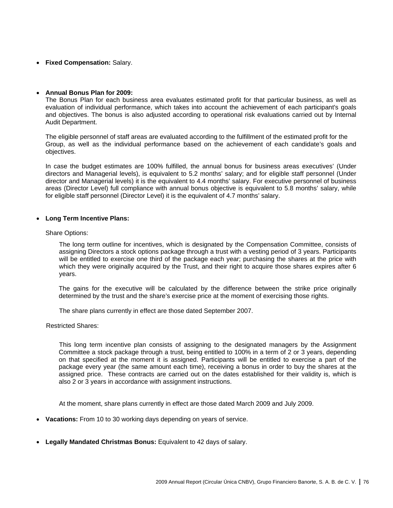• **Fixed Compensation:** Salary.

## • **Annual Bonus Plan for 2009:**

The Bonus Plan for each business area evaluates estimated profit for that particular business, as well as evaluation of individual performance, which takes into account the achievement of each participant's goals and objectives. The bonus is also adjusted according to operational risk evaluations carried out by Internal Audit Department.

The eligible personnel of staff areas are evaluated according to the fulfillment of the estimated profit for the Group, as well as the individual performance based on the achievement of each candidate's goals and objectives.

In case the budget estimates are 100% fulfilled, the annual bonus for business areas executives' (Under directors and Managerial levels), is equivalent to 5.2 months' salary; and for eligible staff personnel (Under director and Managerial levels) it is the equivalent to 4.4 months' salary. For executive personnel of business areas (Director Level) full compliance with annual bonus objective is equivalent to 5.8 months' salary, while for eligible staff personnel (Director Level) it is the equivalent of 4.7 months' salary.

## • **Long Term Incentive Plans:**

#### Share Options:

The long term outline for incentives, which is designated by the Compensation Committee, consists of assigning Directors a stock options package through a trust with a vesting period of 3 years. Participants will be entitled to exercise one third of the package each year; purchasing the shares at the price with which they were originally acquired by the Trust, and their right to acquire those shares expires after 6 years.

The gains for the executive will be calculated by the difference between the strike price originally determined by the trust and the share's exercise price at the moment of exercising those rights.

The share plans currently in effect are those dated September 2007.

Restricted Shares:

This long term incentive plan consists of assigning to the designated managers by the Assignment Committee a stock package through a trust, being entitled to 100% in a term of 2 or 3 years, depending on that specified at the moment it is assigned. Participants will be entitled to exercise a part of the package every year (the same amount each time), receiving a bonus in order to buy the shares at the assigned price. These contracts are carried out on the dates established for their validity is, which is also 2 or 3 years in accordance with assignment instructions.

At the moment, share plans currently in effect are those dated March 2009 and July 2009.

- **Vacations:** From 10 to 30 working days depending on years of service.
- **Legally Mandated Christmas Bonus:** Equivalent to 42 days of salary.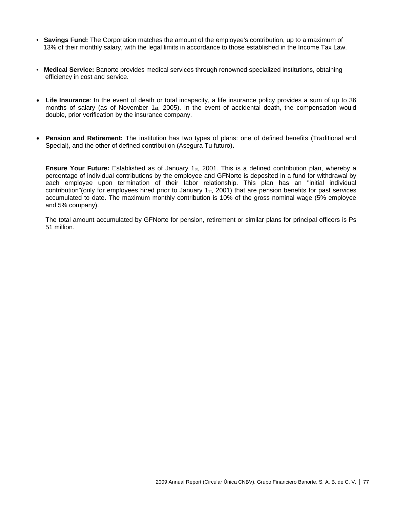- **Savings Fund:** The Corporation matches the amount of the employee's contribution, up to a maximum of 13% of their monthly salary, with the legal limits in accordance to those established in the Income Tax Law.
- **Medical Service:** Banorte provides medical services through renowned specialized institutions, obtaining efficiency in cost and service.
- **Life Insurance**: In the event of death or total incapacity, a life insurance policy provides a sum of up to 36 months of salary (as of November 1 $st$ , 2005). In the event of accidental death, the compensation would double, prior verification by the insurance company.
- **Pension and Retirement:** The institution has two types of plans: one of defined benefits (Traditional and Special), and the other of defined contribution (Asegura Tu futuro)**.**

**Ensure Your Future:** Established as of January 1<sub>st</sub>, 2001. This is a defined contribution plan, whereby a percentage of individual contributions by the employee and GFNorte is deposited in a fund for withdrawal by each employee upon termination of their labor relationship. This plan has an "initial individual contribution"(only for employees hired prior to January 1st, 2001) that are pension benefits for past services accumulated to date. The maximum monthly contribution is 10% of the gross nominal wage (5% employee and 5% company).

The total amount accumulated by GFNorte for pension, retirement or similar plans for principal officers is Ps 51 million.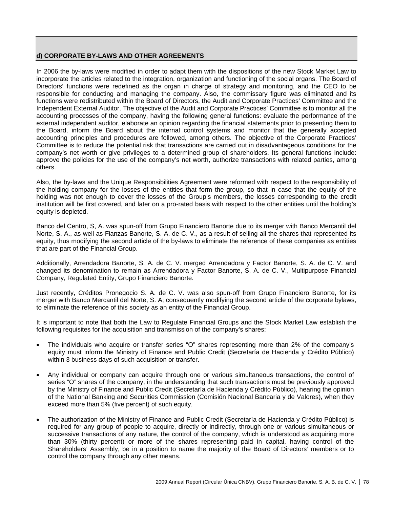## **d) CORPORATE BY-LAWS AND OTHER AGREEMENTS**

In 2006 the by-laws were modified in order to adapt them with the dispositions of the new Stock Market Law to incorporate the articles related to the integration, organization and functioning of the social organs. The Board of Directors' functions were redefined as the organ in charge of strategy and monitoring, and the CEO to be responsible for conducting and managing the company. Also, the commissary figure was eliminated and its functions were redistributed within the Board of Directors, the Audit and Corporate Practices' Committee and the Independent External Auditor. The objective of the Audit and Corporate Practices' Committee is to monitor all the accounting processes of the company, having the following general functions: evaluate the performance of the external independent auditor, elaborate an opinion regarding the financial statements prior to presenting them to the Board, inform the Board about the internal control systems and monitor that the generally accepted accounting principles and procedures are followed, among others. The objective of the Corporate Practices' Committee is to reduce the potential risk that transactions are carried out in disadvantageous conditions for the company's net worth or give privileges to a determined group of shareholders. Its general functions include: approve the policies for the use of the company's net worth, authorize transactions with related parties, among others.

Also, the by-laws and the Unique Responsibilities Agreement were reformed with respect to the responsibility of the holding company for the losses of the entities that form the group, so that in case that the equity of the holding was not enough to cover the losses of the Group's members, the losses corresponding to the credit institution will be first covered, and later on a pro-rated basis with respect to the other entities until the holding's equity is depleted.

Banco del Centro, S, A. was spun-off from Grupo Financiero Banorte due to its merger with Banco Mercantil del Norte, S. A., as well as Fianzas Banorte, S. A. de C. V., as a result of selling all the shares that represented its equity, thus modifying the second article of the by-laws to eliminate the reference of these companies as entities that are part of the Financial Group.

Additionally, Arrendadora Banorte, S. A. de C. V. merged Arrendadora y Factor Banorte, S. A. de C. V. and changed its denomination to remain as Arrendadora y Factor Banorte, S. A. de C. V., Multipurpose Financial Company, Regulated Entity, Grupo Financiero Banorte.

Just recently, Créditos Pronegocio S. A. de C. V. was also spun-off from Grupo Financiero Banorte, for its merger with Banco Mercantil del Norte, S. A; consequently modifying the second article of the corporate bylaws, to eliminate the reference of this society as an entity of the Financial Group.

It is important to note that both the Law to Regulate Financial Groups and the Stock Market Law establish the following requisites for the acquisition and transmission of the company's shares:

- The individuals who acquire or transfer series "O" shares representing more than 2% of the company's equity must inform the Ministry of Finance and Public Credit (Secretaría de Hacienda y Crédito Público) within 3 business days of such acquisition or transfer.
- Any individual or company can acquire through one or various simultaneous transactions, the control of series "O" shares of the company, in the understanding that such transactions must be previously approved by the Ministry of Finance and Public Credit (Secretaría de Hacienda y Crédito Público), hearing the opinion of the National Banking and Securities Commission (Comisión Nacional Bancaria y de Valores), when they exceed more than 5% (five percent) of such equity.
- The authorization of the Ministry of Finance and Public Credit (Secretaría de Hacienda y Crédito Público) is required for any group of people to acquire, directly or indirectly, through one or various simultaneous or successive transactions of any nature, the control of the company, which is understood as acquiring more than 30% (thirty percent) or more of the shares representing paid in capital, having control of the Shareholders' Assembly, be in a position to name the majority of the Board of Directors' members or to control the company through any other means.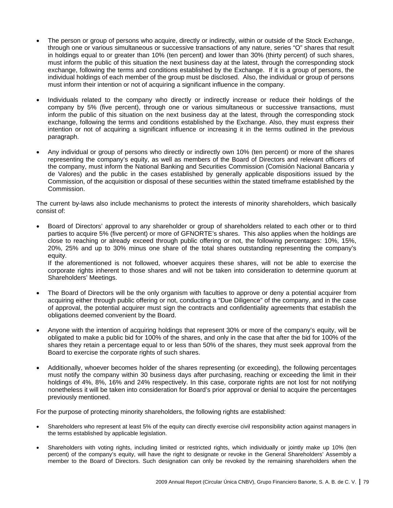- The person or group of persons who acquire, directly or indirectly, within or outside of the Stock Exchange, through one or various simultaneous or successive transactions of any nature, series "O" shares that result in holdings equal to or greater than 10% (ten percent) and lower than 30% (thirty percent) of such shares, must inform the public of this situation the next business day at the latest, through the corresponding stock exchange, following the terms and conditions established by the Exchange. If it is a group of persons, the individual holdings of each member of the group must be disclosed. Also, the individual or group of persons must inform their intention or not of acquiring a significant influence in the company.
- Individuals related to the company who directly or indirectly increase or reduce their holdings of the company by 5% (five percent), through one or various simultaneous or successive transactions, must inform the public of this situation on the next business day at the latest, through the corresponding stock exchange, following the terms and conditions established by the Exchange. Also, they must express their intention or not of acquiring a significant influence or increasing it in the terms outlined in the previous paragraph.
- Any individual or group of persons who directly or indirectly own 10% (ten percent) or more of the shares representing the company's equity, as well as members of the Board of Directors and relevant officers of the company, must inform the National Banking and Securities Commission (Comisión Nacional Bancaria y de Valores) and the public in the cases established by generally applicable dispositions issued by the Commission, of the acquisition or disposal of these securities within the stated timeframe established by the Commission.

The current by-laws also include mechanisms to protect the interests of minority shareholders, which basically consist of:

• Board of Directors' approval to any shareholder or group of shareholders related to each other or to third parties to acquire 5% (five percent) or more of GFNORTE's shares. This also applies when the holdings are close to reaching or already exceed through public offering or not, the following percentages: 10%, 15%, 20%, 25% and up to 30% minus one share of the total shares outstanding representing the company's equity.

If the aforementioned is not followed, whoever acquires these shares, will not be able to exercise the corporate rights inherent to those shares and will not be taken into consideration to determine quorum at Shareholders' Meetings.

- The Board of Directors will be the only organism with faculties to approve or deny a potential acquirer from acquiring either through public offering or not, conducting a "Due Diligence" of the company, and in the case of approval, the potential acquirer must sign the contracts and confidentiality agreements that establish the obligations deemed convenient by the Board.
- Anyone with the intention of acquiring holdings that represent 30% or more of the company's equity, will be obligated to make a public bid for 100% of the shares, and only in the case that after the bid for 100% of the shares they retain a percentage equal to or less than 50% of the shares, they must seek approval from the Board to exercise the corporate rights of such shares.
- Additionally, whoever becomes holder of the shares representing (or exceeding), the following percentages must notify the company within 30 business days after purchasing, reaching or exceeding the limit in their holdings of 4%, 8%, 16% and 24% respectively. In this case, corporate rights are not lost for not notifying nonetheless it will be taken into consideration for Board's prior approval or denial to acquire the percentages previously mentioned.

For the purpose of protecting minority shareholders, the following rights are established:

- Shareholders who represent at least 5% of the equity can directly exercise civil responsibility action against managers in the terms established by applicable legislation.
- Shareholders with voting rights, including limited or restricted rights, which individually or jointly make up 10% (ten percent) of the company's equity, will have the right to designate or revoke in the General Shareholders' Assembly a member to the Board of Directors. Such designation can only be revoked by the remaining shareholders when the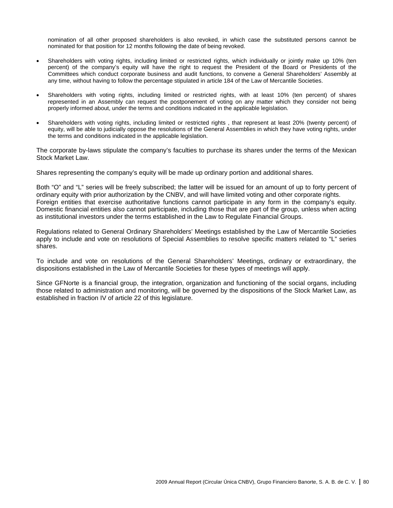nomination of all other proposed shareholders is also revoked, in which case the substituted persons cannot be nominated for that position for 12 months following the date of being revoked.

- Shareholders with voting rights, including limited or restricted rights, which individually or jointly make up 10% (ten percent) of the company's equity will have the right to request the President of the Board or Presidents of the Committees which conduct corporate business and audit functions, to convene a General Shareholders' Assembly at any time, without having to follow the percentage stipulated in article 184 of the Law of Mercantile Societies.
- Shareholders with voting rights, including limited or restricted rights, with at least 10% (ten percent) of shares represented in an Assembly can request the postponement of voting on any matter which they consider not being properly informed about, under the terms and conditions indicated in the applicable legislation.
- Shareholders with voting rights, including limited or restricted rights , that represent at least 20% (twenty percent) of equity, will be able to judicially oppose the resolutions of the General Assemblies in which they have voting rights, under the terms and conditions indicated in the applicable legislation.

The corporate by-laws stipulate the company's faculties to purchase its shares under the terms of the Mexican Stock Market Law.

Shares representing the company's equity will be made up ordinary portion and additional shares.

Both "O" and "L" series will be freely subscribed; the latter will be issued for an amount of up to forty percent of ordinary equity with prior authorization by the CNBV, and will have limited voting and other corporate rights. Foreign entities that exercise authoritative functions cannot participate in any form in the company's equity. Domestic financial entities also cannot participate, including those that are part of the group, unless when acting as institutional investors under the terms established in the Law to Regulate Financial Groups.

Regulations related to General Ordinary Shareholders' Meetings established by the Law of Mercantile Societies apply to include and vote on resolutions of Special Assemblies to resolve specific matters related to "L" series shares.

To include and vote on resolutions of the General Shareholders' Meetings, ordinary or extraordinary, the dispositions established in the Law of Mercantile Societies for these types of meetings will apply.

Since GFNorte is a financial group, the integration, organization and functioning of the social organs, including those related to administration and monitoring, will be governed by the dispositions of the Stock Market Law, as established in fraction IV of article 22 of this legislature.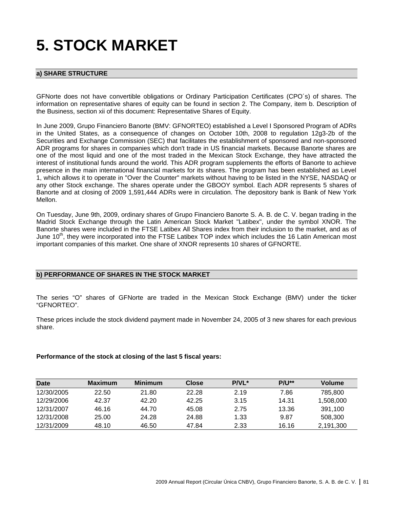## **5. STOCK MARKET**

## **a) SHARE STRUCTURE**

GFNorte does not have convertible obligations or Ordinary Participation Certificates (CPO´s) of shares. The information on representative shares of equity can be found in section 2. The Company, item b. Description of the Business, section xii of this document: Representative Shares of Equity.

In June 2009, Grupo Financiero Banorte (BMV: GFNORTEO) established a Level I Sponsored Program of ADRs in the United States, as a consequence of changes on October 10th, 2008 to regulation 12g3-2b of the Securities and Exchange Commission (SEC) that facilitates the establishment of sponsored and non-sponsored ADR programs for shares in companies which don't trade in US financial markets. Because Banorte shares are one of the most liquid and one of the most traded in the Mexican Stock Exchange, they have attracted the interest of institutional funds around the world. This ADR program supplements the efforts of Banorte to achieve presence in the main international financial markets for its shares. The program has been established as Level 1, which allows it to operate in "Over the Counter" markets without having to be listed in the NYSE, NASDAQ or any other Stock exchange. The shares operate under the GBOOY symbol. Each ADR represents 5 shares of Banorte and at closing of 2009 1,591,444 ADRs were in circulation. The depository bank is Bank of New York Mellon.

On Tuesday, June 9th, 2009, ordinary shares of Grupo Financiero Banorte S. A. B. de C. V. began trading in the Madrid Stock Exchange through the Latin American Stock Market "Latibex", under the symbol XNOR. The Banorte shares were included in the FTSE Latibex All Shares index from their inclusion to the market, and as of June 10<sup>th</sup>, they were incorporated into the FTSE Latibex TOP index which includes the 16 Latin American most important companies of this market. One share of XNOR represents 10 shares of GFNORTE.

## **b) PERFORMANCE OF SHARES IN THE STOCK MARKET**

The series "O" shares of GFNorte are traded in the Mexican Stock Exchange (BMV) under the ticker "GFNORTEO".

These prices include the stock dividend payment made in November 24, 2005 of 3 new shares for each previous share.

## **Performance of the stock at closing of the last 5 fiscal years:**

| Date       | <b>Maximum</b> | <b>Minimum</b> | Close | <b>P/VL*</b> | $P/U^{**}$ | Volume    |
|------------|----------------|----------------|-------|--------------|------------|-----------|
| 12/30/2005 | 22.50          | 21.80          | 22.28 | 2.19         | 7.86       | 785.800   |
| 12/29/2006 | 42.37          | 42.20          | 42.25 | 3.15         | 14.31      | 1.508.000 |
| 12/31/2007 | 46.16          | 44.70          | 45.08 | 2.75         | 13.36      | 391.100   |
| 12/31/2008 | 25.00          | 24.28          | 24.88 | 1.33         | 9.87       | 508.300   |
| 12/31/2009 | 48.10          | 46.50          | 47.84 | 2.33         | 16.16      | 2,191,300 |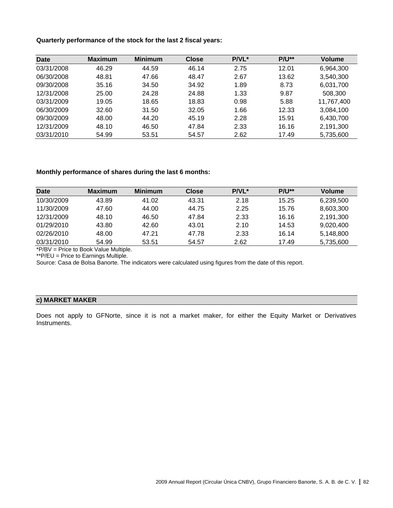## **Quarterly performance of the stock for the last 2 fiscal years:**

| <b>Date</b> | <b>Maximum</b> | <b>Minimum</b> | <b>Close</b> | <b>P/VL*</b> | $P/U^{**}$ | <b>Volume</b> |
|-------------|----------------|----------------|--------------|--------------|------------|---------------|
| 03/31/2008  | 46.29          | 44.59          | 46.14        | 2.75         | 12.01      | 6,964,300     |
| 06/30/2008  | 48.81          | 47.66          | 48.47        | 2.67         | 13.62      | 3,540,300     |
| 09/30/2008  | 35.16          | 34.50          | 34.92        | 1.89         | 8.73       | 6,031,700     |
| 12/31/2008  | 25.00          | 24.28          | 24.88        | 1.33         | 9.87       | 508,300       |
| 03/31/2009  | 19.05          | 18.65          | 18.83        | 0.98         | 5.88       | 11,767,400    |
| 06/30/2009  | 32.60          | 31.50          | 32.05        | 1.66         | 12.33      | 3,084,100     |
| 09/30/2009  | 48.00          | 44.20          | 45.19        | 2.28         | 15.91      | 6,430,700     |
| 12/31/2009  | 48.10          | 46.50          | 47.84        | 2.33         | 16.16      | 2,191,300     |
| 03/31/2010  | 54.99          | 53.51          | 54.57        | 2.62         | 17.49      | 5,735,600     |

## **Monthly performance of shares during the last 6 months:**

| <b>Date</b> | <b>Maximum</b> | Minimum | Close | <b>P/VL*</b> | $P/U^{**}$ | <b>Volume</b> |
|-------------|----------------|---------|-------|--------------|------------|---------------|
| 10/30/2009  | 43.89          | 41.02   | 43.31 | 2.18         | 15.25      | 6,239,500     |
| 11/30/2009  | 47.60          | 44.00   | 44.75 | 2.25         | 15.76      | 8,603,300     |
| 12/31/2009  | 48.10          | 46.50   | 47.84 | 2.33         | 16.16      | 2.191.300     |
| 01/29/2010  | 43.80          | 42.60   | 43.01 | 2.10         | 14.53      | 9.020.400     |
| 02/26/2010  | 48.00          | 47.21   | 47.78 | 2.33         | 16.14      | 5.148.800     |
| 03/31/2010  | 54.99          | 53.51   | 54.57 | 2.62         | 17.49      | 5,735,600     |

\*P/BV = Price to Book Value Multiple.

\*\*P/EU = Price to Earnings Multiple.

Source: Casa de Bolsa Banorte. The indicators were calculated using figures from the date of this report.

## **c) MARKET MAKER**

Does not apply to GFNorte, since it is not a market maker, for either the Equity Market or Derivatives Instruments.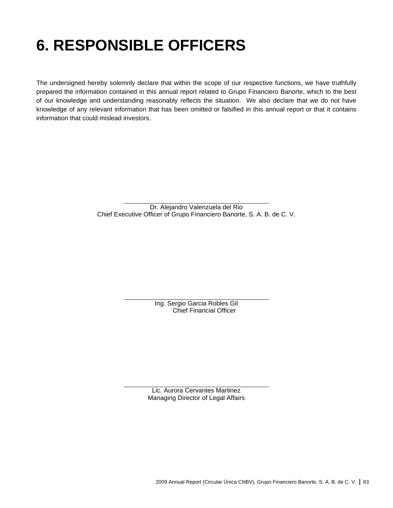## **6. RESPONSIBLE OFFICERS**

The undersigned hereby solemnly declare that within the scope of our respective functions, we have truthfully prepared the information contained in this annual report related to Grupo Financiero Banorte, which to the best of our knowledge and understanding reasonably reflects the situation. We also declare that we do not have knowledge of any relevant information that has been omitted or falsified in this annual report or that it contains information that could mislead investors.

> Dr. Alejandro Valenzuela del Rio Chief Executive Officer of Grupo Financiero Banorte, S. A. B. de C. V.

> > Ing. Sergio Garcia Robles Gil Chief Financial Officer

Lic. Aurora Cervantes Martinez Managing Director of Legal Affairs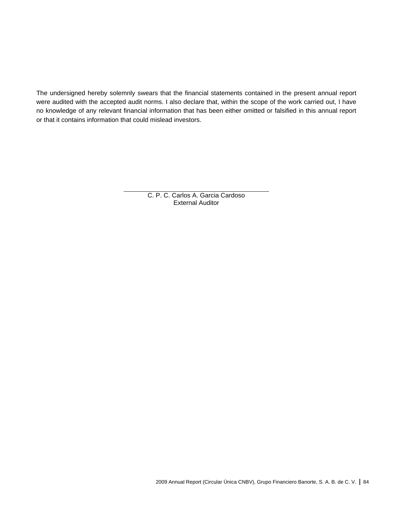The undersigned hereby solemnly swears that the financial statements contained in the present annual report were audited with the accepted audit norms. I also declare that, within the scope of the work carried out, I have no knowledge of any relevant financial information that has been either omitted or falsified in this annual report or that it contains information that could mislead investors.

> C. P. C. Carlos A. Garcia Cardoso External Auditor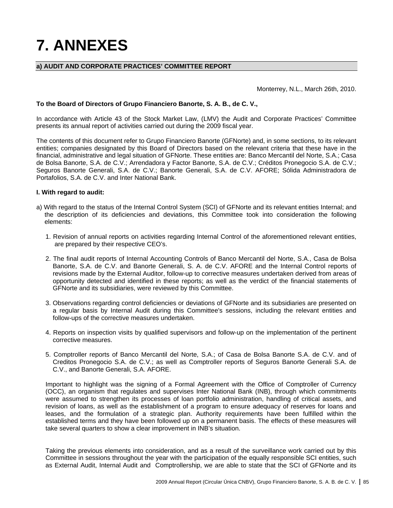# **7. ANNEXES**

## **a) AUDIT AND CORPORATE PRACTICES' COMMITTEE REPORT**

Monterrey, N.L., March 26th, 2010.

## **To the Board of Directors of Grupo Financiero Banorte, S. A. B., de C. V.,**

In accordance with Article 43 of the Stock Market Law, (LMV) the Audit and Corporate Practices' Committee presents its annual report of activities carried out during the 2009 fiscal year.

The contents of this document refer to Grupo Financiero Banorte (GFNorte) and, in some sections, to its relevant entities; companies designated by this Board of Directors based on the relevant criteria that these have in the financial, administrative and legal situation of GFNorte. These entities are: Banco Mercantil del Norte, S.A.; Casa de Bolsa Banorte, S.A. de C.V.; Arrendadora y Factor Banorte, S.A. de C.V.; Créditos Pronegocio S.A. de C.V.; Seguros Banorte Generali, S.A. de C.V.; Banorte Generali, S.A. de C.V. AFORE; Sólida Administradora de Portafolios, S.A. de C.V. and Inter National Bank.

## **I. With regard to audit:**

- a) With regard to the status of the Internal Control System (SCI) of GFNorte and its relevant entities Internal; and the description of its deficiencies and deviations, this Committee took into consideration the following elements:
	- 1. Revision of annual reports on activities regarding Internal Control of the aforementioned relevant entities, are prepared by their respective CEO's.
	- 2. The final audit reports of Internal Accounting Controls of Banco Mercantil del Norte, S.A., Casa de Bolsa Banorte, S.A. de C.V. and Banorte Generali, S. A. de C.V. AFORE and the Internal Control reports of revisions made by the External Auditor, follow-up to corrective measures undertaken derived from areas of opportunity detected and identified in these reports; as well as the verdict of the financial statements of GFNorte and its subsidiaries, were reviewed by this Committee.
	- 3. Observations regarding control deficiencies or deviations of GFNorte and its subsidiaries are presented on a regular basis by Internal Audit during this Committee's sessions, including the relevant entities and follow-ups of the corrective measures undertaken.
	- 4. Reports on inspection visits by qualified supervisors and follow-up on the implementation of the pertinent corrective measures.
	- 5. Comptroller reports of Banco Mercantil del Norte, S.A.; of Casa de Bolsa Banorte S.A. de C.V. and of Creditos Pronegocio S.A. de C.V.; as well as Comptroller reports of Seguros Banorte Generali S.A. de C.V., and Banorte Generali, S.A. AFORE.

Important to highlight was the signing of a Formal Agreement with the Office of Comptroller of Currency (OCC), an organism that regulates and supervises Inter National Bank (INB), through which commitments were assumed to strengthen its processes of loan portfolio administration, handling of critical assets, and revision of loans, as well as the establishment of a program to ensure adequacy of reserves for loans and leases, and the formulation of a strategic plan. Authority requirements have been fulfilled within the established terms and they have been followed up on a permanent basis. The effects of these measures will take several quarters to show a clear improvement in INB's situation.

Taking the previous elements into consideration, and as a result of the surveillance work carried out by this Committee in sessions throughout the year with the participation of the equally responsible SCI entities, such as External Audit, Internal Audit and Comptrollership, we are able to state that the SCI of GFNorte and its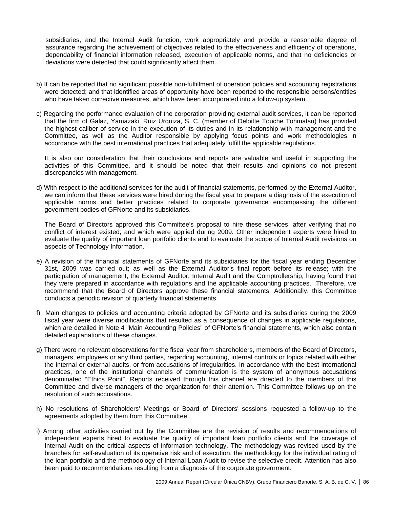subsidiaries, and the Internal Audit function, work appropriately and provide a reasonable degree of assurance regarding the achievement of objectives related to the effectiveness and efficiency of operations, dependability of financial information released, execution of applicable norms, and that no deficiencies or deviations were detected that could significantly affect them.

- b) It can be reported that no significant possible non-fulfillment of operation policies and accounting registrations were detected; and that identified areas of opportunity have been reported to the responsible persons/entities who have taken corrective measures, which have been incorporated into a follow-up system.
- c) Regarding the performance evaluation of the corporation providing external audit services, it can be reported that the firm of Galaz, Yamazaki, Ruiz Urquiza, S. C. (member of Deloitte Touche Tohmatsu) has provided the highest caliber of service in the execution of its duties and in its relationship with management and the Committee, as well as the Auditor responsible by applying focus points and work methodologies in accordance with the best international practices that adequately fulfill the applicable regulations.

It is also our consideration that their conclusions and reports are valuable and useful in supporting the activities of this Committee, and it should be noted that their results and opinions do not present discrepancies with management.

d) With respect to the additional services for the audit of financial statements, performed by the External Auditor, we can inform that these services were hired during the fiscal year to prepare a diagnosis of the execution of applicable norms and better practices related to corporate governance encompassing the different government bodies of GFNorte and its subsidiaries.

The Board of Directors approved this Committee's proposal to hire these services, after verifying that no conflict of interest existed; and which were applied during 2009. Other independent experts were hired to evaluate the quality of important loan portfolio clients and to evaluate the scope of Internal Audit revisions on aspects of Technology Information.

- e) A revision of the financial statements of GFNorte and its subsidiaries for the fiscal year ending December 31st, 2009 was carried out; as well as the External Auditor's final report before its release; with the participation of management, the External Auditor, Internal Audit and the Comptrollership, having found that they were prepared in accordance with regulations and the applicable accounting practices. Therefore, we recommend that the Board of Directors approve these financial statements. Additionally, this Committee conducts a periodic revision of quarterly financial statements.
- f) Main changes to policies and accounting criteria adopted by GFNorte and its subsidiaries during the 2009 fiscal year were diverse modifications that resulted as a consequence of changes in applicable regulations, which are detailed in Note 4 "Main Accounting Policies" of GFNorte's financial statements, which also contain detailed explanations of these changes.
- g) There were no relevant observations for the fiscal year from shareholders, members of the Board of Directors, managers, employees or any third parties, regarding accounting, internal controls or topics related with either the internal or external audits, or from accusations of irregularities. In accordance with the best international practices, one of the institutional channels of communication is the system of anonymous accusations denominated "Ethics Point". Reports received through this channel are directed to the members of this Committee and diverse managers of the organization for their attention. This Committee follows up on the resolution of such accusations.
- h) No resolutions of Shareholders' Meetings or Board of Directors' sessions requested a follow-up to the agreements adopted by them from this Committee.
- i) Among other activities carried out by the Committee are the revision of results and recommendations of independent experts hired to evaluate the quality of important loan portfolio clients and the coverage of Internal Audit on the critical aspects of information technology. The methodology was revised used by the branches for self-evaluation of its operative risk and of execution, the methodology for the individual rating of the loan portfolio and the methodology of Internal Loan Audit to revise the selective credit. Attention has also been paid to recommendations resulting from a diagnosis of the corporate government.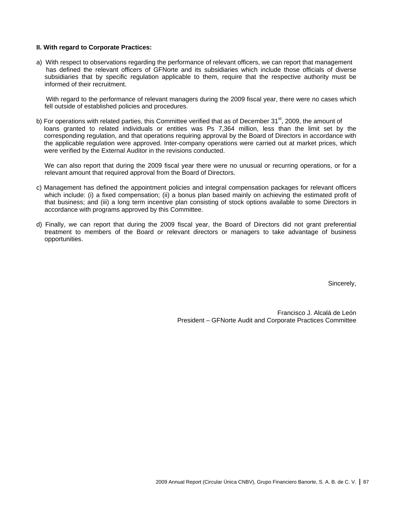## **II. With regard to Corporate Practices:**

a) With respect to observations regarding the performance of relevant officers, we can report that management has defined the relevant officers of GFNorte and its subsidiaries which include those officials of diverse subsidiaries that by specific regulation applicable to them, require that the respective authority must be informed of their recruitment.

With regard to the performance of relevant managers during the 2009 fiscal year, there were no cases which fell outside of established policies and procedures.

b) For operations with related parties, this Committee verified that as of December 31<sup>st</sup>, 2009, the amount of loans granted to related individuals or entities was Ps 7,364 million, less than the limit set by the corresponding regulation, and that operations requiring approval by the Board of Directors in accordance with the applicable regulation were approved. Inter-company operations were carried out at market prices, which were verified by the External Auditor in the revisions conducted.

We can also report that during the 2009 fiscal year there were no unusual or recurring operations, or for a relevant amount that required approval from the Board of Directors.

- c) Management has defined the appointment policies and integral compensation packages for relevant officers which include: (i) a fixed compensation; (ii) a bonus plan based mainly on achieving the estimated profit of that business; and (iii) a long term incentive plan consisting of stock options available to some Directors in accordance with programs approved by this Committee.
- d) Finally, we can report that during the 2009 fiscal year, the Board of Directors did not grant preferential treatment to members of the Board or relevant directors or managers to take advantage of business opportunities.

Sincerely,

Francisco J. Alcalá de León President – GFNorte Audit and Corporate Practices Committee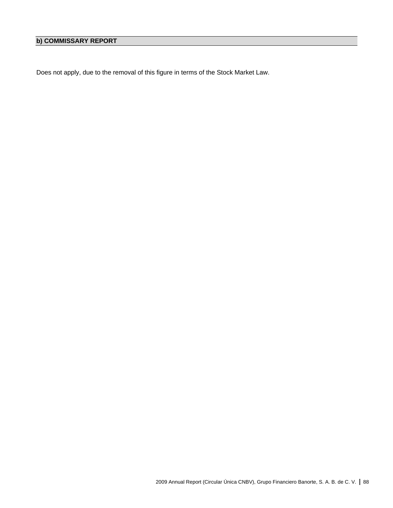## **b) COMMISSARY REPORT**

Does not apply, due to the removal of this figure in terms of the Stock Market Law.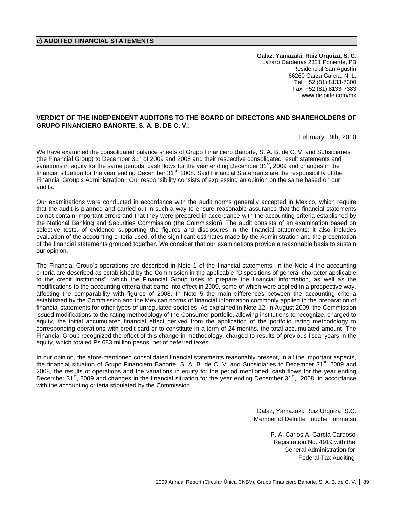## **c) AUDITED FINANCIAL STATEMENTS**

**Galaz, Yamazaki, Ruiz Urquiza, S. C.**  Lázaro Cárdenas 2321 Poniente, PB Residencial San Agustín 66260 Garza García, N. L. Tel: +52 (81) 8133-7300 Fax: +52 (81) 8133-7383 www.deloitte.com/mx

## **VERDICT OF THE INDEPENDENT AUDITORS TO THE BOARD OF DIRECTORS AND SHAREHOLDERS OF GRUPO FINANCIERO BANORTE, S. A. B. DE C. V.:**

February 19th, 2010

We have examined the consolidated balance sheets of Grupo Financiero Banorte, S. A. B. de C. V. and Subsidiaries (the Financial Group) to December 31<sup>st</sup> of 2009 and 2008 and their respective consolidated result statements and variations in equity for the same periods, cash flows for the year ending December 31<sup>st</sup>, 2009 and changes in the financial situation for the year ending December 31st, 2008. Said Financial Statements are the responsibility of the Financial Group's Administration. Our responsibility consists of expressing an opinion on the same based on our audits.

Our examinations were conducted in accordance with the audit norms generally accepted in Mexico, which require that the audit is planned and carried out in such a way to ensure reasonable assurance that the financial statements do not contain important errors and that they were prepared in accordance with the accounting criteria established by the National Banking and Securities Commission (the Commission). The audit consists of an examination based on selective tests, of evidence supporting the figures and disclosures in the financial statements; it also includes evaluation of the accounting criteria used, of the significant estimates made by the Administration and the presentation of the financial statements grouped together. We consider that our examinations provide a reasonable basis to sustain our opinion.

The Financial Group's operations are described in Note 1 of the financial statements. In the Note 4 the accounting criteria are described as established by the Commission in the applicable "Dispositions of general character applicable to the credit institutions", which the Financial Group uses to prepare the financial information, as well as the modifications to the accounting criteria that came into effect in 2009, some of which were applied in a prospective way, affecting the comparability with figures of 2008. In Note 5 the main differences between the accounting criteria established by the Commission and the Mexican norms of financial information commonly applied in the preparation of financial statements for other types of unregulated societies. As explained in Note 12, in August 2009, the Commission issued modifications to the rating methodology of the Consumer portfolio, allowing institutions to recognize, charged to equity, the initial accumulated financial effect derived from the application of the portfolio rating methodology to corresponding operations with credit card or to constitute in a term of 24 months, the total accumulated amount. The Financial Group recognized the effect of this change in methodology, charged to results of previous fiscal years in the equity, which totaled Ps 683 million pesos, net of deferred taxes.

In our opinion, the afore-mentioned consolidated financial statements reasonably present, in all the important aspects, the financial situation of Grupo Financiero Banorte, S. A. B. de C. V. and Subsidiaries to December 31<sup>st</sup>, 2009 and 2008, the results of operations and the variations in equity for the period mentioned, cash flows for the year ending December  $31^{\text{st}}$ , 2009 and changes in the financial situation for the year ending December  $31^{\text{st}}$ , 2008, in accordance with the accounting criteria stipulated by the Commission.

> Galaz, Yamazaki, Ruiz Urquiza, S.C. Member of Deloitte Touche Tohmatsu

> > P. A. Carlos A. García Cardoso Registration No. 4919 with the General Administration for Federal Tax Auditing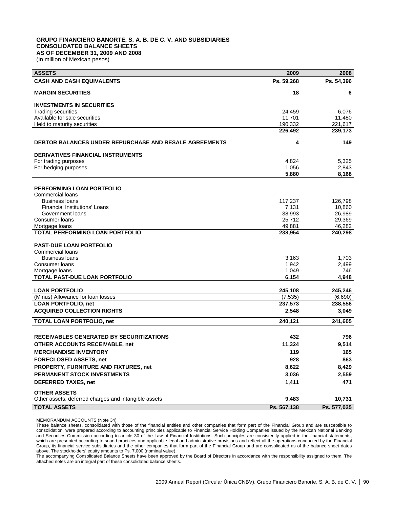## **GRUPO FINANCIERO BANORTE, S. A. B. DE C. V. AND SUBSIDIARIES CONSOLIDATED BALANCE SHEETS AS OF DECEMBER 31, 2009 AND 2008**

(In million of Mexican pesos)

| <b>ASSETS</b>                                                 | 2009        | 2008        |
|---------------------------------------------------------------|-------------|-------------|
| <b>CASH AND CASH EQUIVALENTS</b>                              | Ps. 59.268  | Ps. 54,396  |
| <b>MARGIN SECURITIES</b>                                      | 18          | 6           |
| <b>INVESTMENTS IN SECURITIES</b>                              |             |             |
| <b>Trading securities</b>                                     | 24,459      | 6,076       |
| Available for sale securities                                 | 11,701      | 11,480      |
| Held to maturity securities                                   | 190,332     | 221,617     |
|                                                               | 226,492     | 239,173     |
| <b>DEBTOR BALANCES UNDER REPURCHASE AND RESALE AGREEMENTS</b> | 4           | 149         |
| <b>DERIVATIVES FINANCIAL INSTRUMENTS</b>                      |             |             |
| For trading purposes                                          | 4,824       | 5,325       |
| For hedging purposes                                          | 1,056       | 2,843       |
|                                                               | 5,880       | 8,168       |
| <b>PERFORMING LOAN PORTFOLIO</b>                              |             |             |
| Commercial loans                                              |             |             |
| <b>Business loans</b>                                         | 117,237     | 126,798     |
| <b>Financial Institutions' Loans</b>                          | 7,131       | 10,860      |
| Government loans                                              | 38,993      | 26,989      |
| Consumer loans                                                | 25,712      | 29,369      |
| Mortgage loans                                                | 49,881      | 46,282      |
| TOTAL PERFORMING LOAN PORTFOLIO                               | 238,954     | 240,298     |
|                                                               |             |             |
| <b>PAST-DUE LOAN PORTFOLIO</b><br><b>Commercial loans</b>     |             |             |
| <b>Business loans</b>                                         | 3,163       | 1,703       |
| Consumer loans                                                | 1,942       | 2,499       |
| Mortgage loans                                                | 1,049       | 746         |
| <b>TOTAL PAST-DUE LOAN PORTFOLIO</b>                          | 6,154       | 4,948       |
|                                                               |             |             |
| <b>LOAN PORTFOLIO</b>                                         | 245,108     | 245,246     |
| (Minus) Allowance for loan losses                             | (7, 535)    | (6,690)     |
| <b>LOAN PORTFOLIO, net</b>                                    | 237,573     | 238,556     |
| <b>ACQUIRED COLLECTION RIGHTS</b>                             | 2,548       | 3,049       |
| <b>TOTAL LOAN PORTFOLIO, net</b>                              | 240,121     | 241,605     |
| <b>RECEIVABLES GENERATED BY SECURITIZATIONS</b>               | 432         | 796         |
| OTHER ACCOUNTS RECEIVABLE, net                                | 11,324      | 9,514       |
| <b>MERCHANDISE INVENTORY</b>                                  | 119         | 165         |
|                                                               |             |             |
| <b>FORECLOSED ASSETS, net</b>                                 | 928         | 863         |
| PROPERTY, FURNITURE AND FIXTURES, net                         | 8,622       | 8,429       |
| PERMANENT STOCK INVESTMENTS                                   | 3,036       | 2,559       |
| <b>DEFERRED TAXES, net</b>                                    | 1,411       | 471         |
| <b>OTHER ASSETS</b>                                           |             |             |
| Other assets, deferred charges and intangible assets          | 9,483       | 10,731      |
| <b>TOTAL ASSETS</b>                                           | Ps. 567,138 | Ps. 577,025 |

MEMORANDUM ACCOUNTS (Note 34)

These balance sheets, consolidated with those of the financial entities and other companies that form part of the Financial Group and are susceptible to consolidation, were prepared according to accounting principles applicable to Financial Service Holding Companies issued by the Mexican National Banking and Securities Commission according to article 30 of the Law of Financial Institutions. Such principles are consistently applied in the financial statements, which are presented according to sound practices and applicable legal and administrative provisions and reflect all the operations conducted by the Financial Group, its financial service subsidiaries and the other companies that form part of the Financial Group and are consolidated as of the balance sheet dates above. The stockholders' equity amounts to Ps. 7,000 (nominal value).

The accompanying Consolidated Balance Sheets have been approved by the Board of Directors in accordance with the responsibility assigned to them. The attached notes are an integral part of these consolidated balance sheets.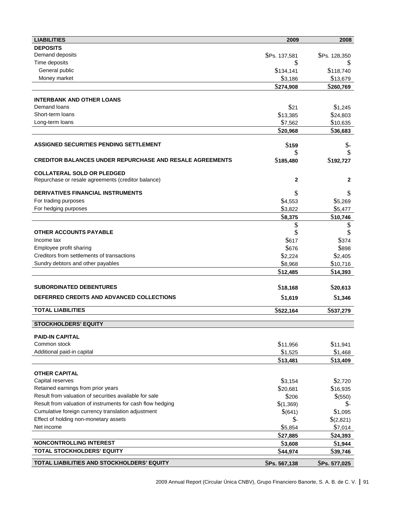| <b>LIABILITIES</b>                                                                      | 2009                | 2008                 |
|-----------------------------------------------------------------------------------------|---------------------|----------------------|
| <b>DEPOSITS</b>                                                                         |                     |                      |
| Demand deposits                                                                         | \$Ps. 137,581       | \$Ps. 128,350        |
| Time deposits                                                                           | \$                  | æ.                   |
| General public                                                                          | \$134,141           | \$118,740            |
| Money market                                                                            | \$3,186             | \$13,679             |
|                                                                                         | \$274,908           | \$260,769            |
|                                                                                         |                     |                      |
| <b>INTERBANK AND OTHER LOANS</b><br>Demand loans                                        |                     |                      |
| Short-term loans                                                                        | \$21                | \$1,245              |
| Long-term loans                                                                         | \$13,385            | \$24,803             |
|                                                                                         | \$7,562             | \$10,635             |
|                                                                                         | \$20,968            | \$36,683             |
| <b>ASSIGNED SECURITIES PENDING SETTLEMENT</b>                                           | \$159               | $\frac{1}{2}$        |
|                                                                                         | S                   |                      |
| <b>CREDITOR BALANCES UNDER REPURCHASE AND RESALE AGREEMENTS</b>                         | \$185,480           | \$192,727            |
|                                                                                         |                     |                      |
| <b>COLLATERAL SOLD OR PLEDGED</b><br>Repurchase or resale agreements (creditor balance) | $\mathbf{2}$        | 2                    |
|                                                                                         |                     |                      |
| <b>DERIVATIVES FINANCIAL INSTRUMENTS</b>                                                |                     |                      |
| For trading purposes                                                                    | \$4,553             | \$5,269              |
| For hedging purposes                                                                    | \$3,822             | \$5,477              |
|                                                                                         | \$8,375             | \$10,746             |
|                                                                                         | \$                  | \$                   |
| <b>OTHER ACCOUNTS PAYABLE</b>                                                           |                     | \$                   |
| Income tax                                                                              | \$617               | \$374                |
| Employee profit sharing                                                                 | \$676               | \$898                |
| Creditors from settlements of transactions                                              | \$2,224             | \$2,405              |
| Sundry debtors and other payables                                                       | \$8,968             | \$10,716             |
|                                                                                         | \$12,485            | \$14,393             |
|                                                                                         |                     |                      |
| <b>SUBORDINATED DEBENTURES</b>                                                          | \$18,168            | \$20,613             |
| DEFERRED CREDITS AND ADVANCED COLLECTIONS                                               | \$1,619             | \$1,346              |
| <b>TOTAL LIABILITIES</b>                                                                | \$522,164           | \$537,279            |
|                                                                                         |                     |                      |
| <b>STOCKHOLDERS' EQUITY</b>                                                             |                     |                      |
| <b>PAID-IN CAPITAL</b>                                                                  |                     |                      |
| Common stock                                                                            | \$11,956            | \$11,941             |
| Additional paid-in capital                                                              | \$1,525             | \$1,468              |
|                                                                                         | \$13,481            | \$13,409             |
|                                                                                         |                     |                      |
| <b>OTHER CAPITAL</b><br>Capital reserves                                                |                     |                      |
| Retained earnings from prior years                                                      | \$3,154<br>\$20,681 | \$2,720<br>\$16,935  |
| Result from valuation of securities available for sale                                  | \$206               |                      |
| Result from valuation of instruments for cash flow hedging                              | \$(1,369)           | \$(550)              |
| Cumulative foreign currency translation adjustment                                      | \$(641)             | \$-<br>\$1,095       |
| Effect of holding non-monetary assets                                                   | \$-                 |                      |
| Net income                                                                              | \$5,854             | \$(2,821)<br>\$7,014 |
|                                                                                         | \$27,885            | \$24,393             |
| <b>NONCONTROLLING INTEREST</b>                                                          |                     |                      |
| <b>TOTAL STOCKHOLDERS' EQUITY</b>                                                       | \$3,608             | \$1,944              |
|                                                                                         | \$44,974            | \$39,746             |
| TOTAL LIABILITIES AND STOCKHOLDERS' EQUITY                                              | \$Ps. 567,138       | \$Ps. 577,025        |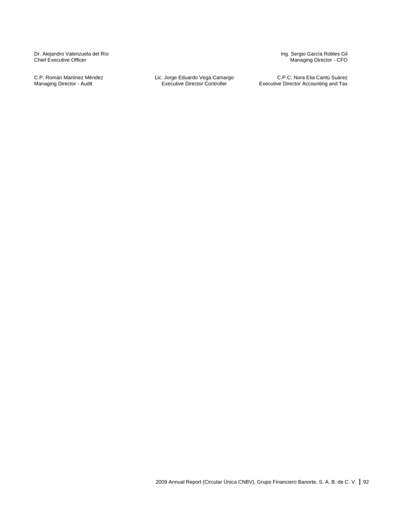Dr. Alejandro Valenzuela del Río Chief Executive Officer

C.P. Román Martínez Méndez Managing Director - Audit

Lic. Jorge Eduardo Vega Camargo Executive Director Controller

Ing. Sergio García Robles Gil Managing Director - CFO

C.P.C. Nora Elia Cantú Suárez Executive Director Accounting and Tax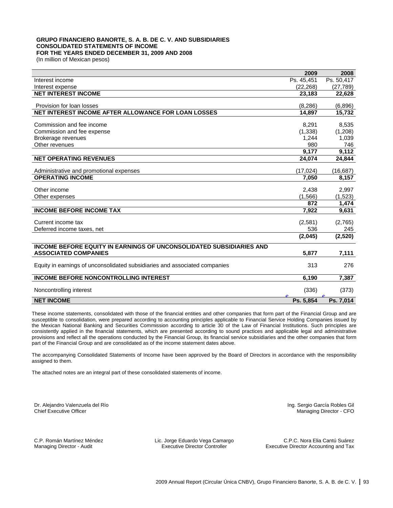## **GRUPO FINANCIERO BANORTE, S. A. B. DE C. V. AND SUBSIDIARIES CONSOLIDATED STATEMENTS OF INCOME FOR THE YEARS ENDED DECEMBER 31, 2009 AND 2008**

(In million of Mexican pesos)

|                                                                            | 2009       | 2008       |
|----------------------------------------------------------------------------|------------|------------|
| Interest income                                                            | Ps. 45,451 | Ps. 50,417 |
| Interest expense                                                           | (22, 268)  | (27, 789)  |
| <b>NET INTEREST INCOME</b>                                                 | 23,183     | 22,628     |
|                                                                            |            |            |
| Provision for loan losses                                                  | (8, 286)   | (6,896)    |
| NET INTEREST INCOME AFTER ALLOWANCE FOR LOAN LOSSES                        | 14,897     | 15,732     |
| Commission and fee income                                                  | 8,291      | 8,535      |
| Commission and fee expense                                                 | (1, 338)   | (1,208)    |
| Brokerage revenues                                                         | 1,244      | 1,039      |
| Other revenues                                                             | 980        | 746        |
|                                                                            | 9,177      | 9,112      |
| <b>NET OPERATING REVENUES</b>                                              | 24,074     | 24,844     |
|                                                                            |            |            |
| Administrative and promotional expenses                                    | (17, 024)  | (16, 687)  |
| <b>OPERATING INCOME</b>                                                    | 7.050      | 8,157      |
| Other income                                                               | 2,438      | 2,997      |
| Other expenses                                                             | (1,566)    | (1,523)    |
|                                                                            | 872        | 1,474      |
| <b>INCOME BEFORE INCOME TAX</b>                                            | 7,922      | 9,631      |
|                                                                            |            |            |
| Current income tax                                                         | (2,581)    | (2,765)    |
| Deferred income taxes, net                                                 | 536        | 245        |
|                                                                            | (2,045)    | (2,520)    |
| <b>INCOME BEFORE EQUITY IN EARNINGS OF UNCONSOLIDATED SUBSIDIARIES AND</b> |            |            |
| <b>ASSOCIATED COMPANIES</b>                                                | 5,877      | 7,111      |
| Equity in earnings of unconsolidated subsidiaries and associated companies | 313        | 276        |
| <b>INCOME BEFORE NONCONTROLLING INTEREST</b>                               | 6,190      | 7,387      |
| Noncontrolling interest                                                    | (336)      | (373)      |
| <b>NET INCOME</b>                                                          | Ps. 5,854  | Ps. 7,014  |

These income statements, consolidated with those of the financial entities and other companies that form part of the Financial Group and are susceptible to consolidation, were prepared according to accounting principles applicable to Financial Service Holding Companies issued by the Mexican National Banking and Securities Commission according to article 30 of the Law of Financial Institutions. Such principles are consistently applied in the financial statements, which are presented according to sound practices and applicable legal and administrative provisions and reflect all the operations conducted by the Financial Group, its financial service subsidiaries and the other companies that form part of the Financial Group and are consolidated as of the income statement dates above.

The accompanying Consolidated Statements of Income have been approved by the Board of Directors in accordance with the responsibility assigned to them.

The attached notes are an integral part of these consolidated statements of income.

Dr. Alejandro Valenzuela del Río Chief Executive Officer

Ing. Sergio García Robles Gil Managing Director - CFO

C.P. Román Martínez Méndez Managing Director - Audit

Lic. Jorge Eduardo Vega Camargo Executive Director Controller

C.P.C. Nora Elia Cantú Suárez Executive Director Accounting and Tax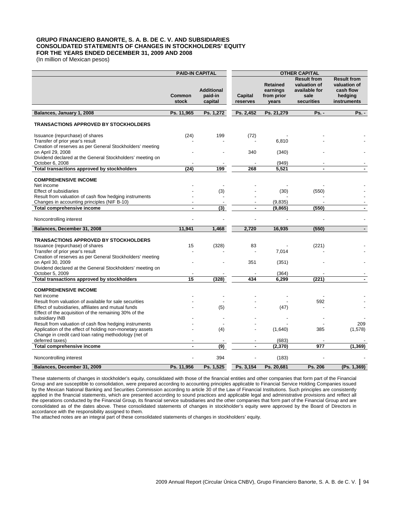## **GRUPO FINANCIERO BANORTE, S. A. B. DE C. V. AND SUBSIDIARIES CONSOLIDATED STATEMENTS OF CHANGES IN STOCKHOLDERS' EQUITY FOR THE YEARS ENDED DECEMBER 31, 2009 AND 2008**

(In million of Mexican pesos)

|                                                                                                               | <b>PAID-IN CAPITAL</b> |                                         | <b>OTHER CAPITAL</b>     |                                                    |                                                                           |                                                                           |
|---------------------------------------------------------------------------------------------------------------|------------------------|-----------------------------------------|--------------------------|----------------------------------------------------|---------------------------------------------------------------------------|---------------------------------------------------------------------------|
|                                                                                                               | <b>Common</b><br>stock | <b>Additional</b><br>paid-in<br>capital | Capital<br>reserves      | <b>Retained</b><br>earnings<br>from prior<br>years | <b>Result from</b><br>valuation of<br>available for<br>sale<br>securities | <b>Result from</b><br>valuation of<br>cash flow<br>hedging<br>instruments |
|                                                                                                               |                        |                                         |                          |                                                    |                                                                           | $Ps. -$                                                                   |
| Balances, January 1, 2008                                                                                     | Ps. 11,965             | Ps. 1,272                               | Ps. 2,452                | Ps. 21,279                                         | <b>Ps. -</b>                                                              |                                                                           |
| <b>TRANSACTIONS APPROVED BY STOCKHOLDERS</b>                                                                  |                        |                                         |                          |                                                    |                                                                           |                                                                           |
| Issuance (repurchase) of shares                                                                               | (24)                   | 199                                     | (72)                     |                                                    |                                                                           |                                                                           |
| Transfer of prior year's result                                                                               |                        |                                         |                          | 6,810                                              |                                                                           |                                                                           |
| Creation of reserves as per General Stockholders' meeting                                                     |                        |                                         |                          |                                                    |                                                                           |                                                                           |
| on April 29, 2008                                                                                             |                        |                                         | 340                      | (340)                                              |                                                                           |                                                                           |
| Dividend declared at the General Stockholders' meeting on                                                     |                        |                                         |                          |                                                    |                                                                           |                                                                           |
| October 6, 2008<br>Total transactions approved by stockholders                                                | (24)                   | 199                                     | 268                      | (949)<br>5,521                                     | ä,                                                                        |                                                                           |
|                                                                                                               |                        |                                         |                          |                                                    |                                                                           |                                                                           |
| <b>COMPREHENSIVE INCOME</b>                                                                                   |                        |                                         |                          |                                                    |                                                                           |                                                                           |
| Net income                                                                                                    |                        |                                         |                          |                                                    |                                                                           |                                                                           |
| <b>Effect of subsidiaries</b>                                                                                 |                        | (3)                                     |                          | (30)                                               | (550)                                                                     |                                                                           |
| Result from valuation of cash flow hedging instruments                                                        |                        |                                         |                          |                                                    |                                                                           |                                                                           |
| Changes in accounting principles (NIF B-10)                                                                   |                        |                                         |                          | (9,835)                                            |                                                                           |                                                                           |
| <b>Total comprehensive income</b>                                                                             | $\blacksquare$         | (3)                                     | $\blacksquare$           | (9,865)                                            | (550)                                                                     | ۰                                                                         |
| Noncontrolling interest                                                                                       |                        |                                         |                          |                                                    |                                                                           |                                                                           |
| Balances, December 31, 2008                                                                                   | 11.941                 | 1.468                                   | 2.720                    | 16.935                                             | (550)                                                                     |                                                                           |
|                                                                                                               |                        |                                         |                          |                                                    |                                                                           |                                                                           |
| <b>TRANSACTIONS APPROVED BY STOCKHOLDERS</b><br>Issuance (repurchase) of shares                               | 15                     | (328)                                   | 83                       |                                                    |                                                                           |                                                                           |
| Transfer of prior year's result                                                                               |                        |                                         |                          | 7,014                                              | (221)                                                                     |                                                                           |
| Creation of reserves as per General Stockholders' meeting                                                     |                        |                                         |                          |                                                    |                                                                           |                                                                           |
| on April 30, 2009                                                                                             |                        |                                         | 351                      | (351)                                              |                                                                           |                                                                           |
| Dividend declared at the General Stockholders' meeting on                                                     |                        |                                         |                          |                                                    |                                                                           |                                                                           |
| October 5, 2009                                                                                               |                        |                                         |                          | (364)                                              |                                                                           |                                                                           |
| Total transactions approved by stockholders                                                                   | 15                     | (328)                                   | 434                      | 6,299                                              | (221)                                                                     |                                                                           |
| <b>COMPREHENSIVE INCOME</b>                                                                                   |                        |                                         |                          |                                                    |                                                                           |                                                                           |
| Net income                                                                                                    |                        |                                         |                          |                                                    |                                                                           |                                                                           |
| Result from valuation of available for sale securities<br>Effect of subsidiaries, affiliates and mutual funds |                        |                                         |                          |                                                    | 592                                                                       |                                                                           |
| Effect of the acquisition of the remaining 30% of the                                                         |                        | (5)                                     |                          | (47)                                               |                                                                           |                                                                           |
| subsidiary INB                                                                                                |                        |                                         |                          |                                                    |                                                                           |                                                                           |
| Result from valuation of cash flow hedging instruments                                                        |                        |                                         |                          |                                                    |                                                                           | 209                                                                       |
| Application of the effect of holding non-monetary assets                                                      |                        | (4)                                     |                          | (1,640)                                            | 385                                                                       | (1,578)                                                                   |
| Change in credit card loan rating methodology (net of                                                         |                        |                                         |                          |                                                    |                                                                           |                                                                           |
| deferred taxes)                                                                                               |                        |                                         |                          | (683)                                              |                                                                           |                                                                           |
| Total comprehensive income                                                                                    | $\blacksquare$         | (9)                                     | $\overline{\phantom{a}}$ | (2,370)                                            | 977                                                                       | (1, 369)                                                                  |
| Noncontrolling interest                                                                                       |                        | 394                                     |                          | (183)                                              |                                                                           |                                                                           |
| Balances, December 31, 2009                                                                                   | Ps. 11.956             | Ps. 1.525                               | Ps. 3.154                | Ps. 20.681                                         | Ps. 206                                                                   | (Ps. 1.369)                                                               |

These statements of changes in stockholder's equity, consolidated with those of the financial entities and other companies that form part of the Financial Group and are susceptible to consolidation, were prepared according to accounting principles applicable to Financial Service Holding Companies issued by the Mexican National Banking and Securities Commission according to article 30 of the Law of Financial Institutions. Such principles are consistently applied in the financial statements, which are presented according to sound practices and applicable legal and administrative provisions and reflect all the operations conducted by the Financial Group, its financial service subsidiaries and the other companies that form part of the Financial Group and are consolidated as of the dates above. These consolidated statements of changes in stockholder's equity were approved by the Board of Directors in accordance with the responsibility assigned to them.

The attached notes are an integral part of these consolidated statements of changes in stockholders' equity.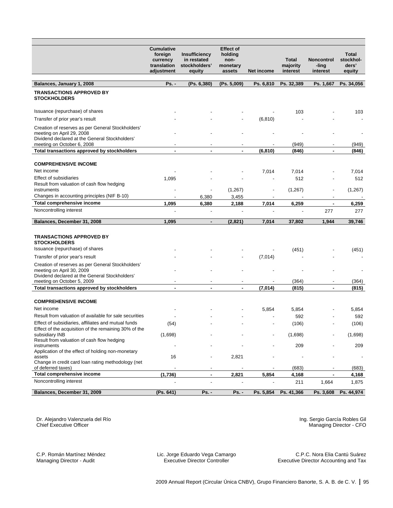|                                                                                                                                                                | <b>Cumulative</b><br>foreign<br>currency<br>translation<br>adjustment | Insufficiency<br>in restated<br>stockholders'<br>equity | <b>Effect of</b><br>holding<br>non-<br>monetary<br>assets | Net income                          | <b>Total</b><br>majority<br>interest | <b>Noncontrol</b><br>-ling<br>interest | Total<br>stockhol-<br>ders'<br>equity |
|----------------------------------------------------------------------------------------------------------------------------------------------------------------|-----------------------------------------------------------------------|---------------------------------------------------------|-----------------------------------------------------------|-------------------------------------|--------------------------------------|----------------------------------------|---------------------------------------|
| Balances, January 1, 2008                                                                                                                                      | <b>Ps. -</b>                                                          | (Ps. 6,380)                                             | (Ps. 5,009)                                               | Ps. 6,810                           | Ps. 32,389                           | Ps. 1,667                              | Ps. 34,056                            |
| <b>TRANSACTIONS APPROVED BY</b><br><b>STOCKHOLDERS</b>                                                                                                         |                                                                       |                                                         |                                                           |                                     |                                      |                                        |                                       |
| Issuance (repurchase) of shares                                                                                                                                |                                                                       |                                                         |                                                           |                                     | 103                                  |                                        | 103                                   |
| Transfer of prior year's result                                                                                                                                |                                                                       |                                                         |                                                           | (6, 810)                            |                                      |                                        |                                       |
| Creation of reserves as per General Stockholders'<br>meeting on April 29, 2008<br>Dividend declared at the General Stockholders'<br>meeting on October 6, 2008 |                                                                       |                                                         |                                                           |                                     | (949)                                |                                        | (949)                                 |
| Total transactions approved by stockholders                                                                                                                    | $\blacksquare$                                                        | ٠                                                       | $\blacksquare$                                            | (6, 810)                            | (846)                                | $\blacksquare$                         | (846)                                 |
| <b>COMPREHENSIVE INCOME</b><br>Net income                                                                                                                      |                                                                       |                                                         |                                                           |                                     |                                      |                                        |                                       |
| <b>Effect of subsidiaries</b>                                                                                                                                  |                                                                       |                                                         |                                                           | 7,014                               | 7,014<br>512                         |                                        | 7,014<br>512                          |
| Result from valuation of cash flow hedging<br>instruments                                                                                                      | 1,095                                                                 |                                                         | (1,267)                                                   | $\overline{\phantom{a}}$            | (1,267)                              |                                        | (1,267)                               |
| Changes in accounting principles (NIF B-10)                                                                                                                    | $\overline{\phantom{a}}$                                              | 6,380                                                   | 3,455                                                     | $\blacksquare$                      |                                      | $\overline{\phantom{a}}$               |                                       |
| <b>Total comprehensive income</b>                                                                                                                              | 1,095                                                                 | 6,380                                                   | 2,188                                                     | 7,014                               | 6,259                                |                                        | 6,259                                 |
| Noncontrolling interest                                                                                                                                        |                                                                       |                                                         |                                                           |                                     |                                      | 277                                    | 277                                   |
| Balances, December 31, 2008                                                                                                                                    | 1,095                                                                 | ٠                                                       | (2,821)                                                   | 7,014                               | 37,802                               | 1,944                                  | 39,746                                |
| <b>TRANSACTIONS APPROVED BY</b><br><b>STOCKHOLDERS</b><br>Issuance (repurchase) of shares                                                                      |                                                                       |                                                         |                                                           |                                     |                                      |                                        |                                       |
|                                                                                                                                                                |                                                                       |                                                         |                                                           |                                     | (451)                                |                                        | (451)                                 |
| Transfer of prior year's result<br>Creation of reserves as per General Stockholders'                                                                           |                                                                       |                                                         |                                                           | (7,014)                             |                                      |                                        |                                       |
| meeting on April 30, 2009<br>Dividend declared at the General Stockholders'                                                                                    |                                                                       |                                                         |                                                           |                                     |                                      |                                        |                                       |
| meeting on October 5, 2009<br>Total transactions approved by stockholders                                                                                      | $\overline{\phantom{a}}$<br>×,                                        | $\overline{\phantom{a}}$<br>$\blacksquare$              | $\blacksquare$<br>$\blacksquare$                          | $\overline{\phantom{a}}$<br>(7,014) | (364)<br>(815)                       | $\overline{\phantom{a}}$<br>$\sim$     | (364)<br>(815)                        |
|                                                                                                                                                                |                                                                       |                                                         |                                                           |                                     |                                      |                                        |                                       |
| <b>COMPREHENSIVE INCOME</b>                                                                                                                                    |                                                                       |                                                         |                                                           |                                     |                                      |                                        |                                       |
| Net income                                                                                                                                                     |                                                                       |                                                         |                                                           | 5,854                               | 5,854                                |                                        | 5,854                                 |
| Result from valuation of available for sale securities                                                                                                         |                                                                       |                                                         |                                                           |                                     | 592                                  |                                        | 592                                   |
| Effect of subsidiaries, affiliates and mutual funds                                                                                                            | (54)                                                                  |                                                         |                                                           |                                     | (106)                                |                                        | (106)                                 |
| Effect of the acquisition of the remaining 30% of the<br>subsidiary INB<br>Result from valuation of cash flow hedging                                          | (1,698)                                                               |                                                         |                                                           |                                     | (1,698)                              |                                        | (1,698)                               |
| instruments                                                                                                                                                    |                                                                       |                                                         |                                                           |                                     | 209                                  |                                        | 209                                   |
| Application of the effect of holding non-monetary<br>assets                                                                                                    | 16                                                                    |                                                         | 2,821                                                     |                                     |                                      |                                        |                                       |
| Change in credit card loan rating methodology (net<br>of deferred taxes)                                                                                       |                                                                       | $\overline{\phantom{a}}$                                |                                                           |                                     | (683)                                |                                        | (683)                                 |
| Total comprehensive income                                                                                                                                     | (1,736)                                                               | $\blacksquare$                                          | 2,821                                                     | 5,854                               | 4,168                                | $\blacksquare$                         | 4,168                                 |
| Noncontrolling interest                                                                                                                                        |                                                                       |                                                         |                                                           |                                     | 211                                  | 1,664                                  | 1,875                                 |
| Balances, December 31, 2009                                                                                                                                    | (Ps. 641)                                                             | <b>Ps. -</b>                                            | <b>Ps. -</b>                                              | Ps. 5,854                           | Ps. 41,366                           | Ps. 3,608                              | Ps. 44,974                            |

Dr. Alejandro Valenzuela del Río Chief Executive Officer

Ing. Sergio García Robles Gil Managing Director - CFO

C.P. Román Martínez Méndez Managing Director - Audit

Lic. Jorge Eduardo Vega Camargo Executive Director Controller

C.P.C. Nora Elia Cantú Suárez Executive Director Accounting and Tax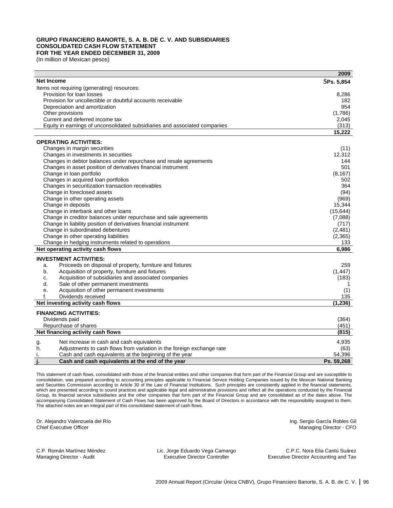#### **GRUPO FINANCIERO BANORTE, S. A. B. DE C. V. AND SUBSIDIARIES CONSOLIDATED CASH FLOW STATEMENT FOR THE YEAR ENDED DECEMBER 31, 2009**

(In million of Mexican pesos)

|                                                                             | 2009           |
|-----------------------------------------------------------------------------|----------------|
| <b>Net Income</b>                                                           | \$Ps. 5,854    |
| Items not requiring (generating) resources:                                 |                |
| Provision for loan losses                                                   | 8,286          |
| Provision for uncollectible or doubtful accounts receivable                 | 182            |
| Depreciation and amortization                                               | 954            |
| Other provisions                                                            | (1,786)        |
| Current and deferred income tax                                             | 2,045          |
| Equity in earnings of unconsolidated subsidiaries and associated companies  | (313)          |
|                                                                             | 15,222         |
| <b>OPERATING ACTIVITIES:</b>                                                |                |
|                                                                             |                |
| Changes in margin securities<br>Changes in investments in securities        | (11)<br>12,312 |
| Changes in debtor balances under repurchase and resale agreements           | 144            |
| Changes in asset position of derivatives financial instrument               | 501            |
|                                                                             |                |
| Change in loan portfolio<br>Changes in acquired loan portfolios             | (8, 167)       |
| Changes in securitization transaction receivables                           | 502<br>364     |
| Change in foreclosed assets                                                 |                |
|                                                                             | (94)           |
| Change in other operating assets                                            | (969)          |
| Change in deposits                                                          | 15,344         |
| Change in interbank and other loans                                         | (15, 644)      |
| Change in creditor balances under repurchase and sale agreements            | (7,088)        |
| Change in liability position of derivatives financial instrument            | (717)          |
| Change in subordinated debentures                                           | (2, 481)       |
| Change in other operating liabilities                                       | (2, 365)       |
| Change in hedging instruments related to operations                         | 133            |
| Net operating activity cash flows                                           | 6,986          |
| <b>INVESTMENT ACTIVITIES:</b>                                               |                |
| Proceeds on disposal of property, furniture and fixtures<br>a.              | 259            |
| Acquisition of property, furniture and fixtures<br>b.                       | (1, 447)       |
| Acquisition of subsidiaries and associated companies<br>c.                  | (183)          |
| Sale of other permanent investments<br>d.                                   |                |
| Acquisition of other permanent investments<br>е.                            | (1)            |
| Dividends received<br>f.                                                    | 135            |
| Net investing activity cash flows                                           | (1, 236)       |
| <b>FINANCING ACTIVITIES:</b>                                                |                |
| Dividends paid                                                              | (364)          |
| Repurchase of shares                                                        | (451)          |
| Net financing activity cash flows                                           | (815)          |
|                                                                             |                |
| Net increase in cash and cash equivalents<br>g.                             | 4,935          |
| h.<br>Adjustments to cash flows from variation in the foreign exchange rate | (63)           |
| Cash and cash equivalents at the beginning of the year<br>Τ.                | 54,396         |
| Cash and cash equivalents at the end of the year                            | Ps. 59.268     |

This statement of cash flows, consolidated with those of the financial entities and other companies that form part of the Financial Group and are susceptible to consolidation, was prepared according to accounting principles applicable to Financial Service Holding Companies issued by the Mexican National Banking and Securities Commission according to Article 30 of the Law of Financial Institutions. Such principles are consistently applied in the financial statements, which are presented according to sound practices and applicable legal and administrative provisions and reflect all the operations conducted by the Financial Group, its financial service subsidiaries and the other companies that form part of the Financial Group and are consolidated as of the dates above. The accompanying Consolidated Statement of Cash Flows has been approved by the Board of Directors in accordance with the responsibility assigned to them. The attached notes are an integral part of this consolidated statement of cash flows.

Dr. Alejandro Valenzuela del Río Chief Executive Officer

Ing. Sergio García Robles Gil Managing Director - CFO

C.P. Román Martínez Méndez Managing Director - Audit

Lic. Jorge Eduardo Vega Camargo Executive Director Controller

C.P.C. Nora Elia Cantú Suárez Executive Director Accounting and Tax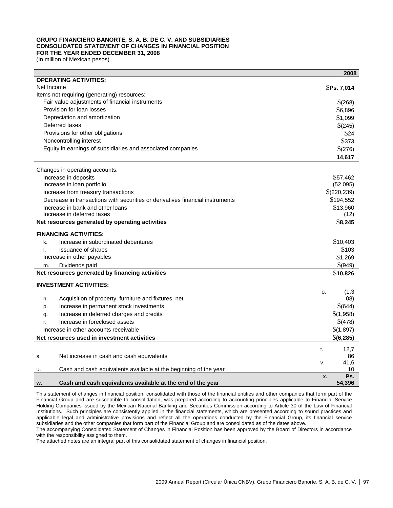## **GRUPO FINANCIERO BANORTE, S. A. B. DE C. V. AND SUBSIDIARIES CONSOLIDATED STATEMENT OF CHANGES IN FINANCIAL POSITION FOR THE YEAR ENDED DECEMBER 31, 2008**

(In million of Mexican pesos)

|                                                                               | 2008                |
|-------------------------------------------------------------------------------|---------------------|
| <b>OPERATING ACTIVITIES:</b>                                                  |                     |
| Net Income                                                                    | <b>SPs. 7,014</b>   |
| Items not requiring (generating) resources:                                   |                     |
| Fair value adjustments of financial instruments                               | \$(268)             |
| Provision for loan losses                                                     | \$6,896             |
| Depreciation and amortization                                                 | \$1,099             |
| Deferred taxes                                                                | \$(245)             |
| Provisions for other obligations                                              | \$24                |
| Noncontrolling interest                                                       | \$373               |
| Equity in earnings of subsidiaries and associated companies                   | \$(276)             |
|                                                                               | 14,617              |
| Changes in operating accounts:                                                |                     |
| Increase in deposits                                                          | \$57,462            |
| Increase in loan portfolio                                                    | (52,095)            |
| Increase from treasury transactions                                           | \$(220, 239)        |
| Decrease in transactions with securities or derivatives financial instruments | \$194,552           |
| Increase in bank and other loans                                              | \$13,960            |
| Increase in deferred taxes                                                    | (12)                |
| Net resources generated by operating activities                               | \$8,245             |
| <b>FINANCING ACTIVITIES:</b>                                                  |                     |
| Increase in subordinated debentures<br>k.                                     | \$10,403            |
| <b>Issuance of shares</b><br>I.                                               | \$103               |
| Increase in other payables                                                    | \$1,269             |
| Dividends paid<br>m.                                                          | \$(949)             |
| Net resources generated by financing activities                               | \$10,826            |
| <b>INVESTMENT ACTIVITIES:</b>                                                 |                     |
|                                                                               | (1,3)<br>0.         |
| Acquisition of property, furniture and fixtures, net<br>n.                    | (08)                |
| Increase in permanent stock investments<br>p.                                 | \$(644)             |
| Increase in deferred charges and credits<br>q.                                | \$(1,958)           |
| Increase in foreclosed assets<br>r.                                           | \$(478)             |
| Increase in other accounts receivable                                         | \$(1,897)           |
| Net resources used in investment activities                                   | \$(6,285)           |
|                                                                               |                     |
|                                                                               | 12.7<br>t.          |
| Net increase in cash and cash equivalents<br>S.                               | 86                  |
|                                                                               | 41,6<br>v.          |
| Cash and cash equivalents available at the beginning of the year<br>u.        | 10                  |
| Cash and cash equivalents available at the end of the year                    | Ps.<br>X.<br>54,396 |
| w.                                                                            |                     |

This statement of changes in financial position, consolidated with those of the financial entities and other companies that form part of the Financial Group and are susceptible to consolidation, was prepared according to accounting principles applicable to Financial Service Holding Companies issued by the Mexican National Banking and Securities Commission according to Article 30 of the Law of Financial Institutions. Such principles are consistently applied in the financial statements, which are presented according to sound practices and applicable legal and administrative provisions and reflect all the operations conducted by the Financial Group, its financial service subsidiaries and the other companies that form part of the Financial Group and are consolidated as of the dates above.

The accompanying Consolidated Statement of Changes in Financial Position has been approved by the Board of Directors in accordance with the responsibility assigned to them.

The attached notes are an integral part of this consolidated statement of changes in financial position.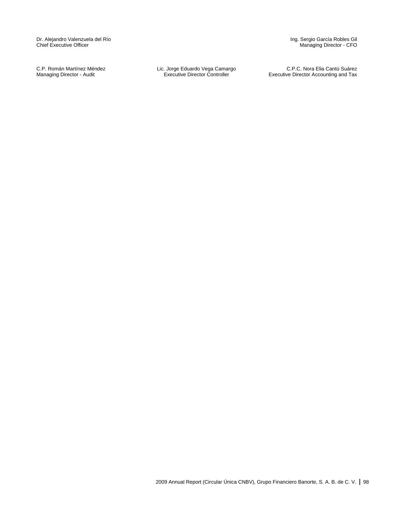Dr. Alejandro Valenzuela del Río Chief Executive Officer

C.P. Román Martínez Méndez Managing Director - Audit

Lic. Jorge Eduardo Vega Camargo Executive Director Controller

Ing. Sergio García Robles Gil Managing Director - CFO

C.P.C. Nora Elia Cantú Suárez Executive Director Accounting and Tax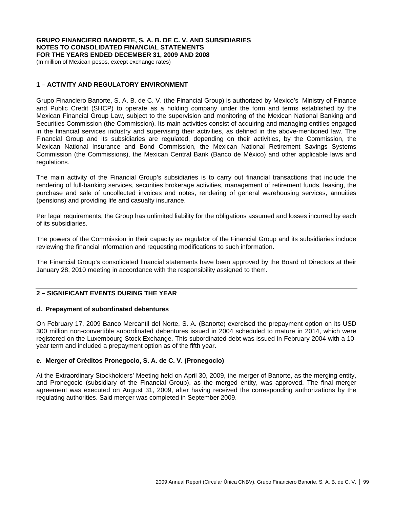## **GRUPO FINANCIERO BANORTE, S. A. B. DE C. V. AND SUBSIDIARIES NOTES TO CONSOLIDATED FINANCIAL STATEMENTS FOR THE YEARS ENDED DECEMBER 31, 2009 AND 2008**

(In million of Mexican pesos, except exchange rates)

## **1 – ACTIVITY AND REGULATORY ENVIRONMENT**

Grupo Financiero Banorte, S. A. B. de C. V. (the Financial Group) is authorized by Mexico's Ministry of Finance and Public Credit (SHCP) to operate as a holding company under the form and terms established by the Mexican Financial Group Law, subject to the supervision and monitoring of the Mexican National Banking and Securities Commission (the Commission). Its main activities consist of acquiring and managing entities engaged in the financial services industry and supervising their activities, as defined in the above-mentioned law. The Financial Group and its subsidiaries are regulated, depending on their activities, by the Commission, the Mexican National Insurance and Bond Commission, the Mexican National Retirement Savings Systems Commission (the Commissions), the Mexican Central Bank (Banco de México) and other applicable laws and regulations.

The main activity of the Financial Group's subsidiaries is to carry out financial transactions that include the rendering of full-banking services, securities brokerage activities, management of retirement funds, leasing, the purchase and sale of uncollected invoices and notes, rendering of general warehousing services, annuities (pensions) and providing life and casualty insurance.

Per legal requirements, the Group has unlimited liability for the obligations assumed and losses incurred by each of its subsidiaries.

The powers of the Commission in their capacity as regulator of the Financial Group and its subsidiaries include reviewing the financial information and requesting modifications to such information.

The Financial Group's consolidated financial statements have been approved by the Board of Directors at their January 28, 2010 meeting in accordance with the responsibility assigned to them.

## **2 – SIGNIFICANT EVENTS DURING THE YEAR**

## **d. Prepayment of subordinated debentures**

On February 17, 2009 Banco Mercantil del Norte, S. A. (Banorte) exercised the prepayment option on its USD 300 million non-convertible subordinated debentures issued in 2004 scheduled to mature in 2014, which were registered on the Luxembourg Stock Exchange. This subordinated debt was issued in February 2004 with a 10 year term and included a prepayment option as of the fifth year.

## **e. Merger of Créditos Pronegocio, S. A. de C. V. (Pronegocio)**

At the Extraordinary Stockholders' Meeting held on April 30, 2009, the merger of Banorte, as the merging entity, and Pronegocio (subsidiary of the Financial Group), as the merged entity, was approved. The final merger agreement was executed on August 31, 2009, after having received the corresponding authorizations by the regulating authorities. Said merger was completed in September 2009.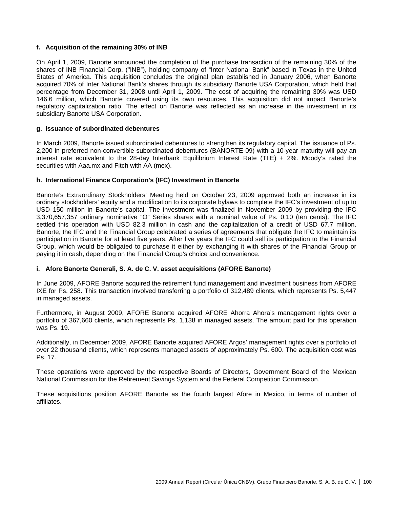## **f. Acquisition of the remaining 30% of INB**

On April 1, 2009, Banorte announced the completion of the purchase transaction of the remaining 30% of the shares of INB Financial Corp. ("INB"), holding company of "Inter National Bank" based in Texas in the United States of America. This acquisition concludes the original plan established in January 2006, when Banorte acquired 70% of Inter National Bank's shares through its subsidiary Banorte USA Corporation, which held that percentage from December 31, 2008 until April 1, 2009. The cost of acquiring the remaining 30% was USD 146.6 million, which Banorte covered using its own resources. This acquisition did not impact Banorte's regulatory capitalization ratio. The effect on Banorte was reflected as an increase in the investment in its subsidiary Banorte USA Corporation.

## **g. Issuance of subordinated debentures**

In March 2009, Banorte issued subordinated debentures to strengthen its regulatory capital. The issuance of Ps. 2,200 in preferred non-convertible subordinated debentures (BANORTE 09) with a 10-year maturity will pay an interest rate equivalent to the 28-day Interbank Equilibrium Interest Rate (TIIE) + 2%. Moody's rated the securities with Aaa.mx and Fitch with AA (mex).

## **h. International Finance Corporation's (IFC) Investment in Banorte**

Banorte's Extraordinary Stockholders' Meeting held on October 23, 2009 approved both an increase in its ordinary stockholders' equity and a modification to its corporate bylaws to complete the IFC's investment of up to USD 150 million in Banorte's capital. The investment was finalized in November 2009 by providing the IFC 3,370,657,357 ordinary nominative "O" Series shares with a nominal value of Ps. 0.10 (ten cents). The IFC settled this operation with USD 82.3 million in cash and the capitalization of a credit of USD 67.7 million. Banorte, the IFC and the Financial Group celebrated a series of agreements that obligate the IFC to maintain its participation in Banorte for at least five years. After five years the IFC could sell its participation to the Financial Group, which would be obligated to purchase it either by exchanging it with shares of the Financial Group or paying it in cash, depending on the Financial Group's choice and convenience.

## **i. Afore Banorte Generali, S. A. de C. V. asset acquisitions (AFORE Banorte)**

In June 2009, AFORE Banorte acquired the retirement fund management and investment business from AFORE IXE for Ps. 258. This transaction involved transferring a portfolio of 312,489 clients, which represents Ps. 5,447 in managed assets.

Furthermore, in August 2009, AFORE Banorte acquired AFORE Ahorra Ahora's management rights over a portfolio of 367,660 clients, which represents Ps. 1,138 in managed assets. The amount paid for this operation was Ps. 19.

Additionally, in December 2009, AFORE Banorte acquired AFORE Argos' management rights over a portfolio of over 22 thousand clients, which represents managed assets of approximately Ps. 600. The acquisition cost was Ps. 17.

These operations were approved by the respective Boards of Directors, Government Board of the Mexican National Commission for the Retirement Savings System and the Federal Competition Commission.

These acquisitions position AFORE Banorte as the fourth largest Afore in Mexico, in terms of number of affiliates.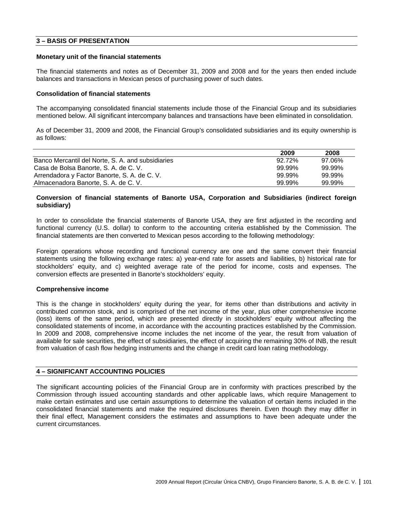## **3 – BASIS OF PRESENTATION**

#### **Monetary unit of the financial statements**

The financial statements and notes as of December 31, 2009 and 2008 and for the years then ended include balances and transactions in Mexican pesos of purchasing power of such dates.

## **Consolidation of financial statements**

The accompanying consolidated financial statements include those of the Financial Group and its subsidiaries mentioned below. All significant intercompany balances and transactions have been eliminated in consolidation.

As of December 31, 2009 and 2008, the Financial Group's consolidated subsidiaries and its equity ownership is as follows:

|                                                   | 2009   | 2008   |
|---------------------------------------------------|--------|--------|
| Banco Mercantil del Norte, S. A. and subsidiaries | 92.72% | 97.06% |
| Casa de Bolsa Banorte, S. A. de C. V.             | 99.99% | 99.99% |
| Arrendadora y Factor Banorte, S. A. de C. V.      | 99.99% | 99.99% |
| Almacenadora Banorte, S. A. de C. V.              | 99.99% | 99.99% |

## **Conversion of financial statements of Banorte USA, Corporation and Subsidiaries (indirect foreign subsidiary)**

In order to consolidate the financial statements of Banorte USA, they are first adjusted in the recording and functional currency (U.S. dollar) to conform to the accounting criteria established by the Commission. The financial statements are then converted to Mexican pesos according to the following methodology:

Foreign operations whose recording and functional currency are one and the same convert their financial statements using the following exchange rates: a) year-end rate for assets and liabilities, b) historical rate for stockholders' equity, and c) weighted average rate of the period for income, costs and expenses. The conversion effects are presented in Banorte's stockholders' equity.

## **Comprehensive income**

This is the change in stockholders' equity during the year, for items other than distributions and activity in contributed common stock, and is comprised of the net income of the year, plus other comprehensive income (loss) items of the same period, which are presented directly in stockholders' equity without affecting the consolidated statements of income, in accordance with the accounting practices established by the Commission. In 2009 and 2008, comprehensive income includes the net income of the year, the result from valuation of available for sale securities, the effect of subsidiaries, the effect of acquiring the remaining 30% of INB, the result from valuation of cash flow hedging instruments and the change in credit card loan rating methodology.

## **4 – SIGNIFICANT ACCOUNTING POLICIES**

The significant accounting policies of the Financial Group are in conformity with practices prescribed by the Commission through issued accounting standards and other applicable laws, which require Management to make certain estimates and use certain assumptions to determine the valuation of certain items included in the consolidated financial statements and make the required disclosures therein. Even though they may differ in their final effect, Management considers the estimates and assumptions to have been adequate under the current circumstances.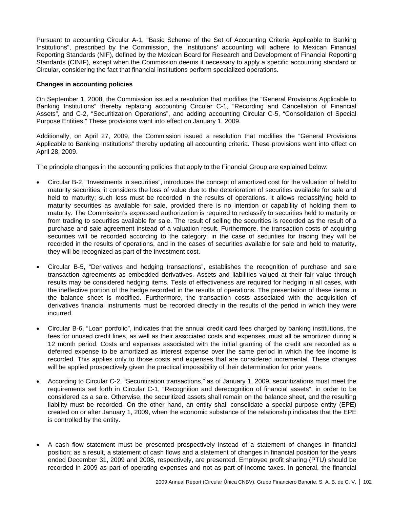Pursuant to accounting Circular A-1, "Basic Scheme of the Set of Accounting Criteria Applicable to Banking Institutions", prescribed by the Commission, the Institutions' accounting will adhere to Mexican Financial Reporting Standards (NIF), defined by the Mexican Board for Research and Development of Financial Reporting Standards (CINIF), except when the Commission deems it necessary to apply a specific accounting standard or Circular, considering the fact that financial institutions perform specialized operations.

## **Changes in accounting policies**

On September 1, 2008, the Commission issued a resolution that modifies the "General Provisions Applicable to Banking Institutions" thereby replacing accounting Circular C-1, "Recording and Cancellation of Financial Assets", and C-2, "Securitization Operations", and adding accounting Circular C-5, "Consolidation of Special Purpose Entities." These provisions went into effect on January 1, 2009.

Additionally, on April 27, 2009, the Commission issued a resolution that modifies the "General Provisions Applicable to Banking Institutions" thereby updating all accounting criteria. These provisions went into effect on April 28, 2009.

The principle changes in the accounting policies that apply to the Financial Group are explained below:

- Circular B-2, "Investments in securities", introduces the concept of amortized cost for the valuation of held to maturity securities; it considers the loss of value due to the deterioration of securities available for sale and held to maturity; such loss must be recorded in the results of operations. It allows reclassifying held to maturity securities as available for sale, provided there is no intention or capability of holding them to maturity. The Commission's expressed authorization is required to reclassify to securities held to maturity or from trading to securities available for sale. The result of selling the securities is recorded as the result of a purchase and sale agreement instead of a valuation result. Furthermore, the transaction costs of acquiring securities will be recorded according to the category; in the case of securities for trading they will be recorded in the results of operations, and in the cases of securities available for sale and held to maturity, they will be recognized as part of the investment cost.
- Circular B-5, "Derivatives and hedging transactions", establishes the recognition of purchase and sale transaction agreements as embedded derivatives. Assets and liabilities valued at their fair value through results may be considered hedging items. Tests of effectiveness are required for hedging in all cases, with the ineffective portion of the hedge recorded in the results of operations. The presentation of these items in the balance sheet is modified. Furthermore, the transaction costs associated with the acquisition of derivatives financial instruments must be recorded directly in the results of the period in which they were incurred.
- Circular B-6, "Loan portfolio", indicates that the annual credit card fees charged by banking institutions, the fees for unused credit lines, as well as their associated costs and expenses, must all be amortized during a 12 month period. Costs and expenses associated with the initial granting of the credit are recorded as a deferred expense to be amortized as interest expense over the same period in which the fee income is recorded. This applies only to those costs and expenses that are considered incremental. These changes will be applied prospectively given the practical impossibility of their determination for prior years.
- According to Circular C-2, "Securitization transactions," as of January 1, 2009, securitizations must meet the requirements set forth in Circular C-1, "Recognition and derecognition of financial assets", in order to be considered as a sale. Otherwise, the securitized assets shall remain on the balance sheet, and the resulting liability must be recorded. On the other hand, an entity shall consolidate a special purpose entity (EPE) created on or after January 1, 2009, when the economic substance of the relationship indicates that the EPE is controlled by the entity.
- A cash flow statement must be presented prospectively instead of a statement of changes in financial position; as a result, a statement of cash flows and a statement of changes in financial position for the years ended December 31, 2009 and 2008, respectively, are presented. Employee profit sharing (PTU) should be recorded in 2009 as part of operating expenses and not as part of income taxes. In general, the financial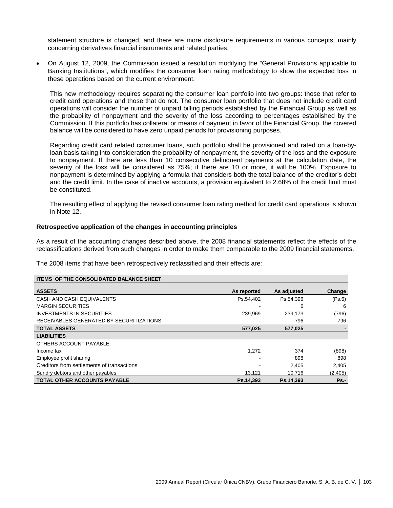statement structure is changed, and there are more disclosure requirements in various concepts, mainly concerning derivatives financial instruments and related parties.

• On August 12, 2009, the Commission issued a resolution modifying the "General Provisions applicable to Banking Institutions", which modifies the consumer loan rating methodology to show the expected loss in these operations based on the current environment.

This new methodology requires separating the consumer loan portfolio into two groups: those that refer to credit card operations and those that do not. The consumer loan portfolio that does not include credit card operations will consider the number of unpaid billing periods established by the Financial Group as well as the probability of nonpayment and the severity of the loss according to percentages established by the Commission. If this portfolio has collateral or means of payment in favor of the Financial Group, the covered balance will be considered to have zero unpaid periods for provisioning purposes.

Regarding credit card related consumer loans, such portfolio shall be provisioned and rated on a loan-byloan basis taking into consideration the probability of nonpayment, the severity of the loss and the exposure to nonpayment. If there are less than 10 consecutive delinquent payments at the calculation date, the severity of the loss will be considered as 75%; if there are 10 or more, it will be 100%. Exposure to nonpayment is determined by applying a formula that considers both the total balance of the creditor's debt and the credit limit. In the case of inactive accounts, a provision equivalent to 2.68% of the credit limit must be constituted.

The resulting effect of applying the revised consumer loan rating method for credit card operations is shown in Note 12.

## **Retrospective application of the changes in accounting principles**

As a result of the accounting changes described above, the 2008 financial statements reflect the effects of the reclassifications derived from such changes in order to make them comparable to the 2009 financial statements.

The 2008 items that have been retrospectively reclassified and their effects are:

| <b>ITEMS OF THE CONSOLIDATED BALANCE SHEET</b> |             |             |         |
|------------------------------------------------|-------------|-------------|---------|
| <b>ASSETS</b>                                  | As reported | As adjusted | Change  |
| CASH AND CASH EQUIVALENTS                      | Ps.54.402   | Ps.54.396   | (Ps.6)  |
| <b>MARGIN SECURITIES</b>                       |             | 6           | 6       |
| <b>INVESTMENTS IN SECURITIES</b>               | 239.969     | 239.173     | (796)   |
| RECEIVABLES GENERATED BY SECURITIZATIONS       |             | 796         | 796     |
| <b>TOTAL ASSETS</b>                            | 577.025     | 577.025     |         |
| <b>LIABILITIES</b>                             |             |             |         |
| OTHERS ACCOUNT PAYABLE:                        |             |             |         |
| Income tax                                     | 1,272       | 374         | (898)   |
| Employee profit sharing                        |             | 898         | 898     |
| Creditors from settlements of transactions     |             | 2.405       | 2,405   |
| Sundry debtors and other payables              | 13,121      | 10,716      | (2,405) |
| <b>TOTAL OTHER ACCOUNTS PAYABLE</b>            | Ps.14.393   | Ps.14.393   | $Ps. -$ |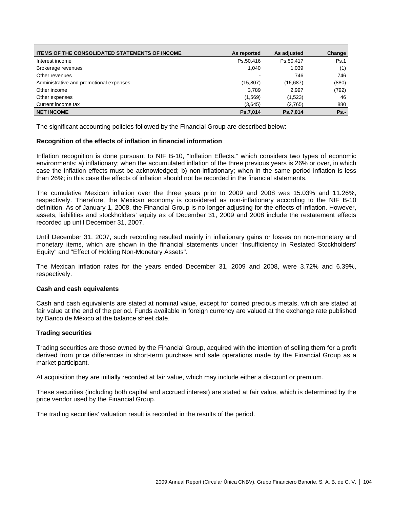| <b>ITEMS OF THE CONSOLIDATED STATEMENTS OF INCOME</b> | As reported | As adjusted | Change  |
|-------------------------------------------------------|-------------|-------------|---------|
| Interest income                                       | Ps.50.416   | Ps.50.417   | Ps.1    |
| Brokerage revenues                                    | 1.040       | 1.039       | (1)     |
| Other revenues                                        |             | 746         | 746     |
| Administrative and promotional expenses               | (15, 807)   | (16, 687)   | (880)   |
| Other income                                          | 3.789       | 2.997       | (792)   |
| Other expenses                                        | (1,569)     | (1,523)     | 46      |
| Current income tax                                    | (3,645)     | (2,765)     | 880     |
| <b>NET INCOME</b>                                     | Ps.7,014    | Ps.7,014    | $Ps. -$ |

The significant accounting policies followed by the Financial Group are described below:

## **Recognition of the effects of inflation in financial information**

Inflation recognition is done pursuant to NIF B-10, "Inflation Effects," which considers two types of economic environments: a) inflationary; when the accumulated inflation of the three previous years is 26% or over, in which case the inflation effects must be acknowledged; b) non-inflationary; when in the same period inflation is less than 26%; in this case the effects of inflation should not be recorded in the financial statements.

The cumulative Mexican inflation over the three years prior to 2009 and 2008 was 15.03% and 11.26%, respectively. Therefore, the Mexican economy is considered as non-inflationary according to the NIF B-10 definition. As of January 1, 2008, the Financial Group is no longer adjusting for the effects of inflation. However, assets, liabilities and stockholders' equity as of December 31, 2009 and 2008 include the restatement effects recorded up until December 31, 2007.

Until December 31, 2007, such recording resulted mainly in inflationary gains or losses on non-monetary and monetary items, which are shown in the financial statements under "Insufficiency in Restated Stockholders' Equity" and "Effect of Holding Non-Monetary Assets".

The Mexican inflation rates for the years ended December 31, 2009 and 2008, were 3.72% and 6.39%, respectively.

#### **Cash and cash equivalents**

Cash and cash equivalents are stated at nominal value, except for coined precious metals, which are stated at fair value at the end of the period. Funds available in foreign currency are valued at the exchange rate published by Banco de México at the balance sheet date.

## **Trading securities**

Trading securities are those owned by the Financial Group, acquired with the intention of selling them for a profit derived from price differences in short-term purchase and sale operations made by the Financial Group as a market participant.

At acquisition they are initially recorded at fair value, which may include either a discount or premium.

These securities (including both capital and accrued interest) are stated at fair value, which is determined by the price vendor used by the Financial Group.

The trading securities' valuation result is recorded in the results of the period.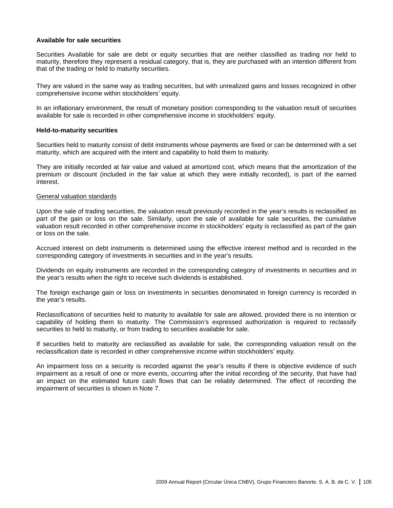#### **Available for sale securities**

Securities Available for sale are debt or equity securities that are neither classified as trading nor held to maturity, therefore they represent a residual category, that is, they are purchased with an intention different from that of the trading or held to maturity securities.

They are valued in the same way as trading securities, but with unrealized gains and losses recognized in other comprehensive income within stockholders' equity.

In an inflationary environment, the result of monetary position corresponding to the valuation result of securities available for sale is recorded in other comprehensive income in stockholders' equity.

#### **Held-to-maturity securities**

Securities held to maturity consist of debt instruments whose payments are fixed or can be determined with a set maturity, which are acquired with the intent and capability to hold them to maturity.

They are initially recorded at fair value and valued at amortized cost, which means that the amortization of the premium or discount (included in the fair value at which they were initially recorded), is part of the earned interest.

## General valuation standards

Upon the sale of trading securities, the valuation result previously recorded in the year's results is reclassified as part of the gain or loss on the sale. Similarly, upon the sale of available for sale securities, the cumulative valuation result recorded in other comprehensive income in stockholders' equity is reclassified as part of the gain or loss on the sale.

Accrued interest on debt instruments is determined using the effective interest method and is recorded in the corresponding category of investments in securities and in the year's results.

Dividends on equity instruments are recorded in the corresponding category of investments in securities and in the year's results when the right to receive such dividends is established.

The foreign exchange gain or loss on investments in securities denominated in foreign currency is recorded in the year's results.

Reclassifications of securities held to maturity to available for sale are allowed, provided there is no intention or capability of holding them to maturity. The Commission's expressed authorization is required to reclassify securities to held to maturity, or from trading to securities available for sale.

If securities held to maturity are reclassified as available for sale, the corresponding valuation result on the reclassification date is recorded in other comprehensive income within stockholders' equity.

An impairment loss on a security is recorded against the year's results if there is objective evidence of such impairment as a result of one or more events, occurring after the initial recording of the security, that have had an impact on the estimated future cash flows that can be reliably determined. The effect of recording the impairment of securities is shown in Note 7.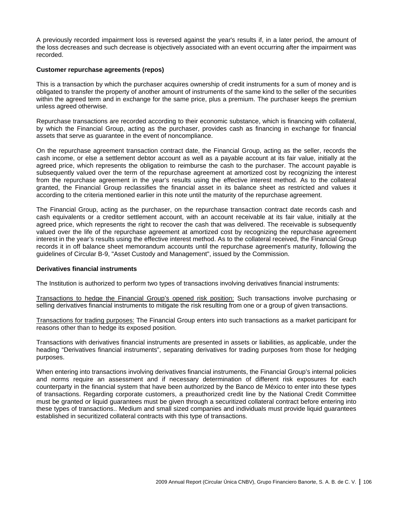A previously recorded impairment loss is reversed against the year's results if, in a later period, the amount of the loss decreases and such decrease is objectively associated with an event occurring after the impairment was recorded.

#### **Customer repurchase agreements (repos)**

This is a transaction by which the purchaser acquires ownership of credit instruments for a sum of money and is obligated to transfer the property of another amount of instruments of the same kind to the seller of the securities within the agreed term and in exchange for the same price, plus a premium. The purchaser keeps the premium unless agreed otherwise.

Repurchase transactions are recorded according to their economic substance, which is financing with collateral, by which the Financial Group, acting as the purchaser, provides cash as financing in exchange for financial assets that serve as guarantee in the event of noncompliance.

On the repurchase agreement transaction contract date, the Financial Group, acting as the seller, records the cash income, or else a settlement debtor account as well as a payable account at its fair value, initially at the agreed price, which represents the obligation to reimburse the cash to the purchaser. The account payable is subsequently valued over the term of the repurchase agreement at amortized cost by recognizing the interest from the repurchase agreement in the year's results using the effective interest method. As to the collateral granted, the Financial Group reclassifies the financial asset in its balance sheet as restricted and values it according to the criteria mentioned earlier in this note until the maturity of the repurchase agreement.

The Financial Group, acting as the purchaser, on the repurchase transaction contract date records cash and cash equivalents or a creditor settlement account, with an account receivable at its fair value, initially at the agreed price, which represents the right to recover the cash that was delivered. The receivable is subsequently valued over the life of the repurchase agreement at amortized cost by recognizing the repurchase agreement interest in the year's results using the effective interest method. As to the collateral received, the Financial Group records it in off balance sheet memorandum accounts until the repurchase agreement's maturity, following the guidelines of Circular B-9, "Asset Custody and Management", issued by the Commission.

#### **Derivatives financial instruments**

The Institution is authorized to perform two types of transactions involving derivatives financial instruments:

Transactions to hedge the Financial Group's opened risk position: Such transactions involve purchasing or selling derivatives financial instruments to mitigate the risk resulting from one or a group of given transactions.

Transactions for trading purposes: The Financial Group enters into such transactions as a market participant for reasons other than to hedge its exposed position.

Transactions with derivatives financial instruments are presented in assets or liabilities, as applicable, under the heading "Derivatives financial instruments", separating derivatives for trading purposes from those for hedging purposes.

When entering into transactions involving derivatives financial instruments, the Financial Group's internal policies and norms require an assessment and if necessary determination of different risk exposures for each counterparty in the financial system that have been authorized by the Banco de México to enter into these types of transactions. Regarding corporate customers, a preauthorized credit line by the National Credit Committee must be granted or liquid guarantees must be given through a securitized collateral contract before entering into these types of transactions.. Medium and small sized companies and individuals must provide liquid guarantees established in securitized collateral contracts with this type of transactions.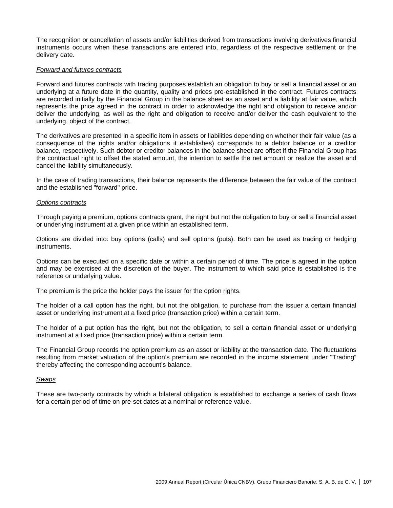The recognition or cancellation of assets and/or liabilities derived from transactions involving derivatives financial instruments occurs when these transactions are entered into, regardless of the respective settlement or the delivery date.

#### *Forward and futures contracts*

Forward and futures contracts with trading purposes establish an obligation to buy or sell a financial asset or an underlying at a future date in the quantity, quality and prices pre-established in the contract. Futures contracts are recorded initially by the Financial Group in the balance sheet as an asset and a liability at fair value, which represents the price agreed in the contract in order to acknowledge the right and obligation to receive and/or deliver the underlying, as well as the right and obligation to receive and/or deliver the cash equivalent to the underlying, object of the contract.

The derivatives are presented in a specific item in assets or liabilities depending on whether their fair value (as a consequence of the rights and/or obligations it establishes) corresponds to a debtor balance or a creditor balance, respectively. Such debtor or creditor balances in the balance sheet are offset if the Financial Group has the contractual right to offset the stated amount, the intention to settle the net amount or realize the asset and cancel the liability simultaneously.

In the case of trading transactions, their balance represents the difference between the fair value of the contract and the established "forward" price.

#### *Options contracts*

Through paying a premium, options contracts grant, the right but not the obligation to buy or sell a financial asset or underlying instrument at a given price within an established term.

Options are divided into: buy options (calls) and sell options (puts). Both can be used as trading or hedging instruments.

Options can be executed on a specific date or within a certain period of time. The price is agreed in the option and may be exercised at the discretion of the buyer. The instrument to which said price is established is the reference or underlying value.

The premium is the price the holder pays the issuer for the option rights.

The holder of a call option has the right, but not the obligation, to purchase from the issuer a certain financial asset or underlying instrument at a fixed price (transaction price) within a certain term.

The holder of a put option has the right, but not the obligation, to sell a certain financial asset or underlying instrument at a fixed price (transaction price) within a certain term.

The Financial Group records the option premium as an asset or liability at the transaction date. The fluctuations resulting from market valuation of the option's premium are recorded in the income statement under "Trading" thereby affecting the corresponding account's balance.

#### *Swaps*

These are two-party contracts by which a bilateral obligation is established to exchange a series of cash flows for a certain period of time on pre-set dates at a nominal or reference value.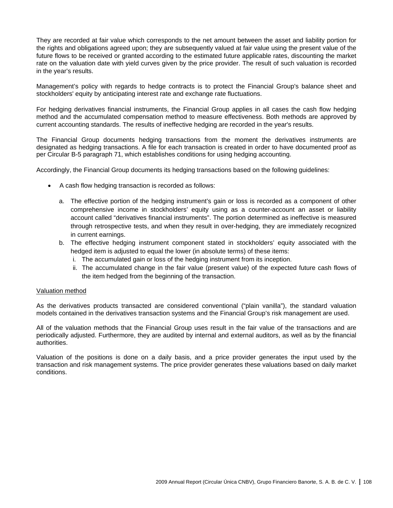They are recorded at fair value which corresponds to the net amount between the asset and liability portion for the rights and obligations agreed upon; they are subsequently valued at fair value using the present value of the future flows to be received or granted according to the estimated future applicable rates, discounting the market rate on the valuation date with yield curves given by the price provider. The result of such valuation is recorded in the year's results.

Management's policy with regards to hedge contracts is to protect the Financial Group's balance sheet and stockholders' equity by anticipating interest rate and exchange rate fluctuations.

For hedging derivatives financial instruments, the Financial Group applies in all cases the cash flow hedging method and the accumulated compensation method to measure effectiveness. Both methods are approved by current accounting standards. The results of ineffective hedging are recorded in the year's results.

The Financial Group documents hedging transactions from the moment the derivatives instruments are designated as hedging transactions. A file for each transaction is created in order to have documented proof as per Circular B-5 paragraph 71, which establishes conditions for using hedging accounting.

Accordingly, the Financial Group documents its hedging transactions based on the following guidelines:

- A cash flow hedging transaction is recorded as follows:
	- a. The effective portion of the hedging instrument's gain or loss is recorded as a component of other comprehensive income in stockholders' equity using as a counter-account an asset or liability account called "derivatives financial instruments". The portion determined as ineffective is measured through retrospective tests, and when they result in over-hedging, they are immediately recognized in current earnings.
	- b. The effective hedging instrument component stated in stockholders' equity associated with the hedged item is adjusted to equal the lower (in absolute terms) of these items:
		- i. The accumulated gain or loss of the hedging instrument from its inception.
		- ii. The accumulated change in the fair value (present value) of the expected future cash flows of the item hedged from the beginning of the transaction.

## Valuation method

As the derivatives products transacted are considered conventional ("plain vanilla"), the standard valuation models contained in the derivatives transaction systems and the Financial Group's risk management are used.

All of the valuation methods that the Financial Group uses result in the fair value of the transactions and are periodically adjusted. Furthermore, they are audited by internal and external auditors, as well as by the financial authorities.

Valuation of the positions is done on a daily basis, and a price provider generates the input used by the transaction and risk management systems. The price provider generates these valuations based on daily market conditions.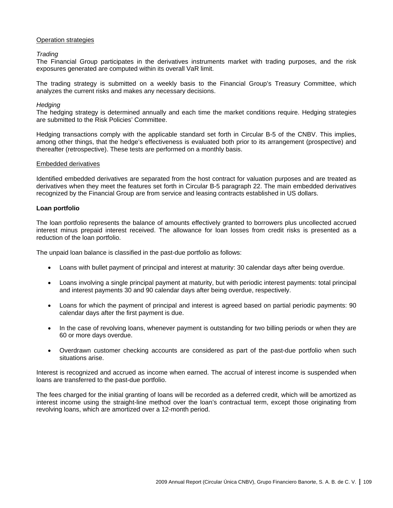## Operation strategies

*Trading* 

The Financial Group participates in the derivatives instruments market with trading purposes, and the risk exposures generated are computed within its overall VaR limit.

The trading strategy is submitted on a weekly basis to the Financial Group's Treasury Committee, which analyzes the current risks and makes any necessary decisions.

### *Hedging*

The hedging strategy is determined annually and each time the market conditions require. Hedging strategies are submitted to the Risk Policies' Committee.

Hedging transactions comply with the applicable standard set forth in Circular B-5 of the CNBV. This implies, among other things, that the hedge's effectiveness is evaluated both prior to its arrangement (prospective) and thereafter (retrospective). These tests are performed on a monthly basis.

### Embedded derivatives

Identified embedded derivatives are separated from the host contract for valuation purposes and are treated as derivatives when they meet the features set forth in Circular B-5 paragraph 22. The main embedded derivatives recognized by the Financial Group are from service and leasing contracts established in US dollars.

## **Loan portfolio**

The loan portfolio represents the balance of amounts effectively granted to borrowers plus uncollected accrued interest minus prepaid interest received. The allowance for loan losses from credit risks is presented as a reduction of the loan portfolio.

The unpaid loan balance is classified in the past-due portfolio as follows:

- Loans with bullet payment of principal and interest at maturity: 30 calendar days after being overdue.
- Loans involving a single principal payment at maturity, but with periodic interest payments: total principal and interest payments 30 and 90 calendar days after being overdue, respectively.
- Loans for which the payment of principal and interest is agreed based on partial periodic payments: 90 calendar days after the first payment is due.
- In the case of revolving loans, whenever payment is outstanding for two billing periods or when they are 60 or more days overdue.
- Overdrawn customer checking accounts are considered as part of the past-due portfolio when such situations arise.

Interest is recognized and accrued as income when earned. The accrual of interest income is suspended when loans are transferred to the past-due portfolio.

The fees charged for the initial granting of loans will be recorded as a deferred credit, which will be amortized as interest income using the straight-line method over the loan's contractual term, except those originating from revolving loans, which are amortized over a 12-month period.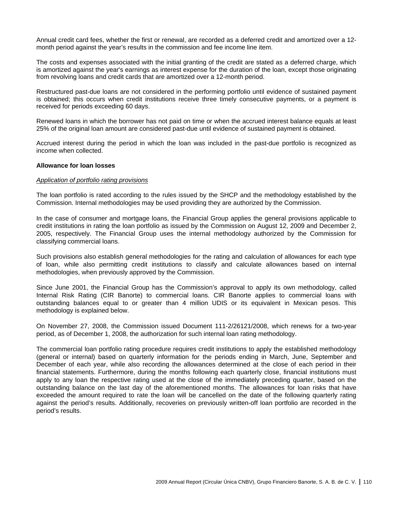Annual credit card fees, whether the first or renewal, are recorded as a deferred credit and amortized over a 12 month period against the year's results in the commission and fee income line item.

The costs and expenses associated with the initial granting of the credit are stated as a deferred charge, which is amortized against the year's earnings as interest expense for the duration of the loan, except those originating from revolving loans and credit cards that are amortized over a 12-month period.

Restructured past-due loans are not considered in the performing portfolio until evidence of sustained payment is obtained; this occurs when credit institutions receive three timely consecutive payments, or a payment is received for periods exceeding 60 days.

Renewed loans in which the borrower has not paid on time or when the accrued interest balance equals at least 25% of the original loan amount are considered past-due until evidence of sustained payment is obtained.

Accrued interest during the period in which the loan was included in the past-due portfolio is recognized as income when collected.

#### **Allowance for loan losses**

#### *Application of portfolio rating provisions*

The loan portfolio is rated according to the rules issued by the SHCP and the methodology established by the Commission. Internal methodologies may be used providing they are authorized by the Commission.

In the case of consumer and mortgage loans, the Financial Group applies the general provisions applicable to credit institutions in rating the loan portfolio as issued by the Commission on August 12, 2009 and December 2, 2005, respectively. The Financial Group uses the internal methodology authorized by the Commission for classifying commercial loans.

Such provisions also establish general methodologies for the rating and calculation of allowances for each type of loan, while also permitting credit institutions to classify and calculate allowances based on internal methodologies, when previously approved by the Commission.

Since June 2001, the Financial Group has the Commission's approval to apply its own methodology, called Internal Risk Rating (CIR Banorte) to commercial loans. CIR Banorte applies to commercial loans with outstanding balances equal to or greater than 4 million UDIS or its equivalent in Mexican pesos. This methodology is explained below.

On November 27, 2008, the Commission issued Document 111-2/26121/2008, which renews for a two-year period, as of December 1, 2008, the authorization for such internal loan rating methodology.

The commercial loan portfolio rating procedure requires credit institutions to apply the established methodology (general or internal) based on quarterly information for the periods ending in March, June, September and December of each year, while also recording the allowances determined at the close of each period in their financial statements. Furthermore, during the months following each quarterly close, financial institutions must apply to any loan the respective rating used at the close of the immediately preceding quarter, based on the outstanding balance on the last day of the aforementioned months. The allowances for loan risks that have exceeded the amount required to rate the loan will be cancelled on the date of the following quarterly rating against the period's results. Additionally, recoveries on previously written-off loan portfolio are recorded in the period's results.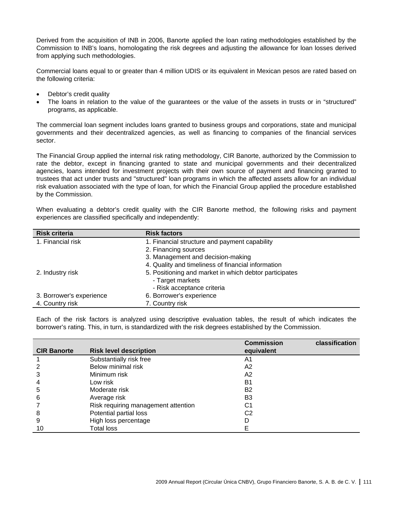Derived from the acquisition of INB in 2006, Banorte applied the loan rating methodologies established by the Commission to INB's loans, homologating the risk degrees and adjusting the allowance for loan losses derived from applying such methodologies.

Commercial loans equal to or greater than 4 million UDIS or its equivalent in Mexican pesos are rated based on the following criteria:

- Debtor's credit quality
- The loans in relation to the value of the guarantees or the value of the assets in trusts or in "structured" programs, as applicable.

The commercial loan segment includes loans granted to business groups and corporations, state and municipal governments and their decentralized agencies, as well as financing to companies of the financial services sector.

The Financial Group applied the internal risk rating methodology, CIR Banorte, authorized by the Commission to rate the debtor, except in financing granted to state and municipal governments and their decentralized agencies, loans intended for investment projects with their own source of payment and financing granted to trustees that act under trusts and "structured" loan programs in which the affected assets allow for an individual risk evaluation associated with the type of loan, for which the Financial Group applied the procedure established by the Commission.

When evaluating a debtor's credit quality with the CIR Banorte method, the following risks and payment experiences are classified specifically and independently:

| <b>Risk criteria</b>     | <b>Risk factors</b>                                    |
|--------------------------|--------------------------------------------------------|
| 1. Financial risk        | 1. Financial structure and payment capability          |
|                          | 2. Financing sources                                   |
|                          | 3. Management and decision-making                      |
|                          | 4. Quality and timeliness of financial information     |
| 2. Industry risk         | 5. Positioning and market in which debtor participates |
|                          | - Target markets                                       |
|                          | - Risk acceptance criteria                             |
| 3. Borrower's experience | 6. Borrower's experience                               |
| 4. Country risk          | 7. Country risk                                        |

Each of the risk factors is analyzed using descriptive evaluation tables, the result of which indicates the borrower's rating. This, in turn, is standardized with the risk degrees established by the Commission.

|                    |                                     | <b>Commission</b> | classification |
|--------------------|-------------------------------------|-------------------|----------------|
| <b>CIR Banorte</b> | <b>Risk level description</b>       | equivalent        |                |
|                    | Substantially risk free             | A1                |                |
|                    | Below minimal risk                  | A2                |                |
| 3                  | Minimum risk                        | A2                |                |
| 4                  | Low risk                            | Β1                |                |
| 5                  | Moderate risk                       | B2                |                |
| 6                  | Average risk                        | B3                |                |
|                    | Risk requiring management attention | C1                |                |
| 8                  | Potential partial loss              | C2                |                |
| 9                  | High loss percentage                |                   |                |
| 10                 | <b>Total loss</b>                   |                   |                |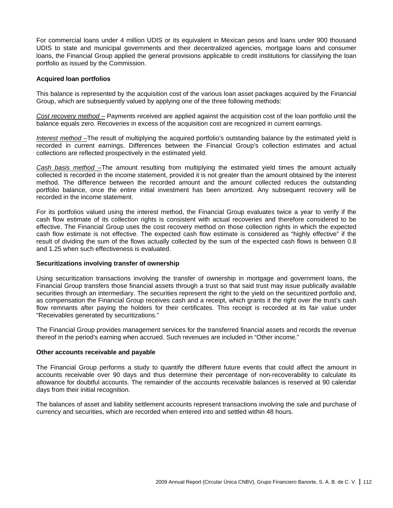For commercial loans under 4 million UDIS or its equivalent in Mexican pesos and loans under 900 thousand UDIS to state and municipal governments and their decentralized agencies, mortgage loans and consumer loans, the Financial Group applied the general provisions applicable to credit institutions for classifying the loan portfolio as issued by the Commission.

### **Acquired loan portfolios**

This balance is represented by the acquisition cost of the various loan asset packages acquired by the Financial Group, which are subsequently valued by applying one of the three following methods:

*Cost recovery method –* Payments received are applied against the acquisition cost of the loan portfolio until the balance equals zero. Recoveries in excess of the acquisition cost are recognized in current earnings.

*Interest method –*The result of multiplying the acquired portfolio's outstanding balance by the estimated yield is recorded in current earnings. Differences between the Financial Group's collection estimates and actual collections are reflected prospectively in the estimated yield.

*Cash basis method –*The amount resulting from multiplying the estimated yield times the amount actually collected is recorded in the income statement, provided it is not greater than the amount obtained by the interest method. The difference between the recorded amount and the amount collected reduces the outstanding portfolio balance, once the entire initial investment has been amortized. Any subsequent recovery will be recorded in the income statement.

For its portfolios valued using the interest method, the Financial Group evaluates twice a year to verify if the cash flow estimate of its collection rights is consistent with actual recoveries and therefore considered to be effective. The Financial Group uses the cost recovery method on those collection rights in which the expected cash flow estimate is not effective. The expected cash flow estimate is considered as "highly effective" if the result of dividing the sum of the flows actually collected by the sum of the expected cash flows is between 0.8 and 1.25 when such effectiveness is evaluated.

#### **Securitizations involving transfer of ownership**

Using securitization transactions involving the transfer of ownership in mortgage and government loans, the Financial Group transfers those financial assets through a trust so that said trust may issue publically available securities through an intermediary. The securities represent the right to the yield on the securitized portfolio and, as compensation the Financial Group receives cash and a receipt, which grants it the right over the trust's cash flow remnants after paying the holders for their certificates. This receipt is recorded at its fair value under "Receivables generated by securitizations."

The Financial Group provides management services for the transferred financial assets and records the revenue thereof in the period's earning when accrued. Such revenues are included in "Other income."

### **Other accounts receivable and payable**

The Financial Group performs a study to quantify the different future events that could affect the amount in accounts receivable over 90 days and thus determine their percentage of non-recoverability to calculate its allowance for doubtful accounts. The remainder of the accounts receivable balances is reserved at 90 calendar days from their initial recognition.

The balances of asset and liability settlement accounts represent transactions involving the sale and purchase of currency and securities, which are recorded when entered into and settled within 48 hours.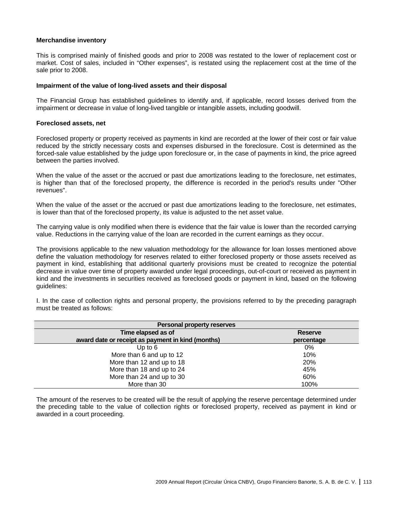## **Merchandise inventory**

This is comprised mainly of finished goods and prior to 2008 was restated to the lower of replacement cost or market. Cost of sales, included in "Other expenses", is restated using the replacement cost at the time of the sale prior to 2008.

#### **Impairment of the value of long-lived assets and their disposal**

The Financial Group has established guidelines to identify and, if applicable, record losses derived from the impairment or decrease in value of long-lived tangible or intangible assets, including goodwill.

#### **Foreclosed assets, net**

Foreclosed property or property received as payments in kind are recorded at the lower of their cost or fair value reduced by the strictly necessary costs and expenses disbursed in the foreclosure. Cost is determined as the forced-sale value established by the judge upon foreclosure or, in the case of payments in kind, the price agreed between the parties involved.

When the value of the asset or the accrued or past due amortizations leading to the foreclosure, net estimates, is higher than that of the foreclosed property, the difference is recorded in the period's results under "Other revenues".

When the value of the asset or the accrued or past due amortizations leading to the foreclosure, net estimates, is lower than that of the foreclosed property, its value is adjusted to the net asset value.

The carrying value is only modified when there is evidence that the fair value is lower than the recorded carrying value. Reductions in the carrying value of the loan are recorded in the current earnings as they occur.

The provisions applicable to the new valuation methodology for the allowance for loan losses mentioned above define the valuation methodology for reserves related to either foreclosed property or those assets received as payment in kind, establishing that additional quarterly provisions must be created to recognize the potential decrease in value over time of property awarded under legal proceedings, out-of-court or received as payment in kind and the investments in securities received as foreclosed goods or payment in kind, based on the following guidelines:

I. In the case of collection rights and personal property, the provisions referred to by the preceding paragraph must be treated as follows:

| Personal property reserves                        |                |  |  |  |
|---------------------------------------------------|----------------|--|--|--|
| Time elapsed as of                                | <b>Reserve</b> |  |  |  |
| award date or receipt as payment in kind (months) | percentage     |  |  |  |
| Up to $6$                                         | $0\%$          |  |  |  |
| More than 6 and up to 12                          | 10%            |  |  |  |
| More than 12 and up to 18                         | 20%            |  |  |  |
| More than 18 and up to 24                         | 45%            |  |  |  |
| More than 24 and up to 30                         | 60%            |  |  |  |
| More than 30                                      | 100%           |  |  |  |

The amount of the reserves to be created will be the result of applying the reserve percentage determined under the preceding table to the value of collection rights or foreclosed property, received as payment in kind or awarded in a court proceeding.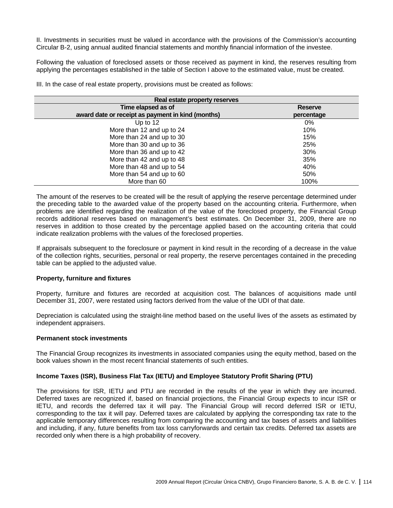II. Investments in securities must be valued in accordance with the provisions of the Commission's accounting Circular B-2, using annual audited financial statements and monthly financial information of the investee.

Following the valuation of foreclosed assets or those received as payment in kind, the reserves resulting from applying the percentages established in the table of Section I above to the estimated value, must be created.

III. In the case of real estate property, provisions must be created as follows:

| Real estate property reserves                     |                |  |  |  |
|---------------------------------------------------|----------------|--|--|--|
| Time elapsed as of                                | <b>Reserve</b> |  |  |  |
| award date or receipt as payment in kind (months) | percentage     |  |  |  |
| Up to $12$                                        | $0\%$          |  |  |  |
| More than 12 and up to 24                         | 10%            |  |  |  |
| More than 24 and up to 30                         | 15%            |  |  |  |
| More than 30 and up to 36                         | 25%            |  |  |  |
| More than 36 and up to 42                         | 30%            |  |  |  |
| More than 42 and up to 48                         | 35%            |  |  |  |
| More than 48 and up to 54                         | 40%            |  |  |  |
| More than 54 and up to 60                         | 50%            |  |  |  |
| More than 60                                      | 100%           |  |  |  |

The amount of the reserves to be created will be the result of applying the reserve percentage determined under the preceding table to the awarded value of the property based on the accounting criteria. Furthermore, when problems are identified regarding the realization of the value of the foreclosed property, the Financial Group records additional reserves based on management's best estimates. On December 31, 2009, there are no reserves in addition to those created by the percentage applied based on the accounting criteria that could indicate realization problems with the values of the foreclosed properties.

If appraisals subsequent to the foreclosure or payment in kind result in the recording of a decrease in the value of the collection rights, securities, personal or real property, the reserve percentages contained in the preceding table can be applied to the adjusted value.

## **Property, furniture and fixtures**

Property, furniture and fixtures are recorded at acquisition cost. The balances of acquisitions made until December 31, 2007, were restated using factors derived from the value of the UDI of that date.

Depreciation is calculated using the straight-line method based on the useful lives of the assets as estimated by independent appraisers.

#### **Permanent stock investments**

The Financial Group recognizes its investments in associated companies using the equity method, based on the book values shown in the most recent financial statements of such entities.

## **Income Taxes (ISR), Business Flat Tax (IETU) and Employee Statutory Profit Sharing (PTU)**

The provisions for ISR, IETU and PTU are recorded in the results of the year in which they are incurred. Deferred taxes are recognized if, based on financial projections, the Financial Group expects to incur ISR or IETU, and records the deferred tax it will pay. The Financial Group will record deferred ISR or IETU, corresponding to the tax it will pay. Deferred taxes are calculated by applying the corresponding tax rate to the applicable temporary differences resulting from comparing the accounting and tax bases of assets and liabilities and including, if any, future benefits from tax loss carryforwards and certain tax credits. Deferred tax assets are recorded only when there is a high probability of recovery.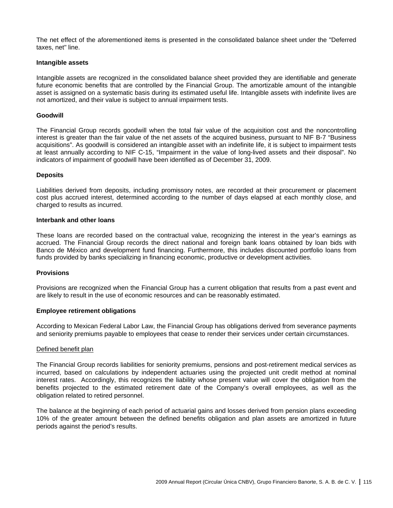The net effect of the aforementioned items is presented in the consolidated balance sheet under the "Deferred taxes, net" line.

### **Intangible assets**

Intangible assets are recognized in the consolidated balance sheet provided they are identifiable and generate future economic benefits that are controlled by the Financial Group. The amortizable amount of the intangible asset is assigned on a systematic basis during its estimated useful life. Intangible assets with indefinite lives are not amortized, and their value is subject to annual impairment tests.

### **Goodwill**

The Financial Group records goodwill when the total fair value of the acquisition cost and the noncontrolling interest is greater than the fair value of the net assets of the acquired business, pursuant to NIF B-7 "Business acquisitions". As goodwill is considered an intangible asset with an indefinite life, it is subject to impairment tests at least annually according to NIF C-15, "Impairment in the value of long-lived assets and their disposal". No indicators of impairment of goodwill have been identified as of December 31, 2009.

### **Deposits**

Liabilities derived from deposits, including promissory notes, are recorded at their procurement or placement cost plus accrued interest, determined according to the number of days elapsed at each monthly close, and charged to results as incurred.

#### **Interbank and other loans**

These loans are recorded based on the contractual value, recognizing the interest in the year's earnings as accrued. The Financial Group records the direct national and foreign bank loans obtained by loan bids with Banco de México and development fund financing. Furthermore, this includes discounted portfolio loans from funds provided by banks specializing in financing economic, productive or development activities.

#### **Provisions**

Provisions are recognized when the Financial Group has a current obligation that results from a past event and are likely to result in the use of economic resources and can be reasonably estimated.

## **Employee retirement obligations**

According to Mexican Federal Labor Law, the Financial Group has obligations derived from severance payments and seniority premiums payable to employees that cease to render their services under certain circumstances.

#### Defined benefit plan

The Financial Group records liabilities for seniority premiums, pensions and post-retirement medical services as incurred, based on calculations by independent actuaries using the projected unit credit method at nominal interest rates. Accordingly, this recognizes the liability whose present value will cover the obligation from the benefits projected to the estimated retirement date of the Company's overall employees, as well as the obligation related to retired personnel.

The balance at the beginning of each period of actuarial gains and losses derived from pension plans exceeding 10% of the greater amount between the defined benefits obligation and plan assets are amortized in future periods against the period's results.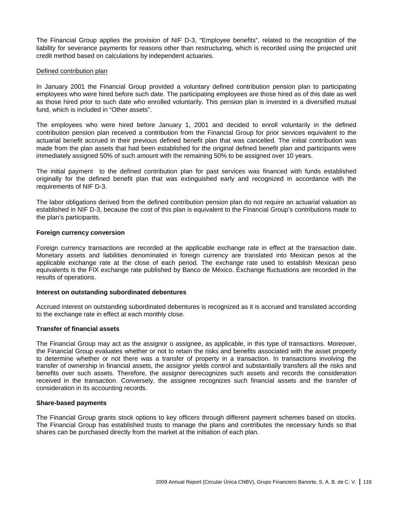The Financial Group applies the provision of NIF D-3, "Employee benefits", related to the recognition of the liability for severance payments for reasons other than restructuring, which is recorded using the projected unit credit method based on calculations by independent actuaries.

## Defined contribution plan

In January 2001 the Financial Group provided a voluntary defined contribution pension plan to participating employees who were hired before such date. The participating employees are those hired as of this date as well as those hired prior to such date who enrolled voluntarily. This pension plan is invested in a diversified mutual fund, which is included in "Other assets".

The employees who were hired before January 1, 2001 and decided to enroll voluntarily in the defined contribution pension plan received a contribution from the Financial Group for prior services equivalent to the actuarial benefit accrued in their previous defined benefit plan that was cancelled. The initial contribution was made from the plan assets that had been established for the original defined benefit plan and participants were immediately assigned 50% of such amount with the remaining 50% to be assigned over 10 years.

The initial payment to the defined contribution plan for past services was financed with funds established originally for the defined benefit plan that was extinguished early and recognized in accordance with the requirements of NIF D-3.

The labor obligations derived from the defined contribution pension plan do not require an actuarial valuation as established in NIF D-3, because the cost of this plan is equivalent to the Financial Group's contributions made to the plan's participants.

### **Foreign currency conversion**

Foreign currency transactions are recorded at the applicable exchange rate in effect at the transaction date. Monetary assets and liabilities denominated in foreign currency are translated into Mexican pesos at the applicable exchange rate at the close of each period. The exchange rate used to establish Mexican peso equivalents is the FIX exchange rate published by Banco de México. Exchange fluctuations are recorded in the results of operations.

#### **Interest on outstanding subordinated debentures**

Accrued interest on outstanding subordinated debentures is recognized as it is accrued and translated according to the exchange rate in effect at each monthly close.

## **Transfer of financial assets**

The Financial Group may act as the assignor o assignee, as applicable, in this type of transactions. Moreover, the Financial Group evaluates whether or not to retain the risks and benefits associated with the asset property to determine whether or not there was a transfer of property in a transaction. In transactions involving the transfer of ownership in financial assets, the assignor yields control and substantially transfers all the risks and benefits over such assets. Therefore, the assignor derecognizes such assets and records the consideration received in the transaction. Conversely, the assignee recognizes such financial assets and the transfer of consideration in its accounting records.

## **Share-based payments**

The Financial Group grants stock options to key officers through different payment schemes based on stocks. The Financial Group has established trusts to manage the plans and contributes the necessary funds so that shares can be purchased directly from the market at the initiation of each plan.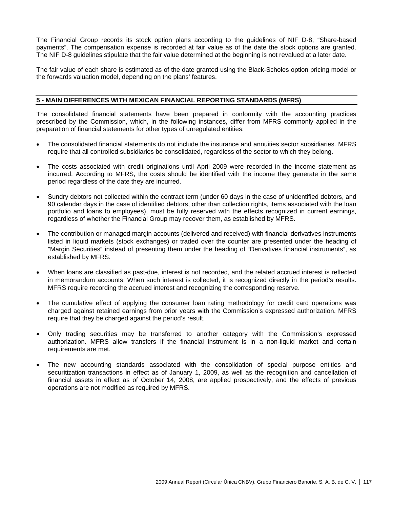The Financial Group records its stock option plans according to the guidelines of NIF D-8, "Share-based payments". The compensation expense is recorded at fair value as of the date the stock options are granted. The NIF D-8 guidelines stipulate that the fair value determined at the beginning is not revalued at a later date.

The fair value of each share is estimated as of the date granted using the Black-Scholes option pricing model or the forwards valuation model, depending on the plans' features.

## **5 - MAIN DIFFERENCES WITH MEXICAN FINANCIAL REPORTING STANDARDS (MFRS)**

The consolidated financial statements have been prepared in conformity with the accounting practices prescribed by the Commission, which, in the following instances, differ from MFRS commonly applied in the preparation of financial statements for other types of unregulated entities:

- The consolidated financial statements do not include the insurance and annuities sector subsidiaries. MFRS require that all controlled subsidiaries be consolidated, regardless of the sector to which they belong.
- The costs associated with credit originations until April 2009 were recorded in the income statement as incurred. According to MFRS, the costs should be identified with the income they generate in the same period regardless of the date they are incurred.
- Sundry debtors not collected within the contract term (under 60 days in the case of unidentified debtors, and 90 calendar days in the case of identified debtors, other than collection rights, items associated with the loan portfolio and loans to employees), must be fully reserved with the effects recognized in current earnings, regardless of whether the Financial Group may recover them, as established by MFRS.
- The contribution or managed margin accounts (delivered and received) with financial derivatives instruments listed in liquid markets (stock exchanges) or traded over the counter are presented under the heading of "Margin Securities" instead of presenting them under the heading of "Derivatives financial instruments", as established by MFRS.
- When loans are classified as past-due, interest is not recorded, and the related accrued interest is reflected in memorandum accounts. When such interest is collected, it is recognized directly in the period's results. MFRS require recording the accrued interest and recognizing the corresponding reserve.
- The cumulative effect of applying the consumer loan rating methodology for credit card operations was charged against retained earnings from prior years with the Commission's expressed authorization. MFRS require that they be charged against the period's result.
- Only trading securities may be transferred to another category with the Commission's expressed authorization. MFRS allow transfers if the financial instrument is in a non-liquid market and certain requirements are met.
- The new accounting standards associated with the consolidation of special purpose entities and securitization transactions in effect as of January 1, 2009, as well as the recognition and cancellation of financial assets in effect as of October 14, 2008, are applied prospectively, and the effects of previous operations are not modified as required by MFRS.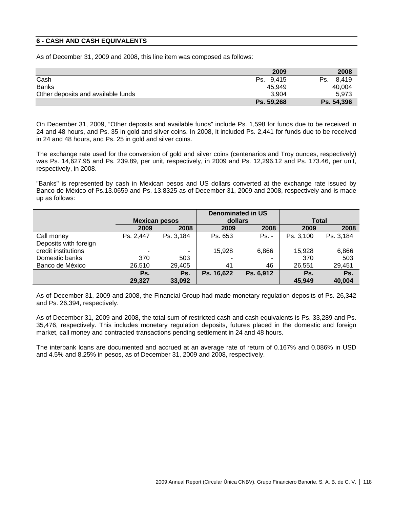# **6 - CASH AND CASH EQUIVALENTS**

As of December 31, 2009 and 2008, this line item was composed as follows:

|                                    | 2009       | 2008         |
|------------------------------------|------------|--------------|
| Cash                               | Ps. 9,415  | 8.419<br>Ps. |
| <b>Banks</b>                       | 45,949     | 40,004       |
| Other deposits and available funds | 3.904      | 5.973        |
|                                    | Ps. 59,268 | Ps. 54,396   |

On December 31, 2009, "Other deposits and available funds" include Ps. 1,598 for funds due to be received in 24 and 48 hours, and Ps. 35 in gold and silver coins. In 2008, it included Ps. 2,441 for funds due to be received in 24 and 48 hours, and Ps. 25 in gold and silver coins.

The exchange rate used for the conversion of gold and silver coins (centenarios and Troy ounces, respectively) was Ps. 14,627.95 and Ps. 239.89, per unit, respectively, in 2009 and Ps. 12,296.12 and Ps. 173.46, per unit, respectively, in 2008.

"Banks" is represented by cash in Mexican pesos and US dollars converted at the exchange rate issued by Banco de México of Ps.13.0659 and Ps. 13.8325 as of December 31, 2009 and 2008, respectively and is made up as follows:

|                       |                      |           | <b>Denominated in US</b> |           |              |           |
|-----------------------|----------------------|-----------|--------------------------|-----------|--------------|-----------|
|                       | <b>Mexican pesos</b> |           | dollars                  |           | <b>Total</b> |           |
|                       | 2009                 | 2008      | 2009                     | 2008      | 2009         | 2008      |
| Call money            | Ps. 2,447            | Ps. 3,184 | Ps. 653                  | $Ps. -$   | Ps. 3,100    | Ps. 3,184 |
| Deposits with foreign |                      |           |                          |           |              |           |
| credit institutions   | ۰                    | ۰         | 15,928                   | 6,866     | 15,928       | 6,866     |
| Domestic banks        | 370                  | 503       |                          | ٠         | 370          | 503       |
| Banco de México       | 26,510               | 29,405    | 41                       | 46        | 26,551       | 29,451    |
|                       | Ps.                  | Ps.       | Ps. 16,622               | Ps. 6,912 | Ps.          | Ps.       |
|                       | 29,327               | 33,092    |                          |           | 45,949       | 40,004    |

As of December 31, 2009 and 2008, the Financial Group had made monetary regulation deposits of Ps. 26,342 and Ps. 26,394, respectively.

As of December 31, 2009 and 2008, the total sum of restricted cash and cash equivalents is Ps. 33,289 and Ps. 35,476, respectively. This includes monetary regulation deposits, futures placed in the domestic and foreign market, call money and contracted transactions pending settlement in 24 and 48 hours.

The interbank loans are documented and accrued at an average rate of return of 0.167% and 0.086% in USD and 4.5% and 8.25% in pesos, as of December 31, 2009 and 2008, respectively.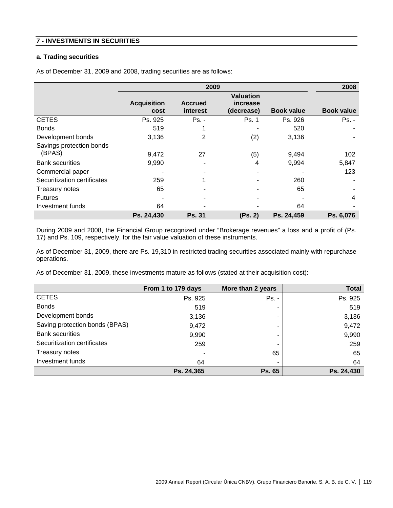# **7 - INVESTMENTS IN SECURITIES**

# **a. Trading securities**

As of December 31, 2009 and 2008, trading securities are as follows:

|                                    | 2009                       |                            |                                            |                   | 2008              |
|------------------------------------|----------------------------|----------------------------|--------------------------------------------|-------------------|-------------------|
|                                    | <b>Acquisition</b><br>cost | <b>Accrued</b><br>interest | <b>Valuation</b><br>increase<br>(decrease) | <b>Book value</b> | <b>Book value</b> |
| <b>CETES</b>                       | Ps. 925                    | $Ps. -$                    | Ps. 1                                      | Ps. 926           | $Ps. -$           |
| <b>Bonds</b>                       | 519                        |                            |                                            | 520               |                   |
| Development bonds                  | 3,136                      | 2                          | (2)                                        | 3,136             |                   |
| Savings protection bonds<br>(BPAS) | 9,472                      | 27                         | (5)                                        | 9,494             | 102               |
| <b>Bank securities</b>             | 9,990                      |                            | 4                                          | 9,994             | 5,847             |
| Commercial paper                   |                            |                            |                                            |                   | 123               |
| Securitization certificates        | 259                        |                            |                                            | 260               |                   |
| Treasury notes                     | 65                         |                            |                                            | 65                |                   |
| <b>Futures</b>                     |                            |                            |                                            |                   | 4                 |
| Investment funds                   | 64                         |                            |                                            | 64                |                   |
|                                    | Ps. 24,430                 | <b>Ps. 31</b>              | (Ps. 2)                                    | Ps. 24,459        | Ps. 6,076         |

During 2009 and 2008, the Financial Group recognized under "Brokerage revenues" a loss and a profit of (Ps. 17) and Ps. 109, respectively, for the fair value valuation of these instruments.

As of December 31, 2009, there are Ps. 19,310 in restricted trading securities associated mainly with repurchase operations.

As of December 31, 2009, these investments mature as follows (stated at their acquisition cost):

|                                | From 1 to 179 days | More than 2 years | <b>Total</b> |
|--------------------------------|--------------------|-------------------|--------------|
| <b>CETES</b>                   | Ps. 925            | Ps. -             | Ps. 925      |
| <b>Bonds</b>                   | 519                |                   | 519          |
| Development bonds              | 3,136              | ۰                 | 3,136        |
| Saving protection bonds (BPAS) | 9,472              |                   | 9,472        |
| <b>Bank securities</b>         | 9,990              |                   | 9,990        |
| Securitization certificates    | 259                | ۰                 | 259          |
| Treasury notes                 | -                  | 65                | 65           |
| Investment funds               | 64                 |                   | 64           |
|                                | Ps. 24,365         | <b>Ps. 65</b>     | Ps. 24,430   |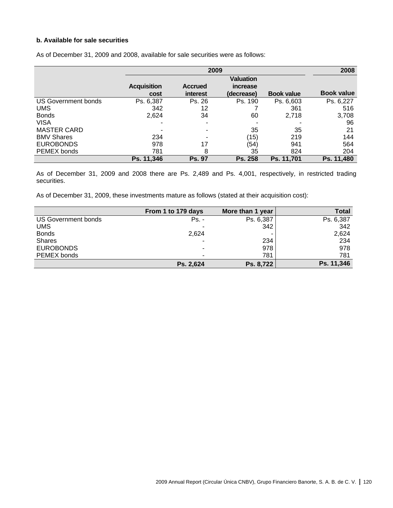# **b. Available for sale securities**

|                            | 2009               |                |                  |                   | 2008              |
|----------------------------|--------------------|----------------|------------------|-------------------|-------------------|
|                            |                    |                | <b>Valuation</b> |                   |                   |
|                            | <b>Acquisition</b> | <b>Accrued</b> | increase         |                   |                   |
|                            | cost               | interest       | (decrease)       | <b>Book value</b> | <b>Book value</b> |
| <b>US Government bonds</b> | Ps. 6,387          | Ps. 26         | Ps. 190          | Ps. 6,603         | Ps. 6,227         |
| <b>UMS</b>                 | 342                | 12             |                  | 361               | 516               |
| <b>Bonds</b>               | 2,624              | 34             | 60               | 2,718             | 3,708             |
| <b>VISA</b>                |                    |                |                  |                   | 96                |
| <b>MASTER CARD</b>         |                    |                | 35               | 35                | 21                |
| <b>BMV Shares</b>          | 234                |                | (15)             | 219               | 144               |
| <b>EUROBONDS</b>           | 978                | 17             | (54)             | 941               | 564               |
| PEMEX bonds                | 781                | 8              | 35               | 824               | 204               |
|                            | Ps. 11,346         | <b>Ps. 97</b>  | <b>Ps. 258</b>   | Ps. 11.701        | Ps. 11,480        |

As of December 31, 2009 and 2008, available for sale securities were as follows:

As of December 31, 2009 and 2008 there are Ps. 2,489 and Ps. 4,001, respectively, in restricted trading securities.

As of December 31, 2009, these investments mature as follows (stated at their acquisition cost):

|                     | From 1 to 179 days | More than 1 year | <b>Total</b> |
|---------------------|--------------------|------------------|--------------|
| US Government bonds | Ps. -              | Ps. 6,387        | Ps. 6,387    |
| <b>UMS</b>          | -                  | 342              | 342          |
| <b>Bonds</b>        | 2.624              |                  | 2,624        |
| <b>Shares</b>       | ۰                  | 234              | 234          |
| <b>EUROBONDS</b>    | -                  | 978              | 978          |
| PEMEX bonds         | -                  | 781              | 781          |
|                     | Ps. 2,624          | Ps. 8,722        | Ps. 11,346   |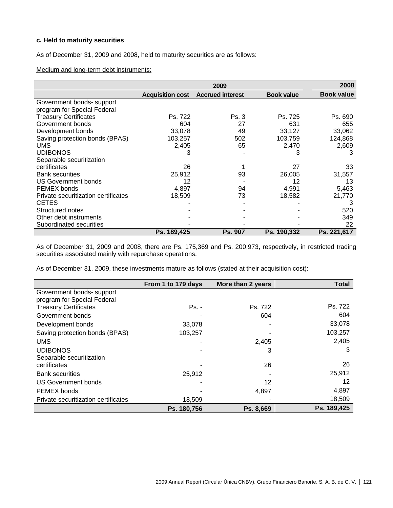# **c. Held to maturity securities**

As of December 31, 2009 and 2008, held to maturity securities are as follows:

Medium and long-term debt instruments:

|                                     |                         | 2008                    |                   |                   |
|-------------------------------------|-------------------------|-------------------------|-------------------|-------------------|
|                                     | <b>Acquisition cost</b> | <b>Accrued interest</b> | <b>Book value</b> | <b>Book value</b> |
| Government bonds-support            |                         |                         |                   |                   |
| program for Special Federal         |                         |                         |                   |                   |
| <b>Treasury Certificates</b>        | Ps. 722                 | Ps.3                    | Ps. 725           | Ps. 690           |
| Government bonds                    | 604                     | 27                      | 631               | 655               |
| Development bonds                   | 33,078                  | 49                      | 33,127            | 33,062            |
| Saving protection bonds (BPAS)      | 103,257                 | 502                     | 103,759           | 124,868           |
| <b>UMS</b>                          | 2,405                   | 65                      | 2,470             | 2,609             |
| <b>UDIBONOS</b>                     | 3                       |                         | 3                 | 3                 |
| Separable securitization            |                         |                         |                   |                   |
| certificates                        | 26                      |                         | 27                | 33                |
| <b>Bank securities</b>              | 25,912                  | 93                      | 26,005            | 31,557            |
| US Government bonds                 | 12                      |                         | 12                | 13                |
| PEMEX bonds                         | 4,897                   | 94                      | 4,991             | 5,463             |
| Private securitization certificates | 18,509                  | 73                      | 18,582            | 21,770            |
| <b>CETES</b>                        |                         |                         |                   | 3                 |
| Structured notes                    |                         |                         |                   | 520               |
| Other debt instruments              |                         |                         |                   | 349               |
| Subordinated securities             |                         |                         |                   | 22                |
|                                     | Ps. 189,425             | <b>Ps. 907</b>          | Ps. 190,332       | Ps. 221,617       |

As of December 31, 2009 and 2008, there are Ps. 175,369 and Ps. 200,973, respectively, in restricted trading securities associated mainly with repurchase operations.

As of December 31, 2009, these investments mature as follows (stated at their acquisition cost):

|                                     | From 1 to 179 days | More than 2 years | <b>Total</b> |
|-------------------------------------|--------------------|-------------------|--------------|
| Government bonds- support           |                    |                   |              |
| program for Special Federal         |                    |                   |              |
| <b>Treasury Certificates</b>        | $Ps. -$            | Ps. 722           | Ps. 722      |
| Government bonds                    |                    | 604               | 604          |
| Development bonds                   | 33,078             |                   | 33,078       |
| Saving protection bonds (BPAS)      | 103,257            |                   | 103,257      |
| <b>UMS</b>                          |                    | 2,405             | 2,405        |
| <b>UDIBONOS</b>                     |                    | 3                 | 3            |
| Separable securitization            |                    |                   |              |
| certificates                        |                    | 26                | 26           |
| <b>Bank securities</b>              | 25,912             |                   | 25,912       |
| <b>US Government bonds</b>          |                    | 12                | 12           |
| <b>PEMEX bonds</b>                  |                    | 4,897             | 4,897        |
| Private securitization certificates | 18,509             |                   | 18,509       |
|                                     | Ps. 180,756        | Ps. 8,669         | Ps. 189,425  |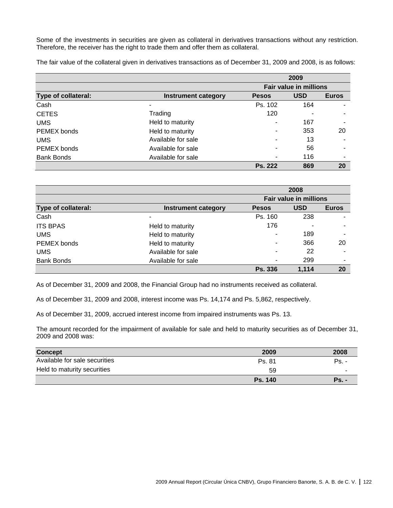Some of the investments in securities are given as collateral in derivatives transactions without any restriction. Therefore, the receiver has the right to trade them and offer them as collateral.

The fair value of the collateral given in derivatives transactions as of December 31, 2009 and 2008, is as follows:

|                     |                     | 2009                          |            |              |
|---------------------|---------------------|-------------------------------|------------|--------------|
|                     |                     | <b>Fair value in millions</b> |            |              |
| Type of collateral: | Instrument category | <b>Pesos</b>                  | <b>USD</b> | <b>Euros</b> |
| Cash                | -                   | Ps. 102                       | 164        |              |
| <b>CETES</b>        | Trading             | 120                           |            |              |
| <b>UMS</b>          | Held to maturity    |                               | 167        |              |
| PEMEX bonds         | Held to maturity    |                               | 353        | 20           |
| <b>UMS</b>          | Available for sale  |                               | 13         |              |
| PEMEX bonds         | Available for sale  | -                             | 56         | -            |
| <b>Bank Bonds</b>   | Available for sale  |                               | 116        | ۰            |
|                     |                     | <b>Ps. 222</b>                | 869        | 20           |

|                     |                     | 2008                          |            |              |
|---------------------|---------------------|-------------------------------|------------|--------------|
|                     |                     | <b>Fair value in millions</b> |            |              |
| Type of collateral: | Instrument category | <b>Pesos</b>                  | <b>USD</b> | <b>Euros</b> |
| Cash                |                     | Ps. 160                       | 238        |              |
| <b>ITS BPAS</b>     | Held to maturity    | 176                           |            |              |
| <b>UMS</b>          | Held to maturity    | $\overline{\phantom{a}}$      | 189        | ۰            |
| PEMEX bonds         | Held to maturity    |                               | 366        | 20           |
| <b>UMS</b>          | Available for sale  |                               | 22         |              |
| <b>Bank Bonds</b>   | Available for sale  | ٠                             | 299        | ۰            |
|                     |                     | <b>Ps. 336</b>                | 1.114      | 20           |

As of December 31, 2009 and 2008, the Financial Group had no instruments received as collateral.

As of December 31, 2009 and 2008, interest income was Ps. 14,174 and Ps. 5,862, respectively.

As of December 31, 2009, accrued interest income from impaired instruments was Ps. 13.

The amount recorded for the impairment of available for sale and held to maturity securities as of December 31, 2009 and 2008 was:

| <b>Concept</b>                | 2009           | 2008         |
|-------------------------------|----------------|--------------|
| Available for sale securities | <b>Ps. 81</b>  | $Ps. -$      |
| Held to maturity securities   | 59             |              |
|                               | <b>Ps. 140</b> | <b>Ps. -</b> |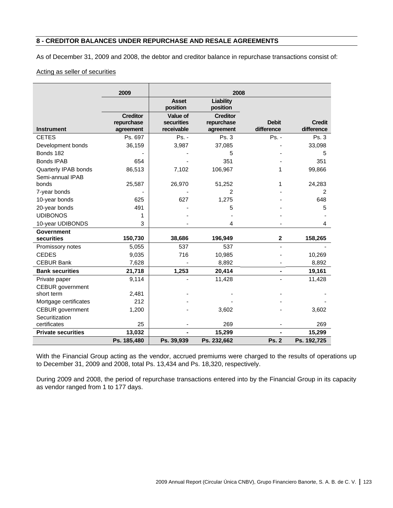# **8 - CREDITOR BALANCES UNDER REPURCHASE AND RESALE AGREEMENTS**

As of December 31, 2009 and 2008, the debtor and creditor balance in repurchase transactions consist of:

# Acting as seller of securities

| Liability<br>position<br><b>Creditor</b><br>repurchase<br><b>Debit</b><br><b>Credit</b> |
|-----------------------------------------------------------------------------------------|
|                                                                                         |
|                                                                                         |
| difference<br>difference<br>agreement                                                   |
| Ps. 3<br>Ps. -<br>Ps. 3                                                                 |
| 37,085<br>33,098                                                                        |
| 5<br>5                                                                                  |
| 351<br>351                                                                              |
| 106,967<br>99,866<br>1                                                                  |
|                                                                                         |
| 51,252<br>24,283<br>1                                                                   |
| $\overline{2}$<br>2                                                                     |
| 1,275<br>648                                                                            |
| 5<br>5                                                                                  |
|                                                                                         |
| 4<br>4                                                                                  |
|                                                                                         |
| 196,949<br>$\mathbf 2$<br>158,265                                                       |
| 537                                                                                     |
| 10,985<br>10,269                                                                        |
| 8,892<br>8,892                                                                          |
| 20,414<br>19,161                                                                        |
| 11,428<br>11,428                                                                        |
|                                                                                         |
|                                                                                         |
|                                                                                         |
| 3,602<br>3,602                                                                          |
| 269<br>269                                                                              |
| 15,299<br>15,299                                                                        |
| Ps. 232,662<br><b>Ps. 2</b><br>Ps. 192,725                                              |
|                                                                                         |

With the Financial Group acting as the vendor, accrued premiums were charged to the results of operations up to December 31, 2009 and 2008, total Ps. 13,434 and Ps. 18,320, respectively.

During 2009 and 2008, the period of repurchase transactions entered into by the Financial Group in its capacity as vendor ranged from 1 to 177 days.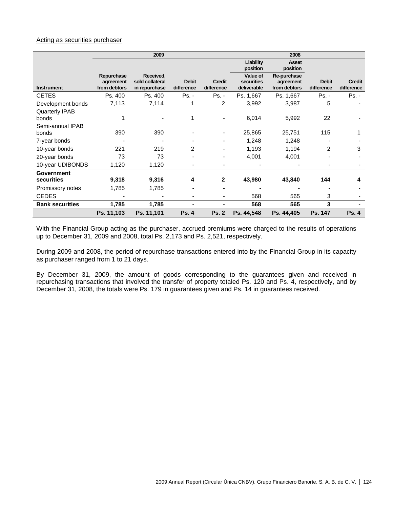### Acting as securities purchaser

|                           | 2009                                    |                                               |                            |                             |                                       | 2008                                     |                            |                             |
|---------------------------|-----------------------------------------|-----------------------------------------------|----------------------------|-----------------------------|---------------------------------------|------------------------------------------|----------------------------|-----------------------------|
|                           |                                         |                                               |                            |                             | Liability<br>position                 | <b>Asset</b><br>position                 |                            |                             |
| <b>Instrument</b>         | Repurchase<br>agreement<br>from debtors | Received,<br>sold collateral<br>in repurchase | <b>Debit</b><br>difference | <b>Credit</b><br>difference | Value of<br>securities<br>deliverable | Re-purchase<br>agreement<br>from debtors | <b>Debit</b><br>difference | <b>Credit</b><br>difference |
| <b>CETES</b>              | Ps. 400                                 | Ps. 400                                       | $Ps. -$                    | $Ps. -$                     | Ps. 1,667                             | Ps. 1,667                                | Ps. -                      | Ps. -                       |
| Development bonds         | 7,113                                   | 7,114                                         | 1                          | 2                           | 3,992                                 | 3,987                                    | 5                          |                             |
| Quarterly IPAB<br>bonds   |                                         |                                               | 1                          |                             | 6,014                                 | 5,992                                    | 22                         |                             |
| Semi-annual IPAB<br>bonds | 390                                     | 390                                           |                            |                             | 25,865                                | 25,751                                   | 115                        |                             |
| 7-year bonds              |                                         |                                               |                            |                             | 1,248                                 | 1,248                                    |                            |                             |
| 10-year bonds             | 221                                     | 219                                           | 2                          |                             | 1,193                                 | 1,194                                    | 2                          | 3                           |
| 20-year bonds             | 73                                      | 73                                            |                            |                             | 4,001                                 | 4,001                                    |                            |                             |
| 10-year UDIBONDS          | 1,120                                   | 1,120                                         |                            |                             |                                       |                                          |                            |                             |
| Government                |                                         |                                               |                            |                             |                                       |                                          |                            |                             |
| securities                | 9,318                                   | 9,316                                         | 4                          | $\mathbf{2}$                | 43,980                                | 43,840                                   | 144                        | 4                           |
| Promissory notes          | 1,785                                   | 1,785                                         |                            |                             |                                       |                                          |                            |                             |
| <b>CEDES</b>              |                                         |                                               |                            | ٠                           | 568                                   | 565                                      | 3                          |                             |
| <b>Bank securities</b>    | 1,785                                   | 1,785                                         |                            |                             | 568                                   | 565                                      | 3                          |                             |
|                           | Ps. 11,103                              | Ps. 11,101                                    | <b>Ps. 4</b>               | <b>Ps. 2</b>                | Ps. 44,548                            | Ps. 44,405                               | Ps. 147                    | <b>Ps. 4</b>                |

With the Financial Group acting as the purchaser, accrued premiums were charged to the results of operations up to December 31, 2009 and 2008, total Ps. 2,173 and Ps. 2,521, respectively.

During 2009 and 2008, the period of repurchase transactions entered into by the Financial Group in its capacity as purchaser ranged from 1 to 21 days.

By December 31, 2009, the amount of goods corresponding to the guarantees given and received in repurchasing transactions that involved the transfer of property totaled Ps. 120 and Ps. 4, respectively, and by December 31, 2008, the totals were Ps. 179 in guarantees given and Ps. 14 in guarantees received.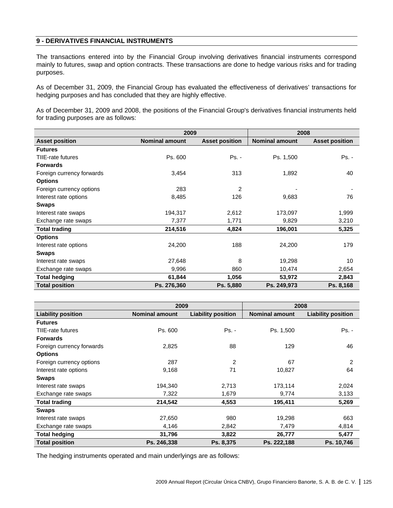# **9 - DERIVATIVES FINANCIAL INSTRUMENTS**

The transactions entered into by the Financial Group involving derivatives financial instruments correspond mainly to futures, swap and option contracts. These transactions are done to hedge various risks and for trading purposes.

As of December 31, 2009, the Financial Group has evaluated the effectiveness of derivatives' transactions for hedging purposes and has concluded that they are highly effective.

As of December 31, 2009 and 2008, the positions of the Financial Group's derivatives financial instruments held for trading purposes are as follows:

|                           |                       | 2009                  |                       | 2008                  |
|---------------------------|-----------------------|-----------------------|-----------------------|-----------------------|
| <b>Asset position</b>     | <b>Nominal amount</b> | <b>Asset position</b> | <b>Nominal amount</b> | <b>Asset position</b> |
| <b>Futures</b>            |                       |                       |                       |                       |
| TIIE-rate futures         | Ps. 600               | $Ps. -$               | Ps. 1,500             | $Ps. -$               |
| <b>Forwards</b>           |                       |                       |                       |                       |
| Foreign currency forwards | 3,454                 | 313                   | 1,892                 | 40                    |
| <b>Options</b>            |                       |                       |                       |                       |
| Foreign currency options  | 283                   | 2                     |                       |                       |
| Interest rate options     | 8,485                 | 126                   | 9,683                 | 76                    |
| <b>Swaps</b>              |                       |                       |                       |                       |
| Interest rate swaps       | 194,317               | 2,612                 | 173,097               | 1,999                 |
| Exchange rate swaps       | 7,377                 | 1,771                 | 9,829                 | 3,210                 |
| <b>Total trading</b>      | 214,516               | 4,824                 | 196,001               | 5,325                 |
| <b>Options</b>            |                       |                       |                       |                       |
| Interest rate options     | 24,200                | 188                   | 24,200                | 179                   |
| <b>Swaps</b>              |                       |                       |                       |                       |
| Interest rate swaps       | 27,648                | 8                     | 19,298                | 10                    |
| Exchange rate swaps       | 9,996                 | 860                   | 10,474                | 2,654                 |
| <b>Total hedging</b>      | 61,844                | 1,056                 | 53,972                | 2,843                 |
| <b>Total position</b>     | Ps. 276,360           | Ps. 5,880             | Ps. 249,973           | Ps. 8,168             |

|                           | 2009                  |                           | 2008                  |                           |
|---------------------------|-----------------------|---------------------------|-----------------------|---------------------------|
| <b>Liability position</b> | <b>Nominal amount</b> | <b>Liability position</b> | <b>Nominal amount</b> | <b>Liability position</b> |
| <b>Futures</b>            |                       |                           |                       |                           |
| TIIE-rate futures         | Ps. 600               | $Ps. -$                   | Ps. 1,500             | Ps. -                     |
| <b>Forwards</b>           |                       |                           |                       |                           |
| Foreign currency forwards | 2,825                 | 88                        | 129                   | 46                        |
| <b>Options</b>            |                       |                           |                       |                           |
| Foreign currency options  | 287                   | 2                         | 67                    | 2                         |
| Interest rate options     | 9,168                 | 71                        | 10,827                | 64                        |
| <b>Swaps</b>              |                       |                           |                       |                           |
| Interest rate swaps       | 194,340               | 2,713                     | 173,114               | 2,024                     |
| Exchange rate swaps       | 7,322                 | 1,679                     | 9,774                 | 3,133                     |
| <b>Total trading</b>      | 214,542               | 4,553                     | 195,411               | 5,269                     |
| <b>Swaps</b>              |                       |                           |                       |                           |
| Interest rate swaps       | 27,650                | 980                       | 19,298                | 663                       |
| Exchange rate swaps       | 4,146                 | 2,842                     | 7,479                 | 4,814                     |
| <b>Total hedging</b>      | 31,796                | 3,822                     | 26,777                | 5,477                     |
| <b>Total position</b>     | Ps. 246,338           | Ps. 8,375                 | Ps. 222,188           | Ps. 10,746                |

The hedging instruments operated and main underlyings are as follows: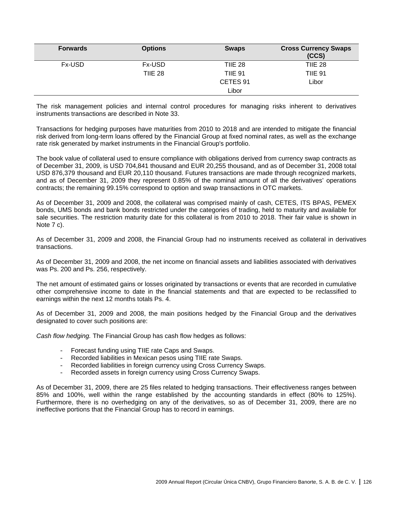| <b>Forwards</b> | <b>Options</b> | <b>Swaps</b>   | <b>Cross Currency Swaps</b><br>(CCS) |
|-----------------|----------------|----------------|--------------------------------------|
| Fx-USD          | <b>Fx-USD</b>  | <b>TIIE 28</b> | <b>TIIE 28</b>                       |
|                 | <b>TIIE 28</b> | <b>TIIE 91</b> | <b>TIIE 91</b>                       |
|                 |                | CETES 91       | Libor                                |
|                 |                | Libor          |                                      |

The risk management policies and internal control procedures for managing risks inherent to derivatives instruments transactions are described in Note 33.

Transactions for hedging purposes have maturities from 2010 to 2018 and are intended to mitigate the financial risk derived from long-term loans offered by the Financial Group at fixed nominal rates, as well as the exchange rate risk generated by market instruments in the Financial Group's portfolio.

The book value of collateral used to ensure compliance with obligations derived from currency swap contracts as of December 31, 2009, is USD 704,841 thousand and EUR 20,255 thousand, and as of December 31, 2008 total USD 876,379 thousand and EUR 20,110 thousand. Futures transactions are made through recognized markets, and as of December 31, 2009 they represent 0.85% of the nominal amount of all the derivatives' operations contracts; the remaining 99.15% correspond to option and swap transactions in OTC markets.

As of December 31, 2009 and 2008, the collateral was comprised mainly of cash, CETES, ITS BPAS, PEMEX bonds, UMS bonds and bank bonds restricted under the categories of trading, held to maturity and available for sale securities. The restriction maturity date for this collateral is from 2010 to 2018. Their fair value is shown in Note 7 c).

As of December 31, 2009 and 2008, the Financial Group had no instruments received as collateral in derivatives transactions.

As of December 31, 2009 and 2008, the net income on financial assets and liabilities associated with derivatives was Ps. 200 and Ps. 256, respectively.

The net amount of estimated gains or losses originated by transactions or events that are recorded in cumulative other comprehensive income to date in the financial statements and that are expected to be reclassified to earnings within the next 12 months totals Ps. 4.

As of December 31, 2009 and 2008, the main positions hedged by the Financial Group and the derivatives designated to cover such positions are:

*Cash flow hedging.* The Financial Group has cash flow hedges as follows:

- Forecast funding using TIIE rate Caps and Swaps.
- Recorded liabilities in Mexican pesos using TIIE rate Swaps.
- Recorded liabilities in foreign currency using Cross Currency Swaps.
- Recorded assets in foreign currency using Cross Currency Swaps.

As of December 31, 2009, there are 25 files related to hedging transactions. Their effectiveness ranges between 85% and 100%, well within the range established by the accounting standards in effect (80% to 125%). Furthermore, there is no overhedging on any of the derivatives, so as of December 31, 2009, there are no ineffective portions that the Financial Group has to record in earnings.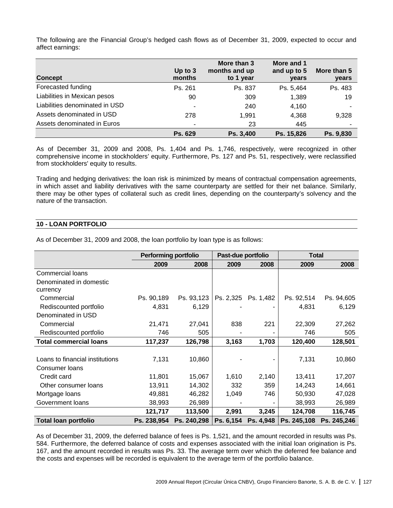The following are the Financial Group's hedged cash flows as of December 31, 2009, expected to occur and affect earnings:

| <b>Concept</b>                 | Up to $3$<br>months      | More than 3<br>months and up<br>to 1 year | More and 1<br>and up to 5<br>years | More than 5<br>years |
|--------------------------------|--------------------------|-------------------------------------------|------------------------------------|----------------------|
| Forecasted funding             | Ps. 261                  | Ps. 837                                   | Ps. 5,464                          | Ps. 483              |
| Liabilities in Mexican pesos   | 90                       | 309                                       | 1,389                              | 19                   |
| Liabilities denominated in USD | ٠                        | 240                                       | 4,160                              |                      |
| Assets denominated in USD      | 278                      | 1,991                                     | 4,368                              | 9,328                |
| Assets denominated in Euros    | $\overline{\phantom{0}}$ | 23                                        | 445                                |                      |
|                                | Ps. 629                  | Ps. 3,400                                 | Ps. 15,826                         | Ps. 9,830            |

As of December 31, 2009 and 2008, Ps. 1,404 and Ps. 1,746, respectively, were recognized in other comprehensive income in stockholders' equity. Furthermore, Ps. 127 and Ps. 51, respectively, were reclassified from stockholders' equity to results.

Trading and hedging derivatives: the loan risk is minimized by means of contractual compensation agreements, in which asset and liability derivatives with the same counterparty are settled for their net balance. Similarly, there may be other types of collateral such as credit lines, depending on the counterparty's solvency and the nature of the transaction.

# **10 - LOAN PORTFOLIO**

|                                 | <b>Performing portfolio</b> |             | Past-due portfolio |           | <b>Total</b> |             |
|---------------------------------|-----------------------------|-------------|--------------------|-----------|--------------|-------------|
|                                 | 2009                        | 2008        | 2009               | 2008      | 2009         | 2008        |
| <b>Commercial loans</b>         |                             |             |                    |           |              |             |
| Denominated in domestic         |                             |             |                    |           |              |             |
| currency                        |                             |             |                    |           |              |             |
| Commercial                      | Ps. 90,189                  | Ps. 93,123  | Ps. 2,325          | Ps. 1,482 | Ps. 92,514   | Ps. 94,605  |
| Rediscounted portfolio          | 4,831                       | 6,129       |                    |           | 4,831        | 6,129       |
| Denominated in USD              |                             |             |                    |           |              |             |
| Commercial                      | 21,471                      | 27,041      | 838                | 221       | 22,309       | 27,262      |
| Rediscounted portfolio          | 746                         | 505         |                    |           | 746          | 505         |
| <b>Total commercial loans</b>   | 117,237                     | 126,798     | 3,163              | 1,703     | 120,400      | 128,501     |
|                                 |                             |             |                    |           |              |             |
| Loans to financial institutions | 7,131                       | 10,860      |                    |           | 7,131        | 10,860      |
| Consumer Ioans                  |                             |             |                    |           |              |             |
| Credit card                     | 11,801                      | 15,067      | 1,610              | 2,140     | 13,411       | 17,207      |
| Other consumer loans            | 13,911                      | 14,302      | 332                | 359       | 14,243       | 14,661      |
| Mortgage loans                  | 49,881                      | 46,282      | 1,049              | 746       | 50,930       | 47,028      |
| Government loans                | 38,993                      | 26,989      |                    |           | 38,993       | 26,989      |
|                                 | 121,717                     | 113,500     | 2,991              | 3,245     | 124,708      | 116,745     |
| <b>Total loan portfolio</b>     | Ps. 238,954                 | Ps. 240,298 | Ps. 6,154          | Ps. 4,948 | Ps. 245,108  | Ps. 245,246 |

As of December 31, 2009 and 2008, the loan portfolio by loan type is as follows:

As of December 31, 2009, the deferred balance of fees is Ps. 1,521, and the amount recorded in results was Ps. 584. Furthermore, the deferred balance of costs and expenses associated with the initial loan origination is Ps. 167, and the amount recorded in results was Ps. 33. The average term over which the deferred fee balance and the costs and expenses will be recorded is equivalent to the average term of the portfolio balance.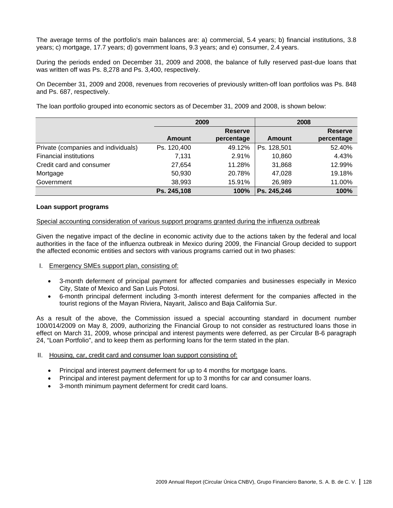The average terms of the portfolio's main balances are: a) commercial, 5.4 years; b) financial institutions, 3.8 years; c) mortgage, 17.7 years; d) government loans, 9.3 years; and e) consumer, 2.4 years.

During the periods ended on December 31, 2009 and 2008, the balance of fully reserved past-due loans that was written off was Ps. 8,278 and Ps. 3,400, respectively.

On December 31, 2009 and 2008, revenues from recoveries of previously written-off loan portfolios was Ps. 848 and Ps. 687, respectively.

The loan portfolio grouped into economic sectors as of December 31, 2009 and 2008, is shown below:

|                                     |             | 2009                         |             | 2008                         |
|-------------------------------------|-------------|------------------------------|-------------|------------------------------|
|                                     | Amount      | <b>Reserve</b><br>percentage | Amount      | <b>Reserve</b><br>percentage |
| Private (companies and individuals) | Ps. 120,400 | 49.12%                       | Ps. 128,501 | 52.40%                       |
| <b>Financial institutions</b>       | 7,131       | 2.91%                        | 10,860      | 4.43%                        |
| Credit card and consumer            | 27,654      | 11.28%                       | 31,868      | 12.99%                       |
| Mortgage                            | 50,930      | 20.78%                       | 47,028      | 19.18%                       |
| Government                          | 38,993      | 15.91%                       | 26,989      | 11.00%                       |
|                                     | Ps. 245,108 | 100%                         | Ps. 245,246 | 100%                         |

### **Loan support programs**

#### Special accounting consideration of various support programs granted during the influenza outbreak

Given the negative impact of the decline in economic activity due to the actions taken by the federal and local authorities in the face of the influenza outbreak in Mexico during 2009, the Financial Group decided to support the affected economic entities and sectors with various programs carried out in two phases:

- I. Emergency SMEs support plan, consisting of:
	- 3-month deferment of principal payment for affected companies and businesses especially in Mexico City, State of Mexico and San Luis Potosi.
	- 6-month principal deferment including 3-month interest deferment for the companies affected in the tourist regions of the Mayan Riviera, Nayarit, Jalisco and Baja California Sur.

As a result of the above, the Commission issued a special accounting standard in document number 100/014/2009 on May 8, 2009, authorizing the Financial Group to not consider as restructured loans those in effect on March 31, 2009, whose principal and interest payments were deferred, as per Circular B-6 paragraph 24, "Loan Portfolio", and to keep them as performing loans for the term stated in the plan.

#### II. Housing, car, credit card and consumer loan support consisting of:

- Principal and interest payment deferment for up to 4 months for mortgage loans.
- Principal and interest payment deferment for up to 3 months for car and consumer loans.
- 3-month minimum payment deferment for credit card loans.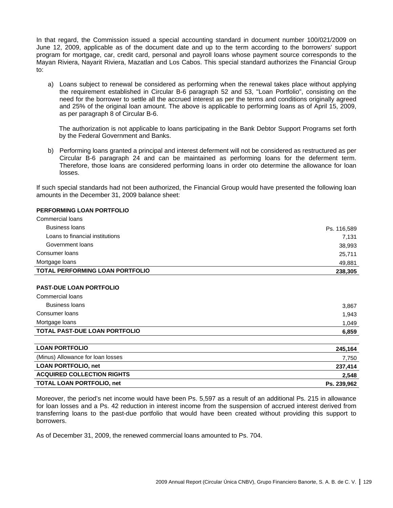In that regard, the Commission issued a special accounting standard in document number 100/021/2009 on June 12, 2009, applicable as of the document date and up to the term according to the borrowers' support program for mortgage, car, credit card, personal and payroll loans whose payment source corresponds to the Mayan Riviera, Nayarit Riviera, Mazatlan and Los Cabos. This special standard authorizes the Financial Group to:

a) Loans subject to renewal be considered as performing when the renewal takes place without applying the requirement established in Circular B-6 paragraph 52 and 53, "Loan Portfolio", consisting on the need for the borrower to settle all the accrued interest as per the terms and conditions originally agreed and 25% of the original loan amount. The above is applicable to performing loans as of April 15, 2009, as per paragraph 8 of Circular B-6.

The authorization is not applicable to loans participating in the Bank Debtor Support Programs set forth by the Federal Government and Banks.

b) Performing loans granted a principal and interest deferment will not be considered as restructured as per Circular B-6 paragraph 24 and can be maintained as performing loans for the deferment term. Therefore, those loans are considered performing loans in order oto determine the allowance for loan losses.

If such special standards had not been authorized, the Financial Group would have presented the following loan amounts in the December 31, 2009 balance sheet:

#### **PERFORMING LOAN PORTFOLIO**

| Commercial loans                       |             |
|----------------------------------------|-------------|
| Business Ioans                         | Ps. 116,589 |
| Loans to financial institutions        | 7,131       |
| Government loans                       | 38,993      |
| Consumer Ioans                         | 25,711      |
| Mortgage loans                         | 49,881      |
| <b>TOTAL PERFORMING LOAN PORTFOLIO</b> | 238,305     |

#### **PAST-DUE LOAN PORTFOLIO**

| Commercial loans              |       |
|-------------------------------|-------|
| Business loans                | 3,867 |
| Consumer loans                | 1,943 |
| Mortgage loans                | 1,049 |
| TOTAL PAST-DUE LOAN PORTFOLIO | 6,859 |

| <b>LOAN PORTFOLIO</b>             | 245.164     |
|-----------------------------------|-------------|
| (Minus) Allowance for loan losses | 7,750       |
| <b>LOAN PORTFOLIO, net</b>        | 237,414     |
| <b>ACQUIRED COLLECTION RIGHTS</b> | 2,548       |
| <b>TOTAL LOAN PORTFOLIO, net</b>  | Ps. 239,962 |

Moreover, the period's net income would have been Ps. 5,597 as a result of an additional Ps. 215 in allowance for loan losses and a Ps. 42 reduction in interest income from the suspension of accrued interest derived from transferring loans to the past-due portfolio that would have been created without providing this support to borrowers.

As of December 31, 2009, the renewed commercial loans amounted to Ps. 704.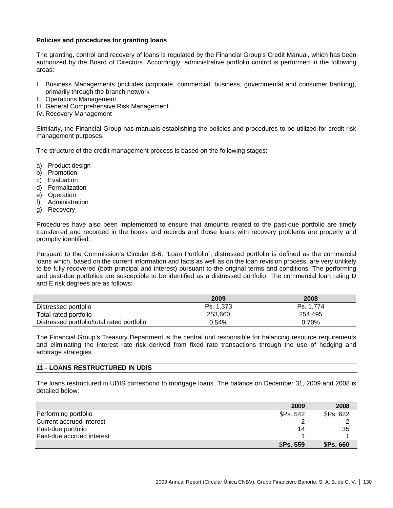## **Policies and procedures for granting loans**

The granting, control and recovery of loans is regulated by the Financial Group's Credit Manual, which has been authorized by the Board of Directors. Accordingly, administrative portfolio control is performed in the following areas:

- I. Business Managements (includes corporate, commercial, business, governmental and consumer banking), primarily through the branch network
- II. Operations Management
- III. General Comprehensive Risk Management
- IV. Recovery Management

Similarly, the Financial Group has manuals establishing the policies and procedures to be utilized for credit risk management purposes.

The structure of the credit management process is based on the following stages:

- a) Product design
- b) Promotion
- c) Evaluation
- d) Formalization
- e) Operation
- f) Administration
- g) Recovery

Procedures have also been implemented to ensure that amounts related to the past-due portfolio are timely transferred and recorded in the books and records and those loans with recovery problems are properly and promptly identified.

Pursuant to the Commission's Circular B-6, "Loan Portfolio", distressed portfolio is defined as the commercial loans which, based on the current information and facts as well as on the loan revision process, are very unlikely to be fully recovered (both principal and interest) pursuant to the original terms and conditions. The performing and past-due portfolios are susceptible to be identified as a distressed portfolio. The commercial loan rating D and E risk degrees are as follows:

|                                            | 2009      | 2008      |
|--------------------------------------------|-----------|-----------|
| Distressed portfolio                       | Ps. 1.373 | Ps. 1.774 |
| Total rated portfolio                      | 253.660   | 254.495   |
| Distressed portfolio/total rated portfolio | 0.54%     | 0.70%     |

The Financial Group's Treasury Department is the central unit responsible for balancing resource requirements and eliminating the interest rate risk derived from fixed rate transactions through the use of hedging and arbitrage strategies.

### **11 - LOANS RESTRUCTURED IN UDIS**

The loans restructured in UDIS correspond to mortgage loans. The balance on December 31, 2009 and 2008 is detailed below:

|                           | 2009            | 2008            |
|---------------------------|-----------------|-----------------|
| Performing portfolio      | <b>SPs. 542</b> | <b>SPs. 622</b> |
| Current accrued interest  |                 |                 |
| Past-due portfolio        | 14              | 35              |
| Past-due accrued interest |                 |                 |
|                           | <b>SPs. 559</b> | <b>SPs. 660</b> |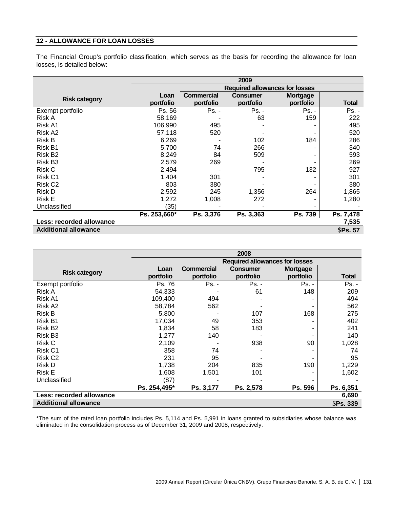# **12 - ALLOWANCE FOR LOAN LOSSES**

The Financial Group's portfolio classification, which serves as the basis for recording the allowance for loan losses, is detailed below:

|                                 | 2009                                  |                                |                              |                       |                 |
|---------------------------------|---------------------------------------|--------------------------------|------------------------------|-----------------------|-----------------|
|                                 | <b>Required allowances for losses</b> |                                |                              |                       |                 |
| <b>Risk category</b>            | Loan<br>portfolio                     | <b>Commercial</b><br>portfolio | <b>Consumer</b><br>portfolio | Mortgage<br>portfolio | <b>Total</b>    |
| Exempt portfolio                | Ps. 56                                | $Ps. -$                        | Ps. -                        | Ps. -                 | $Ps. -$         |
| Risk A                          | 58,169                                |                                | 63                           | 159                   | 222             |
| Risk A1                         | 106,990                               | 495                            |                              |                       | 495             |
| Risk A2                         | 57,118                                | 520                            |                              |                       | 520             |
| Risk B                          | 6,269                                 |                                | 102                          | 184                   | 286             |
| Risk B1                         | 5,700                                 | 74                             | 266                          |                       | 340             |
| Risk B <sub>2</sub>             | 8,249                                 | 84                             | 509                          |                       | 593             |
| Risk B <sub>3</sub>             | 2,579                                 | 269                            |                              |                       | 269             |
| Risk C                          | 2,494                                 |                                | 795                          | 132                   | 927             |
| Risk C1                         | 1,404                                 | 301                            |                              |                       | 301             |
| Risk C <sub>2</sub>             | 803                                   | 380                            |                              |                       | 380             |
| Risk D                          | 2,592                                 | 245                            | 1,356                        | 264                   | 1,865           |
| <b>Risk E</b>                   | 1,272                                 | 1,008                          | 272                          |                       | 1,280           |
| Unclassified                    | (35)                                  |                                |                              |                       |                 |
|                                 | Ps. 253,660*                          | Ps. 3,376                      | Ps. 3,363                    | Ps. 739               | Ps. 7,478       |
| <b>Less: recorded allowance</b> |                                       |                                |                              |                       | 7,535           |
| <b>Additional allowance</b>     |                                       |                                |                              |                       | <b>\$Ps. 57</b> |

|                             | 2008                                  |                                |                              |                              |                 |
|-----------------------------|---------------------------------------|--------------------------------|------------------------------|------------------------------|-----------------|
|                             | <b>Required allowances for losses</b> |                                |                              |                              |                 |
| <b>Risk category</b>        | Loan<br>portfolio                     | <b>Commercial</b><br>portfolio | <b>Consumer</b><br>portfolio | <b>Mortgage</b><br>portfolio | <b>Total</b>    |
| Exempt portfolio            | Ps. 76                                | Ps. -                          | Ps. -                        | Ps. -                        | Ps. -           |
| Risk A                      | 54,333                                |                                | 61                           | 148                          | 209             |
| Risk A1                     | 109,400                               | 494                            |                              |                              | 494             |
| Risk A2                     | 58,784                                | 562                            |                              |                              | 562             |
| <b>Risk B</b>               | 5,800                                 |                                | 107                          | 168                          | 275             |
| Risk B1                     | 17,034                                | 49                             | 353                          |                              | 402             |
| Risk B <sub>2</sub>         | 1,834                                 | 58                             | 183                          |                              | 241             |
| Risk B <sub>3</sub>         | 1,277                                 | 140                            |                              |                              | 140             |
| Risk C                      | 2,109                                 |                                | 938                          | 90                           | 1,028           |
| Risk C1                     | 358                                   | 74                             |                              |                              | 74              |
| Risk C <sub>2</sub>         | 231                                   | 95                             |                              |                              | 95              |
| <b>Risk D</b>               | 1,738                                 | 204                            | 835                          | 190                          | 1,229           |
| <b>Risk E</b>               | 1,608                                 | 1,501                          | 101                          |                              | 1,602           |
| Unclassified                | (87)                                  |                                |                              |                              |                 |
|                             | Ps. 254,495*                          | Ps. 3,177                      | Ps. 2,578                    | Ps. 596                      | Ps. 6,351       |
| Less: recorded allowance    |                                       |                                |                              |                              | 6,690           |
| <b>Additional allowance</b> |                                       |                                |                              |                              | <b>SPs. 339</b> |

\*The sum of the rated loan portfolio includes Ps. 5,114 and Ps. 5,991 in loans granted to subsidiaries whose balance was eliminated in the consolidation process as of December 31, 2009 and 2008, respectively.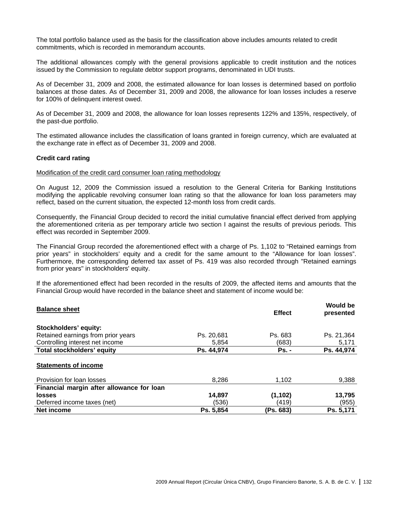The total portfolio balance used as the basis for the classification above includes amounts related to credit commitments, which is recorded in memorandum accounts.

The additional allowances comply with the general provisions applicable to credit institution and the notices issued by the Commission to regulate debtor support programs, denominated in UDI trusts.

As of December 31, 2009 and 2008, the estimated allowance for loan losses is determined based on portfolio balances at those dates. As of December 31, 2009 and 2008, the allowance for loan losses includes a reserve for 100% of delinquent interest owed.

As of December 31, 2009 and 2008, the allowance for loan losses represents 122% and 135%, respectively, of the past-due portfolio.

The estimated allowance includes the classification of loans granted in foreign currency, which are evaluated at the exchange rate in effect as of December 31, 2009 and 2008.

### **Credit card rating**

#### Modification of the credit card consumer loan rating methodology

On August 12, 2009 the Commission issued a resolution to the General Criteria for Banking Institutions modifying the applicable revolving consumer loan rating so that the allowance for loan loss parameters may reflect, based on the current situation, the expected 12-month loss from credit cards.

Consequently, the Financial Group decided to record the initial cumulative financial effect derived from applying the aforementioned criteria as per temporary article two section I against the results of previous periods. This effect was recorded in September 2009.

The Financial Group recorded the aforementioned effect with a charge of Ps. 1,102 to "Retained earnings from prior years" in stockholders' equity and a credit for the same amount to the "Allowance for loan losses". Furthermore, the corresponding deferred tax asset of Ps. 419 was also recorded through "Retained earnings from prior years" in stockholders' equity.

If the aforementioned effect had been recorded in the results of 2009, the affected items and amounts that the Financial Group would have recorded in the balance sheet and statement of income would be:

| <b>Balance sheet</b>                      |            | <b>Effect</b> | <b>Would be</b><br>presented |
|-------------------------------------------|------------|---------------|------------------------------|
| <b>Stockholders' equity:</b>              |            |               |                              |
| Retained earnings from prior years        | Ps. 20.681 | Ps. 683       | Ps. 21,364                   |
| Controlling interest net income           | 5,854      | (683)         | 5,171                        |
| Total stockholders' equity                | Ps. 44,974 | <b>Ps. -</b>  | Ps. 44,974                   |
| <b>Statements of income</b>               |            |               |                              |
| Provision for loan losses                 | 8,286      | 1.102         | 9,388                        |
| Financial margin after allowance for loan |            |               |                              |
| losses                                    | 14,897     | (1, 102)      | 13,795                       |
| Deferred income taxes (net)               | (536)      | (419)         | (955)                        |
| Net income                                | Ps. 5,854  | (Ps. 683)     | Ps. 5.171                    |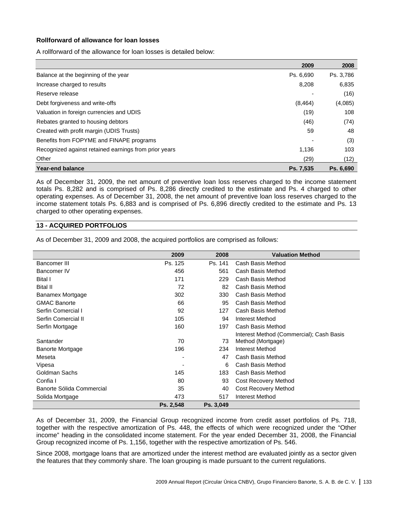## **Rollforward of allowance for loan losses**

A rollforward of the allowance for loan losses is detailed below:

|                                                       | 2009      | 2008      |
|-------------------------------------------------------|-----------|-----------|
| Balance at the beginning of the year                  | Ps. 6.690 | Ps. 3.786 |
| Increase charged to results                           | 8.208     | 6,835     |
| Reserve release                                       |           | (16)      |
| Debt forgiveness and write-offs                       | (8, 464)  | (4,085)   |
| Valuation in foreign currencies and UDIS              | (19)      | 108       |
| Rebates granted to housing debtors                    | (46)      | (74)      |
| Created with profit margin (UDIS Trusts)              | 59        | 48        |
| Benefits from FOPYME and FINAPE programs              |           | (3)       |
| Recognized against retained earnings from prior years | 1,136     | 103       |
| Other                                                 | (29)      | (12)      |
| <b>Year-end balance</b>                               | Ps. 7.535 | Ps. 6.690 |

As of December 31, 2009, the net amount of preventive loan loss reserves charged to the income statement totals Ps. 8,282 and is comprised of Ps. 8,286 directly credited to the estimate and Ps. 4 charged to other operating expenses. As of December 31, 2008, the net amount of preventive loan loss reserves charged to the income statement totals Ps. 6,883 and is comprised of Ps. 6,896 directly credited to the estimate and Ps. 13 charged to other operating expenses.

### **13 - ACQUIRED PORTFOLIOS**

As of December 31, 2009 and 2008, the acquired portfolios are comprised as follows:

|                           | 2009      | 2008      | <b>Valuation Method</b>                  |
|---------------------------|-----------|-----------|------------------------------------------|
| Bancomer III              | Ps. 125   | Ps. 141   | Cash Basis Method                        |
| Bancomer IV               | 456       | 561       | Cash Basis Method                        |
| Bital I                   | 171       | 229       | Cash Basis Method                        |
| <b>Bital II</b>           | 72        | 82        | Cash Basis Method                        |
| Banamex Mortgage          | 302       | 330       | Cash Basis Method                        |
| <b>GMAC Banorte</b>       | 66        | 95        | Cash Basis Method                        |
| Serfin Comercial I        | 92        | 127       | Cash Basis Method                        |
| Serfin Comercial II       | 105       | 94        | Interest Method                          |
| Serfin Mortgage           | 160       | 197       | Cash Basis Method                        |
|                           |           |           | Interest Method (Commercial); Cash Basis |
| Santander                 | 70        | 73        | Method (Mortgage)                        |
| <b>Banorte Mortgage</b>   | 196       | 234       | Interest Method                          |
| Meseta                    | -         | 47        | Cash Basis Method                        |
| Vipesa                    |           | 6         | Cash Basis Method                        |
| Goldman Sachs             | 145       | 183       | Cash Basis Method                        |
| Confia I                  | 80        | 93        | <b>Cost Recovery Method</b>              |
| Banorte Sólida Commercial | 35        | 40        | <b>Cost Recovery Method</b>              |
| Solida Mortgage           | 473       | 517       | Interest Method                          |
|                           | Ps. 2,548 | Ps. 3,049 |                                          |

As of December 31, 2009, the Financial Group recognized income from credit asset portfolios of Ps. 718, together with the respective amortization of Ps. 448, the effects of which were recognized under the "Other income" heading in the consolidated income statement. For the year ended December 31, 2008, the Financial Group recognized income of Ps. 1,156, together with the respective amortization of Ps. 546.

Since 2008, mortgage loans that are amortized under the interest method are evaluated jointly as a sector given the features that they commonly share. The loan grouping is made pursuant to the current regulations.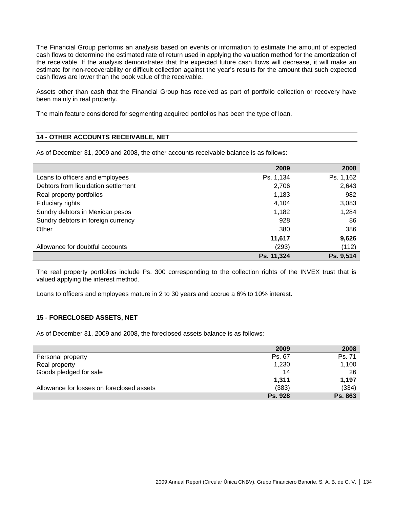The Financial Group performs an analysis based on events or information to estimate the amount of expected cash flows to determine the estimated rate of return used in applying the valuation method for the amortization of the receivable. If the analysis demonstrates that the expected future cash flows will decrease, it will make an estimate for non-recoverability or difficult collection against the year's results for the amount that such expected cash flows are lower than the book value of the receivable.

Assets other than cash that the Financial Group has received as part of portfolio collection or recovery have been mainly in real property.

The main feature considered for segmenting acquired portfolios has been the type of loan.

# **14 - OTHER ACCOUNTS RECEIVABLE, NET**

As of December 31, 2009 and 2008, the other accounts receivable balance is as follows:

|                                     | 2009       | 2008      |
|-------------------------------------|------------|-----------|
| Loans to officers and employees     | Ps. 1,134  | Ps. 1,162 |
| Debtors from liquidation settlement | 2,706      | 2,643     |
| Real property portfolios            | 1,183      | 982       |
| Fiduciary rights                    | 4,104      | 3,083     |
| Sundry debtors in Mexican pesos     | 1,182      | 1,284     |
| Sundry debtors in foreign currency  | 928        | 86        |
| Other                               | 380        | 386       |
|                                     | 11,617     | 9,626     |
| Allowance for doubtful accounts     | (293)      | (112)     |
|                                     | Ps. 11,324 | Ps. 9,514 |

The real property portfolios include Ps. 300 corresponding to the collection rights of the INVEX trust that is valued applying the interest method.

Loans to officers and employees mature in 2 to 30 years and accrue a 6% to 10% interest.

## **15 - FORECLOSED ASSETS, NET**

As of December 31, 2009 and 2008, the foreclosed assets balance is as follows:

|                                           | 2009           | 2008           |
|-------------------------------------------|----------------|----------------|
| Personal property                         | Ps. 67         | Ps. 71         |
| Real property                             | 1,230          | 1,100          |
| Goods pledged for sale                    | 14             | 26             |
|                                           | 1,311          | 1.197          |
| Allowance for losses on foreclosed assets | (383)          | (334)          |
|                                           | <b>Ps. 928</b> | <b>Ps. 863</b> |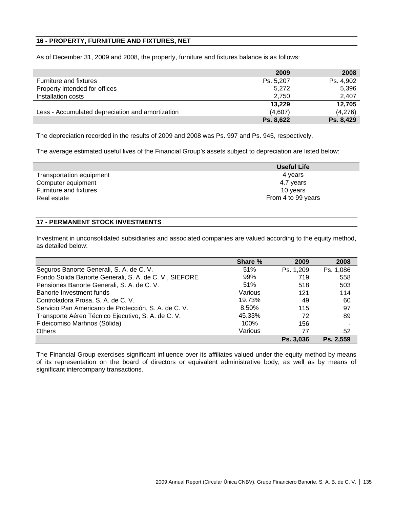# **16 - PROPERTY, FURNITURE AND FIXTURES, NET**

As of December 31, 2009 and 2008, the property, furniture and fixtures balance is as follows:

|                                                  | 2009      | 2008      |
|--------------------------------------------------|-----------|-----------|
| Furniture and fixtures                           | Ps. 5,207 | Ps. 4.902 |
| Property intended for offices                    | 5,272     | 5,396     |
| Installation costs                               | 2,750     | 2,407     |
|                                                  | 13.229    | 12,705    |
| Less - Accumulated depreciation and amortization | (4,607)   | (4,276)   |
|                                                  | Ps. 8,622 | Ps. 8,429 |

The depreciation recorded in the results of 2009 and 2008 was Ps. 997 and Ps. 945, respectively.

The average estimated useful lives of the Financial Group's assets subject to depreciation are listed below:

|                          | <b>Useful Life</b> |
|--------------------------|--------------------|
| Transportation equipment | 4 years            |
| Computer equipment       | 4.7 years          |
| Furniture and fixtures   | 10 years           |
| Real estate              | From 4 to 99 years |
|                          |                    |

# **17 - PERMANENT STOCK INVESTMENTS**

Investment in unconsolidated subsidiaries and associated companies are valued according to the equity method, as detailed below:

|                                                        | Share % | 2009      | 2008      |
|--------------------------------------------------------|---------|-----------|-----------|
| Seguros Banorte Generali, S. A. de C. V.               | 51%     | Ps. 1,209 | Ps. 1,086 |
| Fondo Solida Banorte Generali, S. A. de C. V., SIEFORE | 99%     | 719       | 558       |
| Pensiones Banorte Generali, S. A. de C. V.             | 51%     | 518       | 503       |
| Banorte Investment funds                               | Various | 121       | 114       |
| Controladora Prosa, S. A. de C. V.                     | 19.73%  | 49        | 60        |
| Servicio Pan Americano de Protección, S. A. de C. V.   | 8.50%   | 115       | 97        |
| Transporte Aéreo Técnico Ejecutivo, S. A. de C. V.     | 45.33%  | 72        | 89        |
| Fideicomiso Marhnos (Sólida)                           | 100%    | 156       |           |
| <b>Others</b>                                          | Various | 77        | 52        |
|                                                        |         | Ps. 3.036 | Ps. 2.559 |

The Financial Group exercises significant influence over its affiliates valued under the equity method by means of its representation on the board of directors or equivalent administrative body, as well as by means of significant intercompany transactions.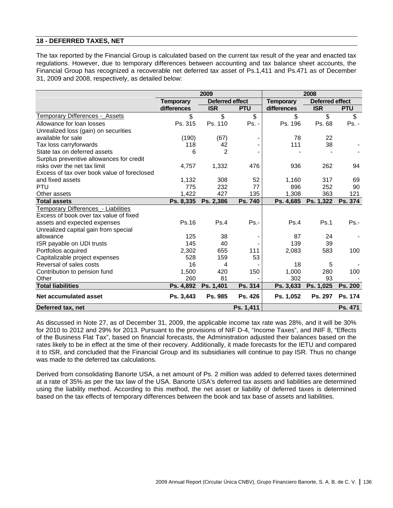# **18 - DEFERRED TAXES, NET**

The tax reported by the Financial Group is calculated based on the current tax result of the year and enacted tax regulations. However, due to temporary differences between accounting and tax balance sheet accounts, the Financial Group has recognized a recoverable net deferred tax asset of Ps.1,411 and Ps.471 as of December 31, 2009 and 2008, respectively, as detailed below:

|                                             | 2009<br>2008     |                 |                    |                  |                        |                |
|---------------------------------------------|------------------|-----------------|--------------------|------------------|------------------------|----------------|
|                                             | <b>Temporary</b> | Deferred effect |                    | <b>Temporary</b> | <b>Deferred effect</b> |                |
|                                             | differences      | <b>ISR</b>      | <b>PTU</b>         | differences      | <b>ISR</b>             | <b>PTU</b>     |
| Temporary Differences -_Assets              | \$               | \$              | $\mathbf{\hat{S}}$ | \$               | \$                     | $\mathbb{S}$   |
| Allowance for loan losses                   | Ps. 315          | Ps. 110         | $Ps. -$            | Ps. 196          | Ps. 68                 | Ps. -          |
| Unrealized loss (gain) on securities        |                  |                 |                    |                  |                        |                |
| available for sale                          | (190)            | (67)            |                    | 78               | 22                     |                |
| Tax loss carryforwards                      | 118              | 42              |                    | 111              | 38                     |                |
| State tax on deferred assets                | 6                | $\overline{2}$  |                    |                  |                        |                |
| Surplus preventive allowances for credit    |                  |                 |                    |                  |                        |                |
| risks over the net tax limit                | 4,757            | 1,332           | 476                | 936              | 262                    | 94             |
| Excess of tax over book value of foreclosed |                  |                 |                    |                  |                        |                |
| and fixed assets                            | 1,132            | 308             | 52                 | 1,160            | 317                    | 69             |
| PTU                                         | 775              | 232             | 77                 | 896              | 252                    | 90             |
| Other assets                                | 1,422            | 427             | 135                | 1,308            | 363                    | 121            |
| <b>Total assets</b>                         | Ps. 8,335        | Ps. 2,386       | Ps. 740            | Ps. 4,685        | Ps. 1,322              | <b>Ps. 374</b> |
| Temporary Differences_- Liabilities         |                  |                 |                    |                  |                        |                |
| Excess of book over tax value of fixed      |                  |                 |                    |                  |                        |                |
| assets and expected expenses                | Ps.16            | Ps.4            | $Ps. -$            | Ps.4             | Ps.1                   | $Ps. -$        |
| Unrealized capital gain from special        |                  |                 |                    |                  |                        |                |
| allowance                                   | 125              | 38              |                    | 87               | 24                     |                |
| ISR payable on UDI trusts                   | 145              | 40              |                    | 139              | 39                     |                |
| Portfolios acquired                         | 2,302            | 655             | 111                | 2,083            | 583                    | 100            |
| Capitalizable project expenses              | 528              | 159             | 53                 |                  |                        |                |
| Reversal of sales costs                     | 16               | 4               |                    | 18               | 5                      |                |
| Contribution to pension fund                | 1,500            | 420             | 150                | 1,000            | 280                    | 100            |
| Other                                       | 260              | 81              |                    | 302              | 93                     |                |
| <b>Total liabilities</b>                    | Ps. 4,892        | Ps. 1,401       | Ps. 314            | Ps. 3,633        | Ps. 1,025              | Ps. 200        |
| Net accumulated asset                       | Ps. 3,443        | Ps. 985         | Ps. 426            | Ps. 1,052        | Ps. 297                | Ps. 174        |
| Deferred tax, net                           |                  |                 | Ps. 1,411          |                  |                        | Ps. 471        |

As discussed in Note 27, as of December 31, 2009, the applicable income tax rate was 28%, and it will be 30% for 2010 to 2012 and 29% for 2013. Pursuant to the provisions of NIF D-4, "Income Taxes", and INIF 8, "Effects of the Business Flat Tax", based on financial forecasts, the Administration adjusted their balances based on the rates likely to be in effect at the time of their recovery. Additionally, it made forecasts for the IETU and compared it to ISR, and concluded that the Financial Group and its subsidiaries will continue to pay ISR. Thus no change was made to the deferred tax calculations.

Derived from consolidating Banorte USA, a net amount of Ps. 2 million was added to deferred taxes determined at a rate of 35% as per the tax law of the USA. Banorte USA's deferred tax assets and liabilities are determined using the liability method. According to this method, the net asset or liability of deferred taxes is determined based on the tax effects of temporary differences between the book and tax base of assets and liabilities.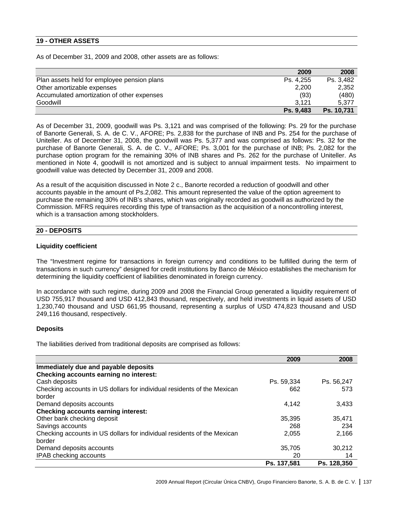# **19 - OTHER ASSETS**

As of December 31, 2009 and 2008, other assets are as follows:

|                                             | 2009      | 2008       |
|---------------------------------------------|-----------|------------|
| Plan assets held for employee pension plans | Ps. 4.255 | Ps. 3,482  |
| Other amortizable expenses                  | 2.200     | 2,352      |
| Accumulated amortization of other expenses  | (93)      | (480)      |
| Goodwill                                    | 3.121     | 5.377      |
|                                             | Ps. 9,483 | Ps. 10,731 |

As of December 31, 2009, goodwill was Ps. 3,121 and was comprised of the following: Ps. 29 for the purchase of Banorte Generali, S. A. de C. V., AFORE; Ps. 2,838 for the purchase of INB and Ps. 254 for the purchase of Uniteller. As of December 31, 2008, the goodwill was Ps. 5,377 and was comprised as follows: Ps. 32 for the purchase of Banorte Generali, S. A. de C. V., AFORE; Ps. 3,001 for the purchase of INB; Ps. 2,082 for the purchase option program for the remaining 30% of INB shares and Ps. 262 for the purchase of Uniteller. As mentioned in Note 4, goodwill is not amortized and is subject to annual impairment tests. No impairment to goodwill value was detected by December 31, 2009 and 2008.

As a result of the acquisition discussed in Note 2 c., Banorte recorded a reduction of goodwill and other accounts payable in the amount of Ps.2,082. This amount represented the value of the option agreement to purchase the remaining 30% of INB's shares, which was originally recorded as goodwill as authorized by the Commission. MFRS requires recording this type of transaction as the acquisition of a noncontrolling interest, which is a transaction among stockholders.

### **20 - DEPOSITS**

### **Liquidity coefficient**

The "Investment regime for transactions in foreign currency and conditions to be fulfilled during the term of transactions in such currency" designed for credit institutions by Banco de México establishes the mechanism for determining the liquidity coefficient of liabilities denominated in foreign currency.

In accordance with such regime, during 2009 and 2008 the Financial Group generated a liquidity requirement of USD 755,917 thousand and USD 412,843 thousand, respectively, and held investments in liquid assets of USD 1,230,740 thousand and USD 661,95 thousand, representing a surplus of USD 474,823 thousand and USD 249,116 thousand, respectively.

### **Deposits**

The liabilities derived from traditional deposits are comprised as follows:

|                                                                         | 2009        | 2008        |
|-------------------------------------------------------------------------|-------------|-------------|
| Immediately due and payable deposits                                    |             |             |
| Checking accounts earning no interest:                                  |             |             |
| Cash deposits                                                           | Ps. 59,334  | Ps. 56,247  |
| Checking accounts in US dollars for individual residents of the Mexican | 662         | 573         |
| border                                                                  |             |             |
| Demand deposits accounts                                                | 4,142       | 3,433       |
| <b>Checking accounts earning interest:</b>                              |             |             |
| Other bank checking deposit                                             | 35.395      | 35.471      |
| Savings accounts                                                        | 268         | 234         |
| Checking accounts in US dollars for individual residents of the Mexican | 2,055       | 2,166       |
| border                                                                  |             |             |
| Demand deposits accounts                                                | 35,705      | 30,212      |
| IPAB checking accounts                                                  | 20          | 14          |
|                                                                         | Ps. 137,581 | Ps. 128,350 |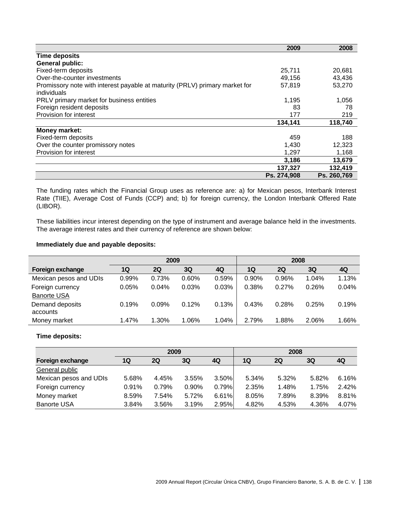|                                                                             | 2009        | 2008        |
|-----------------------------------------------------------------------------|-------------|-------------|
| <b>Time deposits</b>                                                        |             |             |
| <b>General public:</b>                                                      |             |             |
| Fixed-term deposits                                                         | 25,711      | 20,681      |
| Over-the-counter investments                                                | 49,156      | 43,436      |
| Promissory note with interest payable at maturity (PRLV) primary market for | 57,819      | 53,270      |
| individuals                                                                 |             |             |
| PRLV primary market for business entities                                   | 1,195       | 1,056       |
| Foreign resident deposits                                                   | 83          | 78          |
| Provision for interest                                                      | 177         | 219         |
|                                                                             | 134,141     | 118,740     |
| Money market:                                                               |             |             |
| Fixed-term deposits                                                         | 459         | 188         |
| Over the counter promissory notes                                           | 1,430       | 12,323      |
| Provision for interest                                                      | 1,297       | 1,168       |
|                                                                             | 3,186       | 13,679      |
|                                                                             | 137,327     | 132,419     |
|                                                                             | Ps. 274,908 | Ps. 260,769 |

The funding rates which the Financial Group uses as reference are: a) for Mexican pesos, Interbank Interest Rate (TIIE), Average Cost of Funds (CCP) and; b) for foreign currency, the London Interbank Offered Rate (LIBOR).

These liabilities incur interest depending on the type of instrument and average balance held in the investments. The average interest rates and their currency of reference are shown below:

## **Immediately due and payable deposits:**

|                        | 2009  |       |       |       |       | 2008  |       |       |
|------------------------|-------|-------|-------|-------|-------|-------|-------|-------|
| Foreign exchange       | 1Q    | 2Q    | 3Q    | 4Q    | 1Q    | 2Q    | 3Q    | 4Q    |
| Mexican pesos and UDIs | 0.99% | 0.73% | 0.60% | 0.59% | 0.90% | 0.96% | 1.04% | 1.13% |
| Foreign currency       | 0.05% | 0.04% | 0.03% | 0.03% | 0.38% | 0.27% | 0.26% | 0.04% |
| <b>Banorte USA</b>     |       |       |       |       |       |       |       |       |
| Demand deposits        | 0.19% | 0.09% | 0.12% | 0.13% | 0.43% | 0.28% | 0.25% | 0.19% |
| accounts               |       |       |       |       |       |       |       |       |
| Money market           | 1.47% | 1.30% | 1.06% | 1.04% | 2.79% | 1.88% | 2.06% | 1.66% |

# **Time deposits:**

|                        | 2009  |       |       |       | 2008  |           |       |       |
|------------------------|-------|-------|-------|-------|-------|-----------|-------|-------|
| Foreign exchange       | 1Q    | 2Q    | 3Q    | 4Q    | 1Q    | <b>2Q</b> | 3Q    | 4Q    |
| General public         |       |       |       |       |       |           |       |       |
| Mexican pesos and UDIs | 5.68% | 4.45% | 3.55% | 3.50% | 5.34% | 5.32%     | 5.82% | 6.16% |
| Foreign currency       | 0.91% | 0.79% | 0.90% | 0.79% | 2.35% | 1.48%     | 1.75% | 2.42% |
| Money market           | 8.59% | 7.54% | 5.72% | 6.61% | 8.05% | 7.89%     | 8.39% | 8.81% |
| <b>Banorte USA</b>     | 3.84% | 3.56% | 3.19% | 2.95% | 4.82% | 4.53%     | 4.36% | 4.07% |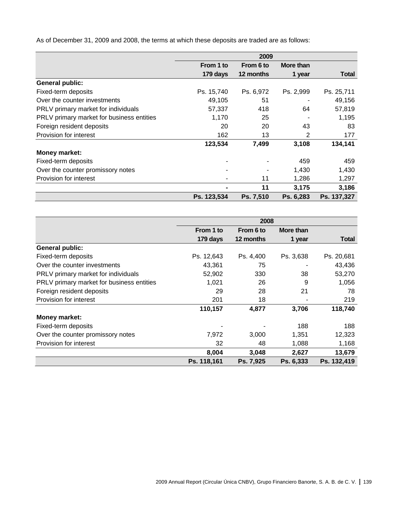As of December 31, 2009 and 2008, the terms at which these deposits are traded are as follows:

|                                           | 2009           |           |           |              |  |
|-------------------------------------------|----------------|-----------|-----------|--------------|--|
|                                           | From 1 to      | From 6 to | More than |              |  |
|                                           | 179 days       | 12 months | 1 year    | <b>Total</b> |  |
| <b>General public:</b>                    |                |           |           |              |  |
| Fixed-term deposits                       | Ps. 15,740     | Ps. 6,972 | Ps. 2,999 | Ps. 25,711   |  |
| Over the counter investments              | 49,105         | 51        |           | 49,156       |  |
| PRLV primary market for individuals       | 57,337         | 418       | 64        | 57,819       |  |
| PRLV primary market for business entities | 1,170          | 25        |           | 1,195        |  |
| Foreign resident deposits                 | 20             | 20        | 43        | 83           |  |
| Provision for interest                    | 162            | 13        | 2         | 177          |  |
|                                           | 123,534        | 7,499     | 3,108     | 134,141      |  |
| <b>Money market:</b>                      |                |           |           |              |  |
| Fixed-term deposits                       |                |           | 459       | 459          |  |
| Over the counter promissory notes         | ۰              |           | 1,430     | 1,430        |  |
| Provision for interest                    | ۰              | 11        | 1,286     | 1,297        |  |
|                                           | $\blacksquare$ | 11        | 3,175     | 3,186        |  |
|                                           | Ps. 123,534    | Ps. 7,510 | Ps. 6,283 | Ps. 137,327  |  |

|                                           |             | 2008      |           |              |  |  |
|-------------------------------------------|-------------|-----------|-----------|--------------|--|--|
|                                           | From 1 to   | From 6 to | More than |              |  |  |
|                                           | 179 days    | 12 months | 1 year    | <b>Total</b> |  |  |
| <b>General public:</b>                    |             |           |           |              |  |  |
| Fixed-term deposits                       | Ps. 12,643  | Ps. 4,400 | Ps. 3,638 | Ps. 20,681   |  |  |
| Over the counter investments              | 43,361      | 75        |           | 43,436       |  |  |
| PRLV primary market for individuals       | 52,902      | 330       | 38        | 53,270       |  |  |
| PRLV primary market for business entities | 1,021       | 26        | 9         | 1,056        |  |  |
| Foreign resident deposits                 | 29          | 28        | 21        | 78           |  |  |
| Provision for interest                    | 201         | 18        |           | 219          |  |  |
|                                           | 110,157     | 4,877     | 3,706     | 118,740      |  |  |
| <b>Money market:</b>                      |             |           |           |              |  |  |
| Fixed-term deposits                       |             |           | 188       | 188          |  |  |
| Over the counter promissory notes         | 7,972       | 3,000     | 1,351     | 12,323       |  |  |
| <b>Provision for interest</b>             | 32          | 48        | 1,088     | 1,168        |  |  |
|                                           | 8,004       | 3,048     | 2,627     | 13,679       |  |  |
|                                           | Ps. 118,161 | Ps. 7,925 | Ps. 6,333 | Ps. 132,419  |  |  |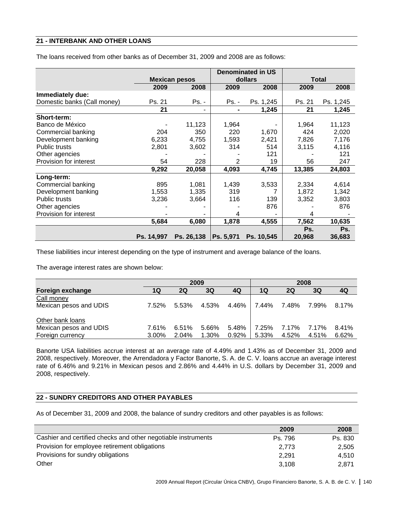# **21 - INTERBANK AND OTHER LOANS**

The loans received from other banks as of December 31, 2009 and 2008 are as follows:

|                             |            | <b>Denominated in US</b> |                |            |              |           |  |
|-----------------------------|------------|--------------------------|----------------|------------|--------------|-----------|--|
|                             |            | <b>Mexican pesos</b>     |                | dollars    | <b>Total</b> |           |  |
|                             | 2009       | 2008                     | 2009           | 2008       | 2009         | 2008      |  |
| Immediately due:            |            |                          |                |            |              |           |  |
| Domestic banks (Call money) | Ps. 21     | Ps. -                    | $Ps. -$        | Ps. 1,245  | Ps. 21       | Ps. 1,245 |  |
|                             | 21         | ۰                        | $\blacksquare$ | 1,245      | 21           | 1,245     |  |
| Short-term:                 |            |                          |                |            |              |           |  |
| Banco de México             |            | 11,123                   | 1,964          |            | 1,964        | 11,123    |  |
| Commercial banking          | 204        | 350                      | 220            | 1,670      | 424          | 2,020     |  |
| Development banking         | 6,233      | 4,755                    | 1,593          | 2,421      | 7,826        | 7,176     |  |
| <b>Public trusts</b>        | 2,801      | 3,602                    | 314            | 514        | 3,115        | 4,116     |  |
| Other agencies              |            |                          |                | 121        |              | 121       |  |
| Provision for interest      | 54         | 228                      | 2              | 19         | 56           | 247       |  |
|                             | 9,292      | 20,058                   | 4,093          | 4,745      | 13,385       | 24,803    |  |
| Long-term:                  |            |                          |                |            |              |           |  |
| Commercial banking          | 895        | 1,081                    | 1,439          | 3,533      | 2,334        | 4,614     |  |
| Development banking         | 1,553      | 1,335                    | 319            |            | 1,872        | 1,342     |  |
| <b>Public trusts</b>        | 3,236      | 3,664                    | 116            | 139        | 3,352        | 3,803     |  |
| Other agencies              |            |                          |                | 876        |              | 876       |  |
| Provision for interest      |            |                          | 4              |            | 4            |           |  |
|                             | 5,684      | 6,080                    | 1,878          | 4,555      | 7,562        | 10,635    |  |
|                             |            |                          |                |            | Ps.          | Ps.       |  |
|                             | Ps. 14,997 | Ps. 26,138               | Ps. 5,971      | Ps. 10,545 | 20,968       | 36,683    |  |

These liabilities incur interest depending on the type of instrument and average balance of the loans.

The average interest rates are shown below:

|                                            | 2009           |                |                |       | 2008                  |                |                |       |
|--------------------------------------------|----------------|----------------|----------------|-------|-----------------------|----------------|----------------|-------|
| Foreign exchange                           | 1Q             | 2Q             | 3Q             | 4Q    | 1Q                    | <b>2Q</b>      | 3Q             | 4Q    |
| Call money                                 |                |                |                |       |                       |                |                |       |
| Mexican pesos and UDIS                     | 7.52%          | 5.53%          | 4.53%          |       | 4.46%   7.44%   7.48% |                | 7.99%          | 8.17% |
| Other bank loans                           |                |                |                | 5.48% |                       |                |                | 8.41% |
| Mexican pesos and UDIS<br>Foreign currency | 7.61%<br>3.00% | 6.51%<br>2.04% | 5.66%<br>1.30% | 0.92% | 7.25%<br>5.33%        | 7.17%<br>4.52% | 7.17%<br>4.51% | 6.62% |

Banorte USA liabilities accrue interest at an average rate of 4.49% and 1.43% as of December 31, 2009 and 2008, respectively. Moreover, the Arrendadora y Factor Banorte, S. A. de C. V. loans accrue an average interest rate of 6.46% and 9.21% in Mexican pesos and 2.86% and 4.44% in U.S. dollars by December 31, 2009 and 2008, respectively.

# **22 - SUNDRY CREDITORS AND OTHER PAYABLES**

As of December 31, 2009 and 2008, the balance of sundry creditors and other payables is as follows:

|                                                               | 2009    | 2008    |
|---------------------------------------------------------------|---------|---------|
| Cashier and certified checks and other negotiable instruments | Ps. 796 | Ps. 830 |
| Provision for employee retirement obligations                 | 2.773   | 2,505   |
| Provisions for sundry obligations                             | 2.291   | 4.510   |
| Other                                                         | 3.108   | 2.871   |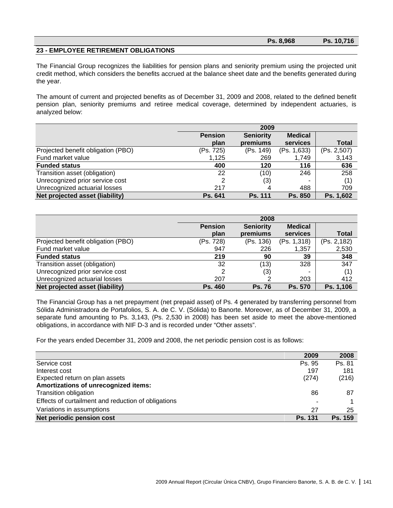|                                      | Ps. 8,968 | Ps. 10.716 |
|--------------------------------------|-----------|------------|
| 23 - EMPLOYEE RETIREMENT OBLIGATIONS |           |            |

The Financial Group recognizes the liabilities for pension plans and seniority premium using the projected unit credit method, which considers the benefits accrued at the balance sheet date and the benefits generated during the year.

The amount of current and projected benefits as of December 31, 2009 and 2008, related to the defined benefit pension plan, seniority premiums and retiree medical coverage, determined by independent actuaries, is analyzed below:

|                                    | 2009           |                  |                |              |  |
|------------------------------------|----------------|------------------|----------------|--------------|--|
|                                    | <b>Pension</b> | <b>Seniority</b> | <b>Medical</b> |              |  |
|                                    | plan           | premiums         | services       | <b>Total</b> |  |
| Projected benefit obligation (PBO) | (Ps. 725)      | (Ps. 149)        | (Ps. 1,633)    | (Ps. 2,507)  |  |
| Fund market value                  | 1,125          | 269              | 1,749          | 3,143        |  |
| <b>Funded status</b>               | 400            | 120              | 116            | 636          |  |
| Transition asset (obligation)      | 22             | (10)             | 246            | 258          |  |
| Unrecognized prior service cost    |                | (3)              |                | (1)          |  |
| Unrecognized actuarial losses      | 217            | 4                | 488            | 709          |  |
| Net projected asset (liability)    | Ps. 641        | <b>Ps. 111</b>   | Ps. 850        | Ps. 1,602    |  |

|                                    | 2008           |                  |                |              |  |
|------------------------------------|----------------|------------------|----------------|--------------|--|
|                                    | <b>Pension</b> | <b>Seniority</b> | <b>Medical</b> |              |  |
|                                    | plan           | premiums         | services       | <b>Total</b> |  |
| Projected benefit obligation (PBO) | (Ps. 728)      | (Ps. 136)        | (Ps. 1,318)    | (Ps. 2,182)  |  |
| Fund market value                  | 947            | 226              | 1,357          | 2,530        |  |
| <b>Funded status</b>               | 219            | 90               | 39             | 348          |  |
| Transition asset (obligation)      | 32             | (13)             | 328            | 347          |  |
| Unrecognized prior service cost    |                | (3)              |                | (1)          |  |
| Unrecognized actuarial losses      | 207            | າ                | 203            | 412          |  |
| Net projected asset (liability)    | Ps. 460        | <b>Ps. 76</b>    | Ps. 570        | Ps. 1,106    |  |

The Financial Group has a net prepayment (net prepaid asset) of Ps. 4 generated by transferring personnel from Sólida Administradora de Portafolios, S. A. de C. V. (Sólida) to Banorte. Moreover, as of December 31, 2009, a separate fund amounting to Ps. 3,143, (Ps. 2,530 in 2008) has been set aside to meet the above-mentioned obligations, in accordance with NIF D-3 and is recorded under "Other assets".

For the years ended December 31, 2009 and 2008, the net periodic pension cost is as follows:

|                                                     | 2009                     | 2008           |
|-----------------------------------------------------|--------------------------|----------------|
| Service cost                                        | Ps. 95                   | Ps. 81         |
| Interest cost                                       | 197                      | 181            |
| Expected return on plan assets                      | (274)                    | (216)          |
| Amortizations of unrecognized items:                |                          |                |
| Transition obligation                               | 86                       | 87             |
| Effects of curtailment and reduction of obligations | $\overline{\phantom{a}}$ |                |
| Variations in assumptions                           | 27                       | 25             |
| Net periodic pension cost                           | <b>Ps. 131</b>           | <b>Ps. 159</b> |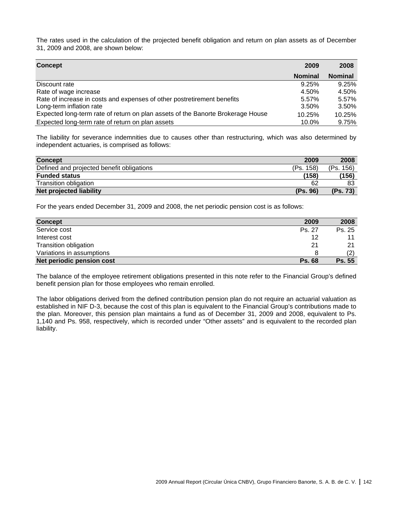The rates used in the calculation of the projected benefit obligation and return on plan assets as of December 31, 2009 and 2008, are shown below:

| Concept                                                                         | 2009           | 2008           |
|---------------------------------------------------------------------------------|----------------|----------------|
|                                                                                 | <b>Nominal</b> | <b>Nominal</b> |
| Discount rate                                                                   | 9.25%          | 9.25%          |
| Rate of wage increase                                                           | 4.50%          | 4.50%          |
| Rate of increase in costs and expenses of other postretirement benefits         | 5.57%          | 5.57%          |
| Long-term inflation rate                                                        | 3.50%          | 3.50%          |
| Expected long-term rate of return on plan assets of the Banorte Brokerage House | 10.25%         | 10.25%         |
| Expected long-term rate of return on plan assets                                | 10.0%          | 9.75%          |

The liability for severance indemnities due to causes other than restructuring, which was also determined by independent actuaries, is comprised as follows:

| <b>Concept</b>                            | 2009      | 2008      |
|-------------------------------------------|-----------|-----------|
| Defined and projected benefit obligations | (Ps. 158) | (Ps. 156) |
| <b>Funded status</b>                      | (158)     | (156)     |
| Transition obligation                     | 62        | 83        |
| Net projected liability                   | (Ps. 96)  | (Ps. 73)  |

For the years ended December 31, 2009 and 2008, the net periodic pension cost is as follows:

| <b>Concept</b>            | 2009          | 2008   |
|---------------------------|---------------|--------|
| Service cost              | Ps. 27        | Ps. 25 |
| Interest cost             | 12            |        |
| Transition obligation     | 21            | 21     |
| Variations in assumptions |               |        |
| Net periodic pension cost | <b>Ps. 68</b> | Ps. 55 |

The balance of the employee retirement obligations presented in this note refer to the Financial Group's defined benefit pension plan for those employees who remain enrolled.

The labor obligations derived from the defined contribution pension plan do not require an actuarial valuation as established in NIF D-3, because the cost of this plan is equivalent to the Financial Group's contributions made to the plan. Moreover, this pension plan maintains a fund as of December 31, 2009 and 2008, equivalent to Ps. 1,140 and Ps. 958, respectively, which is recorded under "Other assets" and is equivalent to the recorded plan liability.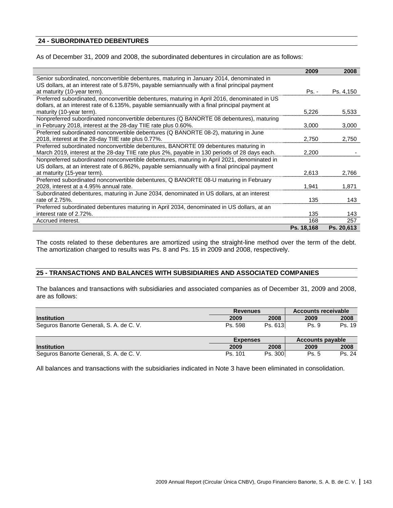# **24 - SUBORDINATED DEBENTURES**

As of December 31, 2009 and 2008, the subordinated debentures in circulation are as follows:

|                                                                                                | 2009       | 2008       |
|------------------------------------------------------------------------------------------------|------------|------------|
| Senior subordinated, nonconvertible debentures, maturing in January 2014, denominated in       |            |            |
| US dollars, at an interest rate of 5.875%, payable semiannually with a final principal payment |            |            |
| at maturity (10-year term).                                                                    | $Ps. -$    | Ps. 4,150  |
| Preferred subordinated, nonconvertible debentures, maturing in April 2016, denominated in US   |            |            |
| dollars, at an interest rate of 6.135%, payable semiannually with a final principal payment at |            |            |
| maturity (10-year term).                                                                       | 5.226      | 5,533      |
| Nonpreferred subordinated nonconvertible debentures (Q BANORTE 08 debentures), maturing        |            |            |
| in February 2018, interest at the 28-day TIIE rate plus 0.60%.                                 | 3,000      | 3,000      |
| Preferred subordinated nonconvertible debentures (Q BANORTE 08-2), maturing in June            |            |            |
| 2018, interest at the 28-day TIIE rate plus 0.77%.                                             | 2,750      | 2,750      |
| Preferred subordinated nonconvertible debentures, BANORTE 09 debentures maturing in            |            |            |
| March 2019, interest at the 28-day TIIE rate plus 2%, payable in 130 periods of 28 days each.  | 2,200      |            |
| Nonpreferred subordinated nonconvertible debentures, maturing in April 2021, denominated in    |            |            |
| US dollars, at an interest rate of 6.862%, payable semiannually with a final principal payment |            |            |
| at maturity (15-year term).                                                                    | 2,613      | 2,766      |
| Preferred subordinated nonconvertible debentures, Q BANORTE 08-U maturing in February          |            |            |
| 2028, interest at a 4.95% annual rate.                                                         | 1,941      | 1,871      |
| Subordinated debentures, maturing in June 2034, denominated in US dollars, at an interest      |            |            |
| rate of 2.75%.                                                                                 | 135        | 143        |
| Preferred subordinated debentures maturing in April 2034, denominated in US dollars, at an     |            |            |
| interest rate of 2.72%.                                                                        | 135        | 143        |
| Accrued interest.                                                                              | 168        | 257        |
|                                                                                                | Ps. 18,168 | Ps. 20,613 |

The costs related to these debentures are amortized using the straight-line method over the term of the debt. The amortization charged to results was Ps. 8 and Ps. 15 in 2009 and 2008, respectively.

#### **25 - TRANSACTIONS AND BALANCES WITH SUBSIDIARIES AND ASSOCIATED COMPANIES**

The balances and transactions with subsidiaries and associated companies as of December 31, 2009 and 2008, are as follows:

|                                          |                 | <b>Revenues</b> |                         | <b>Accounts receivable</b> |  |  |
|------------------------------------------|-----------------|-----------------|-------------------------|----------------------------|--|--|
| <b>Institution</b>                       | 2009            | 2008            | 2009                    | 2008                       |  |  |
| Seguros Banorte Generali, S. A. de C. V. | Ps. 598         | Ps. 613         | Ps. 9                   | Ps. 19                     |  |  |
|                                          | <b>Expenses</b> |                 | <b>Accounts payable</b> |                            |  |  |
| <b>Institution</b>                       | 2009            | 2008            | 2009                    | 2008                       |  |  |
| Seguros Banorte Generali, S. A. de C. V. | Ps. 101         | Ps. 300         | Ps. 5                   | Ps. 24                     |  |  |

All balances and transactions with the subsidiaries indicated in Note 3 have been eliminated in consolidation.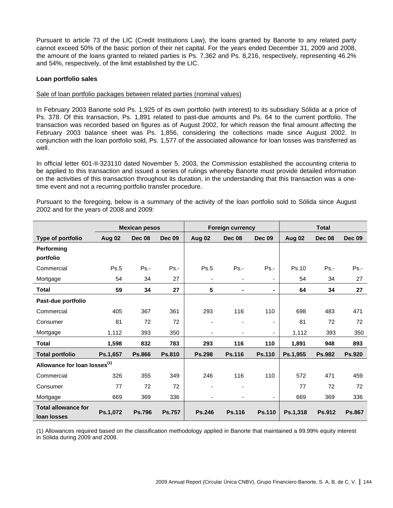Pursuant to article 73 of the LIC (Credit Institutions Law), the loans granted by Banorte to any related party cannot exceed 50% of the basic portion of their net capital. For the years ended December 31, 2009 and 2008, the amount of the loans granted to related parties is Ps. 7,362 and Ps. 8,216, respectively, representing 46.2% and 54%, respectively, of the limit established by the LIC.

## **Loan portfolio sales**

# Sale of loan portfolio packages between related parties (nominal values)

In February 2003 Banorte sold Ps. 1,925 of its own portfolio (with interest) to its subsidiary Sólida at a price of Ps. 378. Of this transaction, Ps. 1,891 related to past-due amounts and Ps. 64 to the current portfolio. The transaction was recorded based on figures as of August 2002, for which reason the final amount affecting the February 2003 balance sheet was Ps. 1,856, considering the collections made since August 2002. In conjunction with the loan portfolio sold, Ps. 1,577 of the associated allowance for loan losses was transferred as well.

In official letter 601-II-323110 dated November 5, 2003, the Commission established the accounting criteria to be applied to this transaction and issued a series of rulings whereby Banorte must provide detailed information on the activities of this transaction throughout its duration, in the understanding that this transaction was a onetime event and not a recurring portfolio transfer procedure.

|                                           | <b>Mexican pesos</b> |               |               | <b>Foreign currency</b>  |                          |               | <b>Total</b> |               |               |
|-------------------------------------------|----------------------|---------------|---------------|--------------------------|--------------------------|---------------|--------------|---------------|---------------|
| Type of portfolio                         | Aug 02               | <b>Dec 08</b> | <b>Dec 09</b> | Aug 02                   | <b>Dec 08</b>            | <b>Dec 09</b> | Aug 02       | <b>Dec 08</b> | <b>Dec 09</b> |
| Performing                                |                      |               |               |                          |                          |               |              |               |               |
| portfolio                                 |                      |               |               |                          |                          |               |              |               |               |
| Commercial                                | Ps.5                 | Ps.-          | $Ps. -$       | Ps.5                     | $Ps. -$                  | $Ps. -$       | Ps.10        | $Ps. -$       | $Ps. -$       |
| Mortgage                                  | 54                   | 34            | 27            | $\overline{\phantom{a}}$ | $\overline{\phantom{a}}$ | ۰             | 54           | 34            | 27            |
| <b>Total</b>                              | 59                   | 34            | 27            | 5                        | $\blacksquare$           |               | 64           | 34            | 27            |
| Past-due portfolio                        |                      |               |               |                          |                          |               |              |               |               |
| Commercial                                | 405                  | 367           | 361           | 293                      | 116                      | 110           | 698          | 483           | 471           |
| Consumer                                  | 81                   | 72            | 72            |                          |                          | ۰             | 81           | 72            | 72            |
| Mortgage                                  | 1,112                | 393           | 350           |                          | ٠                        | ۰             | 1,112        | 393           | 350           |
| <b>Total</b>                              | 1,598                | 832           | 783           | 293                      | 116                      | 110           | 1,891        | 948           | 893           |
| <b>Total portfolio</b>                    | Ps.1,657             | <b>Ps.866</b> | <b>Ps.810</b> | <b>Ps.298</b>            | <b>Ps.116</b>            | <b>Ps.110</b> | Ps.1,955     | <b>Ps.982</b> | <b>Ps.920</b> |
| Allowance for loan losses <sup>(1)</sup>  |                      |               |               |                          |                          |               |              |               |               |
| Commercial                                | 326                  | 355           | 349           | 246                      | 116                      | 110           | 572          | 471           | 459           |
| Consumer                                  | 77                   | 72            | 72            |                          |                          |               | 77           | 72            | 72            |
| Mortgage                                  | 669                  | 369           | 336           |                          |                          | ۰             | 669          | 369           | 336           |
| <b>Total allowance for</b><br>loan losses | Ps.1,072             | <b>Ps.796</b> | <b>Ps.757</b> | <b>Ps.246</b>            | <b>Ps.116</b>            | <b>Ps.110</b> | Ps.1,318     | <b>Ps.912</b> | <b>Ps.867</b> |

Pursuant to the foregoing, below is a summary of the activity of the loan portfolio sold to Sólida since August 2002 and for the years of 2008 and 2009:

(1) Allowances required based on the classification methodology applied in Banorte that maintained a 99.99% equity interest in Sólida during 2009 and 2008.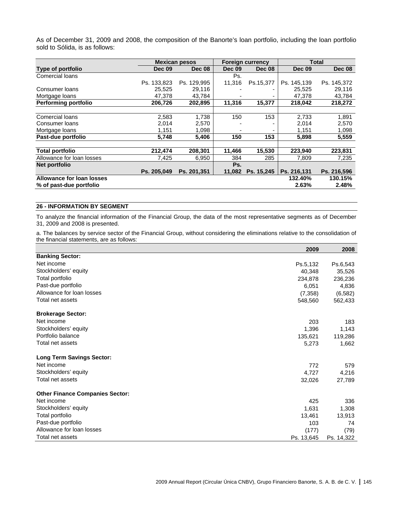As of December 31, 2009 and 2008, the composition of the Banorte's loan portfolio, including the loan portfolio sold to Sólida, is as follows:

|                             |               | <b>Mexican pesos</b> | <b>Foreign currency</b> |               |               | <b>Total</b>  |
|-----------------------------|---------------|----------------------|-------------------------|---------------|---------------|---------------|
| Type of portfolio           | <b>Dec 09</b> | <b>Dec 08</b>        | <b>Dec 09</b>           | <b>Dec 08</b> | <b>Dec 09</b> | <b>Dec 08</b> |
| <b>Comercial loans</b>      |               |                      | Ps.                     |               |               |               |
|                             | Ps. 133,823   | Ps. 129,995          | 11,316                  | Ps.15,377     | Ps. 145,139   | Ps. 145,372   |
| Consumer loans              | 25,525        | 29,116               |                         |               | 25.525        | 29,116        |
| Mortgage loans              | 47,378        | 43,784               |                         |               | 47,378        | 43,784        |
| <b>Performing portfolio</b> | 206,726       | 202,895              | 11,316                  | 15,377        | 218,042       | 218,272       |
|                             |               |                      |                         |               |               |               |
| <b>Comercial loans</b>      | 2,583         | 1,738                | 150                     | 153           | 2,733         | 1,891         |
| Consumer loans              | 2.014         | 2,570                |                         |               | 2,014         | 2,570         |
| Mortgage loans              | 1,151         | 1,098                |                         |               | 1,151         | 1,098         |
| Past-due portfolio          | 5,748         | 5,406                | 150                     | 153           | 5,898         | 5,559         |
| <b>Total portfolio</b>      | 212.474       | 208.301              | 11.466                  | 15,530        | 223.940       | 223,831       |
| Allowance for loan losses   | 7,425         | 6,950                | 384                     | 285           | 7,809         | 7,235         |
| Net portfolio               |               |                      | Ps.                     |               |               |               |
|                             | Ps. 205.049   | Ps. 201.351          | 11.082                  | Ps. 15,245    | Ps. 216,131   | Ps. 216,596   |
| Allowance for loan losses   |               |                      |                         |               | 132.40%       | 130.15%       |
| % of past-due portfolio     |               |                      |                         |               | 2.63%         | 2.48%         |

## **26 - INFORMATION BY SEGMENT**

To analyze the financial information of the Financial Group, the data of the most representative segments as of December 31, 2009 and 2008 is presented.

a. The balances by service sector of the Financial Group, without considering the eliminations relative to the consolidation of the financial statements, are as follows:

|                                        | 2009       | 2008       |
|----------------------------------------|------------|------------|
| <b>Banking Sector:</b>                 |            |            |
| Net income                             | Ps.5,132   | Ps.6,543   |
| Stockholders' equity                   | 40,348     | 35,526     |
| Total portfolio                        | 234,878    | 236,236    |
| Past-due portfolio                     | 6,051      | 4,836      |
| Allowance for loan losses              | (7, 358)   | (6, 582)   |
| Total net assets                       | 548,560    | 562,433    |
| <b>Brokerage Sector:</b>               |            |            |
| Net income                             | 203        | 183        |
| Stockholders' equity                   | 1,396      | 1,143      |
| Portfolio balance                      | 135,621    | 119,286    |
| Total net assets                       | 5,273      | 1,662      |
| <b>Long Term Savings Sector:</b>       |            |            |
| Net income                             | 772        | 579        |
| Stockholders' equity                   | 4,727      | 4,216      |
| Total net assets                       | 32,026     | 27,789     |
| <b>Other Finance Companies Sector:</b> |            |            |
| Net income                             | 425        | 336        |
| Stockholders' equity                   | 1,631      | 1,308      |
| Total portfolio                        | 13,461     | 13,913     |
| Past-due portfolio                     | 103        | 74         |
| Allowance for loan losses              | (177)      | (79)       |
| Total net assets                       | Ps. 13,645 | Ps. 14,322 |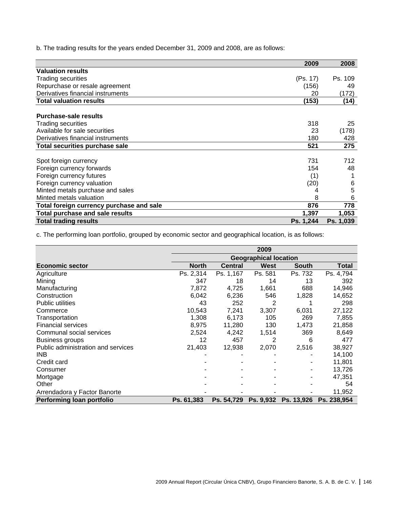b. The trading results for the years ended December 31, 2009 and 2008, are as follows:

|                                          | 2009      | 2008      |
|------------------------------------------|-----------|-----------|
| <b>Valuation results</b>                 |           |           |
| <b>Trading securities</b>                | (Ps. 17)  | Ps. 109   |
| Repurchase or resale agreement           | (156)     | 49        |
| Derivatives financial instruments        | 20        | (172)     |
| <b>Total valuation results</b>           | (153)     | (14)      |
|                                          |           |           |
| <b>Purchase-sale results</b>             |           |           |
| Trading securities                       | 318       | 25        |
| Available for sale securities            | 23        | (178)     |
| Derivatives financial instruments        | 180       | 428       |
| <b>Total securities purchase sale</b>    | 521       | 275       |
|                                          |           |           |
| Spot foreign currency                    | 731       | 712       |
| Foreign currency forwards                | 154       | 48        |
| Foreign currency futures                 | (1)       |           |
| Foreign currency valuation               | (20)      | 6         |
| Minted metals purchase and sales         | 4         | 5         |
| Minted metals valuation                  | 8         | 6         |
| Total foreign currency purchase and sale | 876       | 778       |
| <b>Total purchase and sale results</b>   | 1,397     | 1,053     |
| <b>Total trading results</b>             | Ps. 1,244 | Ps. 1,039 |

c. The performing loan portfolio, grouped by economic sector and geographical location, is as follows:

|                                    | 2009         |                |                              |              |             |  |
|------------------------------------|--------------|----------------|------------------------------|--------------|-------------|--|
|                                    |              |                | <b>Geographical location</b> |              |             |  |
| <b>Economic sector</b>             | <b>North</b> | <b>Central</b> | <b>West</b>                  | <b>South</b> | Total       |  |
| Agriculture                        | Ps. 2,314    | Ps. 1,167      | Ps. 581                      | Ps. 732      | Ps. 4,794   |  |
| Mining                             | 347          | 18             | 14                           | 13           | 392         |  |
| Manufacturing                      | 7,872        | 4,725          | 1,661                        | 688          | 14,946      |  |
| Construction                       | 6,042        | 6,236          | 546                          | 1,828        | 14,652      |  |
| Public utilities                   | 43           | 252            | 2                            |              | 298         |  |
| Commerce                           | 10,543       | 7,241          | 3,307                        | 6,031        | 27,122      |  |
| Transportation                     | 1,308        | 6,173          | 105                          | 269          | 7,855       |  |
| <b>Financial services</b>          | 8.975        | 11,280         | 130                          | 1.473        | 21,858      |  |
| Communal social services           | 2,524        | 4,242          | 1,514                        | 369          | 8,649       |  |
| Business groups                    | 12           | 457            | 2                            | 6            | 477         |  |
| Public administration and services | 21,403       | 12,938         | 2,070                        | 2,516        | 38,927      |  |
| <b>INB</b>                         |              |                |                              |              | 14,100      |  |
| Credit card                        |              |                |                              |              | 11,801      |  |
| Consumer                           |              |                |                              |              | 13,726      |  |
| Mortgage                           |              |                |                              |              | 47,351      |  |
| Other                              |              |                |                              |              | 54          |  |
| Arrendadora y Factor Banorte       |              |                |                              |              | 11,952      |  |
| Performing loan portfolio          | Ps. 61,383   | Ps. 54,729     | Ps. 9,932                    | Ps. 13,926   | Ps. 238.954 |  |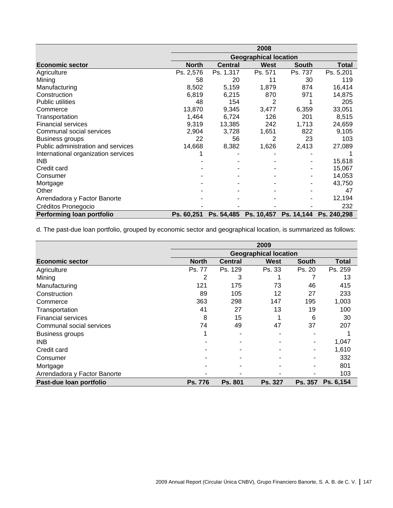|                                     | 2008         |                              |             |              |             |  |  |
|-------------------------------------|--------------|------------------------------|-------------|--------------|-------------|--|--|
|                                     |              | <b>Geographical location</b> |             |              |             |  |  |
| <b>Economic sector</b>              | <b>North</b> | <b>Central</b>               | <b>West</b> | <b>South</b> | Total       |  |  |
| Agriculture                         | Ps. 2,576    | Ps. 1,317                    | Ps. 571     | Ps. 737      | Ps. 5,201   |  |  |
| Mining                              | 58           | 20                           | 11          | 30           | 119         |  |  |
| Manufacturing                       | 8,502        | 5,159                        | 1,879       | 874          | 16,414      |  |  |
| Construction                        | 6,819        | 6,215                        | 870         | 971          | 14,875      |  |  |
| <b>Public utilities</b>             | 48           | 154                          | 2           |              | 205         |  |  |
| Commerce                            | 13,870       | 9,345                        | 3,477       | 6,359        | 33,051      |  |  |
| Transportation                      | 1,464        | 6,724                        | 126         | 201          | 8,515       |  |  |
| <b>Financial services</b>           | 9,319        | 13,385                       | 242         | 1,713        | 24,659      |  |  |
| Communal social services            | 2,904        | 3,728                        | 1,651       | 822          | 9,105       |  |  |
| Business groups                     | 22           | 56                           | 2           | 23           | 103         |  |  |
| Public administration and services  | 14,668       | 8,382                        | 1,626       | 2,413        | 27,089      |  |  |
| International organization services |              |                              |             |              |             |  |  |
| INB                                 |              |                              |             |              | 15,618      |  |  |
| Credit card                         |              |                              |             |              | 15,067      |  |  |
| Consumer                            |              |                              |             |              | 14,053      |  |  |
| Mortgage                            |              |                              |             |              | 43,750      |  |  |
| Other                               |              |                              |             |              | 47          |  |  |
| Arrendadora y Factor Banorte        |              |                              |             |              | 12,194      |  |  |
| Créditos Pronegocio                 |              |                              |             |              | 232         |  |  |
| Performing loan portfolio           | Ps. 60,251   | Ps. 54,485                   | Ps. 10,457  | Ps. 14,144   | Ps. 240,298 |  |  |

d. The past-due loan portfolio, grouped by economic sector and geographical location, is summarized as follows:

|                              | 2009           |                |                              |                |           |  |
|------------------------------|----------------|----------------|------------------------------|----------------|-----------|--|
|                              |                |                | <b>Geographical location</b> |                |           |  |
| <b>Economic sector</b>       | <b>North</b>   | <b>Central</b> | West                         | South          | Total     |  |
| Agriculture                  | Ps. 77         | Ps. 129        | Ps. 33                       | Ps. 20         | Ps. 259   |  |
| Mining                       | 2              | 3              |                              |                | 13        |  |
| Manufacturing                | 121            | 175            | 73                           | 46             | 415       |  |
| Construction                 | 89             | 105            | 12                           | 27             | 233       |  |
| Commerce                     | 363            | 298            | 147                          | 195            | 1,003     |  |
| Transportation               | 41             | 27             | 13                           | 19             | 100       |  |
| <b>Financial services</b>    | 8              | 15             |                              | 6              | 30        |  |
| Communal social services     | 74             | 49             | 47                           | 37             | 207       |  |
| <b>Business groups</b>       |                |                |                              |                |           |  |
| <b>INB</b>                   |                |                |                              |                | 1,047     |  |
| Credit card                  |                |                |                              |                | 1,610     |  |
| Consumer                     |                |                |                              |                | 332       |  |
| Mortgage                     |                |                |                              |                | 801       |  |
| Arrendadora y Factor Banorte |                |                |                              |                | 103       |  |
| Past-due loan portfolio      | <b>Ps. 776</b> | <b>Ps. 801</b> | <b>Ps. 327</b>               | <b>Ps. 357</b> | Ps. 6.154 |  |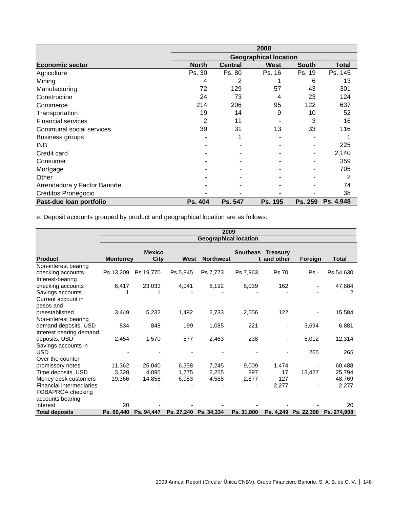|                              | 2008                         |                |             |         |           |  |
|------------------------------|------------------------------|----------------|-------------|---------|-----------|--|
|                              | <b>Geographical location</b> |                |             |         |           |  |
| <b>Economic sector</b>       | <b>North</b>                 | <b>Central</b> | <b>West</b> | South   | Total     |  |
| Agriculture                  | Ps. 30                       | Ps. 80         | Ps. 16      | Ps. 19  | Ps. 145   |  |
| Mining                       | 4                            | 2              |             | 6       | 13        |  |
| Manufacturing                | 72                           | 129            | 57          | 43      | 301       |  |
| Construction                 | 24                           | 73             | 4           | 23      | 124       |  |
| Commerce                     | 214                          | 206            | 95          | 122     | 637       |  |
| Transportation               | 19                           | 14             | 9           | 10      | 52        |  |
| <b>Financial services</b>    | 2                            | 11             |             | 3       | 16        |  |
| Communal social services     | 39                           | 31             | 13          | 33      | 116       |  |
| <b>Business groups</b>       |                              |                |             |         |           |  |
| INB                          |                              |                |             |         | 225       |  |
| Credit card                  |                              |                |             |         | 2,140     |  |
| Consumer                     |                              |                |             |         | 359       |  |
| Mortgage                     |                              |                |             |         | 705       |  |
| Other                        |                              |                |             |         | 2         |  |
| Arrendadora y Factor Banorte |                              |                |             |         | 74        |  |
| Créditos Pronegocio          |                              |                |             |         | 38        |  |
| Past-due loan portfolio      | Ps. 404                      | Ps. 547        | Ps. 195     | Ps. 259 | Ps. 4,948 |  |

e. Deposit accounts grouped by product and geographical location are as follows:

|                                 | 2009                         |                       |            |                  |                 |                         |                      |              |  |
|---------------------------------|------------------------------|-----------------------|------------|------------------|-----------------|-------------------------|----------------------|--------------|--|
|                                 | <b>Geographical location</b> |                       |            |                  |                 |                         |                      |              |  |
| <b>Product</b>                  | <b>Monterrey</b>             | <b>Mexico</b><br>City | West       | <b>Northwest</b> | <b>Southeas</b> | Treasury<br>t and other | Foreign              | <b>Total</b> |  |
| Non-interest bearing            |                              |                       |            |                  |                 |                         |                      |              |  |
| checking accounts               | Ps.13,209                    | Ps.19,770             | Ps.5,845   | Ps.7,773         | Ps.7,963        | Ps.70                   | $Ps. -$              | Ps.54,630    |  |
| Interest-bearing                |                              |                       |            |                  |                 |                         |                      |              |  |
| checking accounts               | 6,417                        | 23,033                | 4,041      | 6,192            | 8,039           | 162                     |                      | 47,884       |  |
| Savings accounts                |                              |                       |            |                  |                 |                         |                      | 2            |  |
| Current account in              |                              |                       |            |                  |                 |                         |                      |              |  |
| pesos and                       |                              |                       |            |                  |                 |                         |                      |              |  |
| preestablished                  | 3,449                        | 5,232                 | 1,492      | 2,733            | 2,556           | 122                     |                      | 15,584       |  |
| Non-interest bearing            |                              |                       |            |                  |                 |                         |                      |              |  |
| demand deposits, USD            | 834                          | 848                   | 199        | 1,085            | 221             | ٠                       | 3,694                | 6,881        |  |
| Interest bearing demand         |                              |                       |            |                  |                 |                         |                      |              |  |
| deposits, USD                   | 2,454                        | 1,570                 | 577        | 2,463            | 238             |                         | 5,012                | 12,314       |  |
| Savings accounts in             |                              |                       |            |                  |                 |                         |                      |              |  |
| <b>USD</b>                      |                              |                       |            |                  |                 |                         | 265                  | 265          |  |
| Over the counter                |                              |                       |            |                  |                 |                         |                      |              |  |
| promissory notes                | 11,362                       | 25,040                | 6,358      | 7,245            | 9,009           | 1,474                   |                      | 60,488       |  |
| Time deposits, USD              | 3,328                        | 4,095                 | 1,775      | 2,255            | 897             | 17                      | 13,427               | 25,794       |  |
| Money desk customers            | 19,366                       | 14,858                | 6,953      | 4,588            | 2,877           | 127                     |                      | 48,769       |  |
| <b>Financial intermediaries</b> |                              |                       |            |                  |                 | 2,277                   |                      | 2,277        |  |
| FOBAPROA checking               |                              |                       |            |                  |                 |                         |                      |              |  |
| accounts bearing                |                              |                       |            |                  |                 |                         |                      |              |  |
| interest                        | 20                           |                       |            |                  |                 |                         |                      | 20           |  |
| <b>Total deposits</b>           | Ps. 60,440                   | Ps. 94.447            | Ps. 27,240 | Ps. 34,334       | Ps. 31,800      |                         | Ps. 4,249 Ps. 22,398 | Ps. 274,908  |  |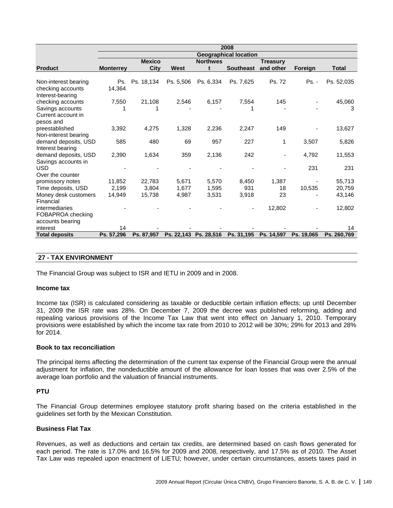|                                   | 2008                         |               |                       |                 |                          |                 |            |             |
|-----------------------------------|------------------------------|---------------|-----------------------|-----------------|--------------------------|-----------------|------------|-------------|
|                                   | <b>Geographical location</b> |               |                       |                 |                          |                 |            |             |
|                                   |                              | <b>Mexico</b> |                       | <b>Northwes</b> |                          | <b>Treasury</b> |            |             |
| <b>Product</b>                    | <b>Monterrey</b>             | City          | West                  | t               | <b>Southeast</b>         | and other       | Foreign    | Total       |
| Non-interest bearing              | Ps.                          | Ps. 18,134    | Ps. 5,506             | Ps. 6,334       | Ps. 7,625                | Ps. 72          | $Ps. -$    | Ps. 52,035  |
| checking accounts                 | 14,364                       |               |                       |                 |                          |                 |            |             |
| Interest-bearing                  |                              |               |                       |                 |                          |                 |            |             |
| checking accounts                 | 7,550                        | 21,108        | 2,546                 | 6,157           | 7,554                    | 145             |            | 45,060      |
| Savings accounts                  |                              |               |                       |                 |                          |                 |            | 3           |
| Current account in                |                              |               |                       |                 |                          |                 |            |             |
| pesos and                         |                              |               |                       |                 |                          |                 |            |             |
| preestablished                    | 3,392                        | 4,275         | 1,328                 | 2,236           | 2,247                    | 149             |            | 13,627      |
| Non-interest bearing              |                              |               |                       |                 |                          |                 |            |             |
| demand deposits, USD              | 585                          | 480           | 69                    | 957             | 227                      | 1               | 3,507      | 5,826       |
| Interest bearing                  |                              |               |                       |                 |                          |                 |            |             |
| demand deposits, USD              | 2,390                        | 1,634         | 359                   | 2,136           | 242                      |                 | 4,792      | 11,553      |
| Savings accounts in<br><b>USD</b> |                              |               |                       |                 |                          |                 | 231        | 231         |
| Over the counter                  |                              |               |                       |                 |                          |                 |            |             |
| promissory notes                  | 11.852                       | 22,783        | 5.671                 | 5.570           | 8,450                    | 1.387           |            | 55,713      |
| Time deposits, USD                | 2,199                        | 3,804         | 1,677                 | 1,595           | 931                      | 18              | 10,535     | 20,759      |
| Money desk customers              | 14,949                       | 15,738        | 4,987                 | 3,531           | 3,918                    | 23              |            | 43,146      |
| Financial                         |                              |               |                       |                 |                          |                 |            |             |
| intermediaries                    |                              |               |                       |                 | $\overline{\phantom{a}}$ | 12,802          |            | 12,802      |
| FOBAPROA checking                 |                              |               |                       |                 |                          |                 |            |             |
| accounts bearing                  |                              |               |                       |                 |                          |                 |            |             |
| interest                          | 14                           |               |                       |                 |                          |                 |            | 14          |
| <b>Total deposits</b>             | Ps. 57,296                   | Ps. 87,957    | Ps. 22,143 Ps. 28,516 |                 | Ps. 31,195               | Ps. 14,597      | Ps. 19,065 | Ps. 260,769 |

## **27 - TAX ENVIRONMENT**

The Financial Group was subject to ISR and IETU in 2009 and in 2008.

#### **Income tax**

Income tax (ISR) is calculated considering as taxable or deductible certain inflation effects; up until December 31, 2009 the ISR rate was 28%. On December 7, 2009 the decree was published reforming, adding and repealing various provisions of the Income Tax Law that went into effect on January 1, 2010. Temporary provisions were established by which the income tax rate from 2010 to 2012 will be 30%; 29% for 2013 and 28% for 2014.

#### **Book to tax reconciliation**

The principal items affecting the determination of the current tax expense of the Financial Group were the annual adjustment for inflation, the nondeductible amount of the allowance for loan losses that was over 2.5% of the average loan portfolio and the valuation of financial instruments.

## **PTU**

The Financial Group determines employee statutory profit sharing based on the criteria established in the guidelines set forth by the Mexican Constitution.

#### **Business Flat Tax**

Revenues, as well as deductions and certain tax credits, are determined based on cash flows generated for each period. The rate is 17.0% and 16.5% for 2009 and 2008, respectively, and 17.5% as of 2010. The Asset Tax Law was repealed upon enactment of LIETU; however, under certain circumstances, assets taxes paid in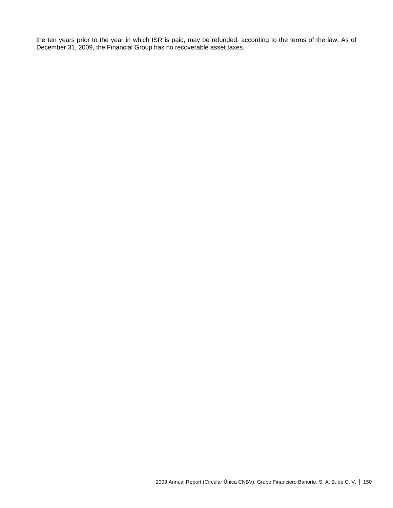the ten years prior to the year in which ISR is paid, may be refunded, according to the terms of the law. As of December 31, 2009, the Financial Group has no recoverable asset taxes.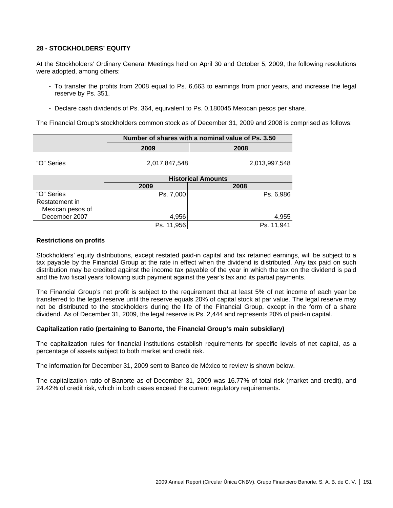# **28 - STOCKHOLDERS' EQUITY**

At the Stockholders' Ordinary General Meetings held on April 30 and October 5, 2009, the following resolutions were adopted, among others:

- To transfer the profits from 2008 equal to Ps. 6,663 to earnings from prior years, and increase the legal reserve by Ps. 351.
- Declare cash dividends of Ps. 364, equivalent to Ps. 0.180045 Mexican pesos per share.

The Financial Group's stockholders common stock as of December 31, 2009 and 2008 is comprised as follows:

|                                    | Number of shares with a nominal value of Ps. 3.50 |               |  |  |  |  |
|------------------------------------|---------------------------------------------------|---------------|--|--|--|--|
|                                    | 2009                                              | 2008          |  |  |  |  |
| "O" Series                         | 2,017,847,548                                     | 2,013,997,548 |  |  |  |  |
|                                    |                                                   |               |  |  |  |  |
|                                    | <b>Historical Amounts</b>                         |               |  |  |  |  |
|                                    | 2009                                              | 2008          |  |  |  |  |
| "O" Series                         | Ps. 7,000                                         | Ps. 6,986     |  |  |  |  |
| Restatement in<br>Mexican pesos of |                                                   |               |  |  |  |  |

December 2007 4,956 4,955

### **Restrictions on profits**

Stockholders' equity distributions, except restated paid-in capital and tax retained earnings, will be subject to a tax payable by the Financial Group at the rate in effect when the dividend is distributed. Any tax paid on such distribution may be credited against the income tax payable of the year in which the tax on the dividend is paid and the two fiscal years following such payment against the year's tax and its partial payments.

Ps. 11,956 Ps. 11,941

The Financial Group's net profit is subject to the requirement that at least 5% of net income of each year be transferred to the legal reserve until the reserve equals 20% of capital stock at par value. The legal reserve may not be distributed to the stockholders during the life of the Financial Group, except in the form of a share dividend. As of December 31, 2009, the legal reserve is Ps. 2,444 and represents 20% of paid-in capital.

#### **Capitalization ratio (pertaining to Banorte, the Financial Group's main subsidiary)**

The capitalization rules for financial institutions establish requirements for specific levels of net capital, as a percentage of assets subject to both market and credit risk.

The information for December 31, 2009 sent to Banco de México to review is shown below.

The capitalization ratio of Banorte as of December 31, 2009 was 16.77% of total risk (market and credit), and 24.42% of credit risk, which in both cases exceed the current regulatory requirements.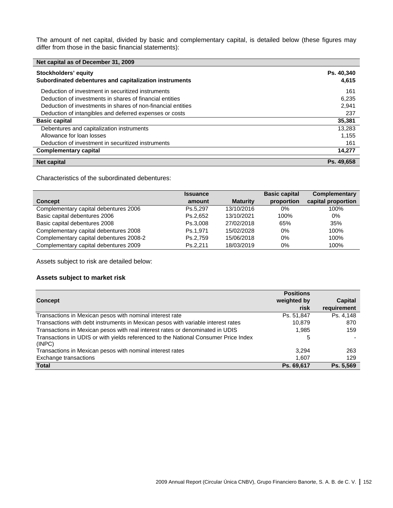The amount of net capital, divided by basic and complementary capital, is detailed below (these figures may differ from those in the basic financial statements):

| Net capital as of December 31, 2009                                            |                     |
|--------------------------------------------------------------------------------|---------------------|
| Stockholders' equity<br>Subordinated debentures and capitalization instruments | Ps. 40,340<br>4,615 |
| Deduction of investment in securitized instruments                             | 161                 |
| Deduction of investments in shares of financial entities                       | 6,235               |
| Deduction of investments in shares of non-financial entities                   | 2,941               |
| Deduction of intangibles and deferred expenses or costs                        | 237                 |
| <b>Basic capital</b>                                                           | 35,381              |
| Debentures and capitalization instruments                                      | 13,283              |
| Allowance for loan losses                                                      | 1,155               |
| Deduction of investment in securitized instruments                             | 161                 |
| <b>Complementary capital</b>                                                   | 14,277              |
| Net capital                                                                    | Ps. 49.658          |

Characteristics of the subordinated debentures:

|                                         | <b>Issuance</b> |                 | <b>Basic capital</b> | <b>Complementary</b> |
|-----------------------------------------|-----------------|-----------------|----------------------|----------------------|
| <b>Concept</b>                          | amount          | <b>Maturity</b> | proportion           | capital proportion   |
| Complementary capital debentures 2006   | Ps.5.297        | 13/10/2016      | 0%                   | 100%                 |
| Basic capital debentures 2006           | Ps.2.652        | 13/10/2021      | 100%                 | 0%                   |
| Basic capital debentures 2008           | Ps.3.008        | 27/02/2018      | 65%                  | 35%                  |
| Complementary capital debentures 2008   | Ps.1.971        | 15/02/2028      | 0%                   | 100%                 |
| Complementary capital debentures 2008-2 | Ps.2.759        | 15/06/2018      | $0\%$                | 100%                 |
| Complementary capital debentures 2009   | Ps.2.211        | 18/03/2019      | 0%                   | 100%                 |

Assets subject to risk are detailed below:

## **Assets subject to market risk**

| <b>Concept</b>                                                                                | <b>Positions</b><br>weighted by<br>risk | <b>Capital</b><br>requirement |
|-----------------------------------------------------------------------------------------------|-----------------------------------------|-------------------------------|
| Transactions in Mexican pesos with nominal interest rate                                      | Ps. 51,847                              | Ps. 4.148                     |
| Transactions with debt instruments in Mexican pesos with variable interest rates              | 10,879                                  | 870                           |
| Transactions in Mexican pesos with real interest rates or denominated in UDIS                 | 1.985                                   | 159                           |
| Transactions in UDIS or with yields referenced to the National Consumer Price Index<br>(INPC) | 5                                       |                               |
| Transactions in Mexican pesos with nominal interest rates                                     | 3.294                                   | 263                           |
| Exchange transactions                                                                         | 1,607                                   | 129                           |
| <b>Total</b>                                                                                  | Ps. 69,617                              | Ps. 5.569                     |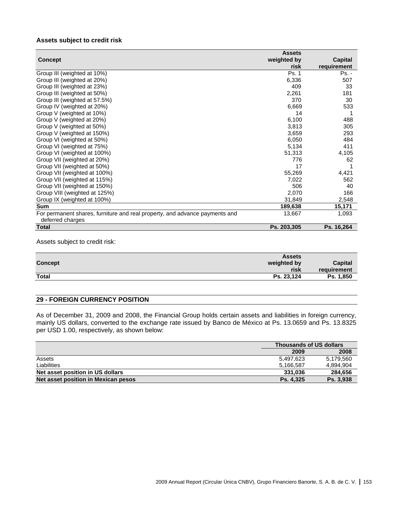## **Assets subject to credit risk**

|                                                                             | <b>Assets</b> |             |
|-----------------------------------------------------------------------------|---------------|-------------|
| <b>Concept</b>                                                              | weighted by   | Capital     |
|                                                                             | risk          | requirement |
| Group III (weighted at 10%)                                                 | Ps. 1         | Ps. -       |
| Group III (weighted at 20%)                                                 | 6,336         | 507         |
| Group III (weighted at 23%)                                                 | 409           | 33          |
| Group III (weighted at 50%)                                                 | 2,261         | 181         |
| Group III (weighted at 57.5%)                                               | 370           | 30          |
| Group IV (weighted at 20%)                                                  | 6,669         | 533         |
| Group V (weighted at 10%)                                                   | 14            |             |
| Group V (weighted at 20%)                                                   | 6,100         | 488         |
| Group V (weighted at 50%)                                                   | 3,813         | 305         |
| Group V (weighted at 150%)                                                  | 3,659         | 293         |
| Group VI (weighted at 50%)                                                  | 6,050         | 484         |
| Group VI (weighted at 75%)                                                  | 5,134         | 411         |
| Group VI (weighted at 100%)                                                 | 51,313        | 4,105       |
| Group VII (weighted at 20%)                                                 | 776           | 62          |
| Group VII (weighted at 50%)                                                 | 17            |             |
| Group VII (weighted at 100%)                                                | 55,269        | 4,421       |
| Group VII (weighted at 115%)                                                | 7,022         | 562         |
| Group VII (weighted at 150%)                                                | 506           | 40          |
| Group VIII (weighted at 125%)                                               | 2,070         | 166         |
| Group IX (weighted at 100%)                                                 | 31,849        | 2,548       |
| <b>Sum</b>                                                                  | 189,638       | 15,171      |
| For permanent shares, furniture and real property, and advance payments and | 13,667        | 1,093       |
| deferred charges                                                            |               |             |
| <b>Total</b>                                                                | Ps. 203,305   | Ps. 16,264  |

Assets subject to credit risk:

|                | <b>Assets</b> |                |
|----------------|---------------|----------------|
| <b>Concept</b> | weighted by   | <b>Capital</b> |
|                | risk          | requirement    |
| <b>Total</b>   | Ps. 23,124    | Ps. 1,850      |
|                |               |                |

# **29 - FOREIGN CURRENCY POSITION**

As of December 31, 2009 and 2008, the Financial Group holds certain assets and liabilities in foreign currency, mainly US dollars, converted to the exchange rate issued by Banco de México at Ps. 13.0659 and Ps. 13.8325 per USD 1.00, respectively, as shown below:

|                                     | <b>Thousands of US dollars</b> |           |
|-------------------------------------|--------------------------------|-----------|
|                                     | 2009                           | 2008      |
| Assets                              | 5.497.623                      | 5.179.560 |
| Liabilities                         | 5.166.587                      | 4.894.904 |
| Net asset position in US dollars    | 331.036                        | 284.656   |
| Net asset position in Mexican pesos | Ps. 4.325                      | Ps. 3.938 |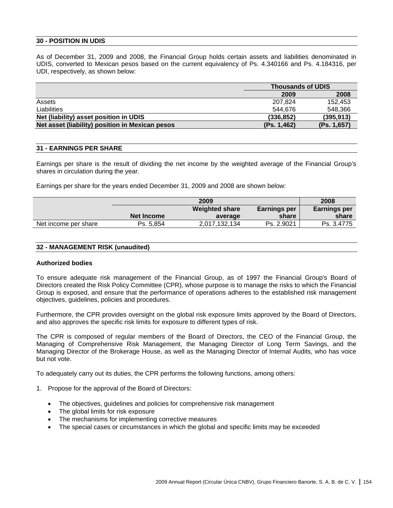## **30 - POSITION IN UDIS**

As of December 31, 2009 and 2008, the Financial Group holds certain assets and liabilities denominated in UDIS, converted to Mexican pesos based on the current equivalency of Ps. 4.340166 and Ps. 4.184316, per UDI, respectively, as shown below:

|                                                 |             | <b>Thousands of UDIS</b> |  |  |
|-------------------------------------------------|-------------|--------------------------|--|--|
|                                                 | 2009        | 2008                     |  |  |
| Assets                                          | 207.824     | 152.453                  |  |  |
| Liabilities                                     | 544.676     | 548.366                  |  |  |
| Net (liability) asset position in UDIS          | (336, 852)  | (395, 913)               |  |  |
| Net asset (liability) position in Mexican pesos | (Ps. 1,462) | (Ps. 1,657)              |  |  |

## **31 - EARNINGS PER SHARE**

Earnings per share is the result of dividing the net income by the weighted average of the Financial Group's shares in circulation during the year.

Earnings per share for the years ended December 31, 2009 and 2008 are shown below:

|                      |            | 2009                  |              | 2008                |
|----------------------|------------|-----------------------|--------------|---------------------|
|                      |            | <b>Weighted share</b> | Earnings per | <b>Earnings per</b> |
|                      | Net Income | average               | share        | share               |
| Net income per share | Ps. 5.854  | 2.017.132.134         | Ps. 2.9021   | Ps. 3.4775          |

### **32 - MANAGEMENT RISK (unaudited)**

#### **Authorized bodies**

To ensure adequate risk management of the Financial Group, as of 1997 the Financial Group's Board of Directors created the Risk Policy Committee (CPR), whose purpose is to manage the risks to which the Financial Group is exposed, and ensure that the performance of operations adheres to the established risk management objectives, guidelines, policies and procedures.

Furthermore, the CPR provides oversight on the global risk exposure limits approved by the Board of Directors, and also approves the specific risk limits for exposure to different types of risk.

The CPR is composed of regular members of the Board of Directors, the CEO of the Financial Group, the Managing of Comprehensive Risk Management, the Managing Director of Long Term Savings, and the Managing Director of the Brokerage House, as well as the Managing Director of Internal Audits, who has voice but not vote.

To adequately carry out its duties, the CPR performs the following functions, among others:

- 1. Propose for the approval of the Board of Directors:
	- The objectives, guidelines and policies for comprehensive risk management
	- The global limits for risk exposure
	- The mechanisms for implementing corrective measures
	- The special cases or circumstances in which the global and specific limits may be exceeded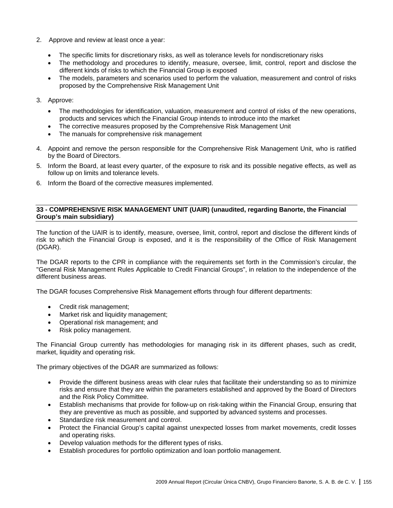- 2. Approve and review at least once a year:
	- The specific limits for discretionary risks, as well as tolerance levels for nondiscretionary risks
	- The methodology and procedures to identify, measure, oversee, limit, control, report and disclose the different kinds of risks to which the Financial Group is exposed
	- The models, parameters and scenarios used to perform the valuation, measurement and control of risks proposed by the Comprehensive Risk Management Unit
- 3. Approve:
	- The methodologies for identification, valuation, measurement and control of risks of the new operations, products and services which the Financial Group intends to introduce into the market
	- The corrective measures proposed by the Comprehensive Risk Management Unit
	- The manuals for comprehensive risk management
- 4. Appoint and remove the person responsible for the Comprehensive Risk Management Unit, who is ratified by the Board of Directors.
- 5. Inform the Board, at least every quarter, of the exposure to risk and its possible negative effects, as well as follow up on limits and tolerance levels.
- 6. Inform the Board of the corrective measures implemented.

## **33 - COMPREHENSIVE RISK MANAGEMENT UNIT (UAIR) (unaudited, regarding Banorte, the Financial Group's main subsidiary)**

The function of the UAIR is to identify, measure, oversee, limit, control, report and disclose the different kinds of risk to which the Financial Group is exposed, and it is the responsibility of the Office of Risk Management (DGAR).

The DGAR reports to the CPR in compliance with the requirements set forth in the Commission's circular, the "General Risk Management Rules Applicable to Credit Financial Groups", in relation to the independence of the different business areas.

The DGAR focuses Comprehensive Risk Management efforts through four different departments:

- Credit risk management;
- Market risk and liquidity management;
- Operational risk management; and
- Risk policy management.

The Financial Group currently has methodologies for managing risk in its different phases, such as credit, market, liquidity and operating risk.

The primary objectives of the DGAR are summarized as follows:

- Provide the different business areas with clear rules that facilitate their understanding so as to minimize risks and ensure that they are within the parameters established and approved by the Board of Directors and the Risk Policy Committee.
- Establish mechanisms that provide for follow-up on risk-taking within the Financial Group, ensuring that they are preventive as much as possible, and supported by advanced systems and processes.
- Standardize risk measurement and control.
- Protect the Financial Group's capital against unexpected losses from market movements, credit losses and operating risks.
- Develop valuation methods for the different types of risks.
- Establish procedures for portfolio optimization and loan portfolio management.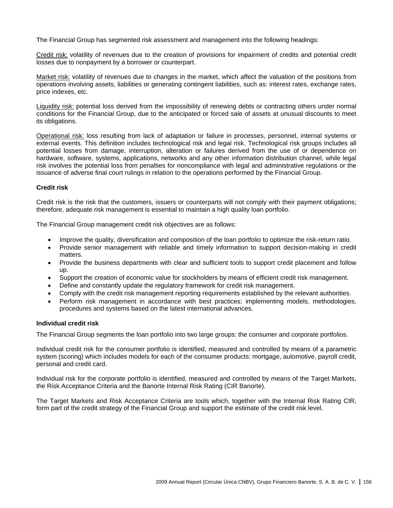The Financial Group has segmented risk assessment and management into the following headings:

Credit risk: volatility of revenues due to the creation of provisions for impairment of credits and potential credit losses due to nonpayment by a borrower or counterpart.

Market risk: volatility of revenues due to changes in the market, which affect the valuation of the positions from operations involving assets, liabilities or generating contingent liabilities, such as: interest rates, exchange rates, price indexes, etc.

Liquidity risk: potential loss derived from the impossibility of renewing debts or contracting others under normal conditions for the Financial Group, due to the anticipated or forced sale of assets at unusual discounts to meet its obligations.

Operational risk: loss resulting from lack of adaptation or failure in processes, personnel, internal systems or external events. This definition includes technological risk and legal risk. Technological risk groups includes all potential losses from damage, interruption, alteration or failures derived from the use of or dependence on hardware, software, systems, applications, networks and any other information distribution channel, while legal risk involves the potential loss from penalties for noncompliance with legal and administrative regulations or the issuance of adverse final court rulings in relation to the operations performed by the Financial Group.

## **Credit risk**

Credit risk is the risk that the customers, issuers or counterparts will not comply with their payment obligations; therefore, adequate risk management is essential to maintain a high quality loan portfolio.

The Financial Group management credit risk objectives are as follows:

- Improve the quality, diversification and composition of the loan portfolio to optimize the risk-return ratio.
- Provide senior management with reliable and timely information to support decision-making in credit matters.
- Provide the business departments with clear and sufficient tools to support credit placement and follow up.
- Support the creation of economic value for stockholders by means of efficient credit risk management.
- Define and constantly update the regulatory framework for credit risk management.
- Comply with the credit risk management reporting requirements established by the relevant authorities.
- Perform risk management in accordance with best practices; implementing models, methodologies, procedures and systems based on the latest international advances.

#### **Individual credit risk**

The Financial Group segments the loan portfolio into two large groups: the consumer and corporate portfolios.

Individual credit risk for the consumer portfolio is identified, measured and controlled by means of a parametric system (scoring) which includes models for each of the consumer products: mortgage, automotive, payroll credit, personal and credit card.

Individual risk for the corporate portfolio is identified, measured and controlled by means of the Target Markets, the Risk Acceptance Criteria and the Banorte Internal Risk Rating (CIR Banorte).

The Target Markets and Risk Acceptance Criteria are tools which, together with the Internal Risk Rating CIR, form part of the credit strategy of the Financial Group and support the estimate of the credit risk level.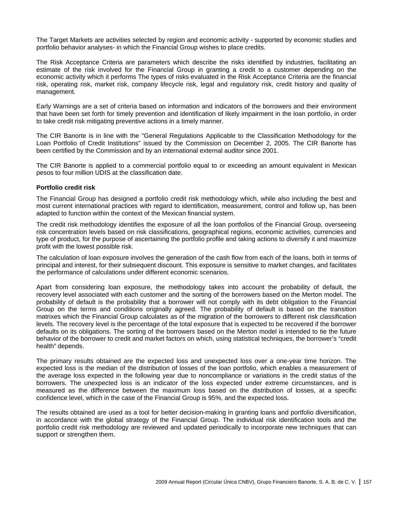The Target Markets are activities selected by region and economic activity - supported by economic studies and portfolio behavior analyses- in which the Financial Group wishes to place credits.

The Risk Acceptance Criteria are parameters which describe the risks identified by industries, facilitating an estimate of the risk involved for the Financial Group in granting a credit to a customer depending on the economic activity which it performs The types of risks evaluated in the Risk Acceptance Criteria are the financial risk, operating risk, market risk, company lifecycle risk, legal and regulatory risk, credit history and quality of management.

Early Warnings are a set of criteria based on information and indicators of the borrowers and their environment that have been set forth for timely prevention and identification of likely impairment in the loan portfolio, in order to take credit risk mitigating preventive actions in a timely manner.

The CIR Banorte is in line with the "General Regulations Applicable to the Classification Methodology for the Loan Portfolio of Credit Institutions" issued by the Commission on December 2, 2005. The CIR Banorte has been certified by the Commission and by an international external auditor since 2001.

The CIR Banorte is applied to a commercial portfolio equal to or exceeding an amount equivalent in Mexican pesos to four million UDIS at the classification date.

### **Portfolio credit risk**

The Financial Group has designed a portfolio credit risk methodology which, while also including the best and most current international practices with regard to identification, measurement, control and follow up, has been adapted to function within the context of the Mexican financial system.

The credit risk methodology identifies the exposure of all the loan portfolios of the Financial Group, overseeing risk concentration levels based on risk classifications, geographical regions, economic activities, currencies and type of product, for the purpose of ascertaining the portfolio profile and taking actions to diversify it and maximize profit with the lowest possible risk.

The calculation of loan exposure involves the generation of the cash flow from each of the loans, both in terms of principal and interest, for their subsequent discount. This exposure is sensitive to market changes, and facilitates the performance of calculations under different economic scenarios.

Apart from considering loan exposure, the methodology takes into account the probability of default, the recovery level associated with each customer and the sorting of the borrowers based on the Merton model. The probability of default is the probability that a borrower will not comply with its debt obligation to the Financial Group on the terms and conditions originally agreed. The probability of default is based on the transition matrixes which the Financial Group calculates as of the migration of the borrowers to different risk classification levels. The recovery level is the percentage of the total exposure that is expected to be recovered if the borrower defaults on its obligations. The sorting of the borrowers based on the Merton model is intended to tie the future behavior of the borrower to credit and market factors on which, using statistical techniques, the borrower's "credit health" depends.

The primary results obtained are the expected loss and unexpected loss over a one-year time horizon. The expected loss is the median of the distribution of losses of the loan portfolio, which enables a measurement of the average loss expected in the following year due to noncompliance or variations in the credit status of the borrowers. The unexpected loss is an indicator of the loss expected under extreme circumstances, and is measured as the difference between the maximum loss based on the distribution of losses, at a specific confidence level, which in the case of the Financial Group is 95%, and the expected loss.

The results obtained are used as a tool for better decision-making in granting loans and portfolio diversification, in accordance with the global strategy of the Financial Group. The individual risk identification tools and the portfolio credit risk methodology are reviewed and updated periodically to incorporate new techniques that can support or strengthen them.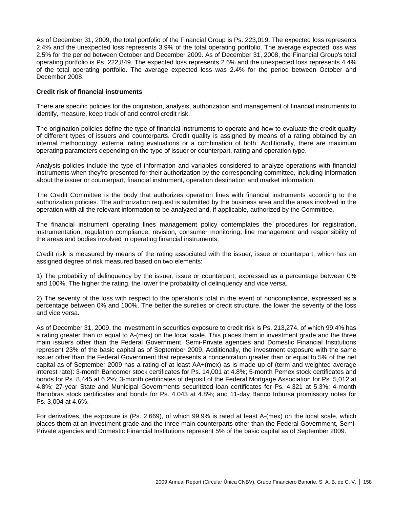As of December 31, 2009, the total portfolio of the Financial Group is Ps. 223,019. The expected loss represents 2.4% and the unexpected loss represents 3.9% of the total operating portfolio. The average expected loss was 2.5% for the period between October and December 2009. As of December 31, 2008, the Financial Group's total operating portfolio is Ps. 222,849. The expected loss represents 2.6% and the unexpected loss represents 4.4% of the total operating portfolio. The average expected loss was 2.4% for the period between October and December 2008.

## **Credit risk of financial instruments**

There are specific policies for the origination, analysis, authorization and management of financial instruments to identify, measure, keep track of and control credit risk.

The origination policies define the type of financial instruments to operate and how to evaluate the credit quality of different types of issuers and counterparts. Credit quality is assigned by means of a rating obtained by an internal methodology, external rating evaluations or a combination of both. Additionally, there are maximum operating parameters depending on the type of issuer or counterpart, rating and operation type.

Analysis policies include the type of information and variables considered to analyze operations with financial instruments when they're presented for their authorization by the corresponding committee, including information about the issuer or counterpart, financial instrument, operation destination and market information.

The Credit Committee is the body that authorizes operation lines with financial instruments according to the authorization policies. The authorization request is submitted by the business area and the areas involved in the operation with all the relevant information to be analyzed and, if applicable, authorized by the Committee.

The financial instrument operating lines management policy contemplates the procedures for registration, instrumentation, regulation compliance, revision, consumer monitoring, line management and responsibility of the areas and bodies involved in operating financial instruments.

Credit risk is measured by means of the rating associated with the issuer, issue or counterpart, which has an assigned degree of risk measured based on two elements:

1) The probability of delinquency by the issuer, issue or counterpart; expressed as a percentage between 0% and 100%. The higher the rating, the lower the probability of delinquency and vice versa.

2) The severity of the loss with respect to the operation's total in the event of noncompliance, expressed as a percentage between 0% and 100%. The better the sureties or credit structure, the lower the severity of the loss and vice versa.

As of December 31, 2009, the investment in securities exposure to credit risk is Ps. 213,274, of which 99.4% has a rating greater than or equal to A-(mex) on the local scale. This places them in investment grade and the three main issuers other than the Federal Government, Semi-Private agencies and Domestic Financial Institutions represent 23% of the basic capital as of September 2009. Additionally, the investment exposure with the same issuer other than the Federal Government that represents a concentration greater than or equal to 5% of the net capital as of September 2009 has a rating of at least AA+(mex) as is made up of (term and weighted average interest rate): 3-month Bancomer stock certificates for Ps. 14,001 at 4.8%; 5-month Pemex stock certificates and bonds for Ps. 8,445 at 6.2%; 3-month certificates of deposit of the Federal Mortgage Association for Ps. 5,012 at 4.8%; 27-year State and Municipal Governments securitized loan certificates for Ps. 4,321 at 5.3%; 4-month Banobras stock certificates and bonds for Ps. 4.043 at 4.8%; and 11-day Banco Inbursa promissory notes for Ps. 3,004 at 4.6%.

For derivatives, the exposure is (Ps. 2,669), of which 99.9% is rated at least A-(mex) on the local scale, which places them at an investment grade and the three main counterparts other than the Federal Government, Semi-Private agencies and Domestic Financial Institutions represent 5% of the basic capital as of September 2009.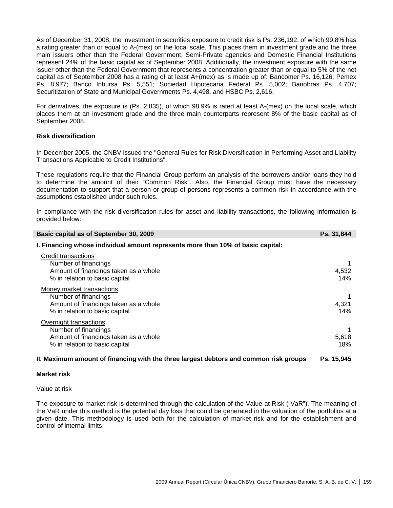As of December 31, 2008, the investment in securities exposure to credit risk is Ps. 236,192, of which 99.8% has a rating greater than or equal to A-(mex) on the local scale. This places them in investment grade and the three main issuers other than the Federal Government, Semi-Private agencies and Domestic Financial Institutions represent 24% of the basic capital as of September 2008. Additionally, the investment exposure with the same issuer other than the Federal Government that represents a concentration greater than or equal to 5% of the net capital as of September 2008 has a rating of at least A+(mex) as is made up of: Bancomer Ps. 16,126; Pemex Ps. 8,977; Banco Inbursa Ps. 5,551; Sociedad Hipotecaria Federal Ps. 5,002; Banobras Ps. 4,707; Securitization of State and Municipal Governments Ps. 4,498, and HSBC Ps. 2,616.

For derivatives, the exposure is (Ps. 2,835), of which 98.9% is rated at least A-(mex) on the local scale, which places them at an investment grade and the three main counterparts represent 8% of the basic capital as of September 2008.

### **Risk diversification**

In December 2005, the CNBV issued the "General Rules for Risk Diversification in Performing Asset and Liability Transactions Applicable to Credit Institutions".

These regulations require that the Financial Group perform an analysis of the borrowers and/or loans they hold to determine the amount of their "Common Risk". Also, the Financial Group must have the necessary documentation to support that a person or group of persons represents a common risk in accordance with the assumptions established under such rules.

In compliance with the risk diversification rules for asset and liability transactions, the following information is provided below:

| Basic capital as of September 30, 2009                                                | Ps. 31,844 |
|---------------------------------------------------------------------------------------|------------|
| I. Financing whose individual amount represents more than 10% of basic capital:       |            |
| Credit transactions                                                                   |            |
| Number of financings                                                                  |            |
| Amount of financings taken as a whole                                                 | 4,532      |
| % in relation to basic capital                                                        | 14%        |
| Money market transactions                                                             |            |
| Number of financings                                                                  |            |
| Amount of financings taken as a whole                                                 | 4,321      |
| % in relation to basic capital                                                        | 14%        |
| Overnight transactions                                                                |            |
| Number of financings                                                                  |            |
| Amount of financings taken as a whole                                                 | 5,618      |
| % in relation to basic capital                                                        | 18%        |
| II. Maximum amount of financing with the three largest debtors and common risk groups | Ps. 15,945 |

#### **Market risk**

#### Value at risk

The exposure to market risk is determined through the calculation of the Value at Risk ("VaR"). The meaning of the VaR under this method is the potential day loss that could be generated in the valuation of the portfolios at a given date. This methodology is used both for the calculation of market risk and for the establishment and control of internal limits.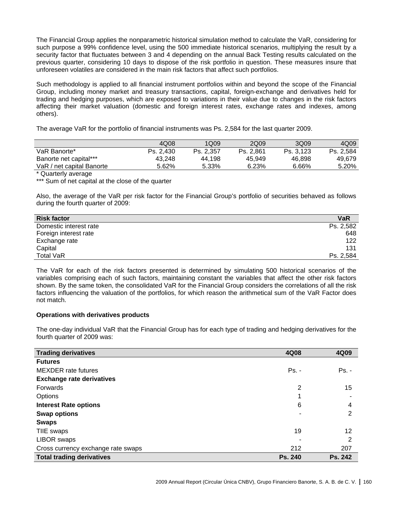The Financial Group applies the nonparametric historical simulation method to calculate the VaR, considering for such purpose a 99% confidence level, using the 500 immediate historical scenarios, multiplying the result by a security factor that fluctuates between 3 and 4 depending on the annual Back Testing results calculated on the previous quarter, considering 10 days to dispose of the risk portfolio in question. These measures insure that unforeseen volatiles are considered in the main risk factors that affect such portfolios.

Such methodology is applied to all financial instrument portfolios within and beyond the scope of the Financial Group, including money market and treasury transactions, capital, foreign-exchange and derivatives held for trading and hedging purposes, which are exposed to variations in their value due to changes in the risk factors affecting their market valuation (domestic and foreign interest rates, exchange rates and indexes, among others).

The average VaR for the portfolio of financial instruments was Ps. 2,584 for the last quarter 2009.

|                           | 4Q08      | 1Q09      | 2Q09      | 3Q09      | 4Q09      |
|---------------------------|-----------|-----------|-----------|-----------|-----------|
| VaR Banorte*              | Ps. 2.430 | Ps. 2.357 | Ps. 2.861 | Ps. 3.123 | Ps. 2.584 |
| Banorte net capital***    | 43.248    | 44.198    | 45.949    | 46.898    | 49.679    |
| VaR / net capital Banorte | 5.62%     | 5.33%     | 6.23%     | 6.66%     | 5.20%     |
|                           |           |           |           |           |           |

\* Quarterly average

\*\*\* Sum of net capital at the close of the quarter

Also, the average of the VaR per risk factor for the Financial Group's portfolio of securities behaved as follows during the fourth quarter of 2009:

| <b>Risk factor</b>     | <b>VaR</b> |
|------------------------|------------|
| Domestic interest rate | Ps. 2,582  |
| Foreign interest rate  | 648        |
| Exchange rate          | 122        |
| Capital                | 131        |
| <b>Total VaR</b>       | Ps. 2,584  |

The VaR for each of the risk factors presented is determined by simulating 500 historical scenarios of the variables comprising each of such factors, maintaining constant the variables that affect the other risk factors shown. By the same token, the consolidated VaR for the Financial Group considers the correlations of all the risk factors influencing the valuation of the portfolios, for which reason the arithmetical sum of the VaR Factor does not match.

## **Operations with derivatives products**

The one-day individual VaR that the Financial Group has for each type of trading and hedging derivatives for the fourth quarter of 2009 was:

| <b>Trading derivatives</b>         | 4Q08           | 4Q09           |
|------------------------------------|----------------|----------------|
| <b>Futures</b>                     |                |                |
| <b>MEXDER</b> rate futures         | $Ps. -$        | $Ps. -$        |
| <b>Exchange rate derivatives</b>   |                |                |
| Forwards                           | 2              | 15             |
| Options                            |                |                |
| <b>Interest Rate options</b>       | 6              | 4              |
| <b>Swap options</b>                |                | 2              |
| <b>Swaps</b>                       |                |                |
| TIIE swaps                         | 19             | 12             |
| <b>LIBOR</b> swaps                 |                | 2              |
| Cross currency exchange rate swaps | 212            | 207            |
| <b>Total trading derivatives</b>   | <b>Ps. 240</b> | <b>Ps. 242</b> |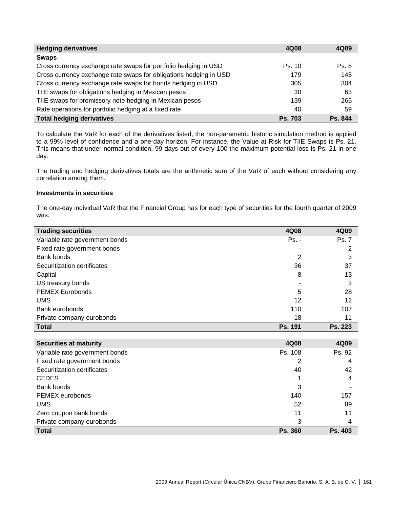| <b>Hedging derivatives</b>                                        | 4Q08           | 4Q09    |
|-------------------------------------------------------------------|----------------|---------|
| <b>Swaps</b>                                                      |                |         |
| Cross currency exchange rate swaps for portfolio hedging in USD   | Ps. 10         | Ps. 8   |
| Cross currency exchange rate swaps for obligations hedging in USD | 179            | 145     |
| Cross currency exchange rate swaps for bonds hedging in USD       | 305            | 304     |
| TIIE swaps for obligations hedging in Mexican pesos               | 30             | 63      |
| TIIE swaps for promissory note hedging in Mexican pesos           | 139            | 265     |
| Rate operations for portfolio hedging at a fixed rate             | 40             | 59      |
| <b>Total hedging derivatives</b>                                  | <b>Ps. 703</b> | Ps. 844 |

To calculate the VaR for each of the derivatives listed, the non-parametric historic simulation method is applied to a 99% level of confidence and a one-day horizon. For instance, the Value at Risk for TIIE Swaps is Ps. 21. This means that under normal condition, 99 days out of every 100 the maximum potential loss is Ps. 21 in one day.

The trading and hedging derivatives totals are the arithmetic sum of the VaR of each without considering any correlation among them.

### **Investments in securities**

The one-day individual VaR that the Financial Group has for each type of securities for the fourth quarter of 2009 was:

| <b>Trading securities</b>      | 4Q08           | 4Q09           |
|--------------------------------|----------------|----------------|
| Variable rate government bonds | $Ps. -$        | <b>Ps. 7</b>   |
| Fixed rate government bonds    |                |                |
| Bank bonds                     | 2              | 3              |
| Securitization certificates    | 36             | 37             |
| Capital                        | 8              | 13             |
| US treasury bonds              |                | 3              |
| <b>PEMEX Eurobonds</b>         | 5              | 28             |
| <b>UMS</b>                     | 12             | 12             |
| Bank eurobonds                 | 110            | 107            |
| Private company eurobonds      | 18             | 11             |
| <b>Total</b>                   | <b>Ps. 191</b> | <b>Ps. 223</b> |

| <b>Securities at maturity</b>  | 4Q08           | 4Q09           |
|--------------------------------|----------------|----------------|
|                                |                |                |
| Variable rate government bonds | Ps. 108        | Ps. 92         |
| Fixed rate government bonds    | 2              | 4              |
| Securitization certificates    | 40             | 42             |
| <b>CEDES</b>                   |                | 4              |
| Bank bonds                     | 3              |                |
| PEMEX eurobonds                | 140            | 157            |
| <b>UMS</b>                     | 52             | 89             |
| Zero coupon bank bonds         | 11             | 11             |
| Private company eurobonds      | 3              | 4              |
| <b>Total</b>                   | <b>Ps. 360</b> | <b>Ps. 403</b> |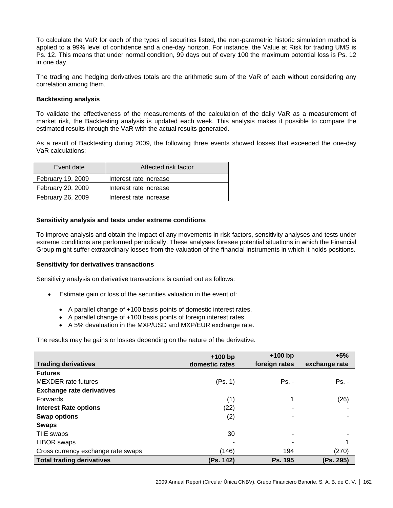To calculate the VaR for each of the types of securities listed, the non-parametric historic simulation method is applied to a 99% level of confidence and a one-day horizon. For instance, the Value at Risk for trading UMS is Ps. 12. This means that under normal condition, 99 days out of every 100 the maximum potential loss is Ps. 12 in one day.

The trading and hedging derivatives totals are the arithmetic sum of the VaR of each without considering any correlation among them.

### **Backtesting analysis**

To validate the effectiveness of the measurements of the calculation of the daily VaR as a measurement of market risk, the Backtesting analysis is updated each week. This analysis makes it possible to compare the estimated results through the VaR with the actual results generated.

As a result of Backtesting during 2009, the following three events showed losses that exceeded the one-day VaR calculations:

| Event date               | Affected risk factor   |
|--------------------------|------------------------|
| February 19, 2009        | Interest rate increase |
| <b>February 20, 2009</b> | Interest rate increase |
| <b>February 26, 2009</b> | Interest rate increase |
|                          |                        |

#### **Sensitivity analysis and tests under extreme conditions**

To improve analysis and obtain the impact of any movements in risk factors, sensitivity analyses and tests under extreme conditions are performed periodically. These analyses foresee potential situations in which the Financial Group might suffer extraordinary losses from the valuation of the financial instruments in which it holds positions.

#### **Sensitivity for derivatives transactions**

Sensitivity analysis on derivative transactions is carried out as follows:

- Estimate gain or loss of the securities valuation in the event of:
	- A parallel change of +100 basis points of domestic interest rates.
	- A parallel change of +100 basis points of foreign interest rates.
	- A 5% devaluation in the MXP/USD and MXP/EUR exchange rate.

The results may be gains or losses depending on the nature of the derivative.

|                                    | $+100$ bp      | $+100$ bp      | $+5%$         |
|------------------------------------|----------------|----------------|---------------|
| <b>Trading derivatives</b>         | domestic rates | foreign rates  | exchange rate |
| <b>Futures</b>                     |                |                |               |
| <b>MEXDER</b> rate futures         | (Ps. 1)        | $Ps. -$        | $Ps. -$       |
| <b>Exchange rate derivatives</b>   |                |                |               |
| Forwards                           | (1)            | 4              | (26)          |
| <b>Interest Rate options</b>       | (22)           |                |               |
| <b>Swap options</b>                | (2)            |                |               |
| <b>Swaps</b>                       |                |                |               |
| TIIE swaps                         | 30             | ٠              |               |
| <b>LIBOR</b> swaps                 |                |                |               |
| Cross currency exchange rate swaps | (146)          | 194            | (270)         |
| <b>Total trading derivatives</b>   | (Ps. 142)      | <b>Ps. 195</b> | (Ps. 295)     |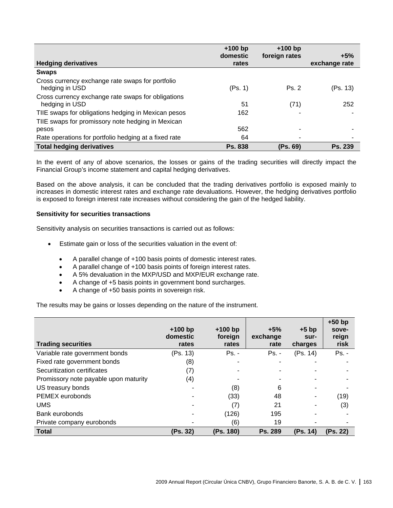|                                                                      | $+100$ bp<br>domestic | $+100$ bp<br>foreign rates | $+5%$         |
|----------------------------------------------------------------------|-----------------------|----------------------------|---------------|
| <b>Hedging derivatives</b>                                           | rates                 |                            | exchange rate |
| <b>Swaps</b>                                                         |                       |                            |               |
| Cross currency exchange rate swaps for portfolio<br>hedging in USD   | (Ps. 1)               | Ps. 2                      | (Ps. 13)      |
| Cross currency exchange rate swaps for obligations<br>hedging in USD | 51                    | (71)                       | 252           |
| TIIE swaps for obligations hedging in Mexican pesos                  | 162                   |                            |               |
| TIIE swaps for promissory note hedging in Mexican<br>pesos           | 562                   |                            |               |
| Rate operations for portfolio hedging at a fixed rate                | 64                    |                            |               |
| <b>Total hedging derivatives</b>                                     | <b>Ps. 838</b>        | (Ps. 69)                   | Ps. 239       |

In the event of any of above scenarios, the losses or gains of the trading securities will directly impact the Financial Group's income statement and capital hedging derivatives.

Based on the above analysis, it can be concluded that the trading derivatives portfolio is exposed mainly to increases in domestic interest rates and exchange rate devaluations. However, the hedging derivatives portfolio is exposed to foreign interest rate increases without considering the gain of the hedged liability.

## **Sensitivity for securities transactions**

Sensitivity analysis on securities transactions is carried out as follows:

- Estimate gain or loss of the securities valuation in the event of:
	- A parallel change of +100 basis points of domestic interest rates.
	- A parallel change of +100 basis points of foreign interest rates.
	- A 5% devaluation in the MXP/USD and MXP/EUR exchange rate.
	- A change of +5 basis points in government bond surcharges.
	- A change of +50 basis points in sovereign risk.

The results may be gains or losses depending on the nature of the instrument.

| <b>Trading securities</b>             | $+100$ bp<br>domestic<br>rates | $+100$ bp<br>foreign<br>rates | $+5%$<br>exchange<br>rate | $+5$ bp<br>sur-<br>charges | $+50$ bp<br>sove-<br>reign<br>risk |
|---------------------------------------|--------------------------------|-------------------------------|---------------------------|----------------------------|------------------------------------|
| Variable rate government bonds        | (Ps. 13)                       | $Ps. -$                       | $Ps. -$                   | (Ps. 14)                   | $Ps. -$                            |
| Fixed rate government bonds           | (8)                            | $\blacksquare$                | $\overline{\phantom{a}}$  |                            |                                    |
| Securitization certificates           | (7)                            |                               |                           |                            |                                    |
| Promissory note payable upon maturity | (4)                            |                               |                           |                            |                                    |
| US treasury bonds                     |                                | (8)                           | 6                         |                            |                                    |
| PEMEX eurobonds                       |                                | (33)                          | 48                        |                            | (19)                               |
| <b>UMS</b>                            |                                | (7)                           | 21                        |                            | (3)                                |
| Bank eurobonds                        |                                | (126)                         | 195                       |                            |                                    |
| Private company eurobonds             |                                | (6)                           | 19                        |                            |                                    |
| <b>Total</b>                          | (Ps. 32)                       | (Ps. 180)                     | Ps. 289                   | (Ps. 14)                   | (Ps. 22)                           |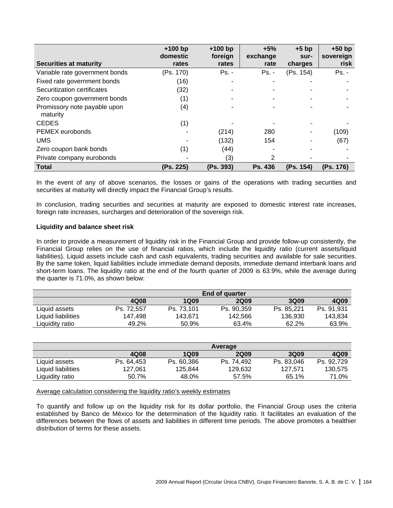| <b>Securities at maturity</b>            | $+100$ bp<br>domestic<br>rates | $+100$ bp<br>foreign<br>rates | $+5%$<br>exchange<br>rate | $+5$ bp<br>sur-<br>charges | $+50$ bp<br>sovereign<br>risk |
|------------------------------------------|--------------------------------|-------------------------------|---------------------------|----------------------------|-------------------------------|
|                                          |                                |                               |                           |                            |                               |
| Variable rate government bonds           | (Ps. 170)                      | $Ps. -$                       | $Ps. -$                   | (Ps. 154)                  | $Ps. -$                       |
| Fixed rate government bonds              | (16)                           |                               |                           |                            |                               |
| Securitization certificates              | (32)                           |                               |                           |                            |                               |
| Zero coupon government bonds             | (1)                            |                               |                           |                            |                               |
| Promissory note payable upon<br>maturity | (4)                            |                               |                           |                            |                               |
| <b>CEDES</b>                             | (1)                            |                               |                           |                            |                               |
| PEMEX eurobonds                          |                                | (214)                         | 280                       |                            | (109)                         |
| <b>UMS</b>                               |                                | (132)                         | 154                       |                            | (67)                          |
| Zero coupon bank bonds                   | (1)                            | (44)                          |                           |                            |                               |
| Private company eurobonds                |                                | (3)                           | 2                         |                            |                               |
| <b>Total</b>                             | (Ps. 225)                      | (Ps. 393)                     | Ps. 436                   | (Ps. 154)                  | (Ps. 176)                     |

In the event of any of above scenarios, the losses or gains of the operations with trading securities and securities at maturity will directly impact the Financial Group's results.

In conclusion, trading securities and securities at maturity are exposed to domestic interest rate increases, foreign rate increases, surcharges and deterioration of the sovereign risk.

### **Liquidity and balance sheet risk**

In order to provide a measurement of liquidity risk in the Financial Group and provide follow-up consistently, the Financial Group relies on the use of financial ratios, which include the liquidity ratio (current assets/liquid liabilities). Liquid assets include cash and cash equivalents, trading securities and available for sale securities. By the same token, liquid liabilities include immediate demand deposits, immediate demand interbank loans and short-term loans. The liquidity ratio at the end of the fourth quarter of 2009 is 63.9%, while the average during the quarter is 71.0%, as shown below:

|                    | <b>End of quarter</b> |             |             |             |            |
|--------------------|-----------------------|-------------|-------------|-------------|------------|
|                    | 4Q08                  | <b>1Q09</b> | <b>2Q09</b> | <b>3Q09</b> | 4Q09       |
| Liquid assets      | Ps. 72.557            | Ps. 73.101  | Ps. 90,359  | Ps. 85.221  | Ps. 91.931 |
| Liquid liabilities | 147.498               | 143.671     | 142,566     | 136.930     | 143.834    |
| Liquidity ratio    | 49.2%                 | 50.9%       | 63.4%       | 62.2%       | 63.9%      |

|                    | Average    |             |             |             |            |
|--------------------|------------|-------------|-------------|-------------|------------|
|                    | 4Q08       | <b>1Q09</b> | <b>2Q09</b> | <b>3Q09</b> | 4Q09       |
| Liquid assets      | Ps. 64.453 | Ps. 60.386  | Ps. 74.492  | Ps. 83.046  | Ps. 92.729 |
| Liquid liabilities | 127.061    | 125.844     | 129.632     | 127.571     | 130,575    |
| Liquidity ratio    | 50.7%      | 48.0%       | 57.5%       | 65.1%       | 71.0%      |

#### Average calculation considering the liquidity ratio's weekly estimates

To quantify and follow up on the liquidity risk for its dollar portfolio, the Financial Group uses the criteria established by Banco de México for the determination of the liquidity ratio. It facilitates an evaluation of the differences between the flows of assets and liabilities in different time periods. The above promotes a healthier distribution of terms for these assets.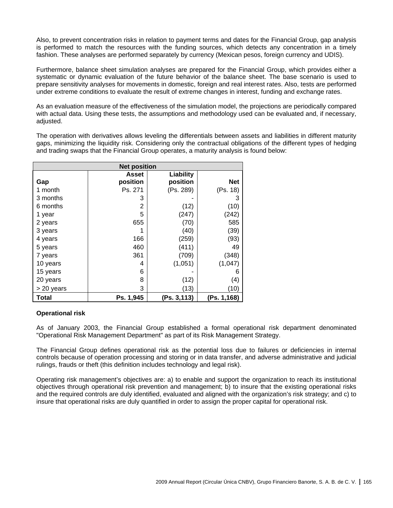Also, to prevent concentration risks in relation to payment terms and dates for the Financial Group, gap analysis is performed to match the resources with the funding sources, which detects any concentration in a timely fashion. These analyses are performed separately by currency (Mexican pesos, foreign currency and UDIS).

Furthermore, balance sheet simulation analyses are prepared for the Financial Group, which provides either a systematic or dynamic evaluation of the future behavior of the balance sheet. The base scenario is used to prepare sensitivity analyses for movements in domestic, foreign and real interest rates. Also, tests are performed under extreme conditions to evaluate the result of extreme changes in interest, funding and exchange rates.

As an evaluation measure of the effectiveness of the simulation model, the projections are periodically compared with actual data. Using these tests, the assumptions and methodology used can be evaluated and, if necessary, adjusted.

The operation with derivatives allows leveling the differentials between assets and liabilities in different maturity gaps, minimizing the liquidity risk. Considering only the contractual obligations of the different types of hedging and trading swaps that the Financial Group operates, a maturity analysis is found below:

| <b>Net position</b> |           |             |             |  |  |
|---------------------|-----------|-------------|-------------|--|--|
|                     | Asset     | Liability   |             |  |  |
| Gap                 | position  | position    | <b>Net</b>  |  |  |
| 1 month             | Ps. 271   | (Ps. 289)   | (Ps. 18)    |  |  |
| 3 months            | 3         |             | 3           |  |  |
| 6 months            | 2         | (12)        | (10)        |  |  |
| 1 year              | 5         | (247)       | (242)       |  |  |
| 2 years             | 655       | (70)        | 585         |  |  |
| 3 years             |           | (40)        | (39)        |  |  |
| 4 years             | 166       | (259)       | (93)        |  |  |
| 5 years             | 460       | (411)       | 49          |  |  |
| 7 years             | 361       | (709)       | (348)       |  |  |
| 10 years            | 4         | (1,051)     | (1,047)     |  |  |
| 15 years            | 6         |             | 6           |  |  |
| 20 years            | 8         | (12)        | (4)         |  |  |
| > 20 years          | 3         | (13)        | (10)        |  |  |
| Total               | Ps. 1,945 | (Ps. 3,113) | (Ps. 1,168) |  |  |

## **Operational risk**

As of January 2003, the Financial Group established a formal operational risk department denominated "Operational Risk Management Department" as part of its Risk Management Strategy.

The Financial Group defines operational risk as the potential loss due to failures or deficiencies in internal controls because of operation processing and storing or in data transfer, and adverse administrative and judicial rulings, frauds or theft (this definition includes technology and legal risk).

Operating risk management's objectives are: a) to enable and support the organization to reach its institutional objectives through operational risk prevention and management; b) to insure that the existing operational risks and the required controls are duly identified, evaluated and aligned with the organization's risk strategy; and c) to insure that operational risks are duly quantified in order to assign the proper capital for operational risk.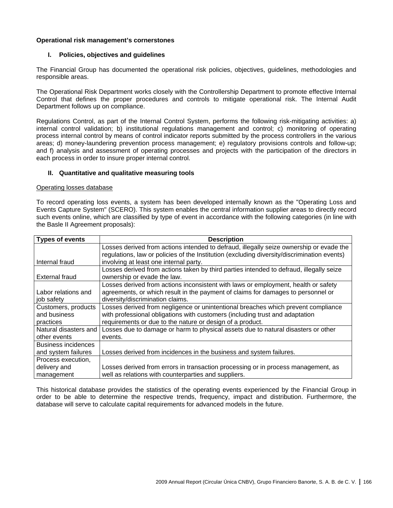## **Operational risk management's cornerstones**

## **I. Policies, objectives and guidelines**

The Financial Group has documented the operational risk policies, objectives, guidelines, methodologies and responsible areas.

The Operational Risk Department works closely with the Controllership Department to promote effective Internal Control that defines the proper procedures and controls to mitigate operational risk. The Internal Audit Department follows up on compliance.

Regulations Control, as part of the Internal Control System, performs the following risk-mitigating activities: a) internal control validation; b) institutional regulations management and control; c) monitoring of operating process internal control by means of control indicator reports submitted by the process controllers in the various areas; d) money-laundering prevention process management; e) regulatory provisions controls and follow-up; and f) analysis and assessment of operating processes and projects with the participation of the directors in each process in order to insure proper internal control.

### **II. Quantitative and qualitative measuring tools**

#### Operating losses database

To record operating loss events, a system has been developed internally known as the "Operating Loss and Events Capture System" (SCERO). This system enables the central information supplier areas to directly record such events online, which are classified by type of event in accordance with the following categories (in line with the Basle II Agreement proposals):

| Types of events            | <b>Description</b>                                                                          |
|----------------------------|---------------------------------------------------------------------------------------------|
|                            | Losses derived from actions intended to defraud, illegally seize ownership or evade the     |
|                            | regulations, law or policies of the Institution (excluding diversity/discrimination events) |
| Internal fraud             | involving at least one internal party.                                                      |
|                            | Losses derived from actions taken by third parties intended to defraud, illegally seize     |
| External fraud             | ownership or evade the law.                                                                 |
|                            | Losses derived from actions inconsistent with laws or employment, health or safety          |
| Labor relations and        | agreements, or which result in the payment of claims for damages to personnel or            |
| job safety                 | diversity/discrimination claims.                                                            |
| Customers, products        | Losses derived from negligence or unintentional breaches which prevent compliance           |
| and business               | with professional obligations with customers (including trust and adaptation                |
| practices                  | requirements or due to the nature or design of a product.                                   |
| Natural disasters and      | Losses due to damage or harm to physical assets due to natural disasters or other           |
| other events               | events.                                                                                     |
| <b>Business incidences</b> |                                                                                             |
| and system failures        | Losses derived from incidences in the business and system failures.                         |
| Process execution.         |                                                                                             |
| delivery and               | Losses derived from errors in transaction processing or in process management, as           |
| management                 | well as relations with counterparties and suppliers.                                        |

This historical database provides the statistics of the operating events experienced by the Financial Group in order to be able to determine the respective trends, frequency, impact and distribution. Furthermore, the database will serve to calculate capital requirements for advanced models in the future.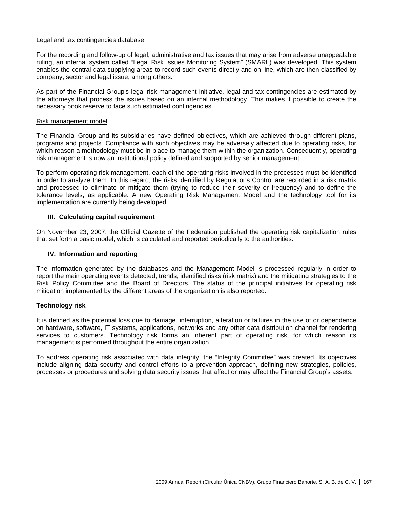### Legal and tax contingencies database

For the recording and follow-up of legal, administrative and tax issues that may arise from adverse unappealable ruling, an internal system called "Legal Risk Issues Monitoring System" (SMARL) was developed. This system enables the central data supplying areas to record such events directly and on-line, which are then classified by company, sector and legal issue, among others.

As part of the Financial Group's legal risk management initiative, legal and tax contingencies are estimated by the attorneys that process the issues based on an internal methodology. This makes it possible to create the necessary book reserve to face such estimated contingencies.

## Risk management model

The Financial Group and its subsidiaries have defined objectives, which are achieved through different plans, programs and projects. Compliance with such objectives may be adversely affected due to operating risks, for which reason a methodology must be in place to manage them within the organization. Consequently, operating risk management is now an institutional policy defined and supported by senior management.

To perform operating risk management, each of the operating risks involved in the processes must be identified in order to analyze them. In this regard, the risks identified by Regulations Control are recorded in a risk matrix and processed to eliminate or mitigate them (trying to reduce their severity or frequency) and to define the tolerance levels, as applicable. A new Operating Risk Management Model and the technology tool for its implementation are currently being developed.

## **III. Calculating capital requirement**

On November 23, 2007, the Official Gazette of the Federation published the operating risk capitalization rules that set forth a basic model, which is calculated and reported periodically to the authorities.

## **IV. Information and reporting**

The information generated by the databases and the Management Model is processed regularly in order to report the main operating events detected, trends, identified risks (risk matrix) and the mitigating strategies to the Risk Policy Committee and the Board of Directors. The status of the principal initiatives for operating risk mitigation implemented by the different areas of the organization is also reported.

## **Technology risk**

It is defined as the potential loss due to damage, interruption, alteration or failures in the use of or dependence on hardware, software, IT systems, applications, networks and any other data distribution channel for rendering services to customers. Technology risk forms an inherent part of operating risk, for which reason its management is performed throughout the entire organization

To address operating risk associated with data integrity, the "Integrity Committee" was created. Its objectives include aligning data security and control efforts to a prevention approach, defining new strategies, policies, processes or procedures and solving data security issues that affect or may affect the Financial Group's assets.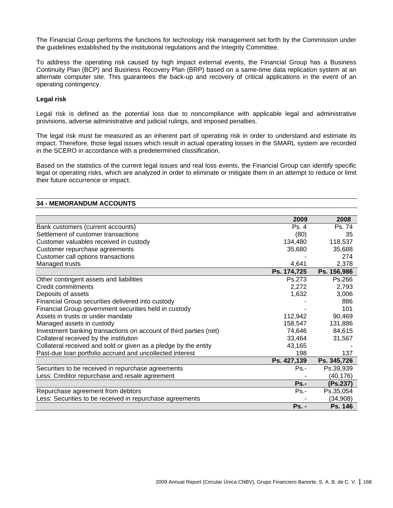The Financial Group performs the functions for technology risk management set forth by the Commission under the guidelines established by the institutional regulations and the Integrity Committee.

To address the operating risk caused by high impact external events, the Financial Group has a Business Continuity Plan (BCP) and Business Recovery Plan (BRP) based on a same-time data replication system at an alternate computer site. This guarantees the back-up and recovery of critical applications in the event of an operating contingency.

## **Legal risk**

Legal risk is defined as the potential loss due to noncompliance with applicable legal and administrative provisions, adverse administrative and judicial rulings, and imposed penalties.

The legal risk must be measured as an inherent part of operating risk in order to understand and estimate its impact. Therefore, those legal issues which result in actual operating losses in the SMARL system are recorded in the SCERO in accordance with a predetermined classification.

Based on the statistics of the current legal issues and real loss events, the Financial Group can identify specific legal or operating risks, which are analyzed in order to eliminate or mitigate them in an attempt to reduce or limit their future occurrence or impact.

### **34 - MEMORANDUM ACCOUNTS**

|                                                                   | 2009        | 2008        |
|-------------------------------------------------------------------|-------------|-------------|
| Bank customers (current accounts)                                 | Ps. 4       | Ps. 74      |
| Settlement of customer transactions                               | (80)        | 35          |
| Customer valuables received in custody                            | 134,480     | 118,537     |
| Customer repurchase agreements                                    | 35,680      | 35,688      |
| Customer call options transactions                                |             | 274         |
| Managed trusts                                                    | 4,641       | 2,378       |
|                                                                   | Ps. 174,725 | Ps. 156,986 |
| Other contingent assets and liabilities                           | Ps.273      | Ps.266      |
| Credit commitments                                                | 2,272       | 2,793       |
| Deposits of assets                                                | 1,632       | 3,006       |
| Financial Group securities delivered into custody                 |             | 886         |
| Financial Group government securities held in custody             |             | 101         |
| Assets in trusts or under mandate                                 | 112,942     | 90,469      |
| Managed assets in custody                                         | 158,547     | 131,886     |
| Investment banking transactions on account of third parties (net) | 74,646      | 84,615      |
| Collateral received by the institution                            | 33,464      | 31,567      |
| Collateral received and sold or given as a pledge by the entity   | 43,165      |             |
| Past-due loan portfolio accrued and uncollected interest          | 198         | 137         |
|                                                                   | Ps. 427,139 | Ps. 345,726 |
| Securities to be received in repurchase agreements                | $Ps.-$      | Ps.39,939   |
| Less: Creditor repurchase and resale agreement                    |             | (40, 176)   |
|                                                                   | $Ps. -$     | (Ps.237)    |
| Repurchase agreement from debtors                                 | $Ps. -$     | Ps.35,054   |
| Less: Securities to be received in repurchase agreements          |             | (34,908)    |
|                                                                   | $Ps. -$     | Ps. 146     |